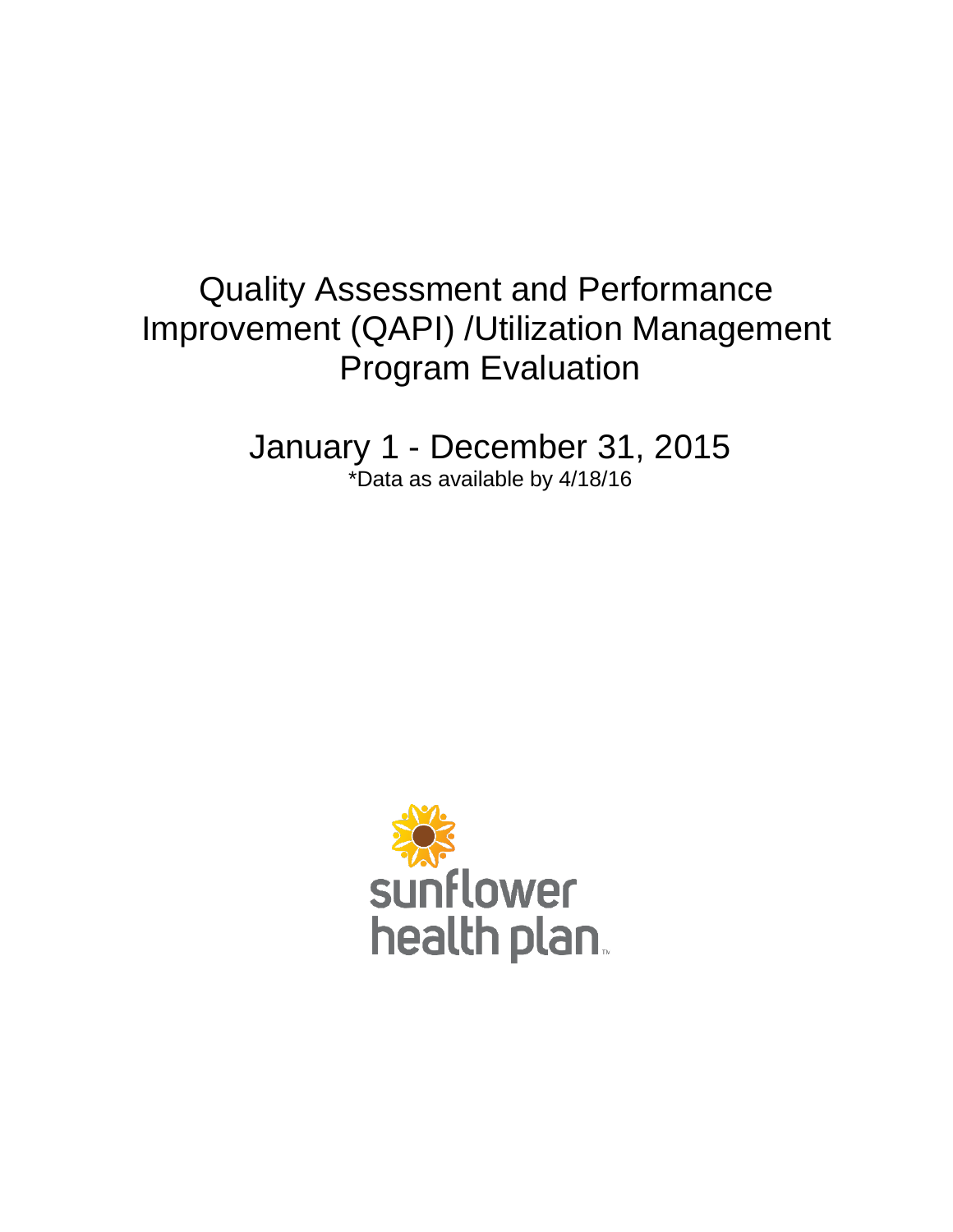# Quality Assessment and Performance Improvement (QAPI) /Utilization Management Program Evaluation

January 1 - December 31, 2015 \*Data as available by 4/18/16

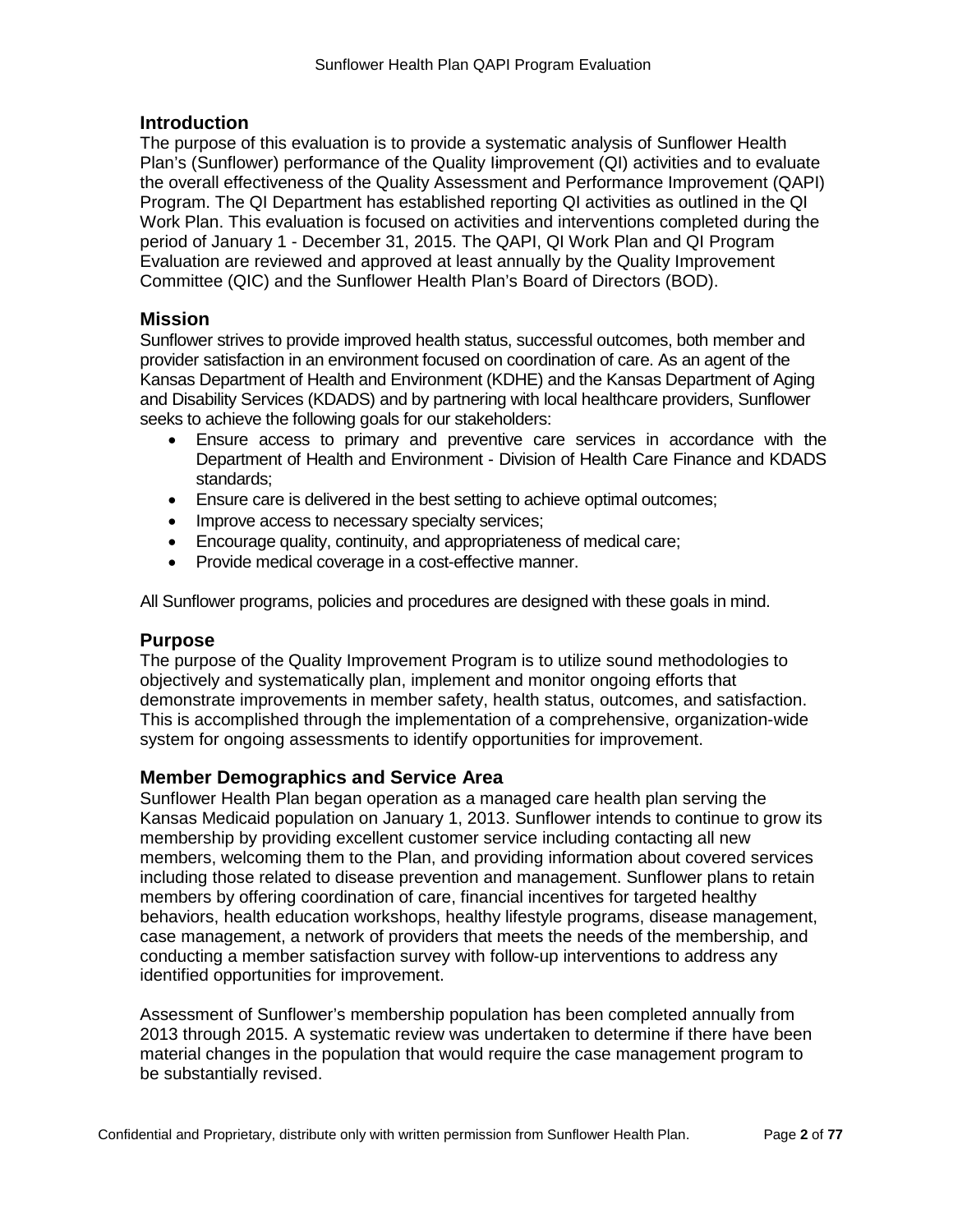#### **Introduction**

The purpose of this evaluation is to provide a systematic analysis of Sunflower Health Plan's (Sunflower) performance of the Quality Iimprovement (QI) activities and to evaluate the overall effectiveness of the Quality Assessment and Performance Improvement (QAPI) Program. The QI Department has established reporting QI activities as outlined in the QI Work Plan. This evaluation is focused on activities and interventions completed during the period of January 1 - December 31, 2015. The QAPI, QI Work Plan and QI Program Evaluation are reviewed and approved at least annually by the Quality Improvement Committee (QIC) and the Sunflower Health Plan's Board of Directors (BOD).

### **Mission**

Sunflower strives to provide improved health status, successful outcomes, both member and provider satisfaction in an environment focused on coordination of care. As an agent of the Kansas Department of Health and Environment (KDHE) and the Kansas Department of Aging and Disability Services (KDADS) and by partnering with local healthcare providers, Sunflower seeks to achieve the following goals for our stakeholders:

- Ensure access to primary and preventive care services in accordance with the Department of Health and Environment - Division of Health Care Finance and KDADS standards;
- Ensure care is delivered in the best setting to achieve optimal outcomes;
- Improve access to necessary specialty services;
- Encourage quality, continuity, and appropriateness of medical care;
- Provide medical coverage in a cost-effective manner.

All Sunflower programs, policies and procedures are designed with these goals in mind.

#### **Purpose**

The purpose of the Quality Improvement Program is to utilize sound methodologies to objectively and systematically plan, implement and monitor ongoing efforts that demonstrate improvements in member safety, health status, outcomes, and satisfaction. This is accomplished through the implementation of a comprehensive, organization-wide system for ongoing assessments to identify opportunities for improvement.

### **Member Demographics and Service Area**

Sunflower Health Plan began operation as a managed care health plan serving the Kansas Medicaid population on January 1, 2013. Sunflower intends to continue to grow its membership by providing excellent customer service including contacting all new members, welcoming them to the Plan, and providing information about covered services including those related to disease prevention and management. Sunflower plans to retain members by offering coordination of care, financial incentives for targeted healthy behaviors, health education workshops, healthy lifestyle programs, disease management, case management, a network of providers that meets the needs of the membership, and conducting a member satisfaction survey with follow-up interventions to address any identified opportunities for improvement.

Assessment of Sunflower's membership population has been completed annually from 2013 through 2015. A systematic review was undertaken to determine if there have been material changes in the population that would require the case management program to be substantially revised.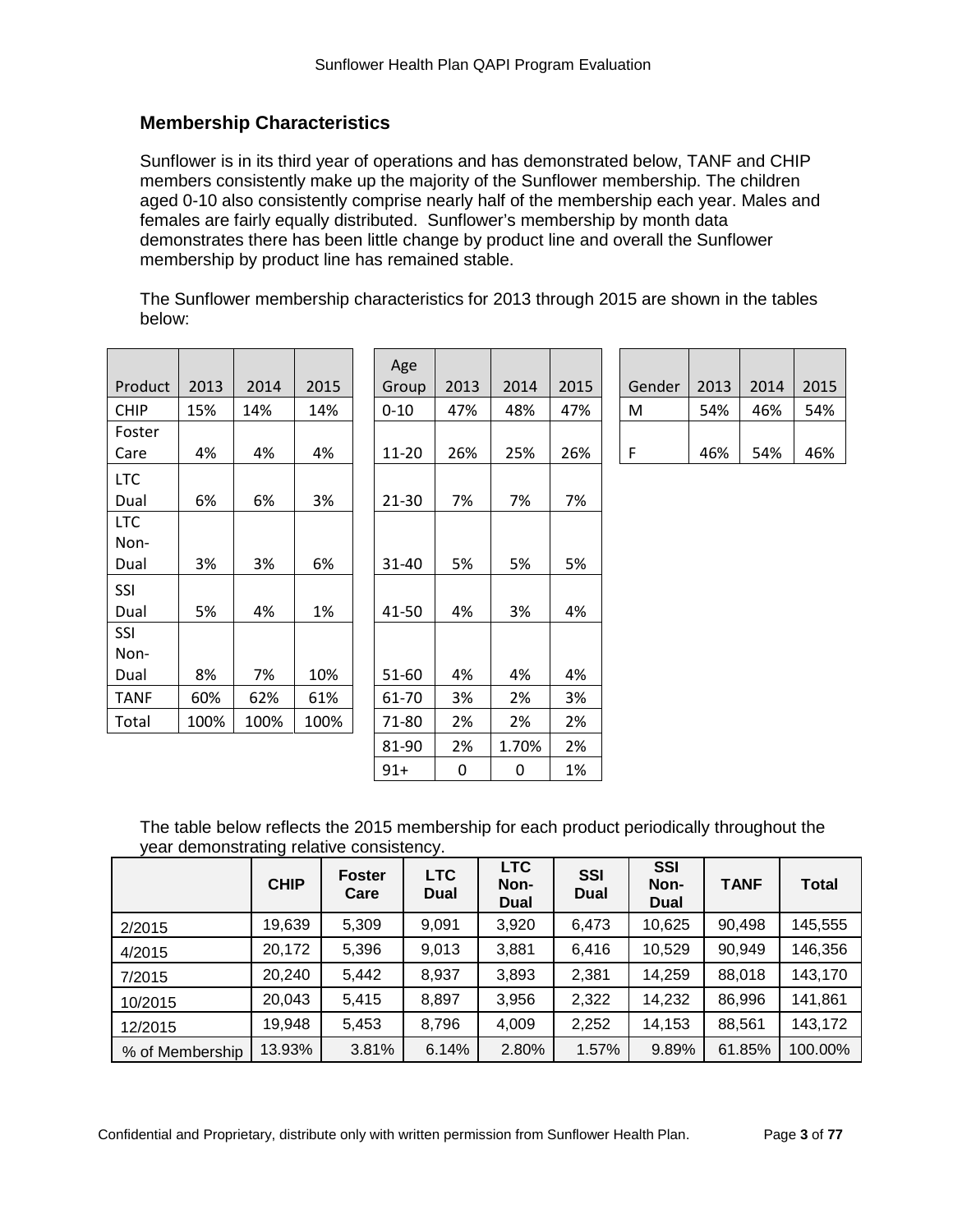# **Membership Characteristics**

Sunflower is in its third year of operations and has demonstrated below, TANF and CHIP members consistently make up the majority of the Sunflower membership. The children aged 0-10 also consistently comprise nearly half of the membership each year. Males and females are fairly equally distributed. Sunflower's membership by month data demonstrates there has been little change by product line and overall the Sunflower membership by product line has remained stable.

The Sunflower membership characteristics for 2013 through 2015 are shown in the tables below:

| Product     | 2013 | 2014 | 2015 | Age<br>Group | 2013 | 2014  | 2015 | Gender | 2013 | 2014 | 2015 |
|-------------|------|------|------|--------------|------|-------|------|--------|------|------|------|
| <b>CHIP</b> | 15%  | 14%  | 14%  | $0 - 10$     | 47%  | 48%   | 47%  | M      | 54%  | 46%  | 54%  |
| Foster      |      |      |      |              |      |       |      |        |      |      |      |
| Care        | 4%   | 4%   | 4%   | 11-20        | 26%  | 25%   | 26%  | F      | 46%  | 54%  | 46%  |
| <b>LTC</b>  |      |      |      |              |      |       |      |        |      |      |      |
| Dual        | 6%   | 6%   | 3%   | 21-30        | 7%   | 7%    | 7%   |        |      |      |      |
| LTC         |      |      |      |              |      |       |      |        |      |      |      |
| Non-        |      |      |      |              |      |       |      |        |      |      |      |
| Dual        | 3%   | 3%   | 6%   | 31-40        | 5%   | 5%    | 5%   |        |      |      |      |
| SSI         |      |      |      |              |      |       |      |        |      |      |      |
| Dual        | 5%   | 4%   | 1%   | 41-50        | 4%   | 3%    | 4%   |        |      |      |      |
| <b>SSI</b>  |      |      |      |              |      |       |      |        |      |      |      |
| Non-        |      |      |      |              |      |       |      |        |      |      |      |
| Dual        | 8%   | 7%   | 10%  | 51-60        | 4%   | 4%    | 4%   |        |      |      |      |
| <b>TANF</b> | 60%  | 62%  | 61%  | 61-70        | 3%   | 2%    | 3%   |        |      |      |      |
| Total       | 100% | 100% | 100% | 71-80        | 2%   | 2%    | 2%   |        |      |      |      |
|             |      |      |      | 81-90        | 2%   | 1.70% | 2%   |        |      |      |      |

| Age<br>Group | 2013 | 2014 | 2015 | Gender | 2013 | 2014 | 2015 |
|--------------|------|------|------|--------|------|------|------|
| 0-10         | 47%  | 48%  | 47%  | M      | 54%  | 46%  | 54%  |
| 11-20        | 26%  | 25%  | 26%  |        | 46%  | 54%  | 46%  |

The table below reflects the 2015 membership for each product periodically throughout the year demonstrating relative consistency.

 $91+$  0 0 1%

|                 | <b>CHIP</b> | <b>Foster</b><br>Care | <b>LTC</b><br><b>Dual</b> | <b>LTC</b><br>Non-<br>Dual | <b>SSI</b><br><b>Dual</b> | <b>SSI</b><br>Non-<br><b>Dual</b> | <b>TANF</b> | <b>Total</b> |
|-----------------|-------------|-----------------------|---------------------------|----------------------------|---------------------------|-----------------------------------|-------------|--------------|
| 2/2015          | 19,639      | 5,309                 | 9,091                     | 3,920                      | 6,473                     | 10,625                            | 90,498      | 145,555      |
| 4/2015          | 20,172      | 5,396                 | 9,013                     | 3,881                      | 6,416                     | 10,529                            | 90,949      | 146,356      |
| 7/2015          | 20,240      | 5,442                 | 8,937                     | 3,893                      | 2,381                     | 14,259                            | 88,018      | 143,170      |
| 10/2015         | 20,043      | 5,415                 | 8,897                     | 3,956                      | 2,322                     | 14,232                            | 86,996      | 141,861      |
| 12/2015         | 19,948      | 5,453                 | 8,796                     | 4,009                      | 2,252                     | 14,153                            | 88,561      | 143,172      |
| % of Membership | 13.93%      | 3.81%                 | 6.14%                     | 2.80%                      | 1.57%                     | 9.89%                             | 61.85%      | 100.00%      |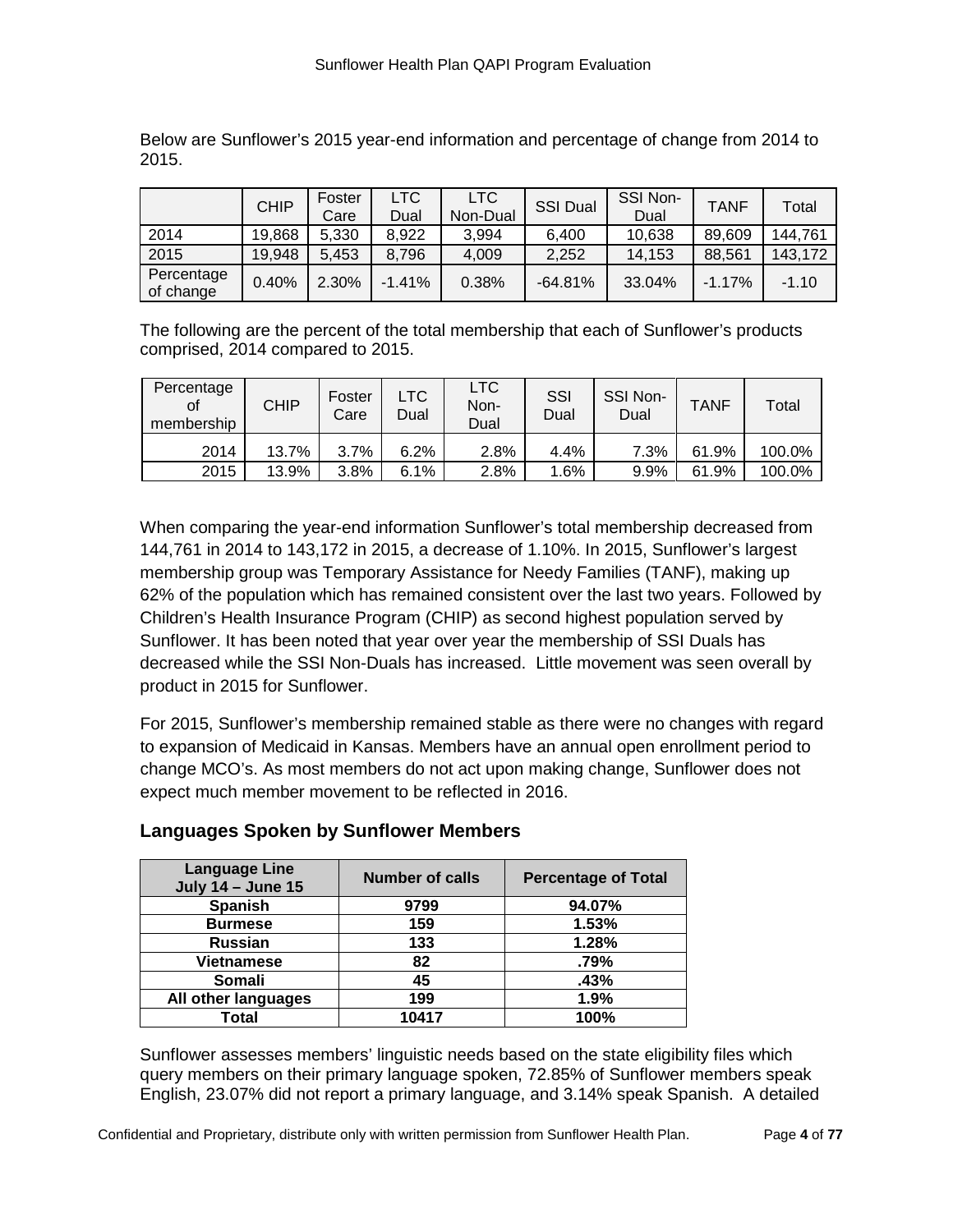|                         | <b>CHIP</b> | Foster<br>Care | LTC.<br>Dual | LTC<br>Non-Dual | <b>SSI Dual</b> | SSI Non-<br>Dual | <b>TANF</b> | Total   |
|-------------------------|-------------|----------------|--------------|-----------------|-----------------|------------------|-------------|---------|
| 2014                    | 19,868      | 5,330          | 8,922        | 3.994           | 6.400           | 10,638           | 89,609      | 144,761 |
| 2015                    | 19,948      | 5.453          | 8,796        | 4.009           | 2,252           | 14,153           | 88,561      | 143,172 |
| Percentage<br>of change | 0.40%       | 2.30%          | $-1.41%$     | 0.38%           | $-64.81%$       | 33.04%           | $-1.17%$    | $-1.10$ |

Below are Sunflower's 2015 year-end information and percentage of change from 2014 to 2015.

The following are the percent of the total membership that each of Sunflower's products comprised, 2014 compared to 2015.

| Percentage<br>οf<br>membership | CHIP  | Foster<br>Carel | LTC<br>Dual | LTC<br>Non-<br>Dual | SSI<br>Dual | SSI Non-<br>Dual | <b>TANF</b> | Total  |
|--------------------------------|-------|-----------------|-------------|---------------------|-------------|------------------|-------------|--------|
| 2014                           | 13.7% | 3.7%            | 6.2%        | 2.8%                | 4.4%        | 7.3%             | 61.9%       | 100.0% |
| 2015                           | 13.9% | 3.8%            | 6.1%        | 2.8%                | 1.6%        | 9.9%             | 61.9%       | 100.0% |

When comparing the year-end information Sunflower's total membership decreased from 144,761 in 2014 to 143,172 in 2015, a decrease of 1.10%. In 2015, Sunflower's largest membership group was Temporary Assistance for Needy Families (TANF), making up 62% of the population which has remained consistent over the last two years. Followed by Children's Health Insurance Program (CHIP) as second highest population served by Sunflower. It has been noted that year over year the membership of SSI Duals has decreased while the SSI Non-Duals has increased. Little movement was seen overall by product in 2015 for Sunflower.

For 2015, Sunflower's membership remained stable as there were no changes with regard to expansion of Medicaid in Kansas. Members have an annual open enrollment period to change MCO's. As most members do not act upon making change, Sunflower does not expect much member movement to be reflected in 2016.

| <b>Language Line</b><br><b>July 14 - June 15</b> | <b>Number of calls</b> | <b>Percentage of Total</b> |
|--------------------------------------------------|------------------------|----------------------------|
| <b>Spanish</b>                                   | 9799                   | 94.07%                     |
| <b>Burmese</b>                                   | 159                    | 1.53%                      |
| <b>Russian</b>                                   | 133                    | 1.28%                      |
| <b>Vietnamese</b>                                | 82                     | .79%                       |
| Somali                                           | 45                     | .43%                       |
| All other languages                              | 199                    | 1.9%                       |
| Total                                            | 10417                  | 100%                       |

# **Languages Spoken by Sunflower Members**

Sunflower assesses members' linguistic needs based on the state eligibility files which query members on their primary language spoken, 72.85% of Sunflower members speak English, 23.07% did not report a primary language, and 3.14% speak Spanish. A detailed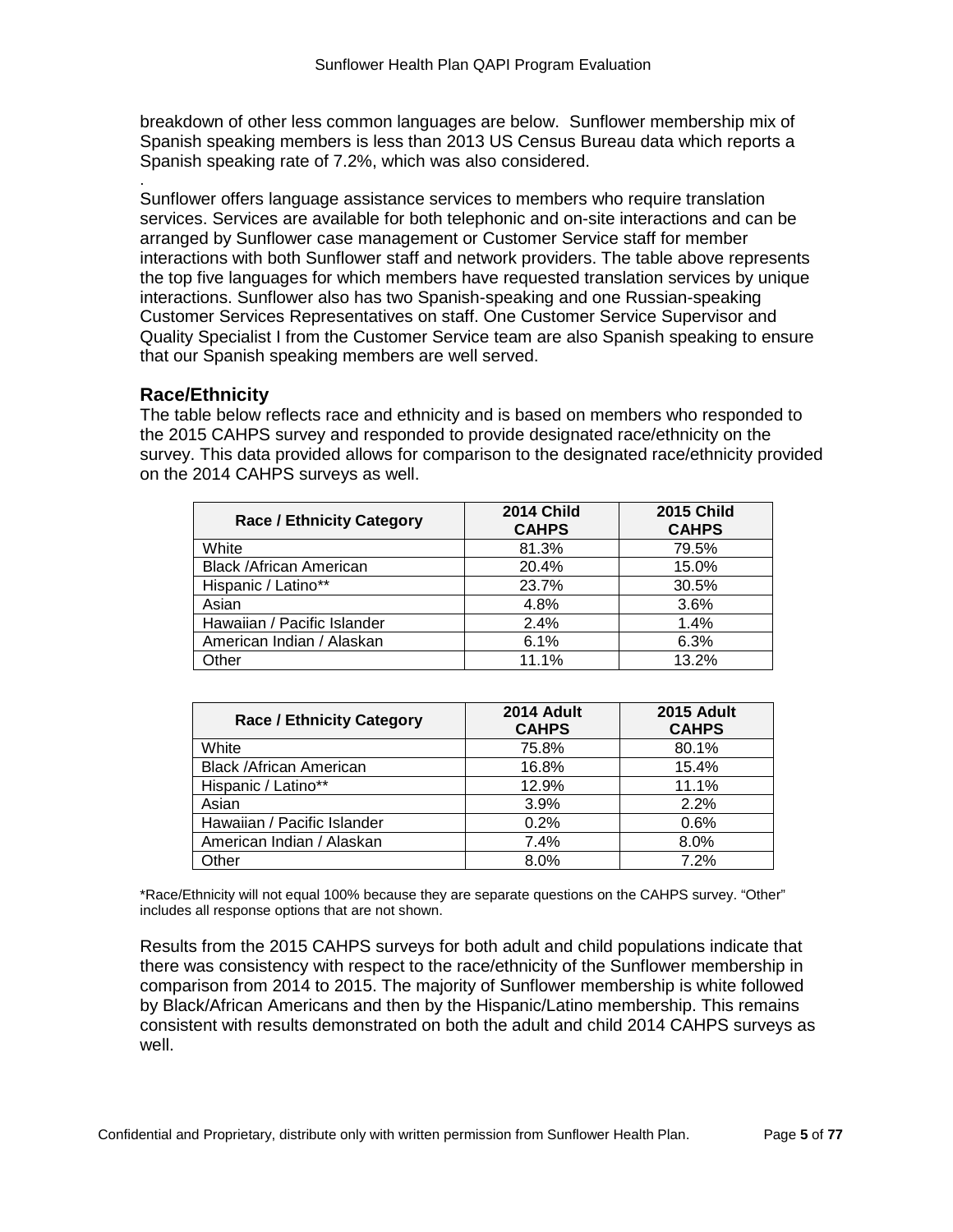breakdown of other less common languages are below. Sunflower membership mix of Spanish speaking members is less than 2013 US Census Bureau data which reports a Spanish speaking rate of 7.2%, which was also considered.

Sunflower offers language assistance services to members who require translation services. Services are available for both telephonic and on-site interactions and can be arranged by Sunflower case management or Customer Service staff for member interactions with both Sunflower staff and network providers. The table above represents the top five languages for which members have requested translation services by unique interactions. Sunflower also has two Spanish-speaking and one Russian-speaking Customer Services Representatives on staff. One Customer Service Supervisor and Quality Specialist I from the Customer Service team are also Spanish speaking to ensure that our Spanish speaking members are well served.

# **Race/Ethnicity**

.

The table below reflects race and ethnicity and is based on members who responded to the 2015 CAHPS survey and responded to provide designated race/ethnicity on the survey. This data provided allows for comparison to the designated race/ethnicity provided on the 2014 CAHPS surveys as well.

| <b>Race / Ethnicity Category</b> | <b>2014 Child</b><br><b>CAHPS</b> | <b>2015 Child</b><br><b>CAHPS</b> |
|----------------------------------|-----------------------------------|-----------------------------------|
| White                            | 81.3%                             | 79.5%                             |
| <b>Black /African American</b>   | 20.4%                             | 15.0%                             |
| Hispanic / Latino**              | 23.7%                             | 30.5%                             |
| Asian                            | 4.8%                              | 3.6%                              |
| Hawaiian / Pacific Islander      | 2.4%                              | 1.4%                              |
| American Indian / Alaskan        | 6.1%                              | 6.3%                              |
| Other                            | 11.1%                             | 13.2%                             |

| <b>Race / Ethnicity Category</b> | 2014 Adult<br><b>CAHPS</b> | <b>2015 Adult</b><br><b>CAHPS</b> |
|----------------------------------|----------------------------|-----------------------------------|
| White                            | 75.8%                      | 80.1%                             |
| <b>Black /African American</b>   | 16.8%                      | 15.4%                             |
| Hispanic / Latino**              | 12.9%                      | 11.1%                             |
| Asian                            | 3.9%                       | 2.2%                              |
| Hawaiian / Pacific Islander      | 0.2%                       | 0.6%                              |
| American Indian / Alaskan        | 7.4%                       | 8.0%                              |
| Other                            | 8.0%                       | 7.2%                              |

\*Race/Ethnicity will not equal 100% because they are separate questions on the CAHPS survey. "Other" includes all response options that are not shown.

Results from the 2015 CAHPS surveys for both adult and child populations indicate that there was consistency with respect to the race/ethnicity of the Sunflower membership in comparison from 2014 to 2015. The majority of Sunflower membership is white followed by Black/African Americans and then by the Hispanic/Latino membership. This remains consistent with results demonstrated on both the adult and child 2014 CAHPS surveys as well.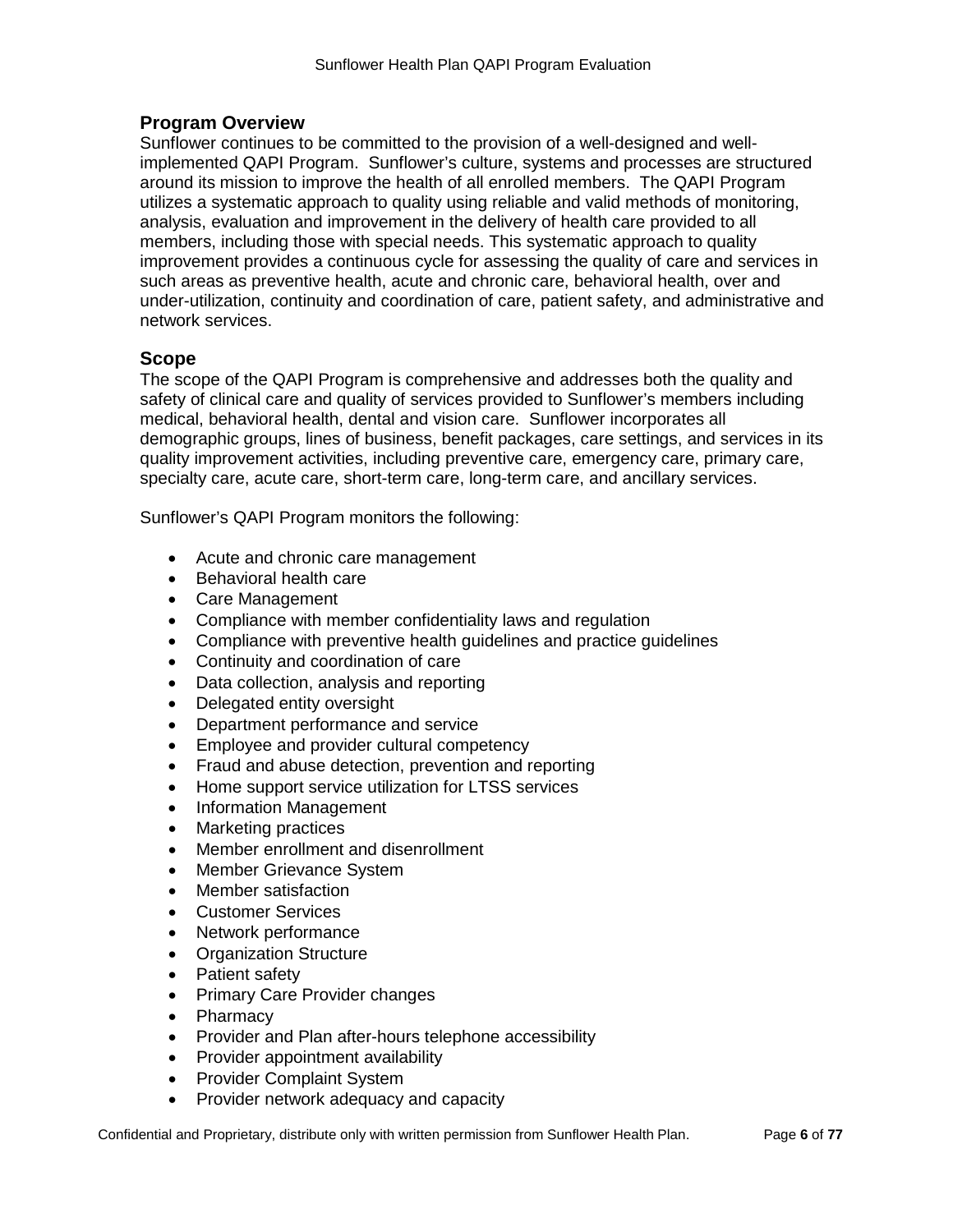# **Program Overview**

Sunflower continues to be committed to the provision of a well-designed and wellimplemented QAPI Program. Sunflower's culture, systems and processes are structured around its mission to improve the health of all enrolled members. The QAPI Program utilizes a systematic approach to quality using reliable and valid methods of monitoring, analysis, evaluation and improvement in the delivery of health care provided to all members, including those with special needs. This systematic approach to quality improvement provides a continuous cycle for assessing the quality of care and services in such areas as preventive health, acute and chronic care, behavioral health, over and under-utilization, continuity and coordination of care, patient safety, and administrative and network services.

### **Scope**

The scope of the QAPI Program is comprehensive and addresses both the quality and safety of clinical care and quality of services provided to Sunflower's members including medical, behavioral health, dental and vision care. Sunflower incorporates all demographic groups, lines of business, benefit packages, care settings, and services in its quality improvement activities, including preventive care, emergency care, primary care, specialty care, acute care, short-term care, long-term care, and ancillary services.

Sunflower's QAPI Program monitors the following:

- Acute and chronic care management
- Behavioral health care
- Care Management
- Compliance with member confidentiality laws and regulation
- Compliance with preventive health guidelines and practice guidelines
- Continuity and coordination of care
- Data collection, analysis and reporting
- Delegated entity oversight
- Department performance and service
- Employee and provider cultural competency
- Fraud and abuse detection, prevention and reporting
- Home support service utilization for LTSS services
- Information Management
- Marketing practices
- Member enrollment and disenrollment
- Member Grievance System
- Member satisfaction
- Customer Services
- Network performance
- Organization Structure
- Patient safety
- Primary Care Provider changes
- Pharmacy
- Provider and Plan after-hours telephone accessibility
- Provider appointment availability
- Provider Complaint System
- Provider network adequacy and capacity

Confidential and Proprietary, distribute only with written permission from Sunflower Health Plan. Page **6** of **77**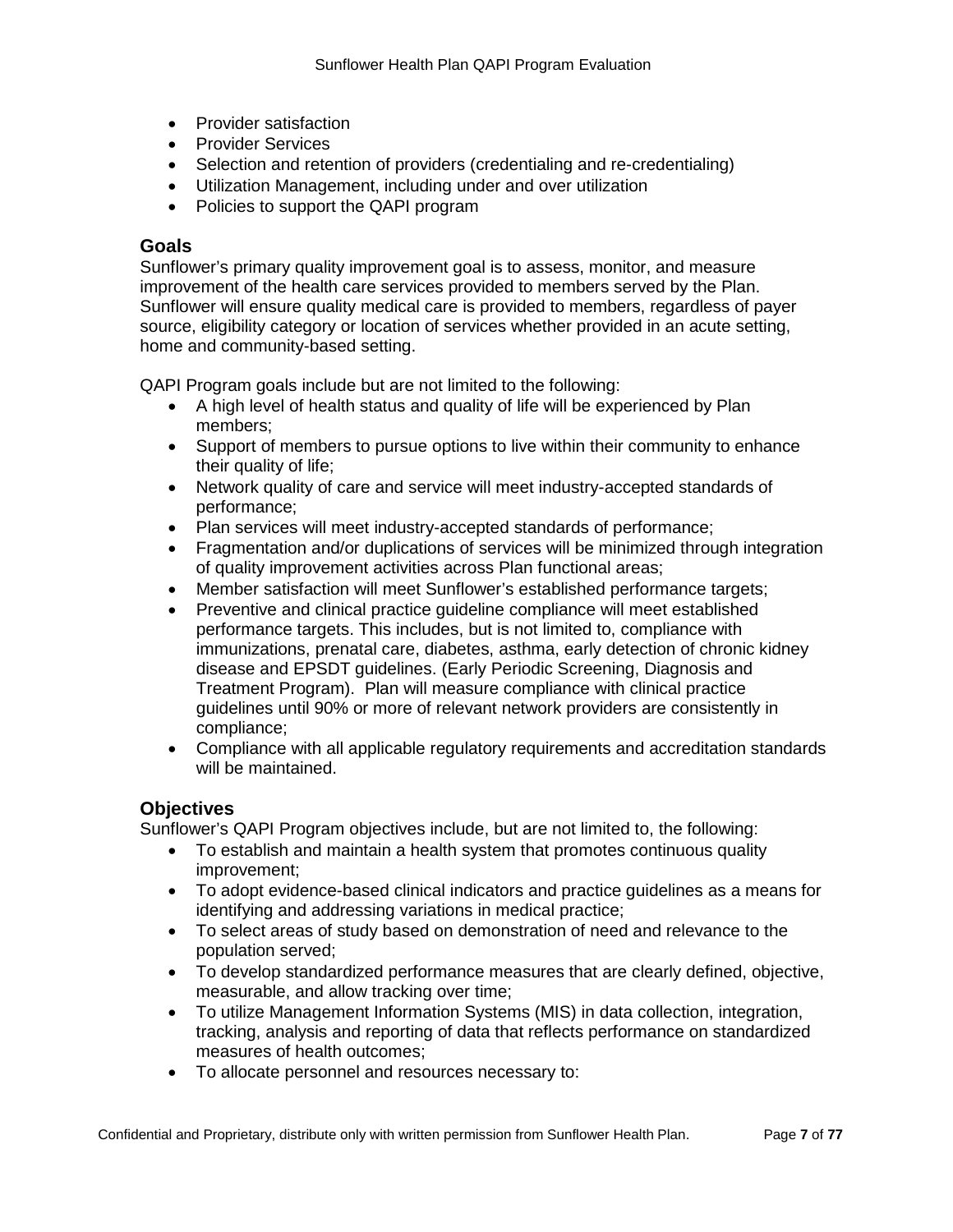- Provider satisfaction
- Provider Services
- Selection and retention of providers (credentialing and re-credentialing)
- Utilization Management, including under and over utilization
- Policies to support the QAPI program

#### **Goals**

Sunflower's primary quality improvement goal is to assess, monitor, and measure improvement of the health care services provided to members served by the Plan. Sunflower will ensure quality medical care is provided to members, regardless of payer source, eligibility category or location of services whether provided in an acute setting, home and community-based setting.

QAPI Program goals include but are not limited to the following:

- A high level of health status and quality of life will be experienced by Plan members;
- Support of members to pursue options to live within their community to enhance their quality of life;
- Network quality of care and service will meet industry-accepted standards of performance;
- Plan services will meet industry-accepted standards of performance;
- Fragmentation and/or duplications of services will be minimized through integration of quality improvement activities across Plan functional areas;
- Member satisfaction will meet Sunflower's established performance targets;
- Preventive and clinical practice guideline compliance will meet established performance targets. This includes, but is not limited to, compliance with immunizations, prenatal care, diabetes, asthma, early detection of chronic kidney disease and EPSDT guidelines. (Early Periodic Screening, Diagnosis and Treatment Program). Plan will measure compliance with clinical practice guidelines until 90% or more of relevant network providers are consistently in compliance;
- Compliance with all applicable regulatory requirements and accreditation standards will be maintained.

### **Objectives**

Sunflower's QAPI Program objectives include, but are not limited to, the following:

- To establish and maintain a health system that promotes continuous quality improvement;
- To adopt evidence-based clinical indicators and practice guidelines as a means for identifying and addressing variations in medical practice;
- To select areas of study based on demonstration of need and relevance to the population served;
- To develop standardized performance measures that are clearly defined, objective, measurable, and allow tracking over time;
- To utilize Management Information Systems (MIS) in data collection, integration, tracking, analysis and reporting of data that reflects performance on standardized measures of health outcomes;
- To allocate personnel and resources necessary to: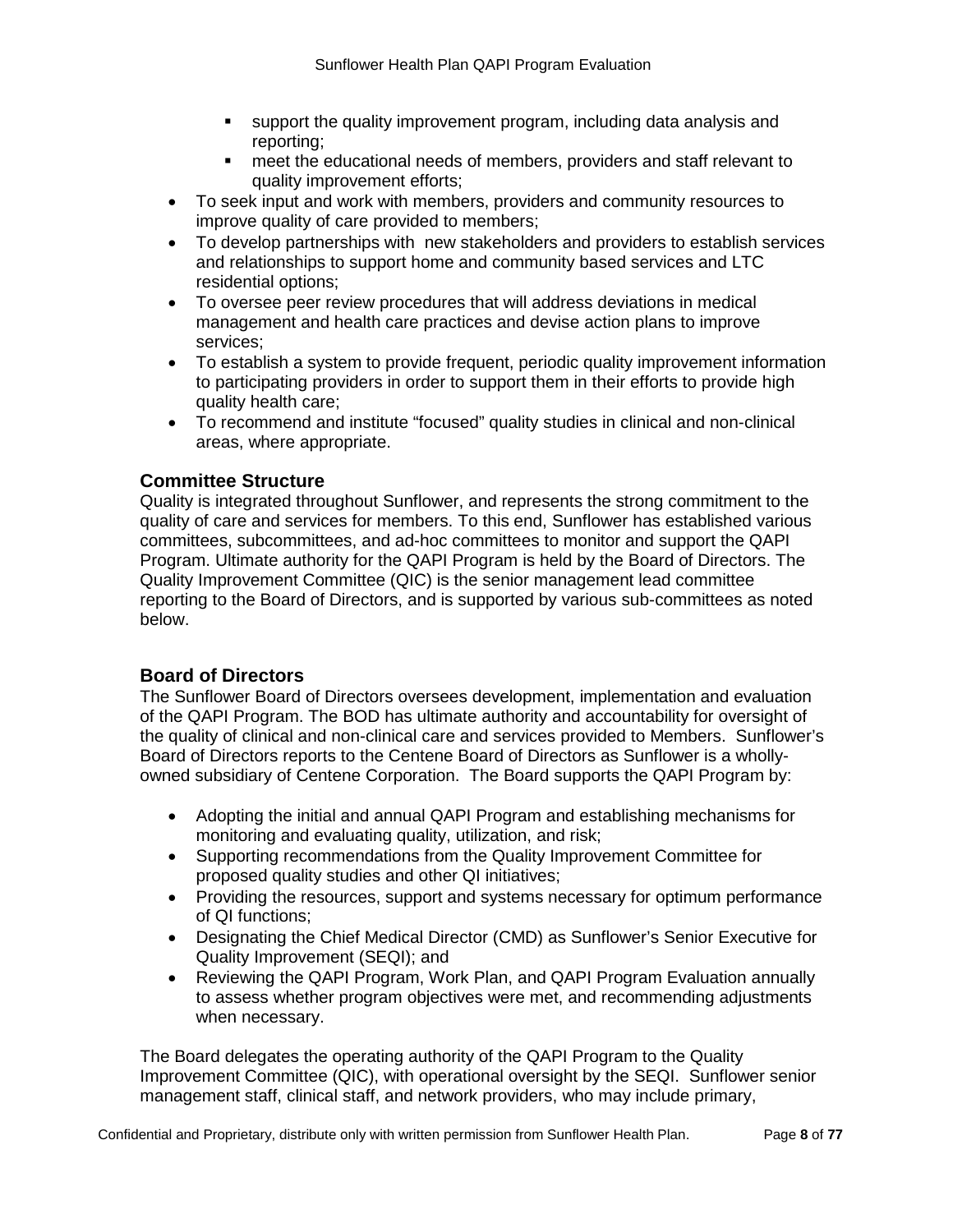- support the quality improvement program, including data analysis and reporting;
- meet the educational needs of members, providers and staff relevant to quality improvement efforts;
- To seek input and work with members, providers and community resources to improve quality of care provided to members;
- To develop partnerships with new stakeholders and providers to establish services and relationships to support home and community based services and LTC residential options;
- To oversee peer review procedures that will address deviations in medical management and health care practices and devise action plans to improve services;
- To establish a system to provide frequent, periodic quality improvement information to participating providers in order to support them in their efforts to provide high quality health care;
- To recommend and institute "focused" quality studies in clinical and non-clinical areas, where appropriate.

# **Committee Structure**

Quality is integrated throughout Sunflower, and represents the strong commitment to the quality of care and services for members. To this end, Sunflower has established various committees, subcommittees, and ad-hoc committees to monitor and support the QAPI Program. Ultimate authority for the QAPI Program is held by the Board of Directors. The Quality Improvement Committee (QIC) is the senior management lead committee reporting to the Board of Directors, and is supported by various sub-committees as noted below.

# **Board of Directors**

The Sunflower Board of Directors oversees development, implementation and evaluation of the QAPI Program. The BOD has ultimate authority and accountability for oversight of the quality of clinical and non-clinical care and services provided to Members. Sunflower's Board of Directors reports to the Centene Board of Directors as Sunflower is a whollyowned subsidiary of Centene Corporation. The Board supports the QAPI Program by:

- Adopting the initial and annual QAPI Program and establishing mechanisms for monitoring and evaluating quality, utilization, and risk;
- Supporting recommendations from the Quality Improvement Committee for proposed quality studies and other QI initiatives;
- Providing the resources, support and systems necessary for optimum performance of QI functions;
- Designating the Chief Medical Director (CMD) as Sunflower's Senior Executive for Quality Improvement (SEQI); and
- Reviewing the QAPI Program, Work Plan, and QAPI Program Evaluation annually to assess whether program objectives were met, and recommending adjustments when necessary.

The Board delegates the operating authority of the QAPI Program to the Quality Improvement Committee (QIC), with operational oversight by the SEQI. Sunflower senior management staff, clinical staff, and network providers, who may include primary,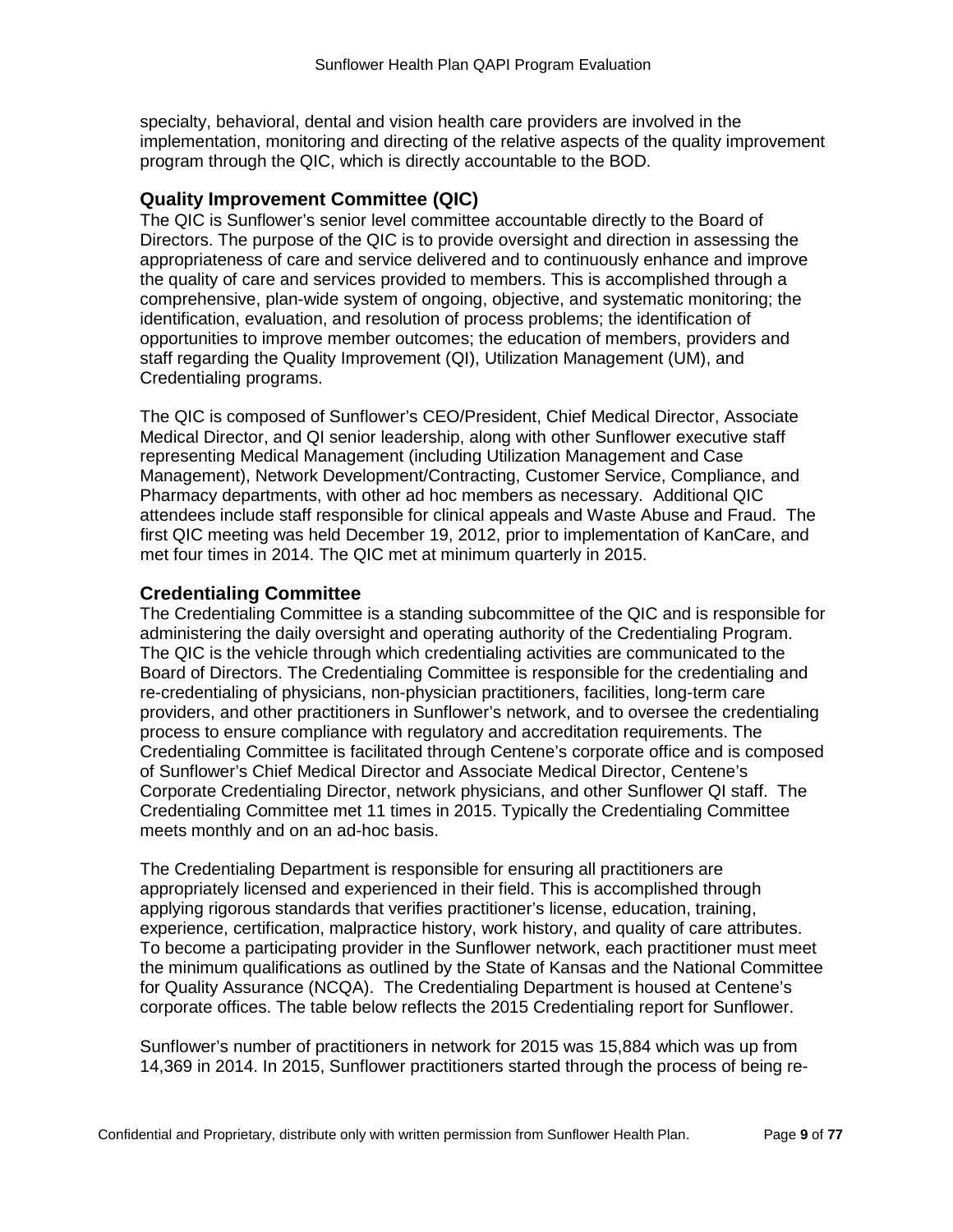specialty, behavioral, dental and vision health care providers are involved in the implementation, monitoring and directing of the relative aspects of the quality improvement program through the QIC, which is directly accountable to the BOD.

### **Quality Improvement Committee (QIC)**

The QIC is Sunflower's senior level committee accountable directly to the Board of Directors. The purpose of the QIC is to provide oversight and direction in assessing the appropriateness of care and service delivered and to continuously enhance and improve the quality of care and services provided to members. This is accomplished through a comprehensive, plan-wide system of ongoing, objective, and systematic monitoring; the identification, evaluation, and resolution of process problems; the identification of opportunities to improve member outcomes; the education of members, providers and staff regarding the Quality Improvement (QI), Utilization Management (UM), and Credentialing programs.

The QIC is composed of Sunflower's CEO/President, Chief Medical Director, Associate Medical Director, and QI senior leadership, along with other Sunflower executive staff representing Medical Management (including Utilization Management and Case Management), Network Development/Contracting, Customer Service, Compliance, and Pharmacy departments, with other ad hoc members as necessary. Additional QIC attendees include staff responsible for clinical appeals and Waste Abuse and Fraud. The first QIC meeting was held December 19, 2012, prior to implementation of KanCare, and met four times in 2014. The QIC met at minimum quarterly in 2015.

#### **Credentialing Committee**

The Credentialing Committee is a standing subcommittee of the QIC and is responsible for administering the daily oversight and operating authority of the Credentialing Program. The QIC is the vehicle through which credentialing activities are communicated to the Board of Directors. The Credentialing Committee is responsible for the credentialing and re-credentialing of physicians, non-physician practitioners, facilities, long-term care providers, and other practitioners in Sunflower's network, and to oversee the credentialing process to ensure compliance with regulatory and accreditation requirements. The Credentialing Committee is facilitated through Centene's corporate office and is composed of Sunflower's Chief Medical Director and Associate Medical Director, Centene's Corporate Credentialing Director, network physicians, and other Sunflower QI staff. The Credentialing Committee met 11 times in 2015. Typically the Credentialing Committee meets monthly and on an ad-hoc basis.

The Credentialing Department is responsible for ensuring all practitioners are appropriately licensed and experienced in their field. This is accomplished through applying rigorous standards that verifies practitioner's license, education, training, experience, certification, malpractice history, work history, and quality of care attributes. To become a participating provider in the Sunflower network, each practitioner must meet the minimum qualifications as outlined by the State of Kansas and the National Committee for Quality Assurance (NCQA). The Credentialing Department is housed at Centene's corporate offices. The table below reflects the 2015 Credentialing report for Sunflower.

Sunflower's number of practitioners in network for 2015 was 15,884 which was up from 14,369 in 2014. In 2015, Sunflower practitioners started through the process of being re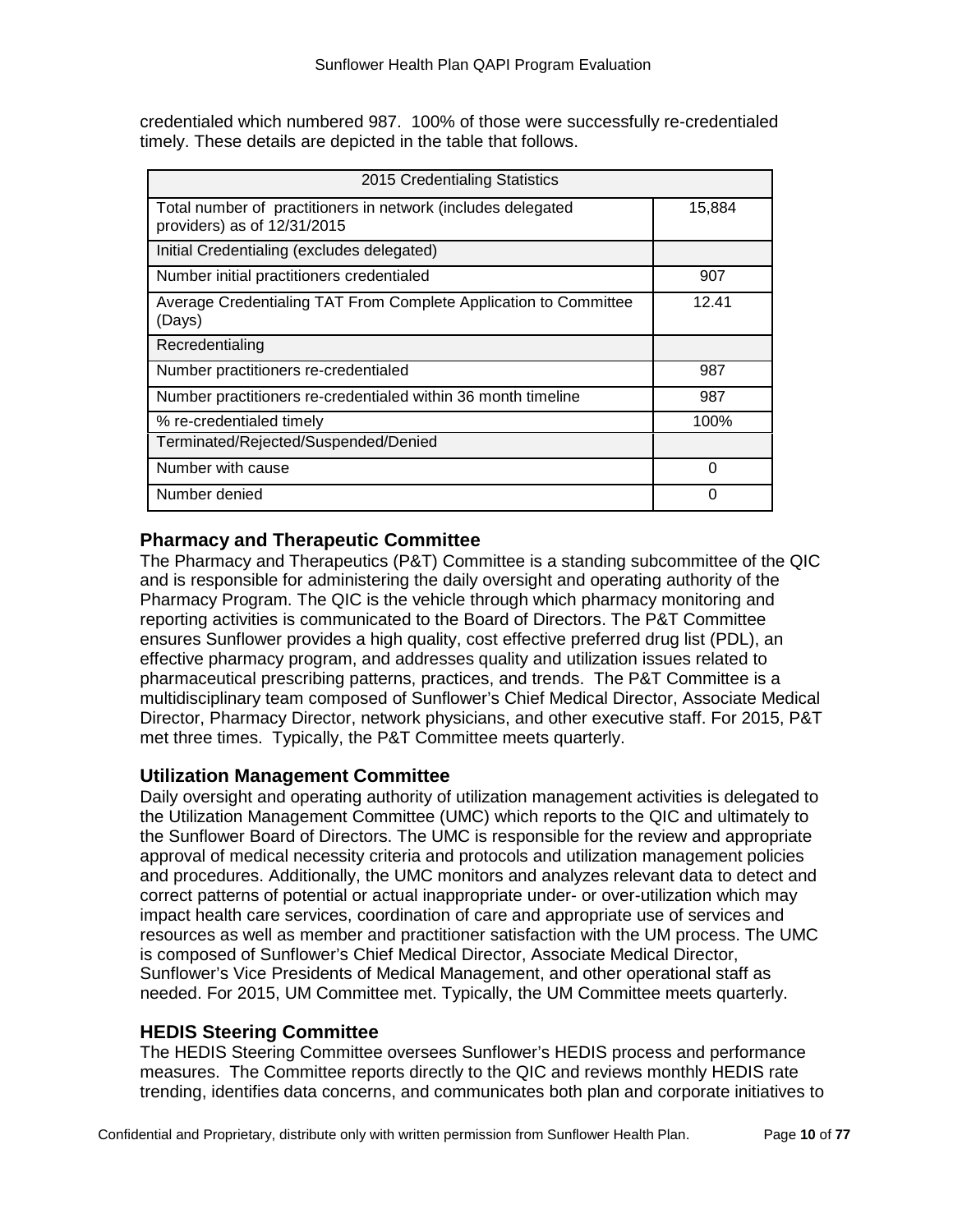credentialed which numbered 987. 100% of those were successfully re-credentialed timely. These details are depicted in the table that follows.

| 2015 Credentialing Statistics                                                               |        |  |  |  |  |
|---------------------------------------------------------------------------------------------|--------|--|--|--|--|
| Total number of practitioners in network (includes delegated<br>providers) as of 12/31/2015 | 15,884 |  |  |  |  |
| Initial Credentialing (excludes delegated)                                                  |        |  |  |  |  |
| Number initial practitioners credentialed                                                   | 907    |  |  |  |  |
| Average Credentialing TAT From Complete Application to Committee<br>(Days)                  | 12.41  |  |  |  |  |
| Recredentialing                                                                             |        |  |  |  |  |
| Number practitioners re-credentialed                                                        | 987    |  |  |  |  |
| Number practitioners re-credentialed within 36 month timeline                               | 987    |  |  |  |  |
| % re-credentialed timely                                                                    | 100%   |  |  |  |  |
| Terminated/Rejected/Suspended/Denied                                                        |        |  |  |  |  |
| Number with cause                                                                           | ∩      |  |  |  |  |
| Number denied                                                                               | 0      |  |  |  |  |

### **Pharmacy and Therapeutic Committee**

The Pharmacy and Therapeutics (P&T) Committee is a standing subcommittee of the QIC and is responsible for administering the daily oversight and operating authority of the Pharmacy Program. The QIC is the vehicle through which pharmacy monitoring and reporting activities is communicated to the Board of Directors. The P&T Committee ensures Sunflower provides a high quality, cost effective preferred drug list (PDL), an effective pharmacy program, and addresses quality and utilization issues related to pharmaceutical prescribing patterns, practices, and trends. The P&T Committee is a multidisciplinary team composed of Sunflower's Chief Medical Director, Associate Medical Director, Pharmacy Director, network physicians, and other executive staff. For 2015, P&T met three times. Typically, the P&T Committee meets quarterly.

#### **Utilization Management Committee**

Daily oversight and operating authority of utilization management activities is delegated to the Utilization Management Committee (UMC) which reports to the QIC and ultimately to the Sunflower Board of Directors. The UMC is responsible for the review and appropriate approval of medical necessity criteria and protocols and utilization management policies and procedures. Additionally, the UMC monitors and analyzes relevant data to detect and correct patterns of potential or actual inappropriate under- or over-utilization which may impact health care services, coordination of care and appropriate use of services and resources as well as member and practitioner satisfaction with the UM process. The UMC is composed of Sunflower's Chief Medical Director, Associate Medical Director, Sunflower's Vice Presidents of Medical Management, and other operational staff as needed. For 2015, UM Committee met. Typically, the UM Committee meets quarterly.

### **HEDIS Steering Committee**

The HEDIS Steering Committee oversees Sunflower's HEDIS process and performance measures. The Committee reports directly to the QIC and reviews monthly HEDIS rate trending, identifies data concerns, and communicates both plan and corporate initiatives to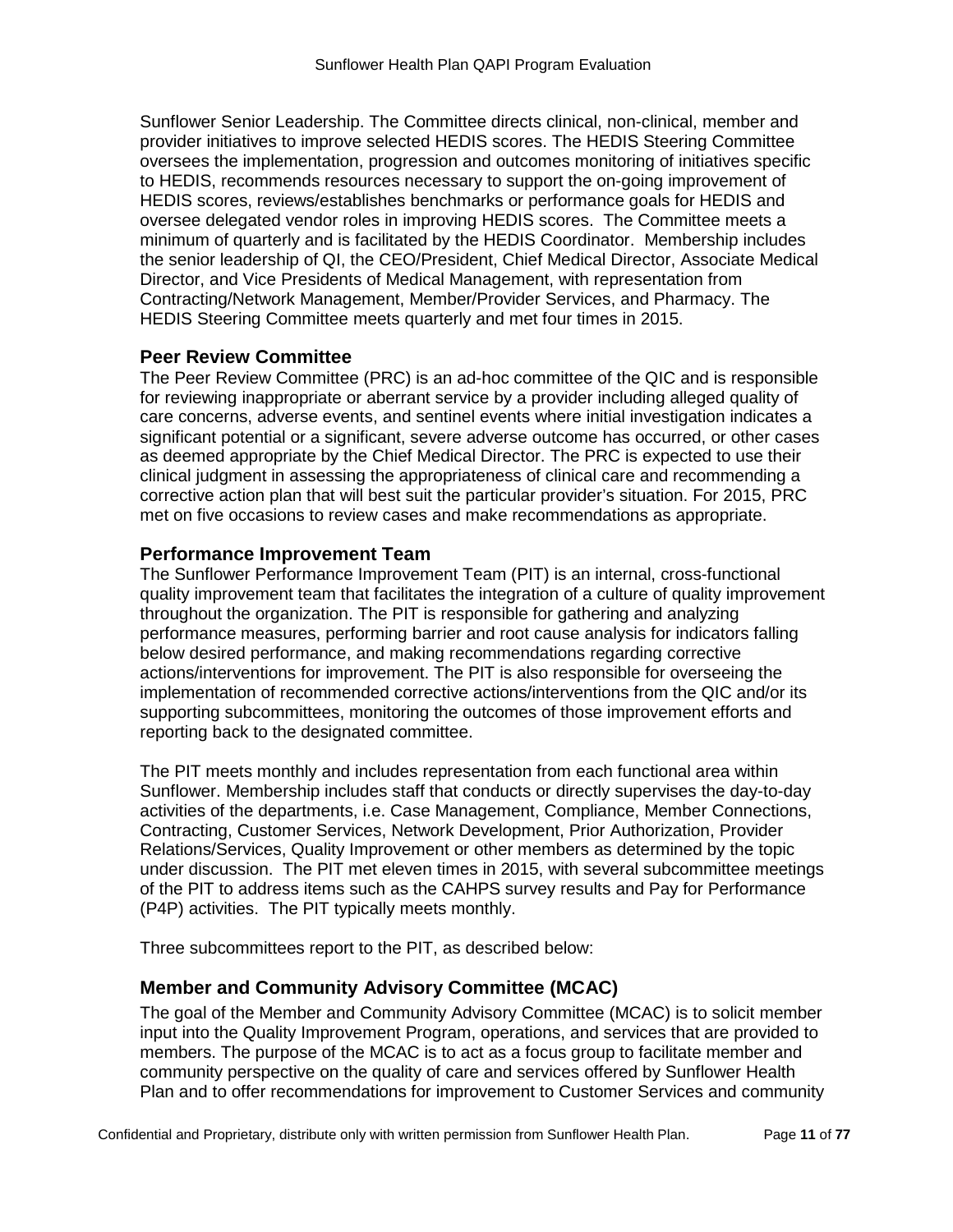Sunflower Senior Leadership. The Committee directs clinical, non-clinical, member and provider initiatives to improve selected HEDIS scores. The HEDIS Steering Committee oversees the implementation, progression and outcomes monitoring of initiatives specific to HEDIS, recommends resources necessary to support the on-going improvement of HEDIS scores, reviews/establishes benchmarks or performance goals for HEDIS and oversee delegated vendor roles in improving HEDIS scores. The Committee meets a minimum of quarterly and is facilitated by the HEDIS Coordinator. Membership includes the senior leadership of QI, the CEO/President, Chief Medical Director, Associate Medical Director, and Vice Presidents of Medical Management, with representation from Contracting/Network Management, Member/Provider Services, and Pharmacy. The HEDIS Steering Committee meets quarterly and met four times in 2015.

# **Peer Review Committee**

The Peer Review Committee (PRC) is an ad-hoc committee of the QIC and is responsible for reviewing inappropriate or aberrant service by a provider including alleged quality of care concerns, adverse events, and sentinel events where initial investigation indicates a significant potential or a significant, severe adverse outcome has occurred, or other cases as deemed appropriate by the Chief Medical Director. The PRC is expected to use their clinical judgment in assessing the appropriateness of clinical care and recommending a corrective action plan that will best suit the particular provider's situation. For 2015, PRC met on five occasions to review cases and make recommendations as appropriate.

# **Performance Improvement Team**

The Sunflower Performance Improvement Team (PIT) is an internal, cross-functional quality improvement team that facilitates the integration of a culture of quality improvement throughout the organization. The PIT is responsible for gathering and analyzing performance measures, performing barrier and root cause analysis for indicators falling below desired performance, and making recommendations regarding corrective actions/interventions for improvement. The PIT is also responsible for overseeing the implementation of recommended corrective actions/interventions from the QIC and/or its supporting subcommittees, monitoring the outcomes of those improvement efforts and reporting back to the designated committee.

The PIT meets monthly and includes representation from each functional area within Sunflower. Membership includes staff that conducts or directly supervises the day-to-day activities of the departments, i.e. Case Management, Compliance, Member Connections, Contracting, Customer Services, Network Development, Prior Authorization, Provider Relations/Services, Quality Improvement or other members as determined by the topic under discussion. The PIT met eleven times in 2015, with several subcommittee meetings of the PIT to address items such as the CAHPS survey results and Pay for Performance (P4P) activities. The PIT typically meets monthly.

Three subcommittees report to the PIT, as described below:

# **Member and Community Advisory Committee (MCAC)**

The goal of the Member and Community Advisory Committee (MCAC) is to solicit member input into the Quality Improvement Program, operations, and services that are provided to members. The purpose of the MCAC is to act as a focus group to facilitate member and community perspective on the quality of care and services offered by Sunflower Health Plan and to offer recommendations for improvement to Customer Services and community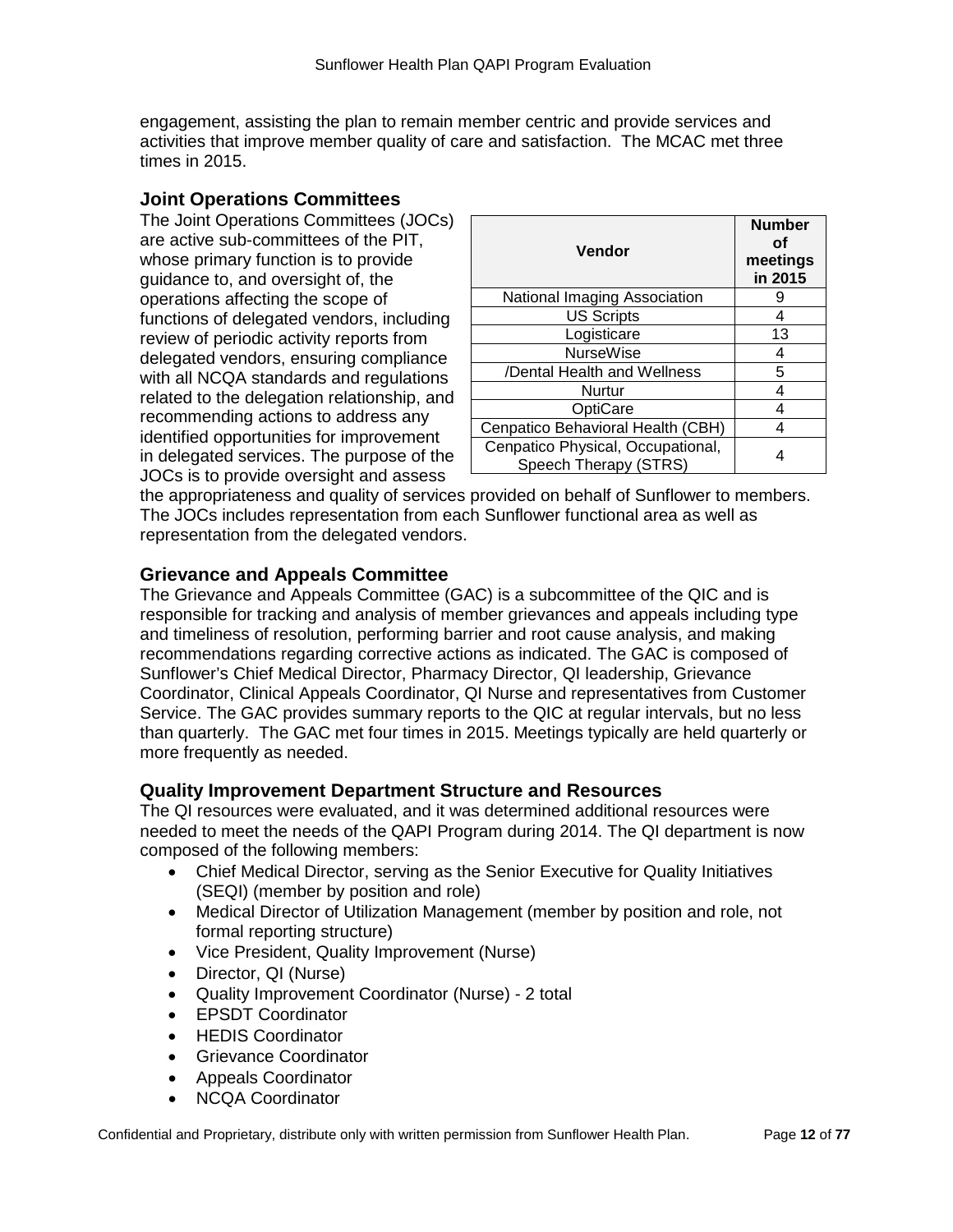engagement, assisting the plan to remain member centric and provide services and activities that improve member quality of care and satisfaction. The MCAC met three times in 2015.

#### **Joint Operations Committees**

The Joint Operations Committees (JOCs) are active sub-committees of the PIT, whose primary function is to provide guidance to, and oversight of, the operations affecting the scope of functions of delegated vendors, including review of periodic activity reports from delegated vendors, ensuring compliance with all NCQA standards and regulations related to the delegation relationship, and recommending actions to address any identified opportunities for improvement in delegated services. The purpose of the JOCs is to provide oversight and assess

| Vendor                                                     | <b>Number</b><br>Οf<br>meetings<br>in 2015 |
|------------------------------------------------------------|--------------------------------------------|
| National Imaging Association                               |                                            |
| <b>US Scripts</b>                                          | 4                                          |
| Logisticare                                                | 13                                         |
| <b>NurseWise</b>                                           |                                            |
| /Dental Health and Wellness                                | 5                                          |
| Nurtur                                                     |                                            |
| OptiCare                                                   |                                            |
| Cenpatico Behavioral Health (CBH)                          |                                            |
| Cenpatico Physical, Occupational,<br>Speech Therapy (STRS) |                                            |

the appropriateness and quality of services provided on behalf of Sunflower to members. The JOCs includes representation from each Sunflower functional area as well as representation from the delegated vendors.

# **Grievance and Appeals Committee**

The Grievance and Appeals Committee (GAC) is a subcommittee of the QIC and is responsible for tracking and analysis of member grievances and appeals including type and timeliness of resolution, performing barrier and root cause analysis, and making recommendations regarding corrective actions as indicated. The GAC is composed of Sunflower's Chief Medical Director, Pharmacy Director, QI leadership, Grievance Coordinator, Clinical Appeals Coordinator, QI Nurse and representatives from Customer Service. The GAC provides summary reports to the QIC at regular intervals, but no less than quarterly. The GAC met four times in 2015. Meetings typically are held quarterly or more frequently as needed.

### **Quality Improvement Department Structure and Resources**

The QI resources were evaluated, and it was determined additional resources were needed to meet the needs of the QAPI Program during 2014. The QI department is now composed of the following members:

- Chief Medical Director, serving as the Senior Executive for Quality Initiatives (SEQI) (member by position and role)
- Medical Director of Utilization Management (member by position and role, not formal reporting structure)
- Vice President, Quality Improvement (Nurse)
- Director, QI (Nurse)
- Quality Improvement Coordinator (Nurse) 2 total
- EPSDT Coordinator
- HEDIS Coordinator
- Grievance Coordinator
- Appeals Coordinator
- NCQA Coordinator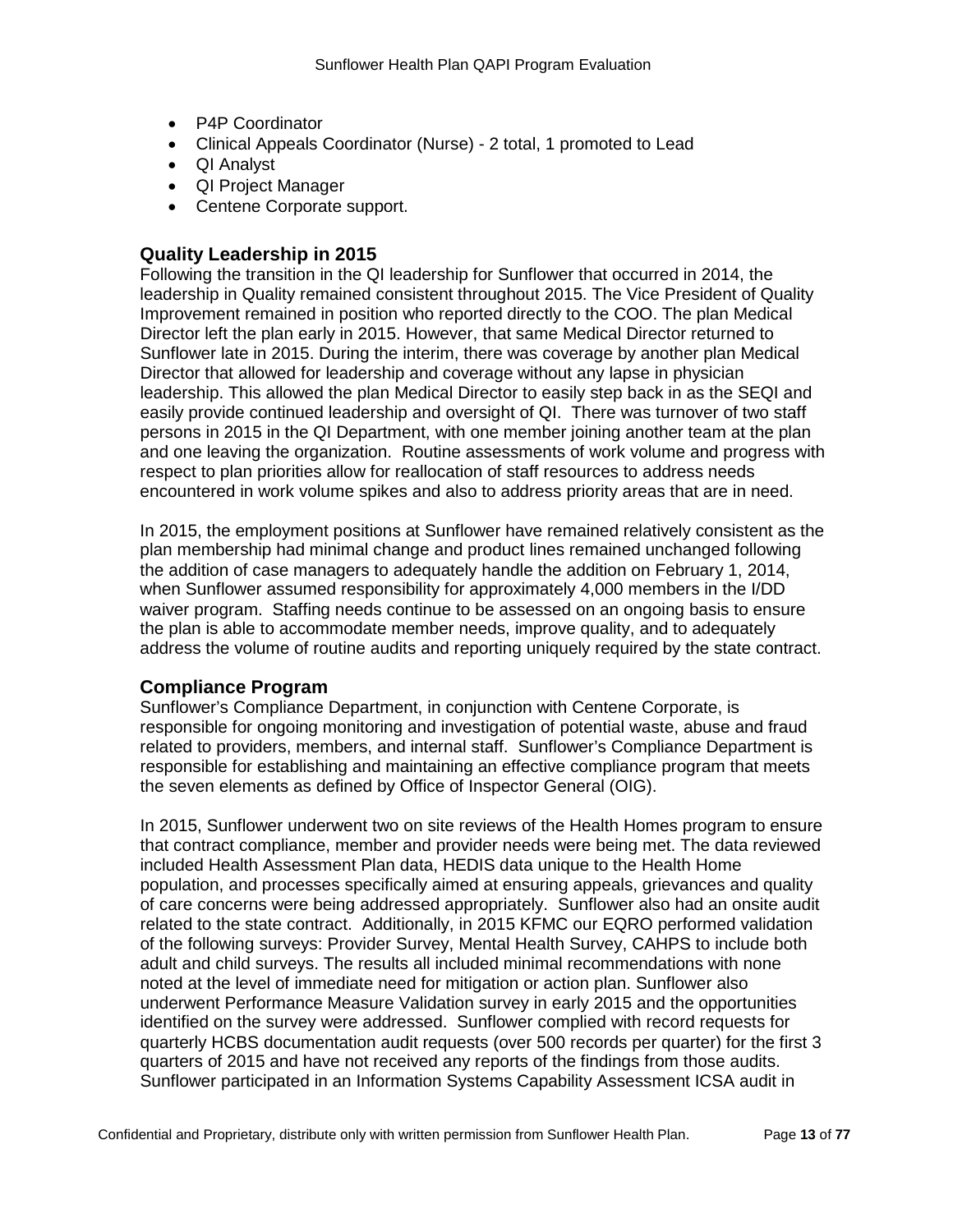- P4P Coordinator
- Clinical Appeals Coordinator (Nurse) 2 total, 1 promoted to Lead
- QI Analyst
- QI Project Manager
- Centene Corporate support.

### **Quality Leadership in 2015**

Following the transition in the QI leadership for Sunflower that occurred in 2014, the leadership in Quality remained consistent throughout 2015. The Vice President of Quality Improvement remained in position who reported directly to the COO. The plan Medical Director left the plan early in 2015. However, that same Medical Director returned to Sunflower late in 2015. During the interim, there was coverage by another plan Medical Director that allowed for leadership and coverage without any lapse in physician leadership. This allowed the plan Medical Director to easily step back in as the SEQI and easily provide continued leadership and oversight of QI. There was turnover of two staff persons in 2015 in the QI Department, with one member joining another team at the plan and one leaving the organization. Routine assessments of work volume and progress with respect to plan priorities allow for reallocation of staff resources to address needs encountered in work volume spikes and also to address priority areas that are in need.

In 2015, the employment positions at Sunflower have remained relatively consistent as the plan membership had minimal change and product lines remained unchanged following the addition of case managers to adequately handle the addition on February 1, 2014, when Sunflower assumed responsibility for approximately 4,000 members in the I/DD waiver program. Staffing needs continue to be assessed on an ongoing basis to ensure the plan is able to accommodate member needs, improve quality, and to adequately address the volume of routine audits and reporting uniquely required by the state contract.

### **Compliance Program**

Sunflower's Compliance Department, in conjunction with Centene Corporate, is responsible for ongoing monitoring and investigation of potential waste, abuse and fraud related to providers, members, and internal staff. Sunflower's Compliance Department is responsible for establishing and maintaining an effective compliance program that meets the seven elements as defined by Office of Inspector General (OIG).

In 2015, Sunflower underwent two on site reviews of the Health Homes program to ensure that contract compliance, member and provider needs were being met. The data reviewed included Health Assessment Plan data, HEDIS data unique to the Health Home population, and processes specifically aimed at ensuring appeals, grievances and quality of care concerns were being addressed appropriately. Sunflower also had an onsite audit related to the state contract. Additionally, in 2015 KFMC our EQRO performed validation of the following surveys: Provider Survey, Mental Health Survey, CAHPS to include both adult and child surveys. The results all included minimal recommendations with none noted at the level of immediate need for mitigation or action plan. Sunflower also underwent Performance Measure Validation survey in early 2015 and the opportunities identified on the survey were addressed. Sunflower complied with record requests for quarterly HCBS documentation audit requests (over 500 records per quarter) for the first 3 quarters of 2015 and have not received any reports of the findings from those audits. Sunflower participated in an Information Systems Capability Assessment ICSA audit in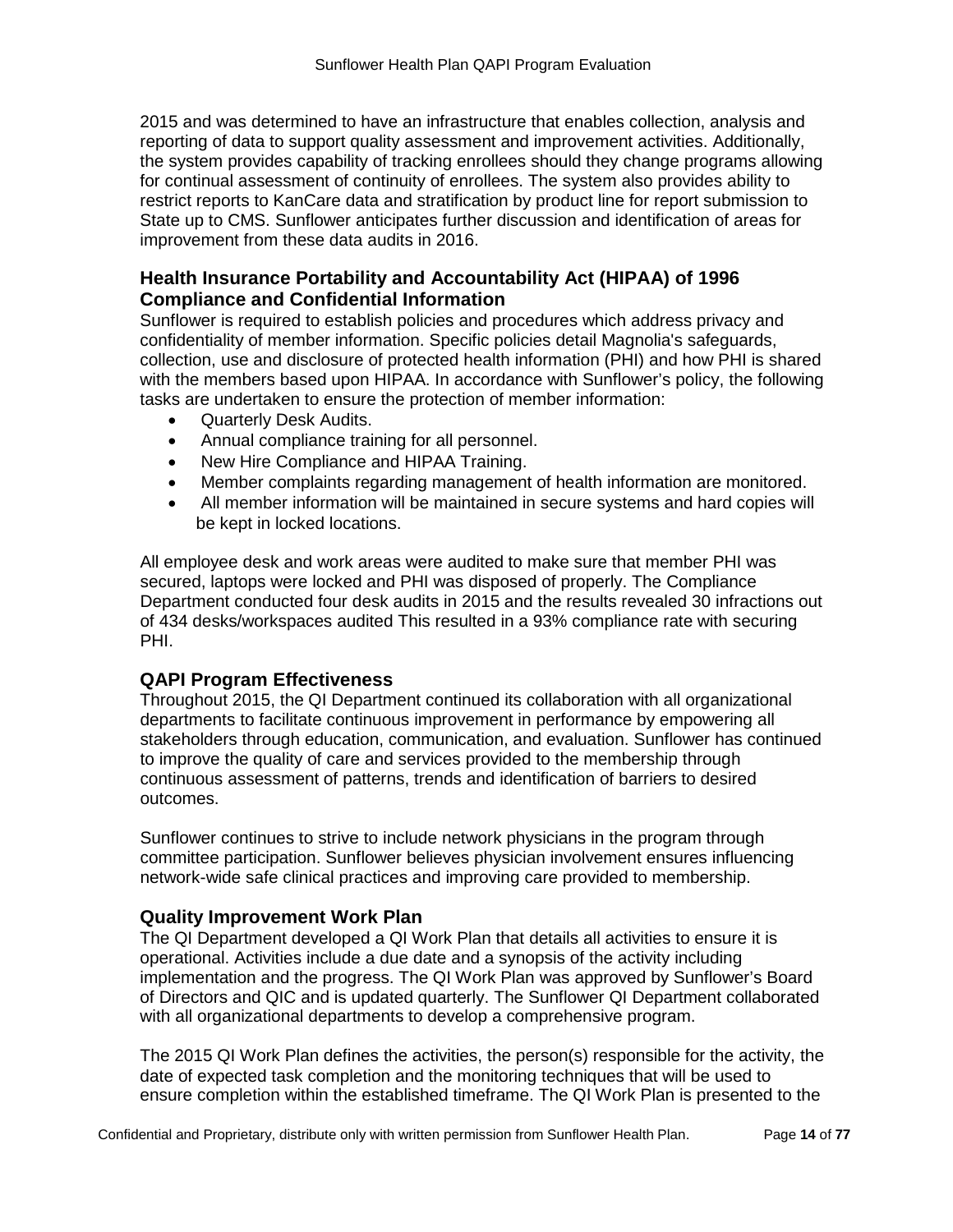2015 and was determined to have an infrastructure that enables collection, analysis and reporting of data to support quality assessment and improvement activities. Additionally, the system provides capability of tracking enrollees should they change programs allowing for continual assessment of continuity of enrollees. The system also provides ability to restrict reports to KanCare data and stratification by product line for report submission to State up to CMS. Sunflower anticipates further discussion and identification of areas for improvement from these data audits in 2016.

# **Health Insurance Portability and Accountability Act (HIPAA) of 1996 Compliance and Confidential Information**

Sunflower is required to establish policies and procedures which address privacy and confidentiality of member information. Specific policies detail Magnolia's safeguards, collection, use and disclosure of protected health information (PHI) and how PHI is shared with the members based upon HIPAA. In accordance with Sunflower's policy, the following tasks are undertaken to ensure the protection of member information:

- Quarterly Desk Audits.
- Annual compliance training for all personnel.
- New Hire Compliance and HIPAA Training.
- Member complaints regarding management of health information are monitored.
- All member information will be maintained in secure systems and hard copies will be kept in locked locations.

All employee desk and work areas were audited to make sure that member PHI was secured, laptops were locked and PHI was disposed of properly. The Compliance Department conducted four desk audits in 2015 and the results revealed 30 infractions out of 434 desks/workspaces audited This resulted in a 93% compliance rate with securing PHI.

### **QAPI Program Effectiveness**

Throughout 2015, the QI Department continued its collaboration with all organizational departments to facilitate continuous improvement in performance by empowering all stakeholders through education, communication, and evaluation. Sunflower has continued to improve the quality of care and services provided to the membership through continuous assessment of patterns, trends and identification of barriers to desired outcomes.

Sunflower continues to strive to include network physicians in the program through committee participation. Sunflower believes physician involvement ensures influencing network-wide safe clinical practices and improving care provided to membership.

### **Quality Improvement Work Plan**

The QI Department developed a QI Work Plan that details all activities to ensure it is operational. Activities include a due date and a synopsis of the activity including implementation and the progress. The QI Work Plan was approved by Sunflower's Board of Directors and QIC and is updated quarterly. The Sunflower QI Department collaborated with all organizational departments to develop a comprehensive program.

The 2015 QI Work Plan defines the activities, the person(s) responsible for the activity, the date of expected task completion and the monitoring techniques that will be used to ensure completion within the established timeframe. The QI Work Plan is presented to the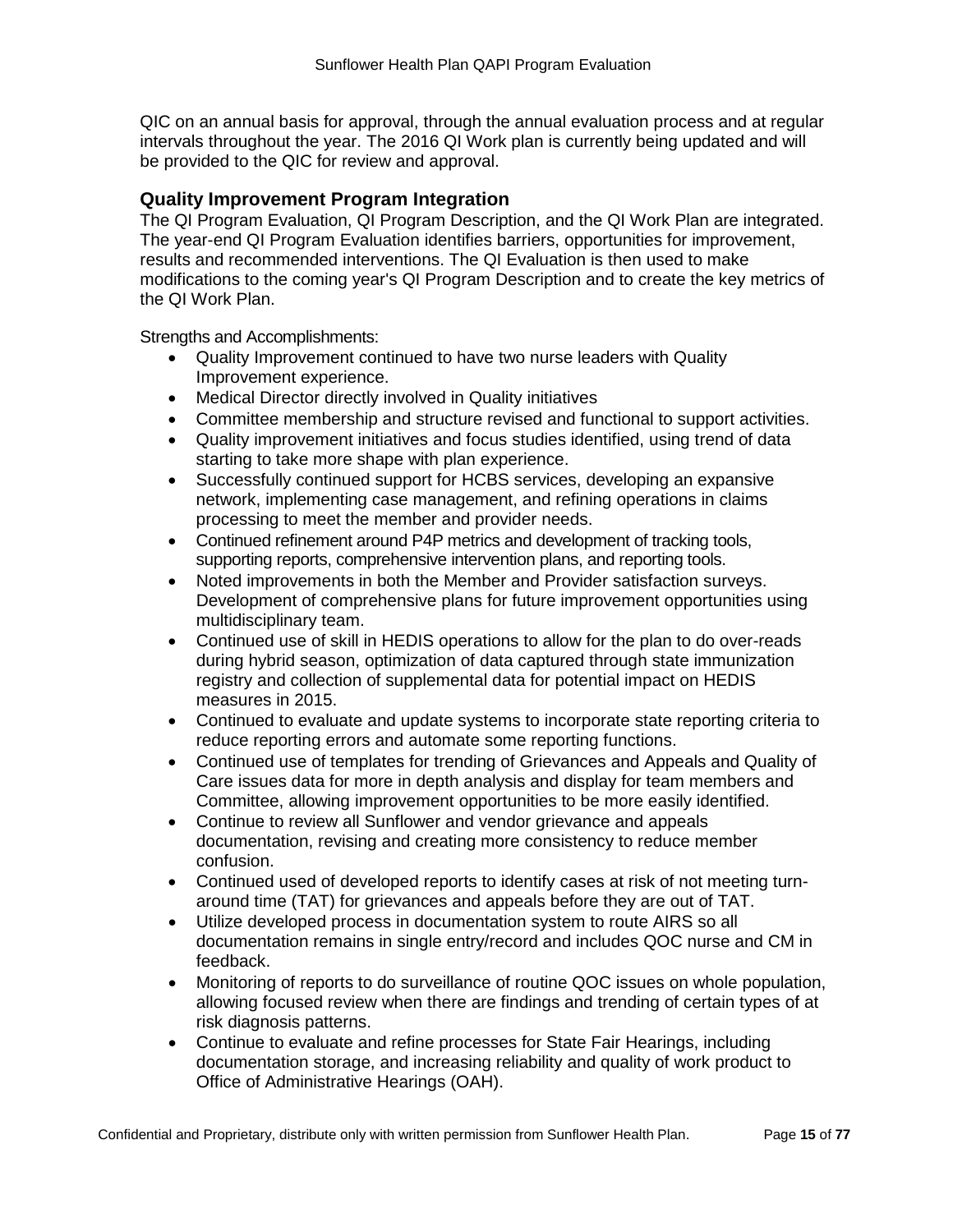QIC on an annual basis for approval, through the annual evaluation process and at regular intervals throughout the year. The 2016 QI Work plan is currently being updated and will be provided to the QIC for review and approval.

# **Quality Improvement Program Integration**

The QI Program Evaluation, QI Program Description, and the QI Work Plan are integrated. The year-end QI Program Evaluation identifies barriers, opportunities for improvement, results and recommended interventions. The QI Evaluation is then used to make modifications to the coming year's QI Program Description and to create the key metrics of the QI Work Plan.

Strengths and Accomplishments:

- Quality Improvement continued to have two nurse leaders with Quality Improvement experience.
- Medical Director directly involved in Quality initiatives
- Committee membership and structure revised and functional to support activities.
- Quality improvement initiatives and focus studies identified, using trend of data starting to take more shape with plan experience.
- Successfully continued support for HCBS services, developing an expansive network, implementing case management, and refining operations in claims processing to meet the member and provider needs.
- Continued refinement around P4P metrics and development of tracking tools, supporting reports, comprehensive intervention plans, and reporting tools.
- Noted improvements in both the Member and Provider satisfaction surveys. Development of comprehensive plans for future improvement opportunities using multidisciplinary team.
- Continued use of skill in HEDIS operations to allow for the plan to do over-reads during hybrid season, optimization of data captured through state immunization registry and collection of supplemental data for potential impact on HEDIS measures in 2015.
- Continued to evaluate and update systems to incorporate state reporting criteria to reduce reporting errors and automate some reporting functions.
- Continued use of templates for trending of Grievances and Appeals and Quality of Care issues data for more in depth analysis and display for team members and Committee, allowing improvement opportunities to be more easily identified.
- Continue to review all Sunflower and vendor grievance and appeals documentation, revising and creating more consistency to reduce member confusion.
- Continued used of developed reports to identify cases at risk of not meeting turnaround time (TAT) for grievances and appeals before they are out of TAT.
- Utilize developed process in documentation system to route AIRS so all documentation remains in single entry/record and includes QOC nurse and CM in feedback.
- Monitoring of reports to do surveillance of routine QOC issues on whole population, allowing focused review when there are findings and trending of certain types of at risk diagnosis patterns.
- Continue to evaluate and refine processes for State Fair Hearings, including documentation storage, and increasing reliability and quality of work product to Office of Administrative Hearings (OAH).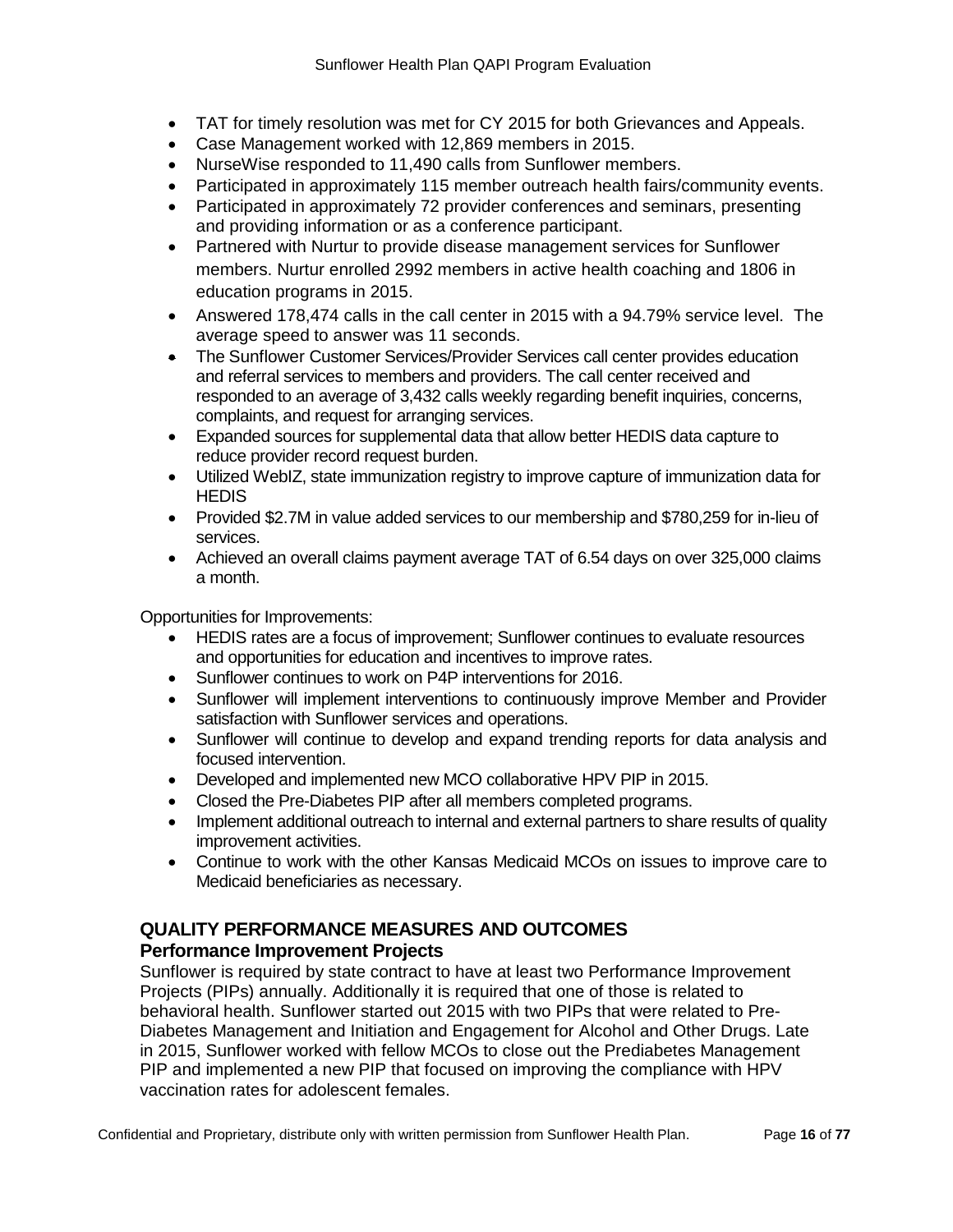- TAT for timely resolution was met for CY 2015 for both Grievances and Appeals.
- Case Management worked with 12,869 members in 2015.
- NurseWise responded to 11,490 calls from Sunflower members.
- Participated in approximately 115 member outreach health fairs/community events.
- Participated in approximately 72 provider conferences and seminars, presenting and providing information or as a conference participant.
- Partnered with Nurtur to provide disease management services for Sunflower members. Nurtur enrolled 2992 members in active health coaching and 1806 in education programs in 2015.
- Answered 178,474 calls in the call center in 2015 with a 94.79% service level. The average speed to answer was 11 seconds.
- The Sunflower Customer Services/Provider Services call center provides education and referral services to members and providers. The call center received and responded to an average of 3,432 calls weekly regarding benefit inquiries, concerns, complaints, and request for arranging services.
- Expanded sources for supplemental data that allow better HEDIS data capture to reduce provider record request burden.
- Utilized WebIZ, state immunization registry to improve capture of immunization data for **HEDIS**
- Provided \$2.7M in value added services to our membership and \$780,259 for in-lieu of services.
- Achieved an overall claims payment average TAT of 6.54 days on over 325,000 claims a month.

Opportunities for Improvements:

- HEDIS rates are a focus of improvement; Sunflower continues to evaluate resources and opportunities for education and incentives to improve rates.
- Sunflower continues to work on P4P interventions for 2016.
- Sunflower will implement interventions to continuously improve Member and Provider satisfaction with Sunflower services and operations.
- Sunflower will continue to develop and expand trending reports for data analysis and focused intervention.
- Developed and implemented new MCO collaborative HPV PIP in 2015.
- Closed the Pre-Diabetes PIP after all members completed programs.
- Implement additional outreach to internal and external partners to share results of quality improvement activities.
- Continue to work with the other Kansas Medicaid MCOs on issues to improve care to Medicaid beneficiaries as necessary.

# **QUALITY PERFORMANCE MEASURES AND OUTCOMES**

# **Performance Improvement Projects**

Sunflower is required by state contract to have at least two Performance Improvement Projects (PIPs) annually. Additionally it is required that one of those is related to behavioral health. Sunflower started out 2015 with two PIPs that were related to Pre-Diabetes Management and Initiation and Engagement for Alcohol and Other Drugs. Late in 2015, Sunflower worked with fellow MCOs to close out the Prediabetes Management PIP and implemented a new PIP that focused on improving the compliance with HPV vaccination rates for adolescent females.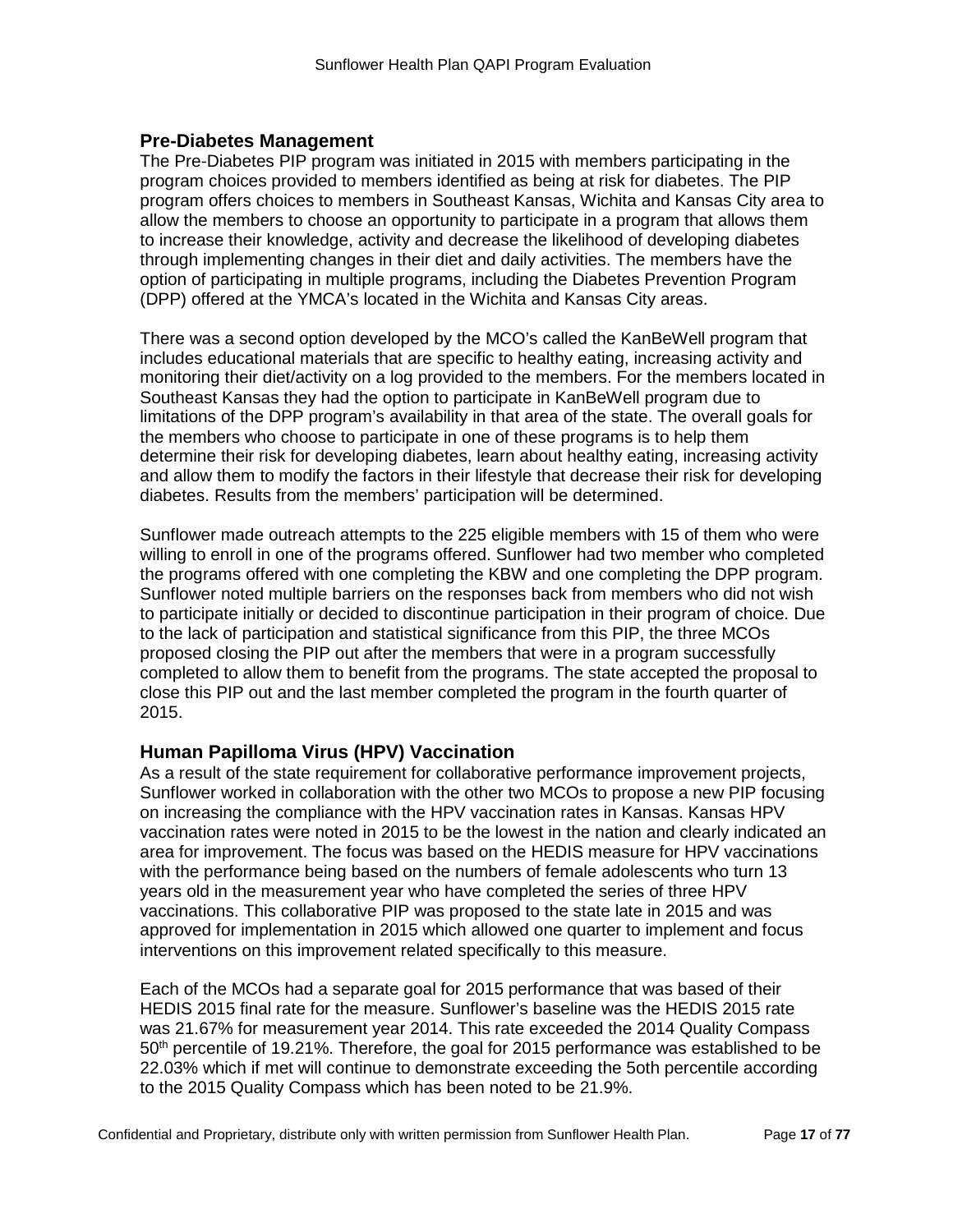### **Pre-Diabetes Management**

The Pre-Diabetes PIP program was initiated in 2015 with members participating in the program choices provided to members identified as being at risk for diabetes. The PIP program offers choices to members in Southeast Kansas, Wichita and Kansas City area to allow the members to choose an opportunity to participate in a program that allows them to increase their knowledge, activity and decrease the likelihood of developing diabetes through implementing changes in their diet and daily activities. The members have the option of participating in multiple programs, including the Diabetes Prevention Program (DPP) offered at the YMCA's located in the Wichita and Kansas City areas.

There was a second option developed by the MCO's called the KanBeWell program that includes educational materials that are specific to healthy eating, increasing activity and monitoring their diet/activity on a log provided to the members. For the members located in Southeast Kansas they had the option to participate in KanBeWell program due to limitations of the DPP program's availability in that area of the state. The overall goals for the members who choose to participate in one of these programs is to help them determine their risk for developing diabetes, learn about healthy eating, increasing activity and allow them to modify the factors in their lifestyle that decrease their risk for developing diabetes. Results from the members' participation will be determined.

Sunflower made outreach attempts to the 225 eligible members with 15 of them who were willing to enroll in one of the programs offered. Sunflower had two member who completed the programs offered with one completing the KBW and one completing the DPP program. Sunflower noted multiple barriers on the responses back from members who did not wish to participate initially or decided to discontinue participation in their program of choice. Due to the lack of participation and statistical significance from this PIP, the three MCOs proposed closing the PIP out after the members that were in a program successfully completed to allow them to benefit from the programs. The state accepted the proposal to close this PIP out and the last member completed the program in the fourth quarter of 2015.

### **Human Papilloma Virus (HPV) Vaccination**

As a result of the state requirement for collaborative performance improvement projects, Sunflower worked in collaboration with the other two MCOs to propose a new PIP focusing on increasing the compliance with the HPV vaccination rates in Kansas. Kansas HPV vaccination rates were noted in 2015 to be the lowest in the nation and clearly indicated an area for improvement. The focus was based on the HEDIS measure for HPV vaccinations with the performance being based on the numbers of female adolescents who turn 13 years old in the measurement year who have completed the series of three HPV vaccinations. This collaborative PIP was proposed to the state late in 2015 and was approved for implementation in 2015 which allowed one quarter to implement and focus interventions on this improvement related specifically to this measure.

Each of the MCOs had a separate goal for 2015 performance that was based of their HEDIS 2015 final rate for the measure. Sunflower's baseline was the HEDIS 2015 rate was 21.67% for measurement year 2014. This rate exceeded the 2014 Quality Compass 50th percentile of 19.21%. Therefore, the goal for 2015 performance was established to be 22.03% which if met will continue to demonstrate exceeding the 5oth percentile according to the 2015 Quality Compass which has been noted to be 21.9%.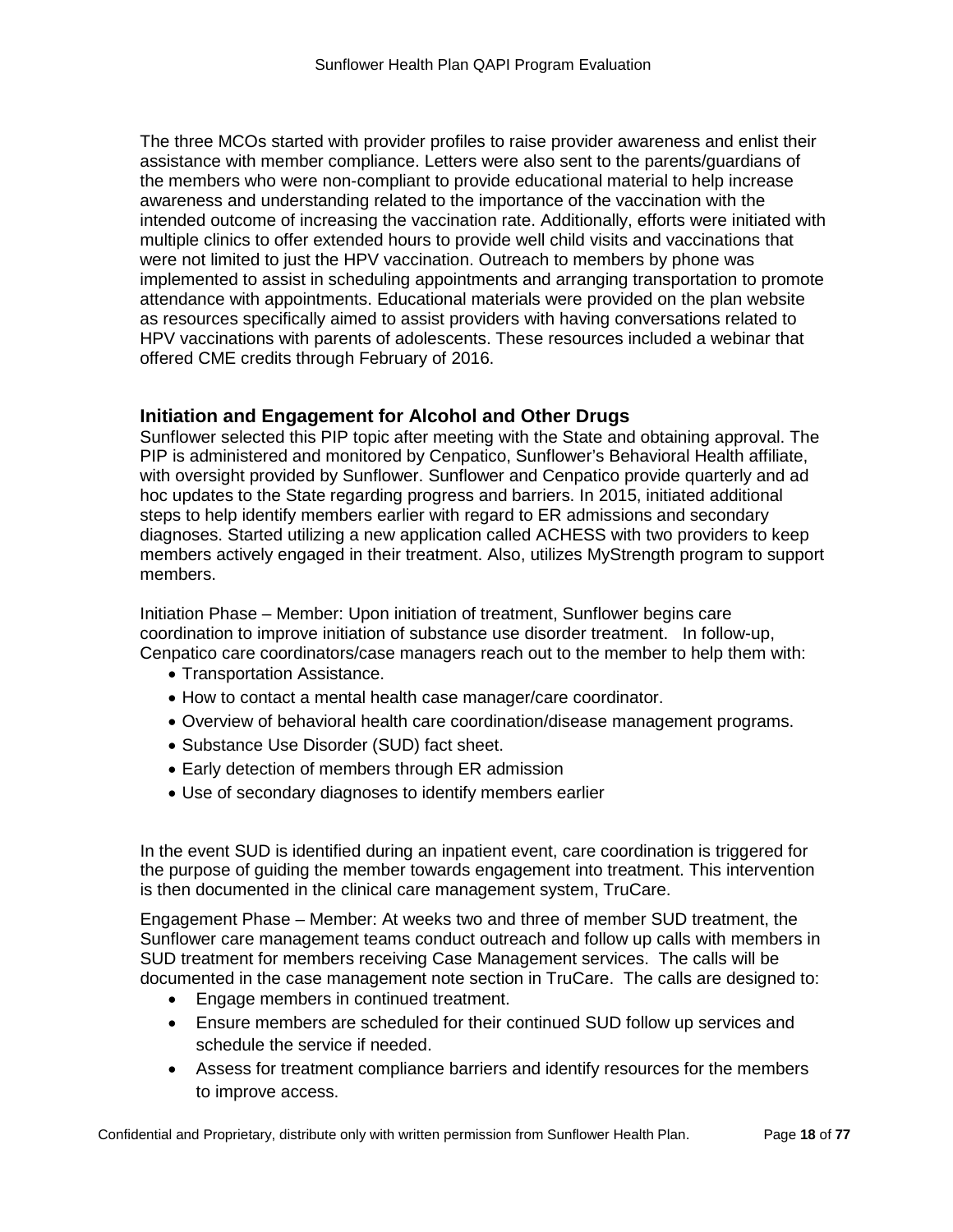The three MCOs started with provider profiles to raise provider awareness and enlist their assistance with member compliance. Letters were also sent to the parents/guardians of the members who were non-compliant to provide educational material to help increase awareness and understanding related to the importance of the vaccination with the intended outcome of increasing the vaccination rate. Additionally, efforts were initiated with multiple clinics to offer extended hours to provide well child visits and vaccinations that were not limited to just the HPV vaccination. Outreach to members by phone was implemented to assist in scheduling appointments and arranging transportation to promote attendance with appointments. Educational materials were provided on the plan website as resources specifically aimed to assist providers with having conversations related to HPV vaccinations with parents of adolescents. These resources included a webinar that offered CME credits through February of 2016.

# **Initiation and Engagement for Alcohol and Other Drugs**

Sunflower selected this PIP topic after meeting with the State and obtaining approval. The PIP is administered and monitored by Cenpatico, Sunflower's Behavioral Health affiliate, with oversight provided by Sunflower. Sunflower and Cenpatico provide quarterly and ad hoc updates to the State regarding progress and barriers. In 2015, initiated additional steps to help identify members earlier with regard to ER admissions and secondary diagnoses. Started utilizing a new application called ACHESS with two providers to keep members actively engaged in their treatment. Also, utilizes MyStrength program to support members.

Initiation Phase – Member: Upon initiation of treatment, Sunflower begins care coordination to improve initiation of substance use disorder treatment. In follow-up, Cenpatico care coordinators/case managers reach out to the member to help them with:

- Transportation Assistance.
- How to contact a mental health case manager/care coordinator.
- Overview of behavioral health care coordination/disease management programs.
- Substance Use Disorder (SUD) fact sheet.
- Early detection of members through ER admission
- Use of secondary diagnoses to identify members earlier

In the event SUD is identified during an inpatient event, care coordination is triggered for the purpose of guiding the member towards engagement into treatment. This intervention is then documented in the clinical care management system, TruCare.

Engagement Phase – Member: At weeks two and three of member SUD treatment, the Sunflower care management teams conduct outreach and follow up calls with members in SUD treatment for members receiving Case Management services. The calls will be documented in the case management note section in TruCare. The calls are designed to:

- Engage members in continued treatment.
- Ensure members are scheduled for their continued SUD follow up services and schedule the service if needed.
- Assess for treatment compliance barriers and identify resources for the members to improve access.

Confidential and Proprietary, distribute only with written permission from Sunflower Health Plan. Page **18** of **77**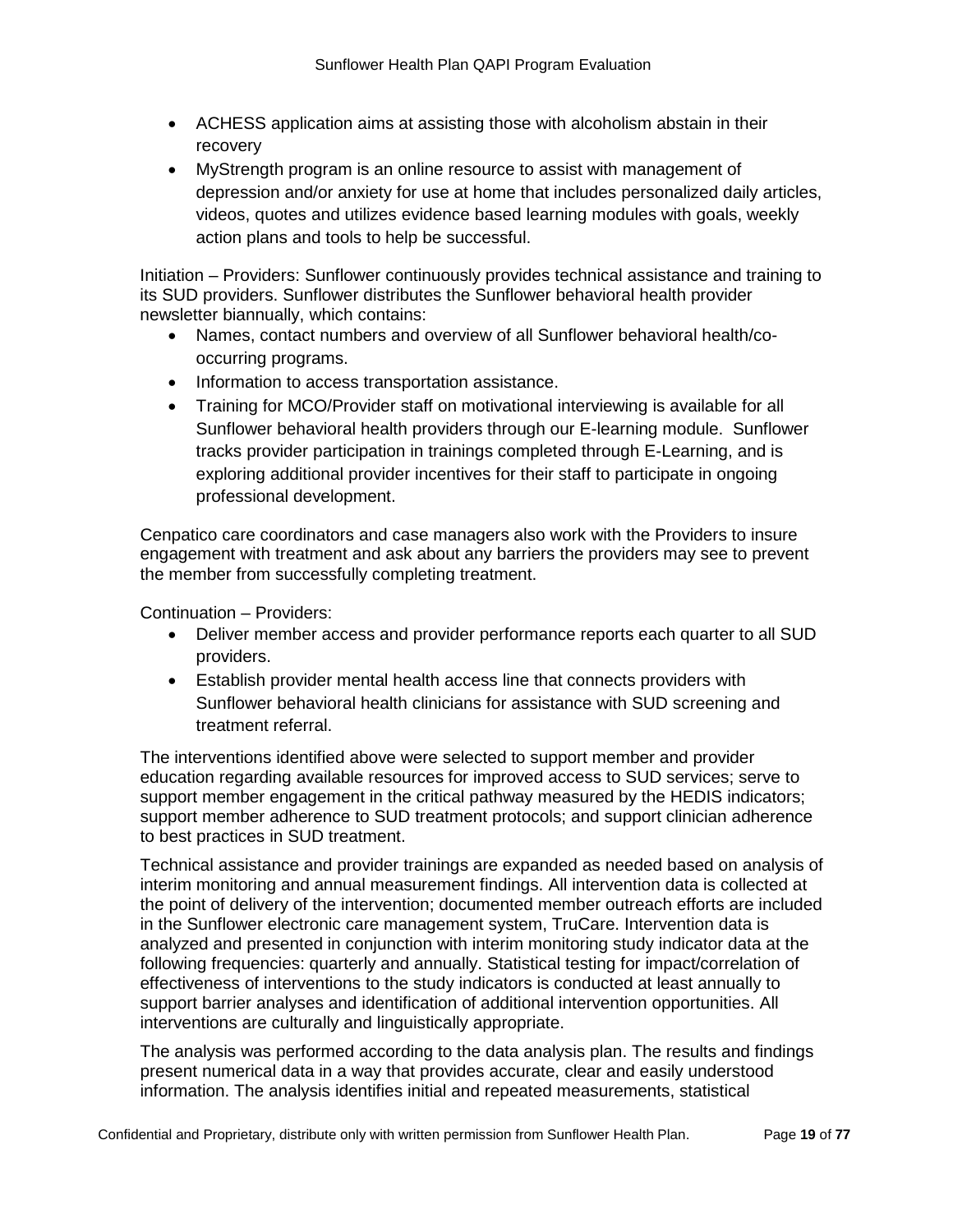- ACHESS application aims at assisting those with alcoholism abstain in their recovery
- MyStrength program is an online resource to assist with management of depression and/or anxiety for use at home that includes personalized daily articles, videos, quotes and utilizes evidence based learning modules with goals, weekly action plans and tools to help be successful.

Initiation – Providers: Sunflower continuously provides technical assistance and training to its SUD providers. Sunflower distributes the Sunflower behavioral health provider newsletter biannually, which contains:

- Names, contact numbers and overview of all Sunflower behavioral health/cooccurring programs.
- Information to access transportation assistance.
- Training for MCO/Provider staff on motivational interviewing is available for all Sunflower behavioral health providers through our E-learning module. Sunflower tracks provider participation in trainings completed through E-Learning, and is exploring additional provider incentives for their staff to participate in ongoing professional development.

Cenpatico care coordinators and case managers also work with the Providers to insure engagement with treatment and ask about any barriers the providers may see to prevent the member from successfully completing treatment.

Continuation – Providers:

- Deliver member access and provider performance reports each quarter to all SUD providers.
- Establish provider mental health access line that connects providers with Sunflower behavioral health clinicians for assistance with SUD screening and treatment referral.

The interventions identified above were selected to support member and provider education regarding available resources for improved access to SUD services; serve to support member engagement in the critical pathway measured by the HEDIS indicators; support member adherence to SUD treatment protocols; and support clinician adherence to best practices in SUD treatment.

Technical assistance and provider trainings are expanded as needed based on analysis of interim monitoring and annual measurement findings. All intervention data is collected at the point of delivery of the intervention; documented member outreach efforts are included in the Sunflower electronic care management system, TruCare. Intervention data is analyzed and presented in conjunction with interim monitoring study indicator data at the following frequencies: quarterly and annually. Statistical testing for impact/correlation of effectiveness of interventions to the study indicators is conducted at least annually to support barrier analyses and identification of additional intervention opportunities. All interventions are culturally and linguistically appropriate.

The analysis was performed according to the data analysis plan. The results and findings present numerical data in a way that provides accurate, clear and easily understood information. The analysis identifies initial and repeated measurements, statistical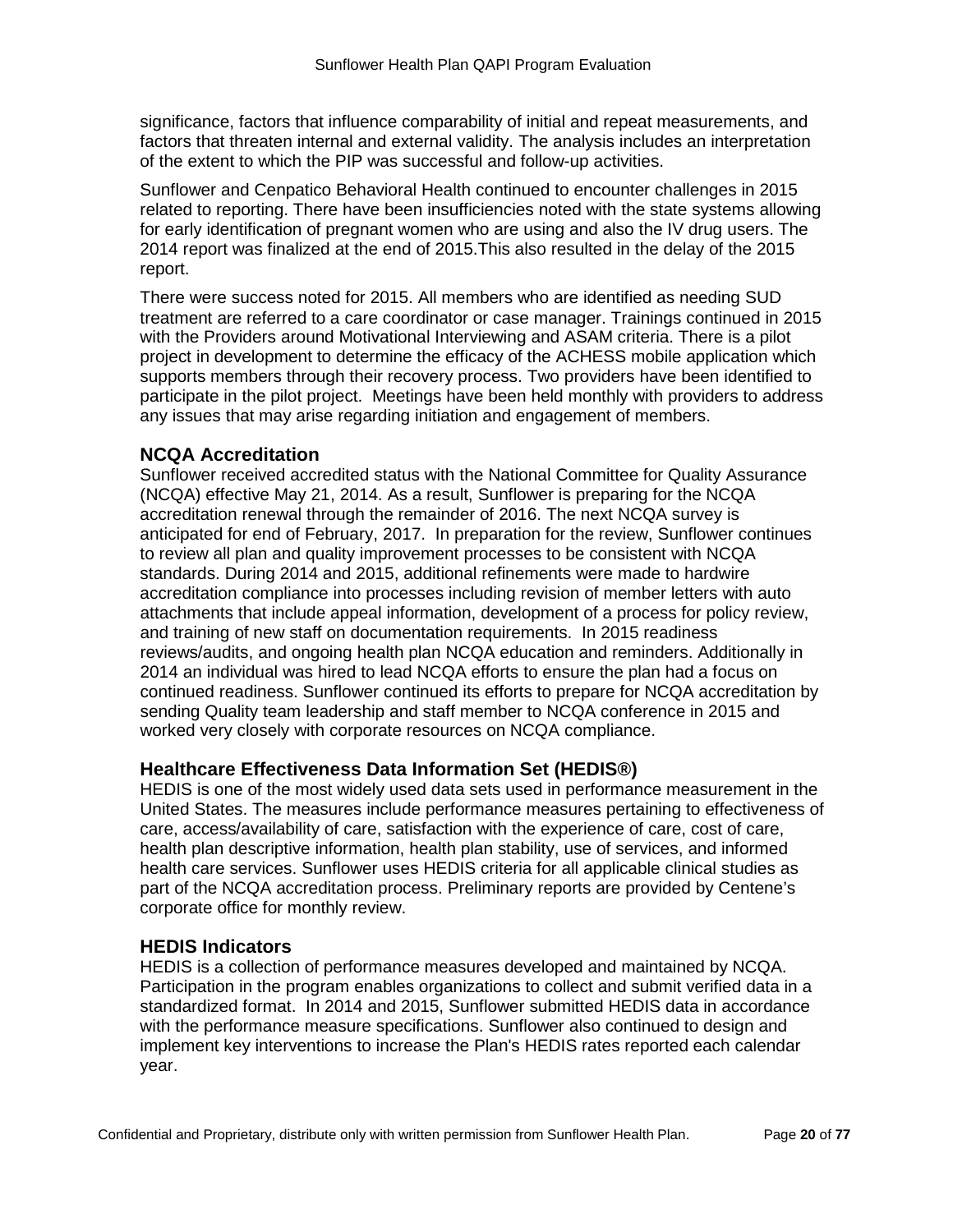significance, factors that influence comparability of initial and repeat measurements, and factors that threaten internal and external validity. The analysis includes an interpretation of the extent to which the PIP was successful and follow-up activities.

Sunflower and Cenpatico Behavioral Health continued to encounter challenges in 2015 related to reporting. There have been insufficiencies noted with the state systems allowing for early identification of pregnant women who are using and also the IV drug users. The 2014 report was finalized at the end of 2015.This also resulted in the delay of the 2015 report.

There were success noted for 2015. All members who are identified as needing SUD treatment are referred to a care coordinator or case manager. Trainings continued in 2015 with the Providers around Motivational Interviewing and ASAM criteria. There is a pilot project in development to determine the efficacy of the ACHESS mobile application which supports members through their recovery process. Two providers have been identified to participate in the pilot project. Meetings have been held monthly with providers to address any issues that may arise regarding initiation and engagement of members.

# **NCQA Accreditation**

Sunflower received accredited status with the National Committee for Quality Assurance (NCQA) effective May 21, 2014. As a result, Sunflower is preparing for the NCQA accreditation renewal through the remainder of 2016. The next NCQA survey is anticipated for end of February, 2017. In preparation for the review, Sunflower continues to review all plan and quality improvement processes to be consistent with NCQA standards. During 2014 and 2015, additional refinements were made to hardwire accreditation compliance into processes including revision of member letters with auto attachments that include appeal information, development of a process for policy review, and training of new staff on documentation requirements. In 2015 readiness reviews/audits, and ongoing health plan NCQA education and reminders. Additionally in 2014 an individual was hired to lead NCQA efforts to ensure the plan had a focus on continued readiness. Sunflower continued its efforts to prepare for NCQA accreditation by sending Quality team leadership and staff member to NCQA conference in 2015 and worked very closely with corporate resources on NCQA compliance.

# **Healthcare Effectiveness Data Information Set (HEDIS®)**

HEDIS is one of the most widely used data sets used in performance measurement in the United States. The measures include performance measures pertaining to effectiveness of care, access/availability of care, satisfaction with the experience of care, cost of care, health plan descriptive information, health plan stability, use of services, and informed health care services. Sunflower uses HEDIS criteria for all applicable clinical studies as part of the NCQA accreditation process. Preliminary reports are provided by Centene's corporate office for monthly review.

### **HEDIS Indicators**

HEDIS is a collection of performance measures developed and maintained by NCQA. Participation in the program enables organizations to collect and submit verified data in a standardized format. In 2014 and 2015, Sunflower submitted HEDIS data in accordance with the performance measure specifications. Sunflower also continued to design and implement key interventions to increase the Plan's HEDIS rates reported each calendar year.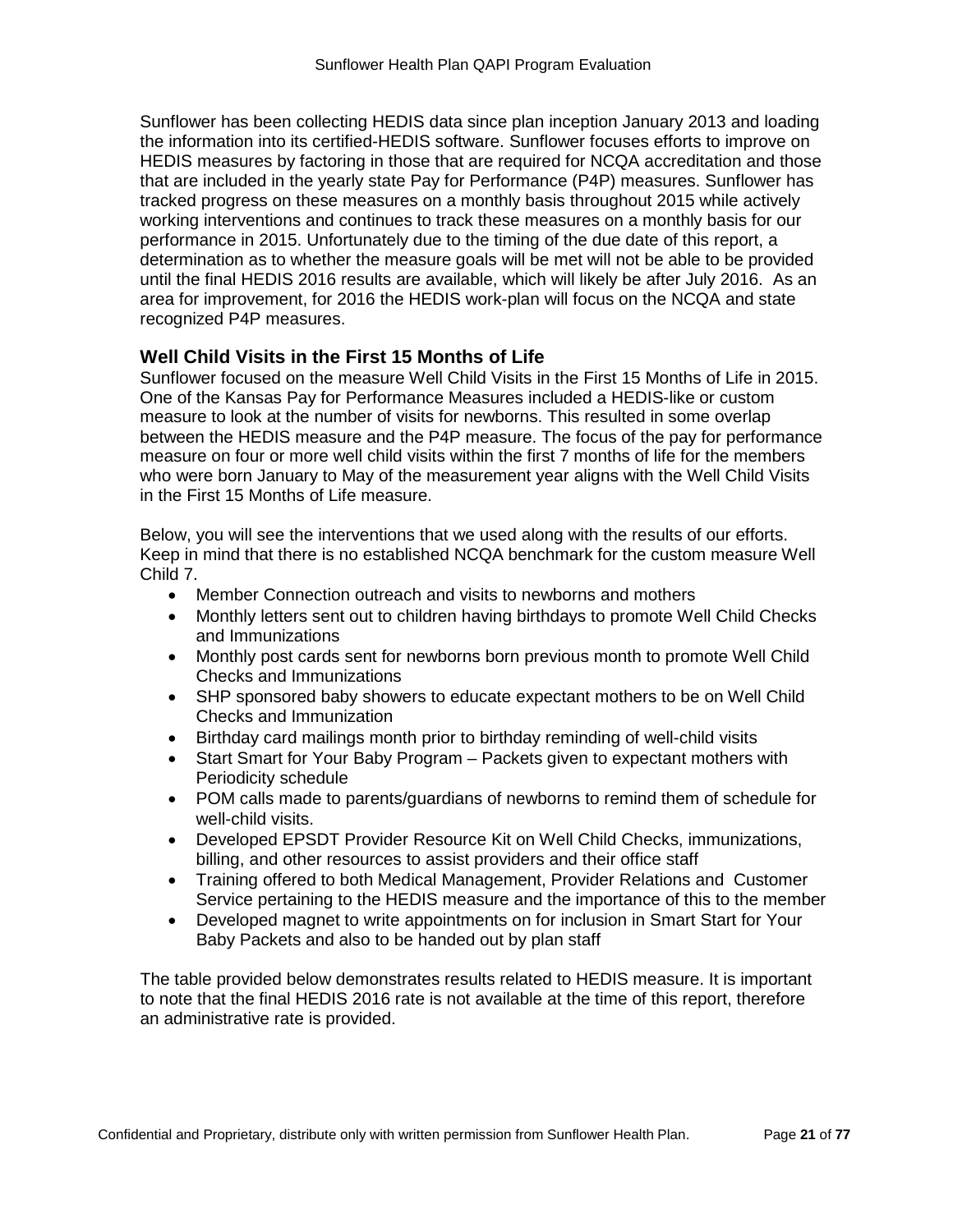Sunflower has been collecting HEDIS data since plan inception January 2013 and loading the information into its certified-HEDIS software. Sunflower focuses efforts to improve on HEDIS measures by factoring in those that are required for NCQA accreditation and those that are included in the yearly state Pay for Performance (P4P) measures. Sunflower has tracked progress on these measures on a monthly basis throughout 2015 while actively working interventions and continues to track these measures on a monthly basis for our performance in 2015. Unfortunately due to the timing of the due date of this report, a determination as to whether the measure goals will be met will not be able to be provided until the final HEDIS 2016 results are available, which will likely be after July 2016. As an area for improvement, for 2016 the HEDIS work-plan will focus on the NCQA and state recognized P4P measures.

# **Well Child Visits in the First 15 Months of Life**

Sunflower focused on the measure Well Child Visits in the First 15 Months of Life in 2015. One of the Kansas Pay for Performance Measures included a HEDIS-like or custom measure to look at the number of visits for newborns. This resulted in some overlap between the HEDIS measure and the P4P measure. The focus of the pay for performance measure on four or more well child visits within the first 7 months of life for the members who were born January to May of the measurement year aligns with the Well Child Visits in the First 15 Months of Life measure.

Below, you will see the interventions that we used along with the results of our efforts. Keep in mind that there is no established NCQA benchmark for the custom measure Well Child 7.

- Member Connection outreach and visits to newborns and mothers
- Monthly letters sent out to children having birthdays to promote Well Child Checks and Immunizations
- Monthly post cards sent for newborns born previous month to promote Well Child Checks and Immunizations
- SHP sponsored baby showers to educate expectant mothers to be on Well Child Checks and Immunization
- Birthday card mailings month prior to birthday reminding of well-child visits
- Start Smart for Your Baby Program Packets given to expectant mothers with Periodicity schedule
- POM calls made to parents/guardians of newborns to remind them of schedule for well-child visits.
- Developed EPSDT Provider Resource Kit on Well Child Checks, immunizations, billing, and other resources to assist providers and their office staff
- Training offered to both Medical Management, Provider Relations and Customer Service pertaining to the HEDIS measure and the importance of this to the member
- Developed magnet to write appointments on for inclusion in Smart Start for Your Baby Packets and also to be handed out by plan staff

The table provided below demonstrates results related to HEDIS measure. It is important to note that the final HEDIS 2016 rate is not available at the time of this report, therefore an administrative rate is provided.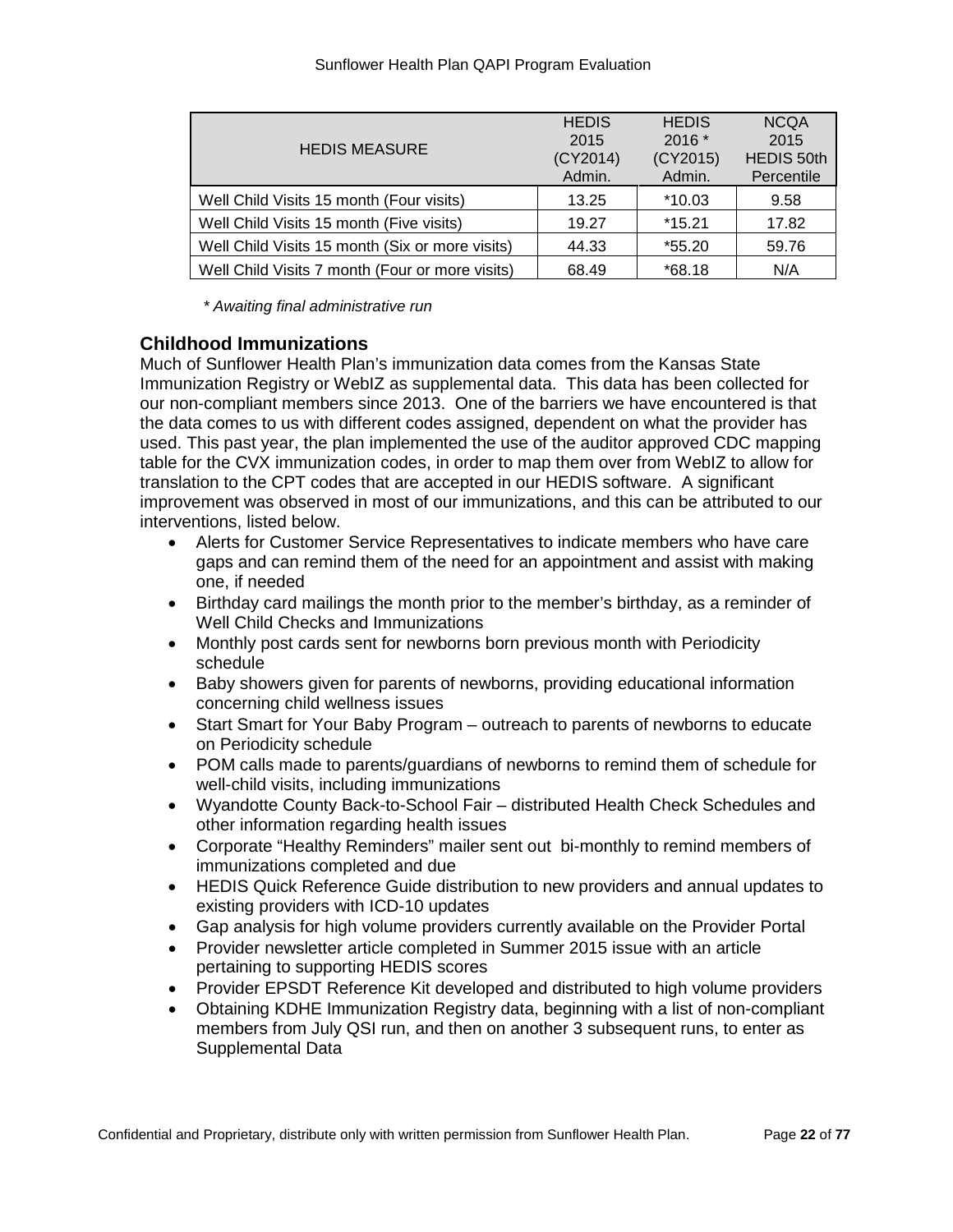|                                                 | <b>HEDIS</b> | <b>HEDIS</b> | <b>NCOA</b>       |
|-------------------------------------------------|--------------|--------------|-------------------|
| <b>HEDIS MEASURE</b>                            | 2015         | $2016*$      | 2015              |
|                                                 | (CY2014)     | (CY2015)     | <b>HEDIS 50th</b> |
|                                                 | Admin.       | Admin.       | Percentile        |
| Well Child Visits 15 month (Four visits)        | 13.25        | *10.03       | 9.58              |
| Well Child Visits 15 month (Five visits)        | 19.27        | $*15.21$     | 17.82             |
| Well Child Visits 15 month (Six or more visits) | 44.33        | $*55.20$     | 59.76             |
| Well Child Visits 7 month (Four or more visits) | 68.49        | $*68.18$     | N/A               |

*\* Awaiting final administrative run*

# **Childhood Immunizations**

Much of Sunflower Health Plan's immunization data comes from the Kansas State Immunization Registry or WebIZ as supplemental data. This data has been collected for our non-compliant members since 2013. One of the barriers we have encountered is that the data comes to us with different codes assigned, dependent on what the provider has used. This past year, the plan implemented the use of the auditor approved CDC mapping table for the CVX immunization codes, in order to map them over from WebIZ to allow for translation to the CPT codes that are accepted in our HEDIS software. A significant improvement was observed in most of our immunizations, and this can be attributed to our interventions, listed below.

- Alerts for Customer Service Representatives to indicate members who have care gaps and can remind them of the need for an appointment and assist with making one, if needed
- Birthday card mailings the month prior to the member's birthday, as a reminder of Well Child Checks and Immunizations
- Monthly post cards sent for newborns born previous month with Periodicity schedule
- Baby showers given for parents of newborns, providing educational information concerning child wellness issues
- Start Smart for Your Baby Program outreach to parents of newborns to educate on Periodicity schedule
- POM calls made to parents/guardians of newborns to remind them of schedule for well-child visits, including immunizations
- Wyandotte County Back-to-School Fair distributed Health Check Schedules and other information regarding health issues
- Corporate "Healthy Reminders" mailer sent out bi-monthly to remind members of immunizations completed and due
- HEDIS Quick Reference Guide distribution to new providers and annual updates to existing providers with ICD-10 updates
- Gap analysis for high volume providers currently available on the Provider Portal
- Provider newsletter article completed in Summer 2015 issue with an article pertaining to supporting HEDIS scores
- Provider EPSDT Reference Kit developed and distributed to high volume providers
- Obtaining KDHE Immunization Registry data, beginning with a list of non-compliant members from July QSI run, and then on another 3 subsequent runs, to enter as Supplemental Data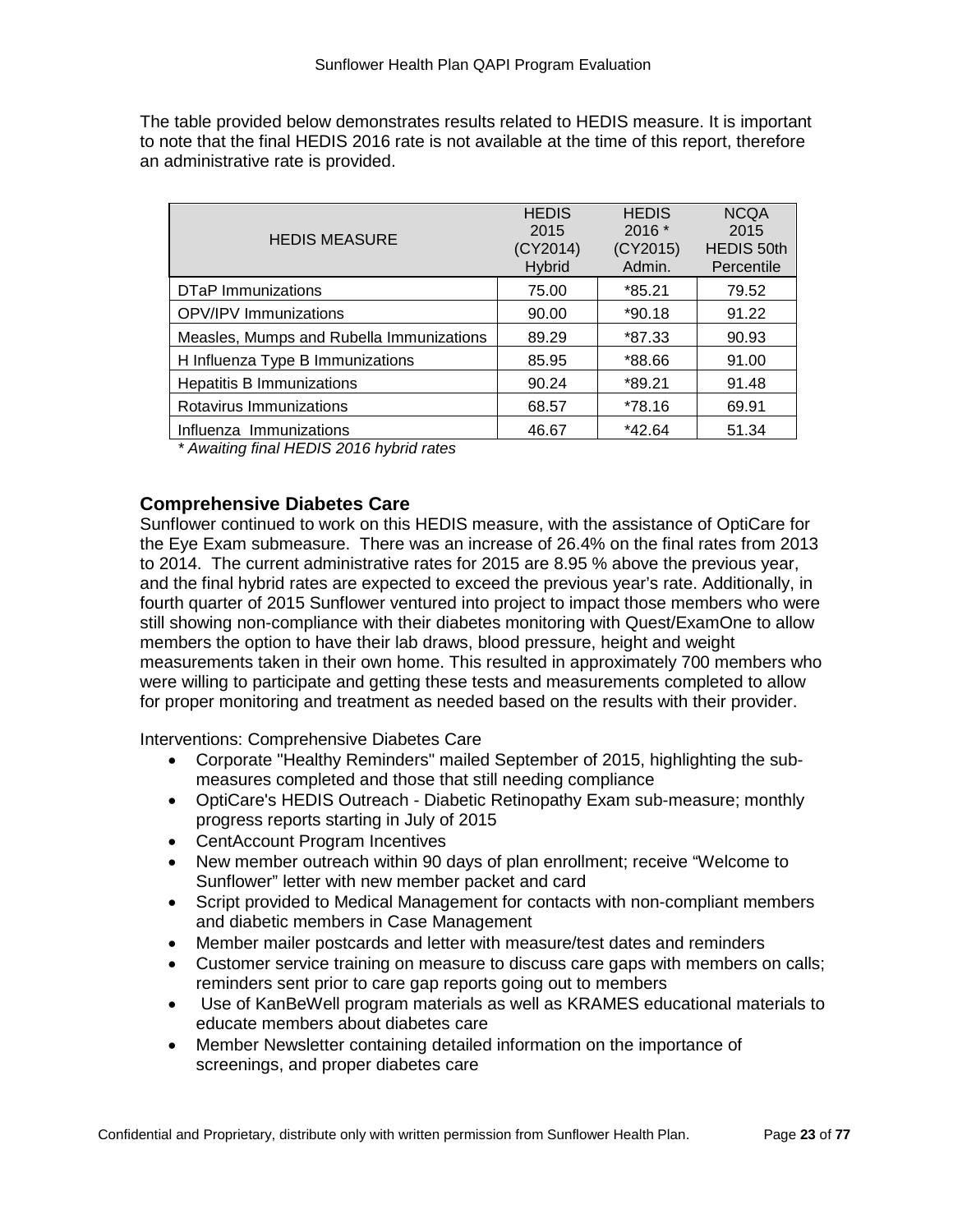The table provided below demonstrates results related to HEDIS measure. It is important to note that the final HEDIS 2016 rate is not available at the time of this report, therefore an administrative rate is provided.

| <b>HEDIS MEASURE</b>                     | <b>HEDIS</b><br>2015<br>(CY2014)<br><b>Hybrid</b> | <b>HEDIS</b><br>$2016*$<br>(CY2015)<br>Admin. | <b>NCOA</b><br>2015<br><b>HEDIS 50th</b><br>Percentile |
|------------------------------------------|---------------------------------------------------|-----------------------------------------------|--------------------------------------------------------|
| DTaP Immunizations                       | 75.00                                             | *85.21                                        | 79.52                                                  |
| <b>OPV/IPV Immunizations</b>             | 90.00                                             | $*90.18$                                      | 91.22                                                  |
| Measles, Mumps and Rubella Immunizations | 89.29                                             | *87.33                                        | 90.93                                                  |
| H Influenza Type B Immunizations         | 85.95                                             | *88.66                                        | 91.00                                                  |
| <b>Hepatitis B Immunizations</b>         | 90.24                                             | $*89.21$                                      | 91.48                                                  |
| Rotavirus Immunizations                  | 68.57                                             | *78.16                                        | 69.91                                                  |
| Influenza Immunizations                  | 46.67                                             | $*42.64$                                      | 51.34                                                  |

*\* Awaiting final HEDIS 2016 hybrid rates*

# **Comprehensive Diabetes Care**

Sunflower continued to work on this HEDIS measure, with the assistance of OptiCare for the Eye Exam submeasure. There was an increase of 26.4% on the final rates from 2013 to 2014. The current administrative rates for 2015 are 8.95 % above the previous year, and the final hybrid rates are expected to exceed the previous year's rate. Additionally, in fourth quarter of 2015 Sunflower ventured into project to impact those members who were still showing non-compliance with their diabetes monitoring with Quest/ExamOne to allow members the option to have their lab draws, blood pressure, height and weight measurements taken in their own home. This resulted in approximately 700 members who were willing to participate and getting these tests and measurements completed to allow for proper monitoring and treatment as needed based on the results with their provider.

Interventions: Comprehensive Diabetes Care

- Corporate "Healthy Reminders" mailed September of 2015, highlighting the submeasures completed and those that still needing compliance
- OptiCare's HEDIS Outreach Diabetic Retinopathy Exam sub-measure; monthly progress reports starting in July of 2015
- CentAccount Program Incentives
- New member outreach within 90 days of plan enrollment; receive "Welcome to Sunflower" letter with new member packet and card
- Script provided to Medical Management for contacts with non-compliant members and diabetic members in Case Management
- Member mailer postcards and letter with measure/test dates and reminders
- Customer service training on measure to discuss care gaps with members on calls; reminders sent prior to care gap reports going out to members
- Use of KanBeWell program materials as well as KRAMES educational materials to educate members about diabetes care
- Member Newsletter containing detailed information on the importance of screenings, and proper diabetes care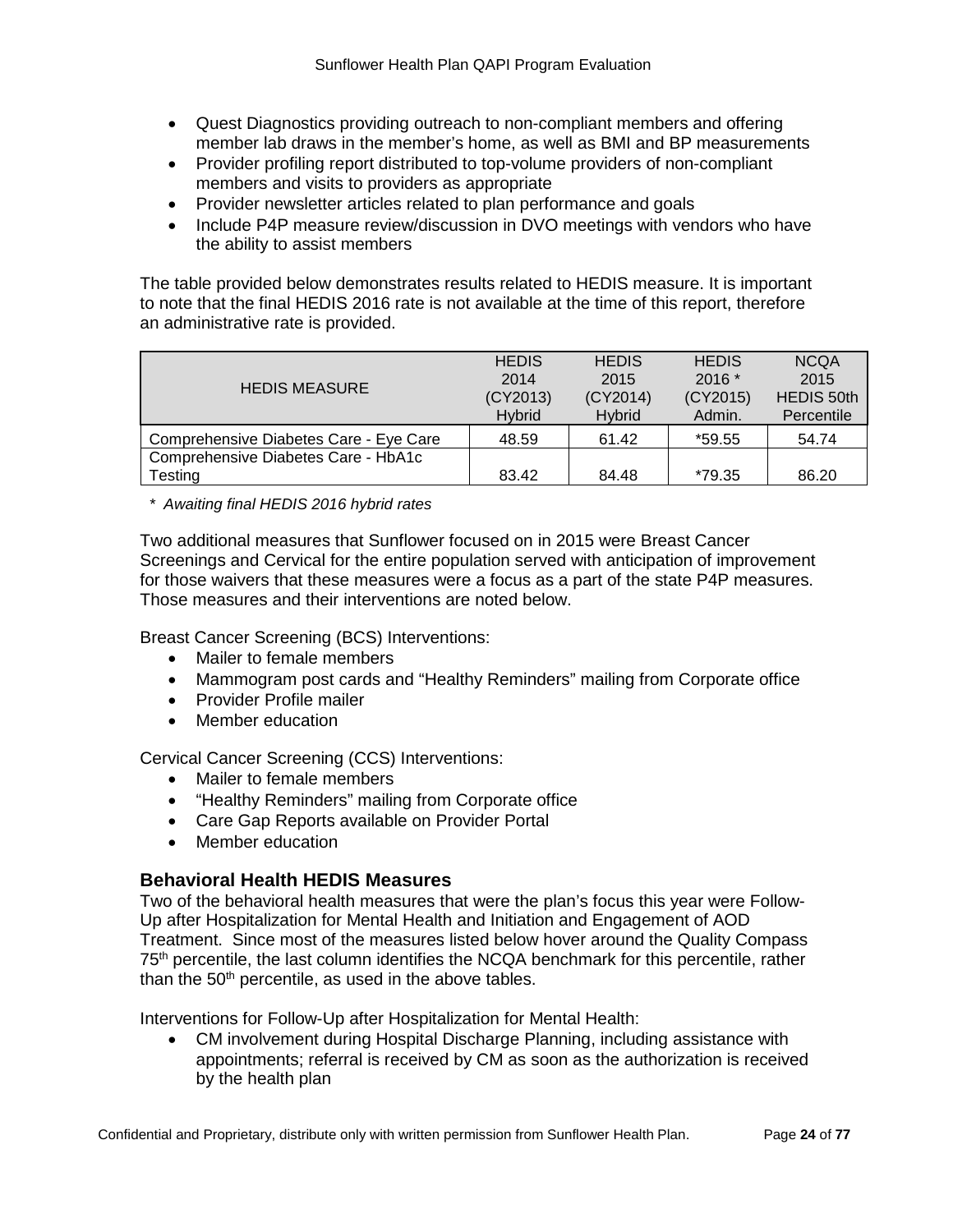- Quest Diagnostics providing outreach to non-compliant members and offering member lab draws in the member's home, as well as BMI and BP measurements
- Provider profiling report distributed to top-volume providers of non-compliant members and visits to providers as appropriate
- Provider newsletter articles related to plan performance and goals
- Include P4P measure review/discussion in DVO meetings with vendors who have the ability to assist members

The table provided below demonstrates results related to HEDIS measure. It is important to note that the final HEDIS 2016 rate is not available at the time of this report, therefore an administrative rate is provided.

|                                        | <b>HEDIS</b>   | <b>HEDIS</b>   | <b>HEDIS</b> | <b>NCQA</b>       |
|----------------------------------------|----------------|----------------|--------------|-------------------|
| <b>HEDIS MEASURE</b>                   |                |                |              |                   |
|                                        | 2014           | 2015           | $2016*$      | 2015              |
|                                        | (CY2013)       | (CY2014)       | (CY2015)     | <b>HEDIS 50th</b> |
|                                        | <b>H</b> vbrid | <b>H</b> vbrid | Admin.       | Percentile        |
| Comprehensive Diabetes Care - Eye Care | 48.59          | 61.42          | *59.55       | 54.74             |
| Comprehensive Diabetes Care - HbA1c    |                |                |              |                   |
| Testing                                | 83.42          | 84.48          | *79.35       | 86.20             |

*\* Awaiting final HEDIS 2016 hybrid rates*

Two additional measures that Sunflower focused on in 2015 were Breast Cancer Screenings and Cervical for the entire population served with anticipation of improvement for those waivers that these measures were a focus as a part of the state P4P measures. Those measures and their interventions are noted below.

Breast Cancer Screening (BCS) Interventions:

- Mailer to female members
- Mammogram post cards and "Healthy Reminders" mailing from Corporate office
- Provider Profile mailer
- Member education

Cervical Cancer Screening (CCS) Interventions:

- Mailer to female members
- "Healthy Reminders" mailing from Corporate office
- Care Gap Reports available on Provider Portal
- Member education

### **Behavioral Health HEDIS Measures**

Two of the behavioral health measures that were the plan's focus this year were Follow-Up after Hospitalization for Mental Health and Initiation and Engagement of AOD Treatment. Since most of the measures listed below hover around the Quality Compass 75<sup>th</sup> percentile, the last column identifies the NCQA benchmark for this percentile, rather than the  $50<sup>th</sup>$  percentile, as used in the above tables.

Interventions for Follow-Up after Hospitalization for Mental Health:

• CM involvement during Hospital Discharge Planning, including assistance with appointments; referral is received by CM as soon as the authorization is received by the health plan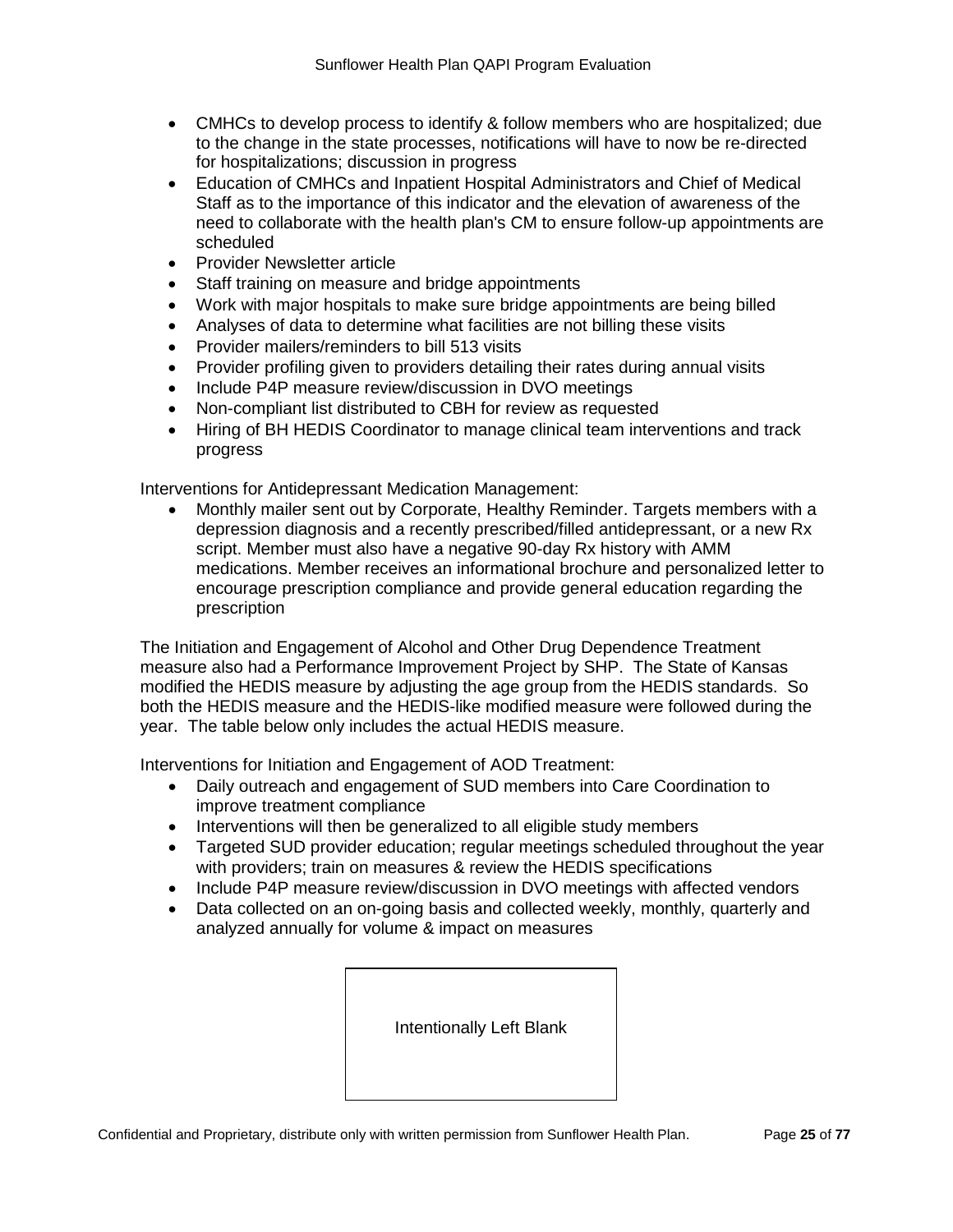- CMHCs to develop process to identify & follow members who are hospitalized; due to the change in the state processes, notifications will have to now be re-directed for hospitalizations; discussion in progress
- Education of CMHCs and Inpatient Hospital Administrators and Chief of Medical Staff as to the importance of this indicator and the elevation of awareness of the need to collaborate with the health plan's CM to ensure follow-up appointments are scheduled
- Provider Newsletter article
- Staff training on measure and bridge appointments
- Work with major hospitals to make sure bridge appointments are being billed
- Analyses of data to determine what facilities are not billing these visits
- Provider mailers/reminders to bill 513 visits
- Provider profiling given to providers detailing their rates during annual visits
- Include P4P measure review/discussion in DVO meetings
- Non-compliant list distributed to CBH for review as requested
- Hiring of BH HEDIS Coordinator to manage clinical team interventions and track progress

Interventions for Antidepressant Medication Management:

• Monthly mailer sent out by Corporate, Healthy Reminder. Targets members with a depression diagnosis and a recently prescribed/filled antidepressant, or a new Rx script. Member must also have a negative 90-day Rx history with AMM medications. Member receives an informational brochure and personalized letter to encourage prescription compliance and provide general education regarding the prescription

The Initiation and Engagement of Alcohol and Other Drug Dependence Treatment measure also had a Performance Improvement Project by SHP. The State of Kansas modified the HEDIS measure by adjusting the age group from the HEDIS standards. So both the HEDIS measure and the HEDIS-like modified measure were followed during the year. The table below only includes the actual HEDIS measure.

Interventions for Initiation and Engagement of AOD Treatment:

- Daily outreach and engagement of SUD members into Care Coordination to improve treatment compliance
- Interventions will then be generalized to all eligible study members
- Targeted SUD provider education; regular meetings scheduled throughout the year with providers; train on measures & review the HEDIS specifications
- Include P4P measure review/discussion in DVO meetings with affected vendors
- Data collected on an on-going basis and collected weekly, monthly, quarterly and analyzed annually for volume & impact on measures

Intentionally Left Blank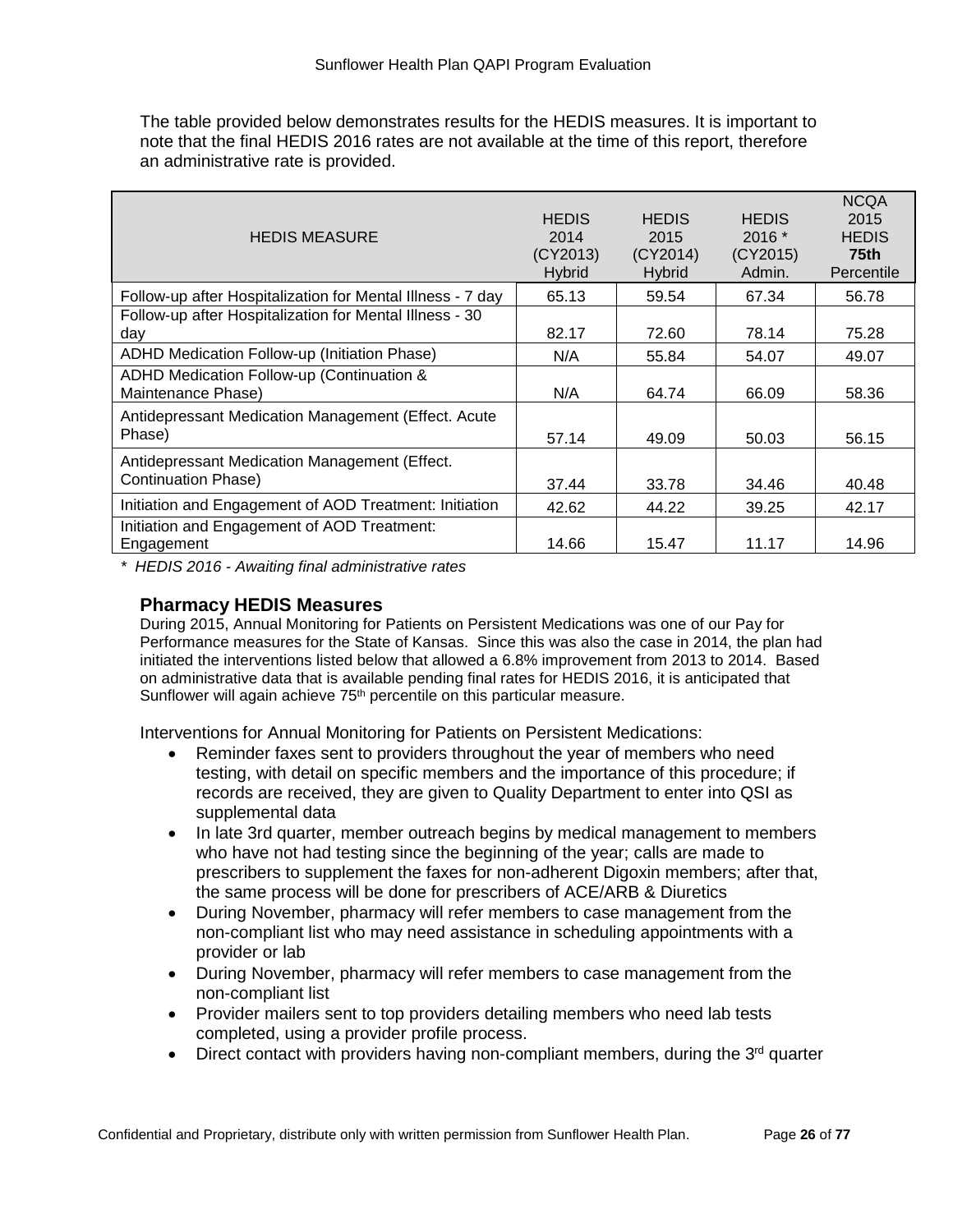The table provided below demonstrates results for the HEDIS measures. It is important to note that the final HEDIS 2016 rates are not available at the time of this report, therefore an administrative rate is provided.

| <b>HEDIS MEASURE</b>                                                 | <b>HEDIS</b><br>2014<br>(CY2013)<br><b>Hybrid</b> | <b>HEDIS</b><br>2015<br>(CY2014)<br><b>Hybrid</b> | <b>HEDIS</b><br>$2016*$<br>(CY2015)<br>Admin. | <b>NCQA</b><br>2015<br><b>HEDIS</b><br>75 <sub>th</sub><br>Percentile |
|----------------------------------------------------------------------|---------------------------------------------------|---------------------------------------------------|-----------------------------------------------|-----------------------------------------------------------------------|
| Follow-up after Hospitalization for Mental Illness - 7 day           | 65.13                                             | 59.54                                             | 67.34                                         | 56.78                                                                 |
| Follow-up after Hospitalization for Mental Illness - 30<br>day       | 82.17                                             | 72.60                                             | 78.14                                         | 75.28                                                                 |
| ADHD Medication Follow-up (Initiation Phase)                         | N/A                                               | 55.84                                             | 54.07                                         | 49.07                                                                 |
| ADHD Medication Follow-up (Continuation &<br>Maintenance Phase)      | N/A                                               | 64.74                                             | 66.09                                         | 58.36                                                                 |
| Antidepressant Medication Management (Effect. Acute<br>Phase)        | 57.14                                             | 49.09                                             | 50.03                                         | 56.15                                                                 |
| Antidepressant Medication Management (Effect.<br>Continuation Phase) | 37.44                                             | 33.78                                             | 34.46                                         | 40.48                                                                 |
| Initiation and Engagement of AOD Treatment: Initiation               | 42.62                                             | 44.22                                             | 39.25                                         | 42.17                                                                 |
| Initiation and Engagement of AOD Treatment:<br>Engagement            | 14.66                                             | 15.47                                             | 11.17                                         | 14.96                                                                 |

*\* HEDIS 2016 - Awaiting final administrative rates*

### **Pharmacy HEDIS Measures**

During 2015, Annual Monitoring for Patients on Persistent Medications was one of our Pay for Performance measures for the State of Kansas. Since this was also the case in 2014, the plan had initiated the interventions listed below that allowed a 6.8% improvement from 2013 to 2014. Based on administrative data that is available pending final rates for HEDIS 2016, it is anticipated that Sunflower will again achieve 75<sup>th</sup> percentile on this particular measure.

Interventions for Annual Monitoring for Patients on Persistent Medications:

- Reminder faxes sent to providers throughout the year of members who need testing, with detail on specific members and the importance of this procedure; if records are received, they are given to Quality Department to enter into QSI as supplemental data
- In late 3rd quarter, member outreach begins by medical management to members who have not had testing since the beginning of the year; calls are made to prescribers to supplement the faxes for non-adherent Digoxin members; after that, the same process will be done for prescribers of ACE/ARB & Diuretics
- During November, pharmacy will refer members to case management from the non-compliant list who may need assistance in scheduling appointments with a provider or lab
- During November, pharmacy will refer members to case management from the non-compliant list
- Provider mailers sent to top providers detailing members who need lab tests completed, using a provider profile process.
- Direct contact with providers having non-compliant members, during the  $3<sup>rd</sup>$  quarter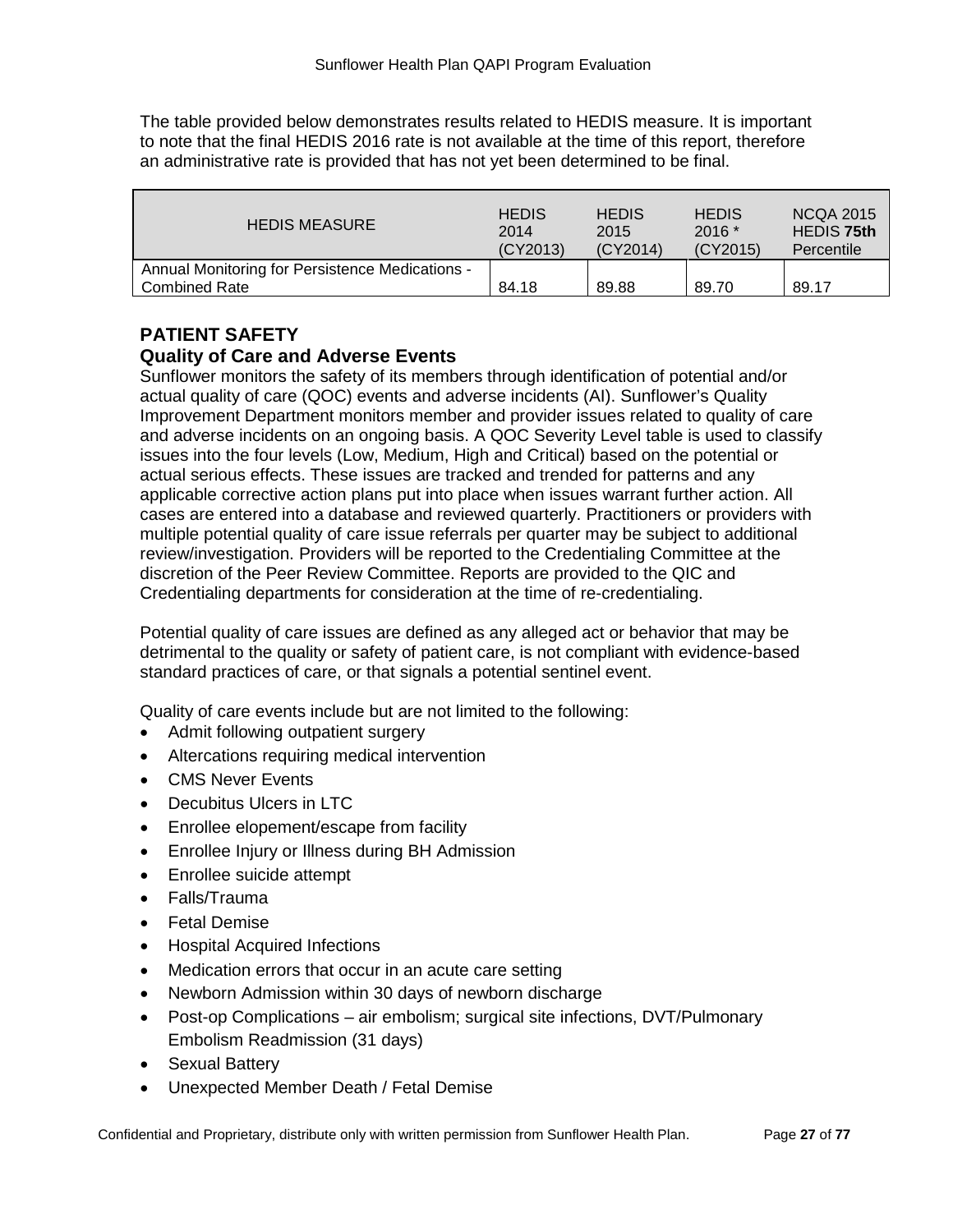The table provided below demonstrates results related to HEDIS measure. It is important to note that the final HEDIS 2016 rate is not available at the time of this report, therefore an administrative rate is provided that has not yet been determined to be final.

| <b>HEDIS MEASURE</b>                                                    | <b>HEDIS</b> | <b>HEDIS</b> | <b>HEDIS</b> | <b>NCQA 2015</b>  |
|-------------------------------------------------------------------------|--------------|--------------|--------------|-------------------|
|                                                                         | 2014         | 2015         | $2016*$      | <b>HEDIS 75th</b> |
|                                                                         | (CY2013)     | (CY2014)     | (CY2015)     | Percentile        |
| Annual Monitoring for Persistence Medications -<br><b>Combined Rate</b> | 84.18        | 89.88        | 89.70        | 89.17             |

# **PATIENT SAFETY**

# **Quality of Care and Adverse Events**

Sunflower monitors the safety of its members through identification of potential and/or actual quality of care (QOC) events and adverse incidents (AI). Sunflower's Quality Improvement Department monitors member and provider issues related to quality of care and adverse incidents on an ongoing basis. A QOC Severity Level table is used to classify issues into the four levels (Low, Medium, High and Critical) based on the potential or actual serious effects. These issues are tracked and trended for patterns and any applicable corrective action plans put into place when issues warrant further action. All cases are entered into a database and reviewed quarterly. Practitioners or providers with multiple potential quality of care issue referrals per quarter may be subject to additional review/investigation. Providers will be reported to the Credentialing Committee at the discretion of the Peer Review Committee. Reports are provided to the QIC and Credentialing departments for consideration at the time of re-credentialing.

Potential quality of care issues are defined as any alleged act or behavior that may be detrimental to the quality or safety of patient care, is not compliant with evidence-based standard practices of care, or that signals a potential sentinel event.

Quality of care events include but are not limited to the following:

- Admit following outpatient surgery
- Altercations requiring medical intervention
- CMS Never Events
- Decubitus Ulcers in LTC
- Enrollee elopement/escape from facility
- Enrollee Injury or Illness during BH Admission
- Enrollee suicide attempt
- Falls/Trauma
- Fetal Demise
- Hospital Acquired Infections
- Medication errors that occur in an acute care setting
- Newborn Admission within 30 days of newborn discharge
- Post-op Complications air embolism; surgical site infections, DVT/Pulmonary Embolism Readmission (31 days)
- Sexual Battery
- Unexpected Member Death / Fetal Demise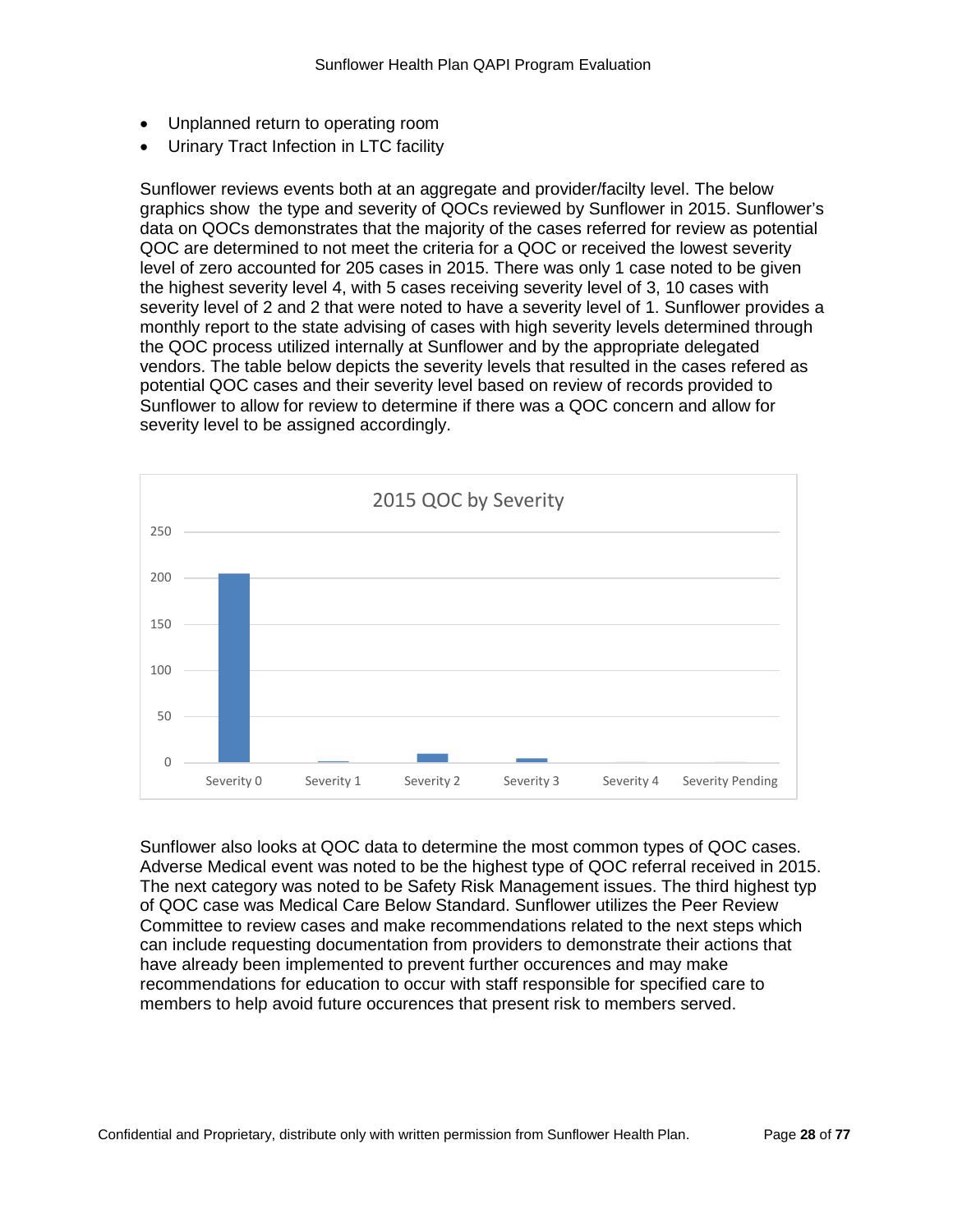- Unplanned return to operating room
- Urinary Tract Infection in LTC facility

Sunflower reviews events both at an aggregate and provider/facilty level. The below graphics show the type and severity of QOCs reviewed by Sunflower in 2015. Sunflower's data on QOCs demonstrates that the majority of the cases referred for review as potential QOC are determined to not meet the criteria for a QOC or received the lowest severity level of zero accounted for 205 cases in 2015. There was only 1 case noted to be given the highest severity level 4, with 5 cases receiving severity level of 3, 10 cases with severity level of 2 and 2 that were noted to have a severity level of 1. Sunflower provides a monthly report to the state advising of cases with high severity levels determined through the QOC process utilized internally at Sunflower and by the appropriate delegated vendors. The table below depicts the severity levels that resulted in the cases refered as potential QOC cases and their severity level based on review of records provided to Sunflower to allow for review to determine if there was a QOC concern and allow for severity level to be assigned accordingly.



Sunflower also looks at QOC data to determine the most common types of QOC cases. Adverse Medical event was noted to be the highest type of QOC referral received in 2015. The next category was noted to be Safety Risk Management issues. The third highest typ of QOC case was Medical Care Below Standard. Sunflower utilizes the Peer Review Committee to review cases and make recommendations related to the next steps which can include requesting documentation from providers to demonstrate their actions that have already been implemented to prevent further occurences and may make recommendations for education to occur with staff responsible for specified care to members to help avoid future occurences that present risk to members served.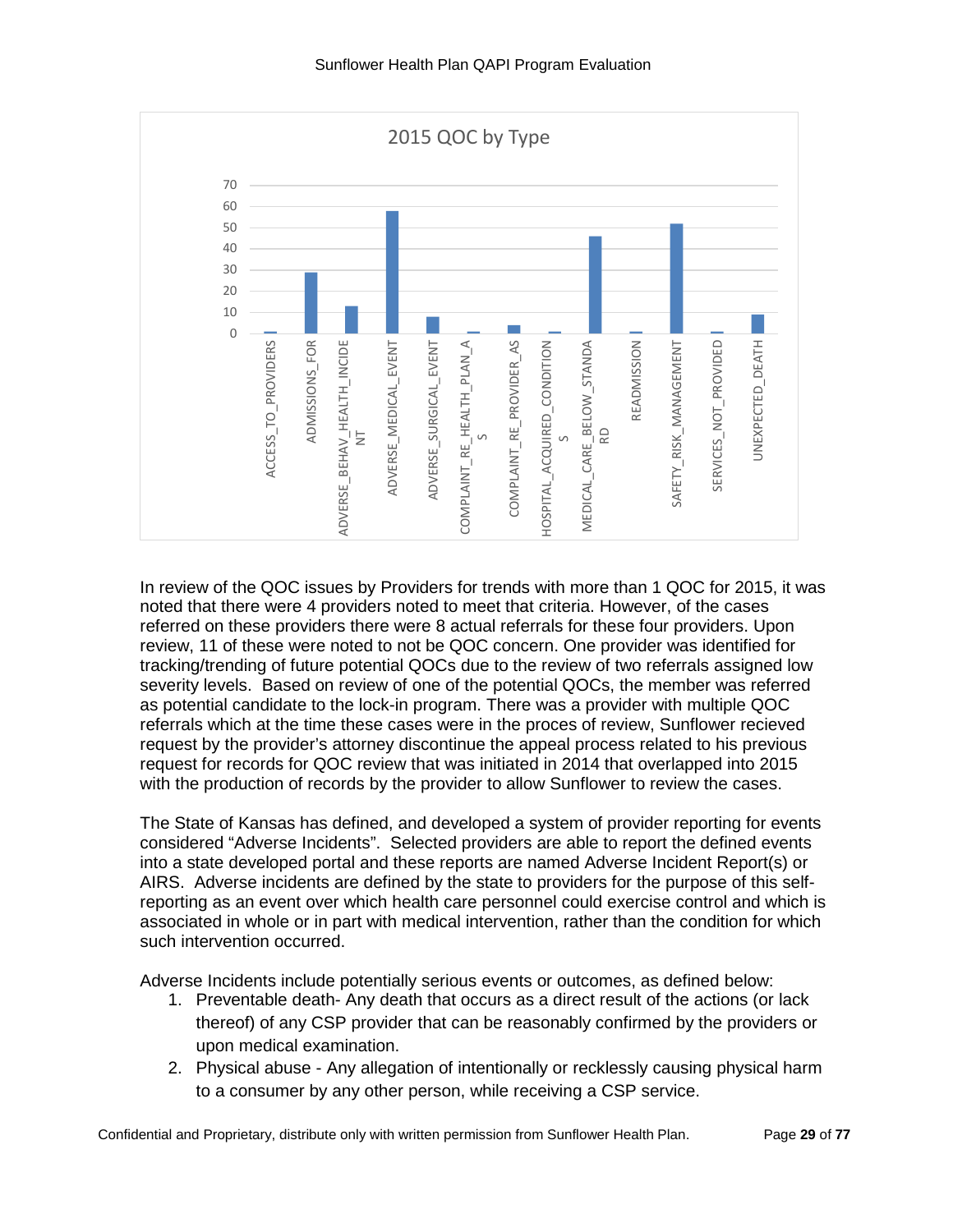

In review of the QOC issues by Providers for trends with more than 1 QOC for 2015, it was noted that there were 4 providers noted to meet that criteria. However, of the cases referred on these providers there were 8 actual referrals for these four providers. Upon review, 11 of these were noted to not be QOC concern. One provider was identified for tracking/trending of future potential QOCs due to the review of two referrals assigned low severity levels. Based on review of one of the potential QOCs, the member was referred as potential candidate to the lock-in program. There was a provider with multiple QOC referrals which at the time these cases were in the proces of review, Sunflower recieved request by the provider's attorney discontinue the appeal process related to his previous request for records for QOC review that was initiated in 2014 that overlapped into 2015 with the production of records by the provider to allow Sunflower to review the cases.

The State of Kansas has defined, and developed a system of provider reporting for events considered "Adverse Incidents". Selected providers are able to report the defined events into a state developed portal and these reports are named Adverse Incident Report(s) or AIRS. Adverse incidents are defined by the state to providers for the purpose of this selfreporting as an event over which health care personnel could exercise control and which is associated in whole or in part with medical intervention, rather than the condition for which such intervention occurred.

Adverse Incidents include potentially serious events or outcomes, as defined below:

- 1. Preventable death- Any death that occurs as a direct result of the actions (or lack thereof) of any CSP provider that can be reasonably confirmed by the providers or upon medical examination.
- 2. Physical abuse Any allegation of intentionally or recklessly causing physical harm to a consumer by any other person, while receiving a CSP service.

Confidential and Proprietary, distribute only with written permission from Sunflower Health Plan. Page **29** of **77**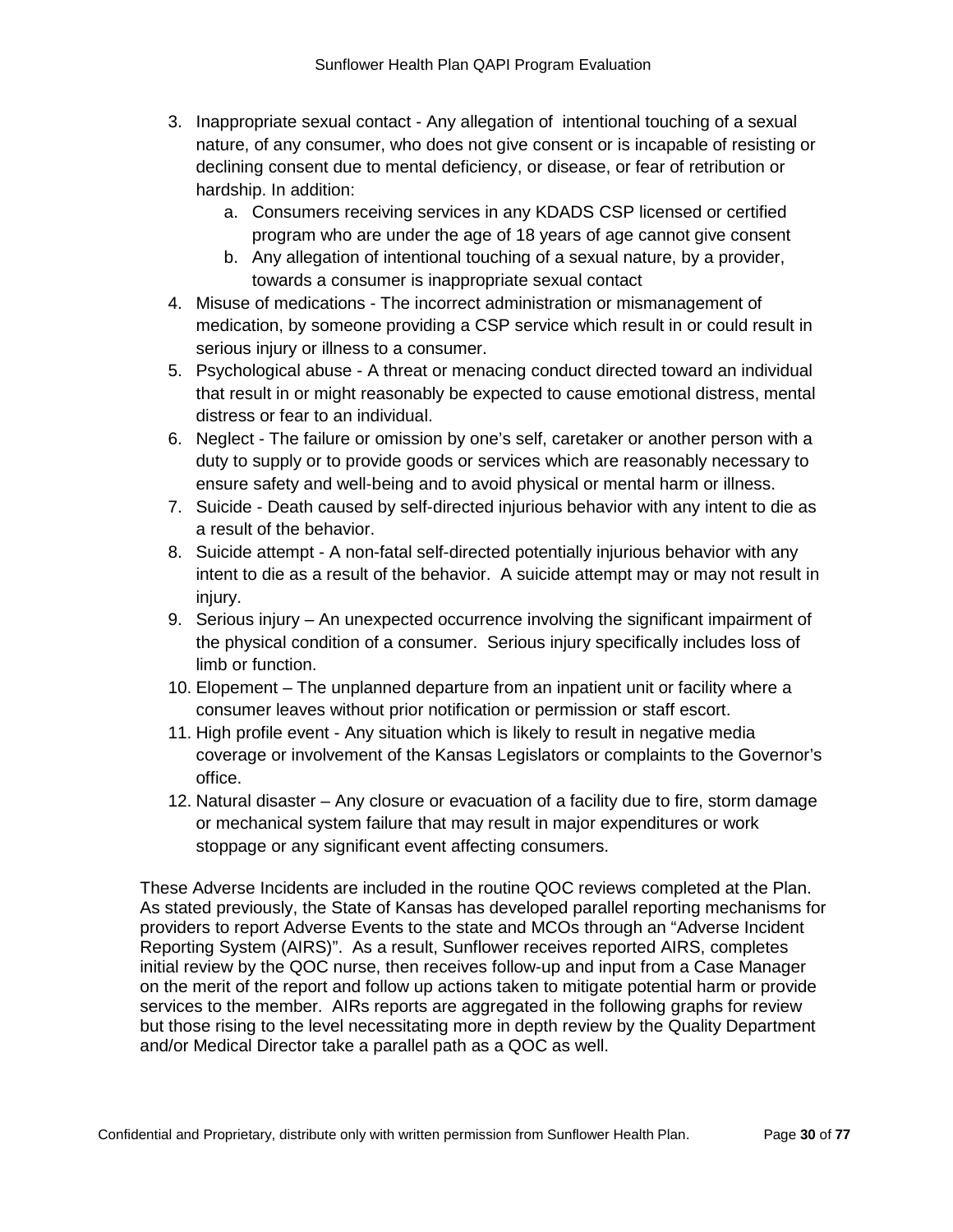- 3. Inappropriate sexual contact Any allegation of intentional touching of a sexual nature, of any consumer, who does not give consent or is incapable of resisting or declining consent due to mental deficiency, or disease, or fear of retribution or hardship. In addition:
	- a. Consumers receiving services in any KDADS CSP licensed or certified program who are under the age of 18 years of age cannot give consent
	- b. Any allegation of intentional touching of a sexual nature, by a provider, towards a consumer is inappropriate sexual contact
- 4. Misuse of medications The incorrect administration or mismanagement of medication, by someone providing a CSP service which result in or could result in serious injury or illness to a consumer.
- 5. Psychological abuse A threat or menacing conduct directed toward an individual that result in or might reasonably be expected to cause emotional distress, mental distress or fear to an individual.
- 6. Neglect The failure or omission by one's self, caretaker or another person with a duty to supply or to provide goods or services which are reasonably necessary to ensure safety and well-being and to avoid physical or mental harm or illness.
- 7. Suicide Death caused by self-directed injurious behavior with any intent to die as a result of the behavior.
- 8. Suicide attempt A non-fatal self-directed potentially injurious behavior with any intent to die as a result of the behavior. A suicide attempt may or may not result in injury.
- 9. Serious injury An unexpected occurrence involving the significant impairment of the physical condition of a consumer. Serious injury specifically includes loss of limb or function.
- 10. Elopement The unplanned departure from an inpatient unit or facility where a consumer leaves without prior notification or permission or staff escort.
- 11. High profile event Any situation which is likely to result in negative media coverage or involvement of the Kansas Legislators or complaints to the Governor's office.
- 12. Natural disaster Any closure or evacuation of a facility due to fire, storm damage or mechanical system failure that may result in major expenditures or work stoppage or any significant event affecting consumers.

These Adverse Incidents are included in the routine QOC reviews completed at the Plan. As stated previously, the State of Kansas has developed parallel reporting mechanisms for providers to report Adverse Events to the state and MCOs through an "Adverse Incident Reporting System (AIRS)". As a result, Sunflower receives reported AIRS, completes initial review by the QOC nurse, then receives follow-up and input from a Case Manager on the merit of the report and follow up actions taken to mitigate potential harm or provide services to the member. AIRs reports are aggregated in the following graphs for review but those rising to the level necessitating more in depth review by the Quality Department and/or Medical Director take a parallel path as a QOC as well.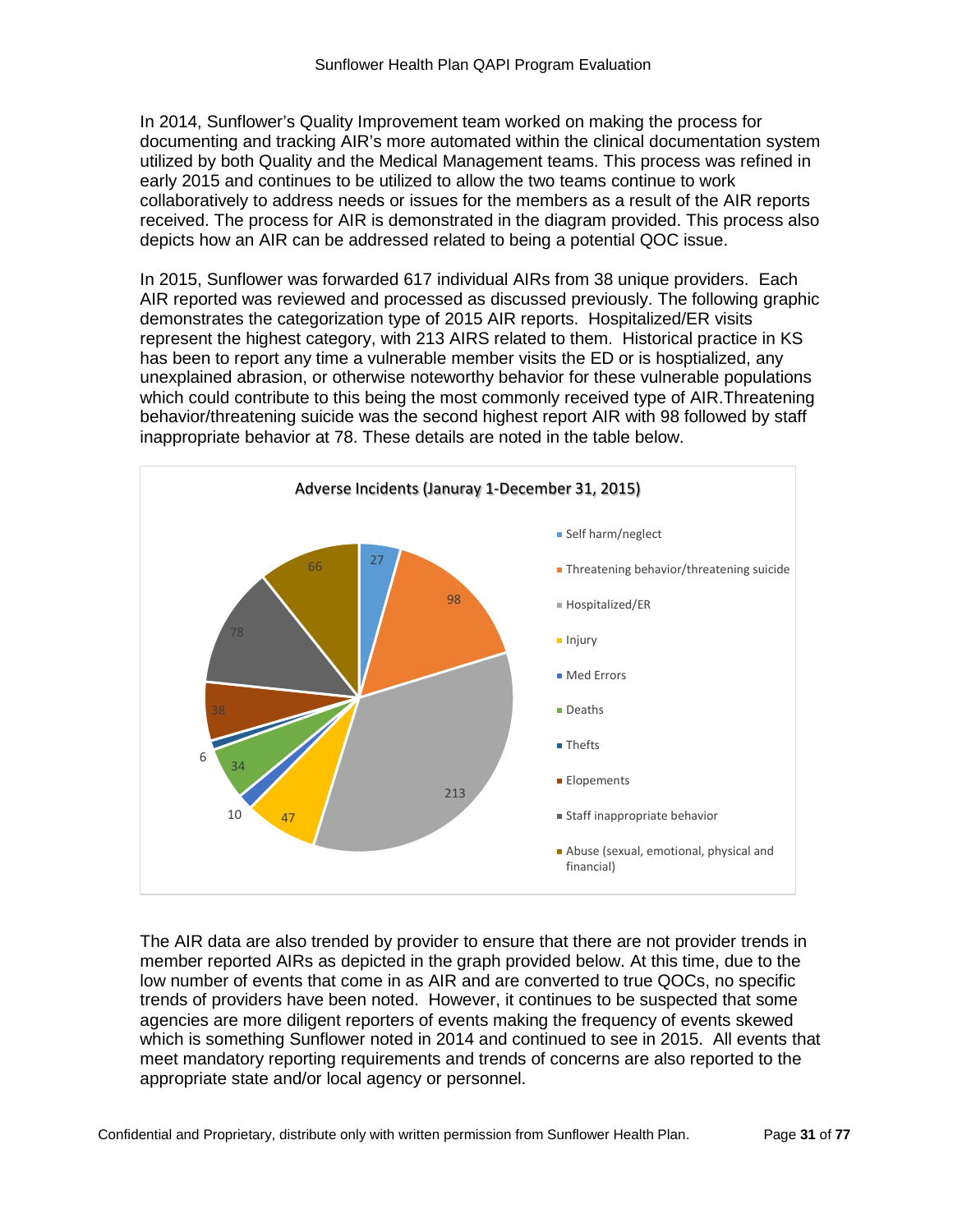In 2014, Sunflower's Quality Improvement team worked on making the process for documenting and tracking AIR's more automated within the clinical documentation system utilized by both Quality and the Medical Management teams. This process was refined in early 2015 and continues to be utilized to allow the two teams continue to work collaboratively to address needs or issues for the members as a result of the AIR reports received. The process for AIR is demonstrated in the diagram provided. This process also depicts how an AIR can be addressed related to being a potential QOC issue.

In 2015, Sunflower was forwarded 617 individual AIRs from 38 unique providers. Each AIR reported was reviewed and processed as discussed previously. The following graphic demonstrates the categorization type of 2015 AIR reports. Hospitalized/ER visits represent the highest category, with 213 AIRS related to them. Historical practice in KS has been to report any time a vulnerable member visits the ED or is hosptialized, any unexplained abrasion, or otherwise noteworthy behavior for these vulnerable populations which could contribute to this being the most commonly received type of AIR.Threatening behavior/threatening suicide was the second highest report AIR with 98 followed by staff inappropriate behavior at 78. These details are noted in the table below.



The AIR data are also trended by provider to ensure that there are not provider trends in member reported AIRs as depicted in the graph provided below. At this time, due to the low number of events that come in as AIR and are converted to true QOCs, no specific trends of providers have been noted. However, it continues to be suspected that some agencies are more diligent reporters of events making the frequency of events skewed which is something Sunflower noted in 2014 and continued to see in 2015. All events that meet mandatory reporting requirements and trends of concerns are also reported to the appropriate state and/or local agency or personnel.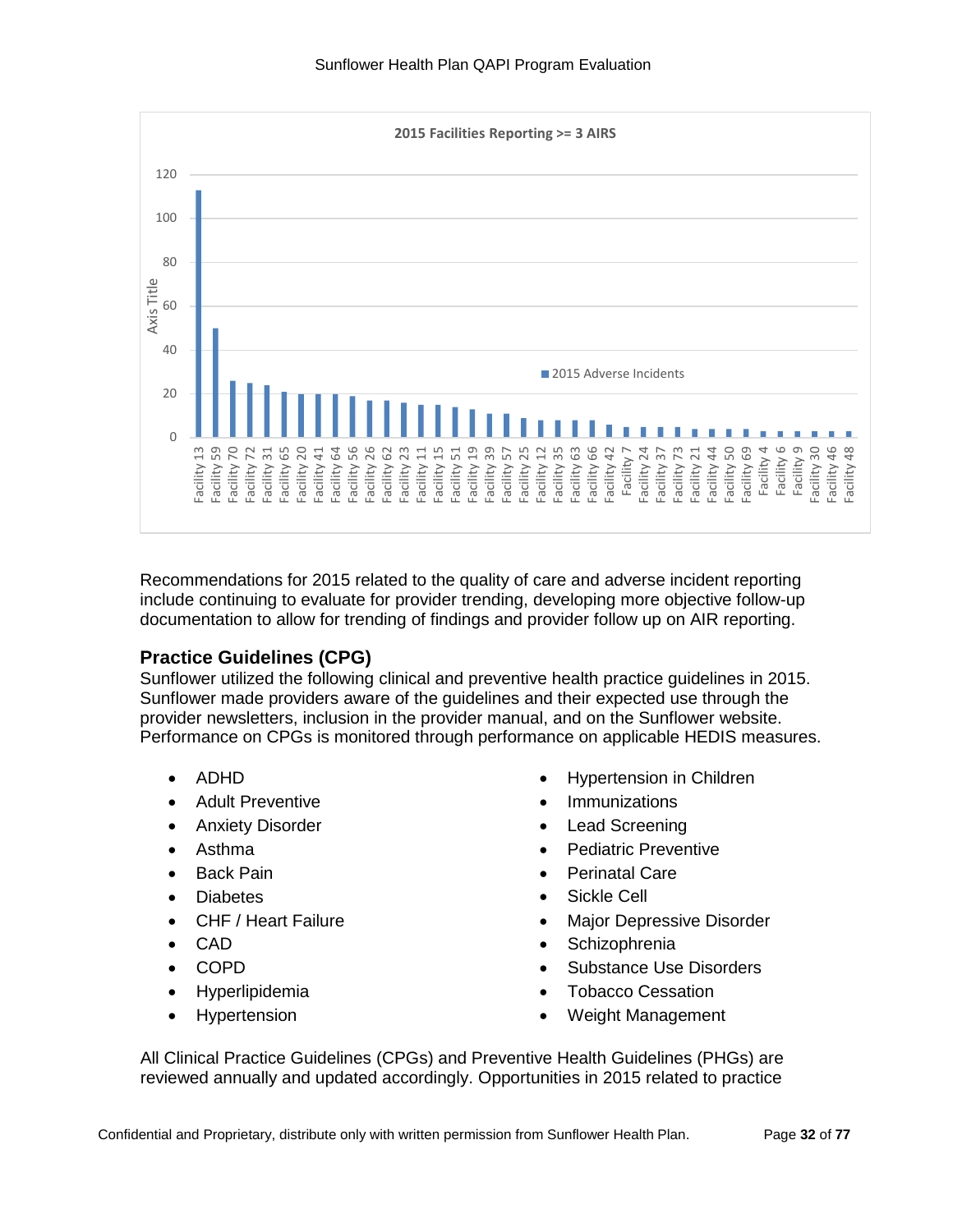

Recommendations for 2015 related to the quality of care and adverse incident reporting include continuing to evaluate for provider trending, developing more objective follow-up documentation to allow for trending of findings and provider follow up on AIR reporting.

# **Practice Guidelines (CPG)**

Sunflower utilized the following clinical and preventive health practice guidelines in 2015. Sunflower made providers aware of the guidelines and their expected use through the provider newsletters, inclusion in the provider manual, and on the Sunflower website. Performance on CPGs is monitored through performance on applicable HEDIS measures.

- ADHD
- Adult Preventive
- Anxiety Disorder
- Asthma
- Back Pain
- Diabetes
- CHF / Heart Failure
- CAD
- COPD
- Hyperlipidemia
- Hypertension
- Hypertension in Children
- Immunizations
- **Lead Screening**
- Pediatric Preventive
- Perinatal Care
- Sickle Cell
- Major Depressive Disorder
- **Schizophrenia**
- Substance Use Disorders
- Tobacco Cessation
- Weight Management

All Clinical Practice Guidelines (CPGs) and Preventive Health Guidelines (PHGs) are reviewed annually and updated accordingly. Opportunities in 2015 related to practice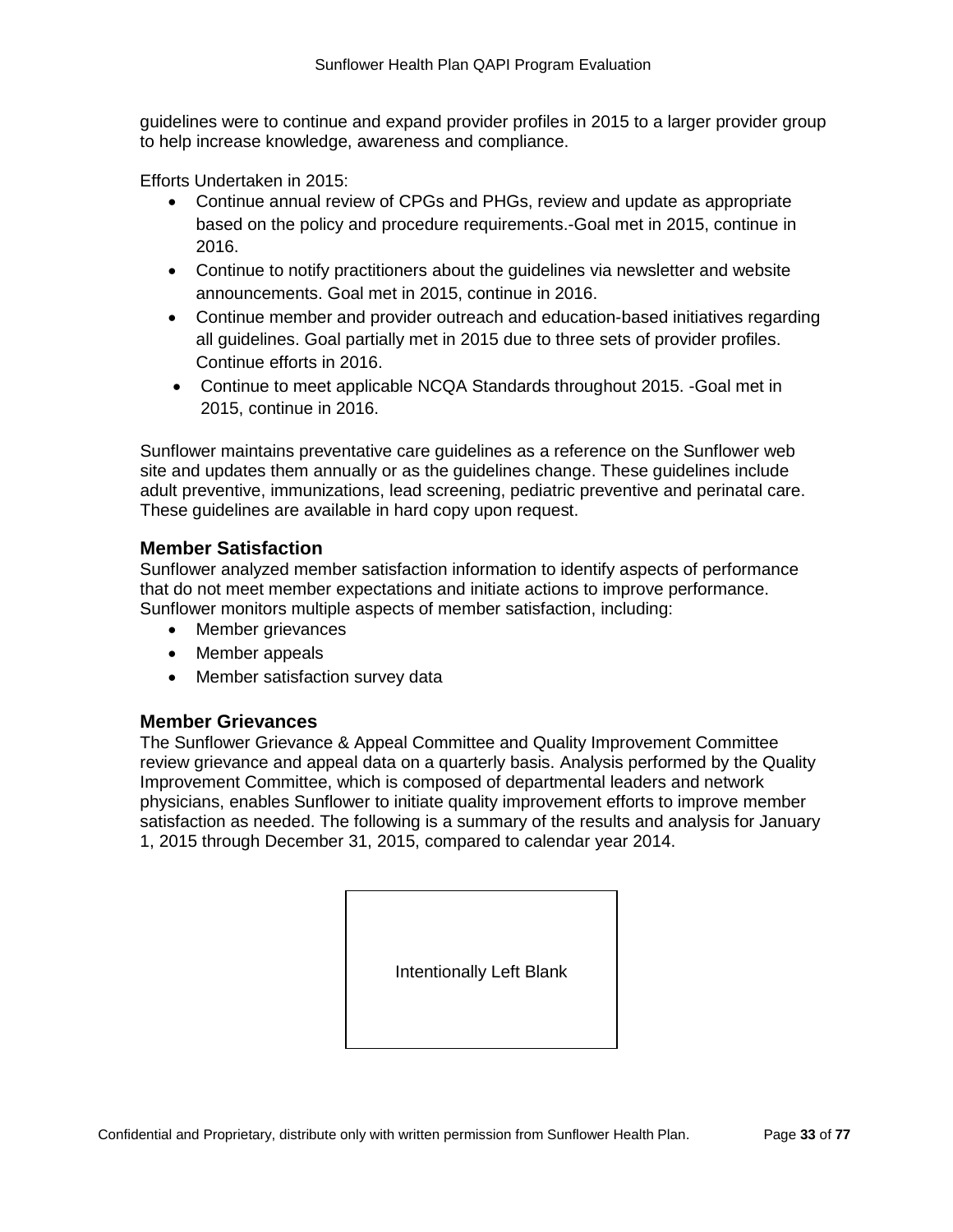guidelines were to continue and expand provider profiles in 2015 to a larger provider group to help increase knowledge, awareness and compliance.

Efforts Undertaken in 2015:

- Continue annual review of CPGs and PHGs, review and update as appropriate based on the policy and procedure requirements.-Goal met in 2015, continue in 2016.
- Continue to notify practitioners about the guidelines via newsletter and website announcements. Goal met in 2015, continue in 2016.
- Continue member and provider outreach and education-based initiatives regarding all guidelines. Goal partially met in 2015 due to three sets of provider profiles. Continue efforts in 2016.
- Continue to meet applicable NCQA Standards throughout 2015. -Goal met in 2015, continue in 2016.

Sunflower maintains preventative care guidelines as a reference on the Sunflower web site and updates them annually or as the guidelines change. These guidelines include adult preventive, immunizations, lead screening, pediatric preventive and perinatal care. These guidelines are available in hard copy upon request.

#### **Member Satisfaction**

Sunflower analyzed member satisfaction information to identify aspects of performance that do not meet member expectations and initiate actions to improve performance. Sunflower monitors multiple aspects of member satisfaction, including:

- Member grievances
- Member appeals
- Member satisfaction survey data

#### **Member Grievances**

The Sunflower Grievance & Appeal Committee and Quality Improvement Committee review grievance and appeal data on a quarterly basis. Analysis performed by the Quality Improvement Committee, which is composed of departmental leaders and network physicians, enables Sunflower to initiate quality improvement efforts to improve member satisfaction as needed. The following is a summary of the results and analysis for January 1, 2015 through December 31, 2015, compared to calendar year 2014.

Intentionally Left Blank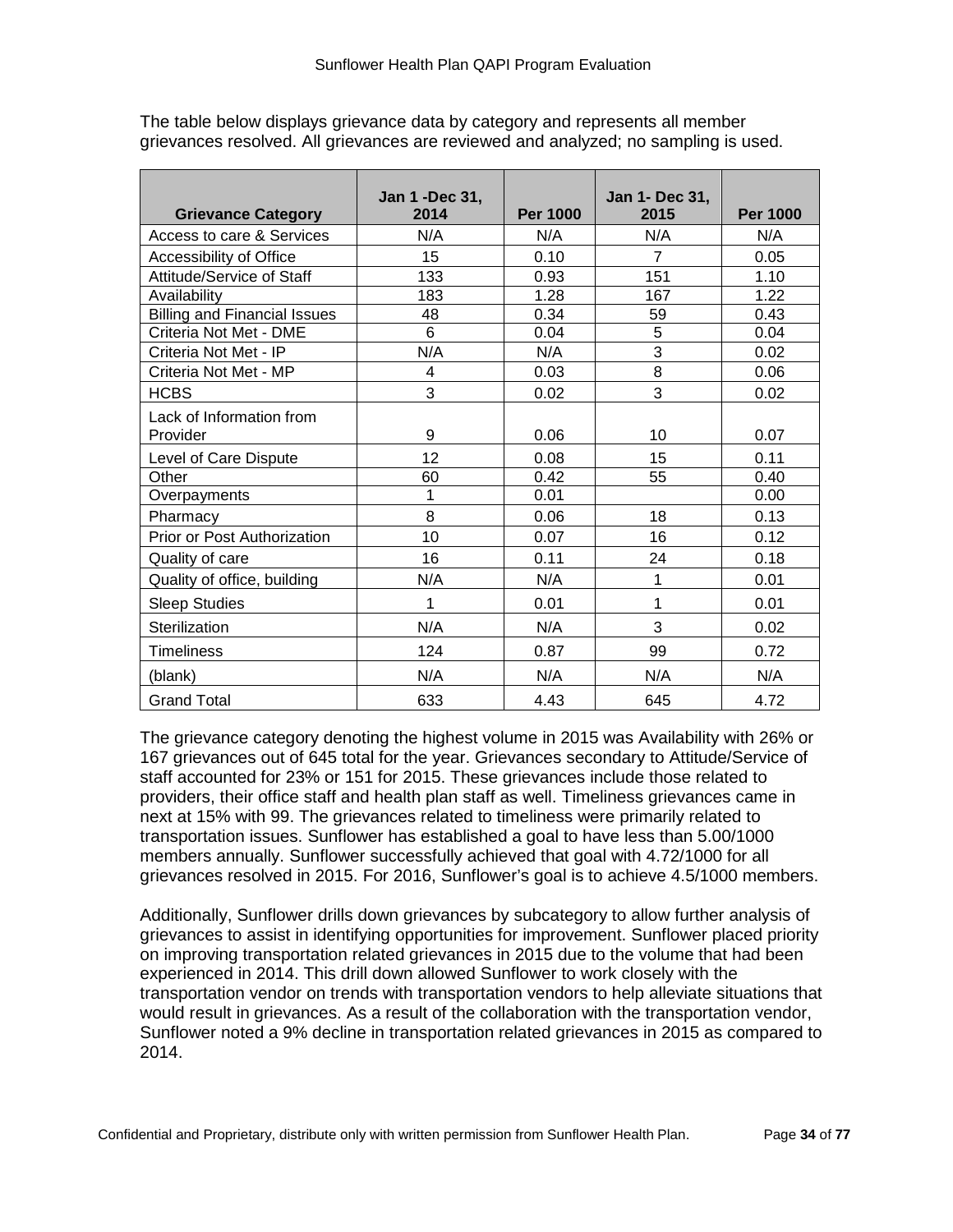| <b>Grievance Category</b>            | Jan 1 - Dec 31,<br>2014 | <b>Per 1000</b> | Jan 1- Dec 31,<br>2015 | <b>Per 1000</b> |
|--------------------------------------|-------------------------|-----------------|------------------------|-----------------|
| Access to care & Services            | N/A                     | N/A             | N/A                    | N/A             |
| Accessibility of Office              | 15                      | 0.10            | $\overline{7}$         | 0.05            |
| Attitude/Service of Staff            | 133                     | 0.93            | 151                    | 1.10            |
| Availability                         | 183                     | 1.28            | 167                    | 1.22            |
| <b>Billing and Financial Issues</b>  | 48                      | 0.34            | 59                     | 0.43            |
| Criteria Not Met - DME               | 6                       | 0.04            | 5                      | 0.04            |
| Criteria Not Met - IP                | N/A                     | N/A             | $\overline{3}$         | 0.02            |
| Criteria Not Met - MP                | 4                       | 0.03            | 8                      | 0.06            |
| <b>HCBS</b>                          | 3                       | 0.02            | 3                      | 0.02            |
| Lack of Information from<br>Provider | 9                       | 0.06            | 10                     | 0.07            |
| Level of Care Dispute                | 12                      | 0.08            | 15                     | 0.11            |
| Other                                | 60                      | 0.42            | 55                     | 0.40            |
| Overpayments                         | 1                       | 0.01            |                        | 0.00            |
| Pharmacy                             | 8                       | 0.06            | 18                     | 0.13            |
| Prior or Post Authorization          | 10                      | 0.07            | 16                     | 0.12            |
| Quality of care                      | 16                      | 0.11            | 24                     | 0.18            |
| Quality of office, building          | N/A                     | N/A             | 1                      | 0.01            |
| <b>Sleep Studies</b>                 | 1                       | 0.01            | 1                      | 0.01            |
| Sterilization                        | N/A                     | N/A             | 3                      | 0.02            |
| <b>Timeliness</b>                    | 124                     | 0.87            | 99                     | 0.72            |
| (blank)                              | N/A                     | N/A             | N/A                    | N/A             |
| <b>Grand Total</b>                   | 633                     | 4.43            | 645                    | 4.72            |

The table below displays grievance data by category and represents all member grievances resolved. All grievances are reviewed and analyzed; no sampling is used.

The grievance category denoting the highest volume in 2015 was Availability with 26% or 167 grievances out of 645 total for the year. Grievances secondary to Attitude/Service of staff accounted for 23% or 151 for 2015. These grievances include those related to providers, their office staff and health plan staff as well. Timeliness grievances came in next at 15% with 99. The grievances related to timeliness were primarily related to transportation issues. Sunflower has established a goal to have less than 5.00/1000 members annually. Sunflower successfully achieved that goal with 4.72/1000 for all grievances resolved in 2015. For 2016, Sunflower's goal is to achieve 4.5/1000 members.

Additionally, Sunflower drills down grievances by subcategory to allow further analysis of grievances to assist in identifying opportunities for improvement. Sunflower placed priority on improving transportation related grievances in 2015 due to the volume that had been experienced in 2014. This drill down allowed Sunflower to work closely with the transportation vendor on trends with transportation vendors to help alleviate situations that would result in grievances. As a result of the collaboration with the transportation vendor, Sunflower noted a 9% decline in transportation related grievances in 2015 as compared to 2014.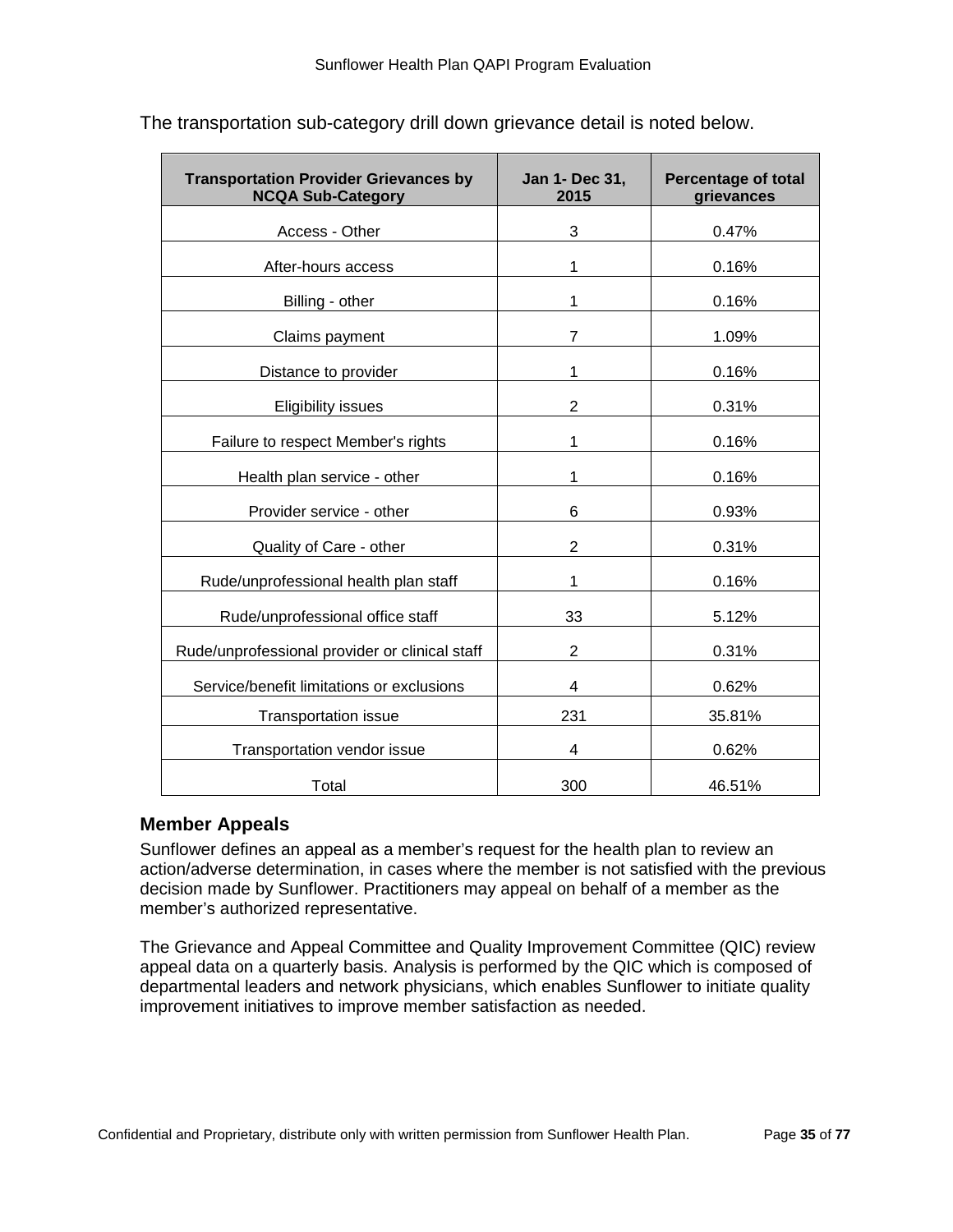| <b>Transportation Provider Grievances by</b><br><b>NCQA Sub-Category</b> | Jan 1- Dec 31,<br>2015 | <b>Percentage of total</b><br>grievances |
|--------------------------------------------------------------------------|------------------------|------------------------------------------|
| Access - Other                                                           | 3                      | 0.47%                                    |
| After-hours access                                                       | 1                      | 0.16%                                    |
| Billing - other                                                          | 1                      | 0.16%                                    |
| Claims payment                                                           | 7                      | 1.09%                                    |
| Distance to provider                                                     | 1                      | 0.16%                                    |
| <b>Eligibility issues</b>                                                | 2                      | 0.31%                                    |
| Failure to respect Member's rights                                       | 1                      | 0.16%                                    |
| Health plan service - other                                              | 1                      | 0.16%                                    |
| Provider service - other                                                 | 6                      | 0.93%                                    |
| Quality of Care - other                                                  | $\overline{2}$         | 0.31%                                    |
| Rude/unprofessional health plan staff                                    | 1                      | 0.16%                                    |
| Rude/unprofessional office staff                                         | 33                     | 5.12%                                    |
| Rude/unprofessional provider or clinical staff                           | $\overline{2}$         | 0.31%                                    |
| Service/benefit limitations or exclusions                                | 4                      | 0.62%                                    |
| <b>Transportation issue</b>                                              | 231                    | 35.81%                                   |
| Transportation vendor issue                                              | 4                      | 0.62%                                    |
| Total                                                                    | 300                    | 46.51%                                   |

The transportation sub-category drill down grievance detail is noted below.

# **Member Appeals**

Sunflower defines an appeal as a member's request for the health plan to review an action/adverse determination, in cases where the member is not satisfied with the previous decision made by Sunflower. Practitioners may appeal on behalf of a member as the member's authorized representative.

The Grievance and Appeal Committee and Quality Improvement Committee (QIC) review appeal data on a quarterly basis. Analysis is performed by the QIC which is composed of departmental leaders and network physicians, which enables Sunflower to initiate quality improvement initiatives to improve member satisfaction as needed.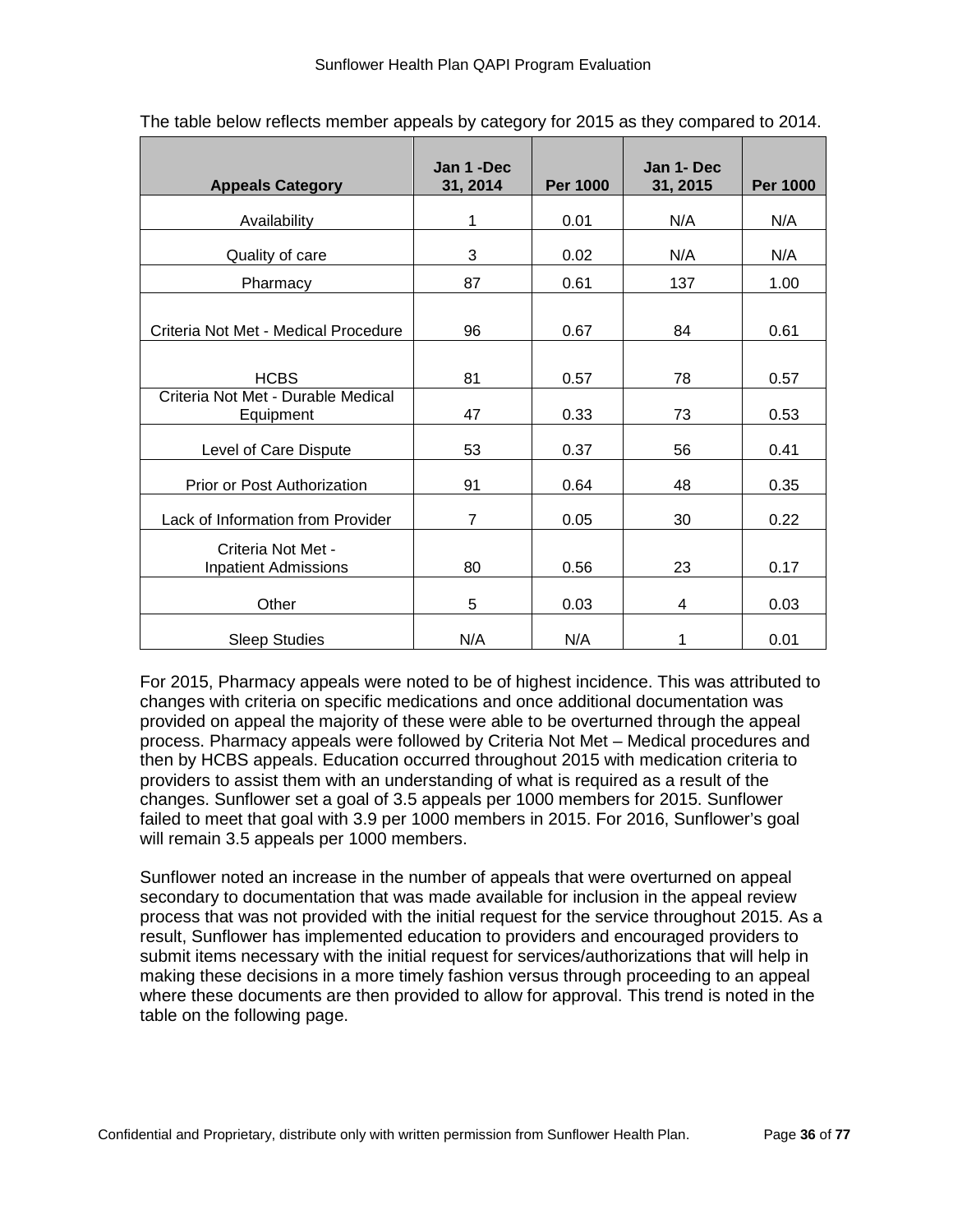| <b>Appeals Category</b>                           | Jan 1 -Dec<br>31, 2014 | <b>Per 1000</b> | Jan 1- Dec<br>31, 2015 | <b>Per 1000</b> |
|---------------------------------------------------|------------------------|-----------------|------------------------|-----------------|
| Availability                                      | 1                      | 0.01            | N/A                    | N/A             |
| Quality of care                                   | 3                      | 0.02            | N/A                    | N/A             |
| Pharmacy                                          | 87                     | 0.61            | 137                    | 1.00            |
| Criteria Not Met - Medical Procedure              | 96                     | 0.67            | 84                     | 0.61            |
| <b>HCBS</b>                                       | 81                     | 0.57            | 78                     | 0.57            |
| Criteria Not Met - Durable Medical<br>Equipment   | 47                     | 0.33            | 73                     | 0.53            |
| Level of Care Dispute                             | 53                     | 0.37            | 56                     | 0.41            |
| Prior or Post Authorization                       | 91                     | 0.64            | 48                     | 0.35            |
| Lack of Information from Provider                 | $\overline{7}$         | 0.05            | 30                     | 0.22            |
| Criteria Not Met -<br><b>Inpatient Admissions</b> | 80                     | 0.56            | 23                     | 0.17            |
| Other                                             | 5                      | 0.03            | 4                      | 0.03            |
| <b>Sleep Studies</b>                              | N/A                    | N/A             | 1                      | 0.01            |

The table below reflects member appeals by category for 2015 as they compared to 2014.

For 2015, Pharmacy appeals were noted to be of highest incidence. This was attributed to changes with criteria on specific medications and once additional documentation was provided on appeal the majority of these were able to be overturned through the appeal process. Pharmacy appeals were followed by Criteria Not Met – Medical procedures and then by HCBS appeals. Education occurred throughout 2015 with medication criteria to providers to assist them with an understanding of what is required as a result of the changes. Sunflower set a goal of 3.5 appeals per 1000 members for 2015. Sunflower failed to meet that goal with 3.9 per 1000 members in 2015. For 2016, Sunflower's goal will remain 3.5 appeals per 1000 members.

Sunflower noted an increase in the number of appeals that were overturned on appeal secondary to documentation that was made available for inclusion in the appeal review process that was not provided with the initial request for the service throughout 2015. As a result, Sunflower has implemented education to providers and encouraged providers to submit items necessary with the initial request for services/authorizations that will help in making these decisions in a more timely fashion versus through proceeding to an appeal where these documents are then provided to allow for approval. This trend is noted in the table on the following page.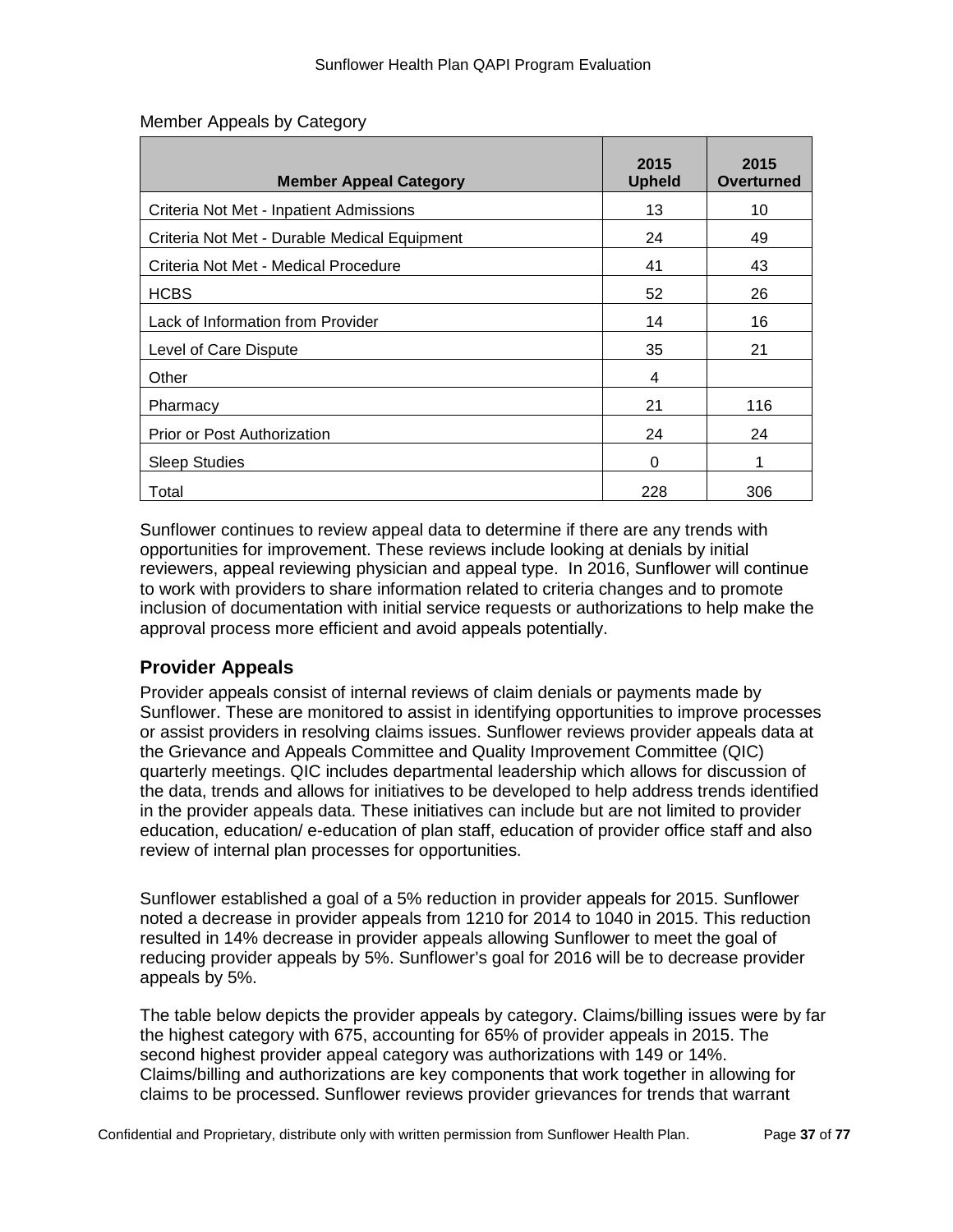| <b>Member Appeal Category</b>                | 2015<br><b>Upheld</b> | 2015<br>Overturned |
|----------------------------------------------|-----------------------|--------------------|
| Criteria Not Met - Inpatient Admissions      | 13                    | 10                 |
| Criteria Not Met - Durable Medical Equipment | 24                    | 49                 |
| Criteria Not Met - Medical Procedure         | 41                    | 43                 |
| <b>HCBS</b>                                  | 52                    | 26                 |
| Lack of Information from Provider            | 14                    | 16                 |
| Level of Care Dispute                        | 35                    | 21                 |
| Other                                        | 4                     |                    |
| Pharmacy                                     | 21                    | 116                |
| Prior or Post Authorization                  | 24                    | 24                 |
| <b>Sleep Studies</b>                         | 0                     | 1                  |
| Total                                        | 228                   | 306                |

#### Member Appeals by Category

Sunflower continues to review appeal data to determine if there are any trends with opportunities for improvement. These reviews include looking at denials by initial reviewers, appeal reviewing physician and appeal type. In 2016, Sunflower will continue to work with providers to share information related to criteria changes and to promote inclusion of documentation with initial service requests or authorizations to help make the approval process more efficient and avoid appeals potentially.

# **Provider Appeals**

Provider appeals consist of internal reviews of claim denials or payments made by Sunflower. These are monitored to assist in identifying opportunities to improve processes or assist providers in resolving claims issues. Sunflower reviews provider appeals data at the Grievance and Appeals Committee and Quality Improvement Committee (QIC) quarterly meetings. QIC includes departmental leadership which allows for discussion of the data, trends and allows for initiatives to be developed to help address trends identified in the provider appeals data. These initiatives can include but are not limited to provider education, education/ e-education of plan staff, education of provider office staff and also review of internal plan processes for opportunities.

Sunflower established a goal of a 5% reduction in provider appeals for 2015. Sunflower noted a decrease in provider appeals from 1210 for 2014 to 1040 in 2015. This reduction resulted in 14% decrease in provider appeals allowing Sunflower to meet the goal of reducing provider appeals by 5%. Sunflower's goal for 2016 will be to decrease provider appeals by 5%.

The table below depicts the provider appeals by category. Claims/billing issues were by far the highest category with 675, accounting for 65% of provider appeals in 2015. The second highest provider appeal category was authorizations with 149 or 14%. Claims/billing and authorizations are key components that work together in allowing for claims to be processed. Sunflower reviews provider grievances for trends that warrant

Confidential and Proprietary, distribute only with written permission from Sunflower Health Plan. Page **37** of **77**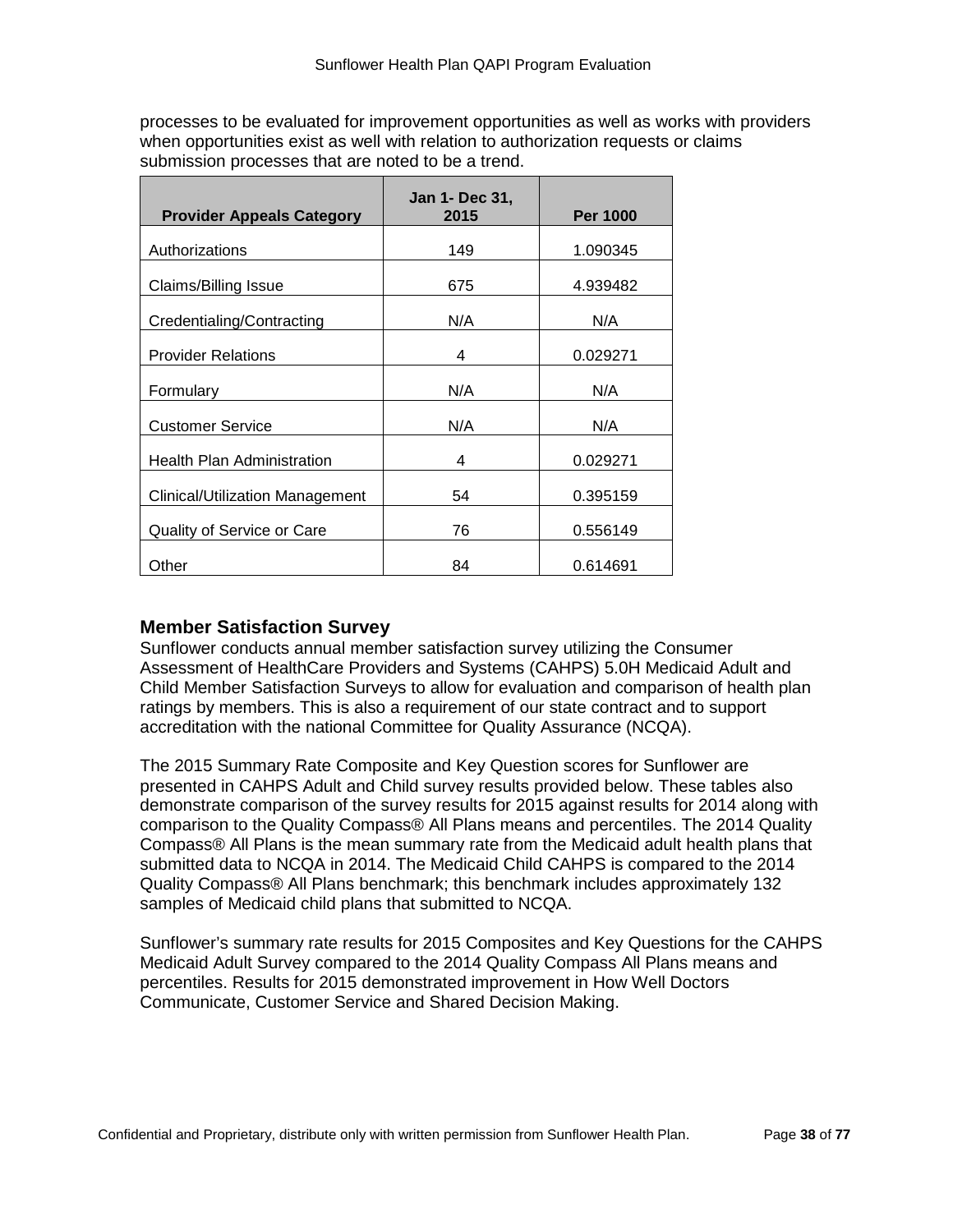processes to be evaluated for improvement opportunities as well as works with providers when opportunities exist as well with relation to authorization requests or claims submission processes that are noted to be a trend.

| <b>Provider Appeals Category</b>  | <b>Jan 1- Dec 31,</b><br>2015 | <b>Per 1000</b> |
|-----------------------------------|-------------------------------|-----------------|
| Authorizations                    | 149                           | 1.090345        |
| Claims/Billing Issue              | 675                           | 4.939482        |
| Credentialing/Contracting         | N/A                           | N/A             |
| <b>Provider Relations</b>         | 4                             | 0.029271        |
| Formulary                         | N/A                           | N/A             |
| <b>Customer Service</b>           | N/A                           | N/A             |
| <b>Health Plan Administration</b> | 4                             | 0.029271        |
| Clinical/Utilization Management   | 54                            | 0.395159        |
| Quality of Service or Care        | 76                            | 0.556149        |
| Other                             | 84                            | 0.614691        |

### **Member Satisfaction Survey**

Sunflower conducts annual member satisfaction survey utilizing the Consumer Assessment of HealthCare Providers and Systems (CAHPS) 5.0H Medicaid Adult and Child Member Satisfaction Surveys to allow for evaluation and comparison of health plan ratings by members. This is also a requirement of our state contract and to support accreditation with the national Committee for Quality Assurance (NCQA).

The 2015 Summary Rate Composite and Key Question scores for Sunflower are presented in CAHPS Adult and Child survey results provided below. These tables also demonstrate comparison of the survey results for 2015 against results for 2014 along with comparison to the Quality Compass® All Plans means and percentiles. The 2014 Quality Compass® All Plans is the mean summary rate from the Medicaid adult health plans that submitted data to NCQA in 2014. The Medicaid Child CAHPS is compared to the 2014 Quality Compass® All Plans benchmark; this benchmark includes approximately 132 samples of Medicaid child plans that submitted to NCQA.

Sunflower's summary rate results for 2015 Composites and Key Questions for the CAHPS Medicaid Adult Survey compared to the 2014 Quality Compass All Plans means and percentiles. Results for 2015 demonstrated improvement in How Well Doctors Communicate, Customer Service and Shared Decision Making.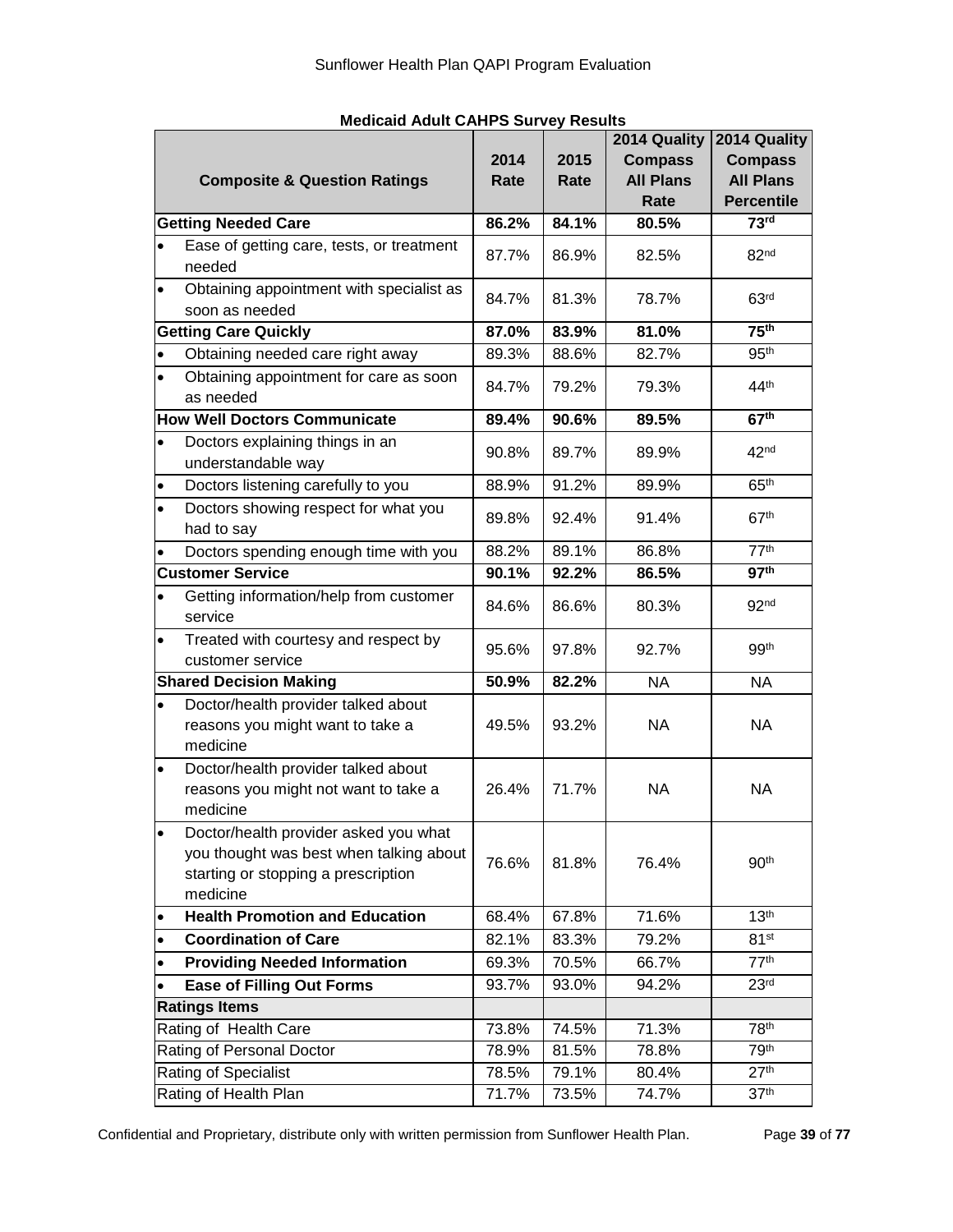|           | <b>Composite &amp; Question Ratings</b>                                                                                             | 2014<br>Rate | 2015<br>Rate | 2014 Quality<br><b>Compass</b><br><b>All Plans</b><br>Rate | 2014 Quality<br><b>Compass</b><br><b>All Plans</b><br><b>Percentile</b> |
|-----------|-------------------------------------------------------------------------------------------------------------------------------------|--------------|--------------|------------------------------------------------------------|-------------------------------------------------------------------------|
|           | <b>Getting Needed Care</b>                                                                                                          | 86.2%        | 84.1%        | 80.5%                                                      | 73 <sup>rd</sup>                                                        |
|           | Ease of getting care, tests, or treatment<br>needed                                                                                 | 87.7%        | 86.9%        | 82.5%                                                      | 82 <sup>nd</sup>                                                        |
| $\bullet$ | Obtaining appointment with specialist as<br>soon as needed                                                                          | 84.7%        | 81.3%        | 78.7%                                                      | 63 <sup>rd</sup>                                                        |
|           | <b>Getting Care Quickly</b>                                                                                                         | 87.0%        | 83.9%        | 81.0%                                                      | 75 <sup>th</sup>                                                        |
| $\bullet$ | Obtaining needed care right away                                                                                                    | 89.3%        | 88.6%        | 82.7%                                                      | 95 <sup>th</sup>                                                        |
| $\bullet$ | Obtaining appointment for care as soon<br>as needed                                                                                 | 84.7%        | 79.2%        | 79.3%                                                      | 44 <sup>th</sup>                                                        |
|           | <b>How Well Doctors Communicate</b>                                                                                                 | 89.4%        | 90.6%        | 89.5%                                                      | 67 <sup>th</sup>                                                        |
| $\bullet$ | Doctors explaining things in an<br>understandable way                                                                               | 90.8%        | 89.7%        | 89.9%                                                      | 42 <sup>nd</sup>                                                        |
|           | Doctors listening carefully to you                                                                                                  | 88.9%        | 91.2%        | 89.9%                                                      | 65 <sup>th</sup>                                                        |
| $\bullet$ | Doctors showing respect for what you<br>had to say                                                                                  | 89.8%        | 92.4%        | 91.4%                                                      | 67 <sup>th</sup>                                                        |
|           | Doctors spending enough time with you                                                                                               | 88.2%        | 89.1%        | 86.8%                                                      | 77 <sup>th</sup>                                                        |
|           | <b>Customer Service</b>                                                                                                             | 90.1%        | 92.2%        | 86.5%                                                      | 97 <sup>th</sup>                                                        |
| $\bullet$ | Getting information/help from customer<br>service                                                                                   | 84.6%        | 86.6%        | 80.3%                                                      | 92 <sub>nd</sub>                                                        |
| $\bullet$ | Treated with courtesy and respect by<br>customer service                                                                            | 95.6%        | 97.8%        | 92.7%                                                      | 99 <sup>th</sup>                                                        |
|           | <b>Shared Decision Making</b>                                                                                                       | 50.9%        | 82.2%        | <b>NA</b>                                                  | <b>NA</b>                                                               |
| $\bullet$ | Doctor/health provider talked about<br>reasons you might want to take a<br>medicine                                                 | 49.5%        | 93.2%        | <b>NA</b>                                                  | <b>NA</b>                                                               |
| $\bullet$ | Doctor/health provider talked about<br>reasons you might not want to take a<br>medicine                                             | 26.4%        | 71.7%        | <b>NA</b>                                                  | <b>NA</b>                                                               |
| $\bullet$ | Doctor/health provider asked you what<br>you thought was best when talking about<br>starting or stopping a prescription<br>medicine | 76.6%        | 81.8%        | 76.4%                                                      | 90 <sup>th</sup>                                                        |
| $\bullet$ | <b>Health Promotion and Education</b>                                                                                               | 68.4%        | 67.8%        | 71.6%                                                      | 13 <sup>th</sup>                                                        |
| $\bullet$ | <b>Coordination of Care</b>                                                                                                         | 82.1%        | 83.3%        | 79.2%                                                      | 81 <sup>st</sup>                                                        |
|           | <b>Providing Needed Information</b>                                                                                                 | 69.3%        | 70.5%        | 66.7%                                                      | 77 <sup>th</sup>                                                        |
|           | <b>Ease of Filling Out Forms</b>                                                                                                    | 93.7%        | 93.0%        | 94.2%                                                      | 23 <sup>rd</sup>                                                        |
|           | <b>Ratings Items</b>                                                                                                                |              |              |                                                            |                                                                         |
|           | Rating of Health Care                                                                                                               | 73.8%        | 74.5%        | 71.3%                                                      | 78 <sup>th</sup>                                                        |
|           | Rating of Personal Doctor                                                                                                           | 78.9%        | 81.5%        | 78.8%                                                      | 79 <sup>th</sup>                                                        |
|           | Rating of Specialist                                                                                                                | 78.5%        | 79.1%        | 80.4%                                                      | 27 <sup>th</sup>                                                        |
|           | Rating of Health Plan                                                                                                               | 71.7%        | 73.5%        | 74.7%                                                      | 37 <sup>th</sup>                                                        |

#### **Medicaid Adult CAHPS Survey Results**

Confidential and Proprietary, distribute only with written permission from Sunflower Health Plan. Page **39** of **77**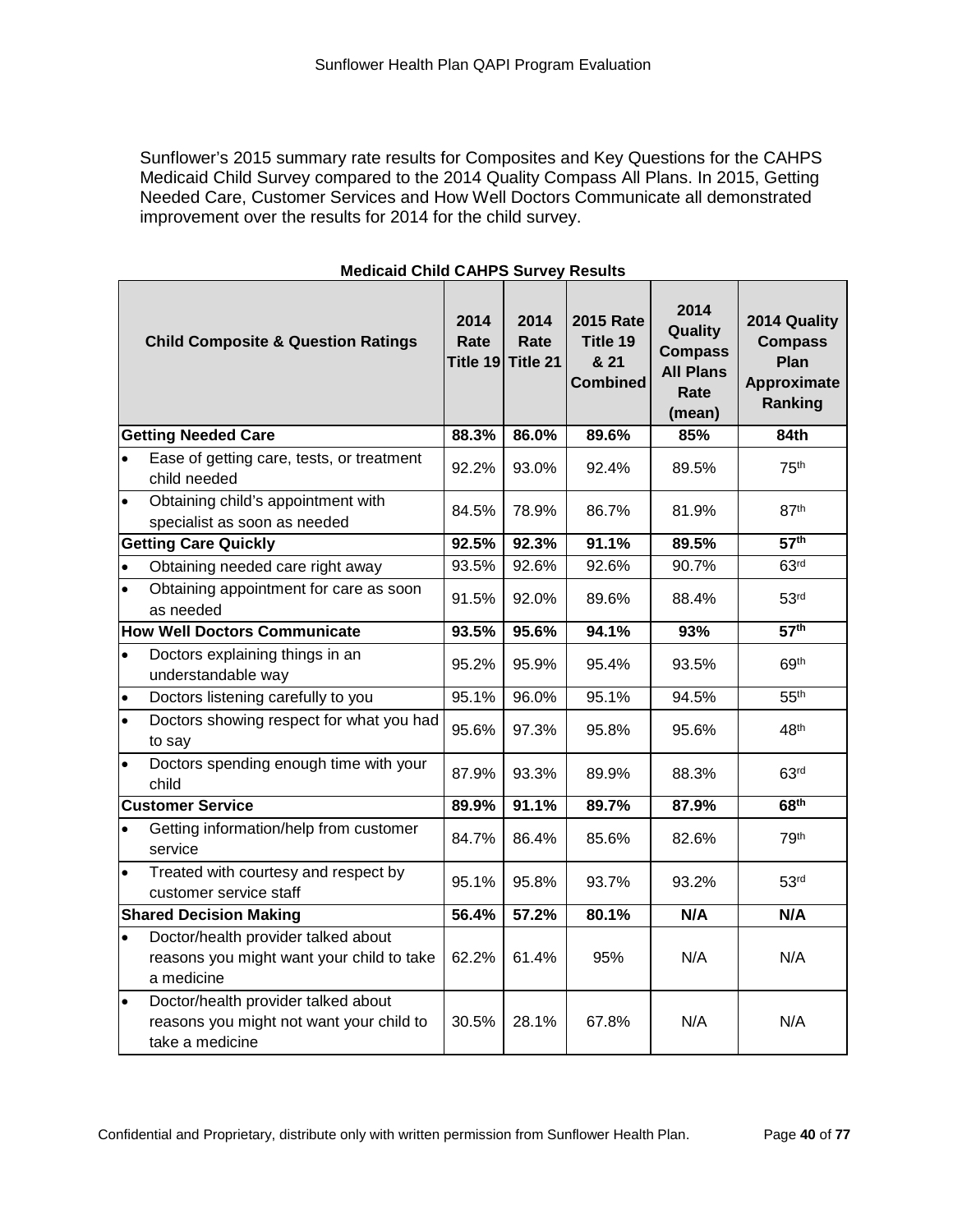Sunflower's 2015 summary rate results for Composites and Key Questions for the CAHPS Medicaid Child Survey compared to the 2014 Quality Compass All Plans. In 2015, Getting Needed Care, Customer Services and How Well Doctors Communicate all demonstrated improvement over the results for 2014 for the child survey.

| <b>Child Composite &amp; Question Ratings</b> |                                                                                                    | 2014<br>Rate<br>Title 19 | 2014<br>Rate<br>Title 21 | <b>2015 Rate</b><br>Title 19<br>& 21<br><b>Combined</b> | 2014<br>Quality<br><b>Compass</b><br><b>All Plans</b><br>Rate<br>(mean) | 2014 Quality<br><b>Compass</b><br>Plan<br><b>Approximate</b><br>Ranking |
|-----------------------------------------------|----------------------------------------------------------------------------------------------------|--------------------------|--------------------------|---------------------------------------------------------|-------------------------------------------------------------------------|-------------------------------------------------------------------------|
|                                               | <b>Getting Needed Care</b>                                                                         | 88.3%                    | 86.0%                    | 89.6%                                                   | 85%                                                                     | 84th                                                                    |
| $\bullet$                                     | Ease of getting care, tests, or treatment<br>child needed                                          | 92.2%                    | 93.0%                    | 92.4%                                                   | 89.5%                                                                   | 75 <sup>th</sup>                                                        |
| $\bullet$                                     | Obtaining child's appointment with<br>specialist as soon as needed                                 | 84.5%                    | 78.9%                    | 86.7%                                                   | 81.9%                                                                   | 87th                                                                    |
|                                               | <b>Getting Care Quickly</b>                                                                        | 92.5%                    | 92.3%                    | 91.1%                                                   | 89.5%                                                                   | 57 <sup>th</sup>                                                        |
| $\bullet$                                     | Obtaining needed care right away                                                                   | 93.5%                    | 92.6%                    | 92.6%                                                   | 90.7%                                                                   | 63 <sup>rd</sup>                                                        |
| $\bullet$                                     | Obtaining appointment for care as soon<br>as needed                                                | 91.5%                    | 92.0%                    | 89.6%                                                   | 88.4%                                                                   | 53 <sup>rd</sup>                                                        |
|                                               | <b>How Well Doctors Communicate</b>                                                                | 93.5%                    | 95.6%                    | 94.1%                                                   | 93%                                                                     | 57 <sup>th</sup>                                                        |
| $\bullet$                                     | Doctors explaining things in an<br>understandable way                                              | 95.2%                    | 95.9%                    | 95.4%                                                   | 93.5%                                                                   | 69th                                                                    |
| $\bullet$                                     | Doctors listening carefully to you                                                                 | 95.1%                    | 96.0%                    | 95.1%                                                   | 94.5%                                                                   | 55 <sup>th</sup>                                                        |
| $\bullet$                                     | Doctors showing respect for what you had<br>to say                                                 | 95.6%                    | 97.3%                    | 95.8%                                                   | 95.6%                                                                   | 48 <sup>th</sup>                                                        |
|                                               | Doctors spending enough time with your<br>child                                                    | 87.9%                    | 93.3%                    | 89.9%                                                   | 88.3%                                                                   | 63 <sup>rd</sup>                                                        |
|                                               | <b>Customer Service</b>                                                                            | 89.9%                    | 91.1%                    | 89.7%                                                   | 87.9%                                                                   | 68 <sup>th</sup>                                                        |
| $\bullet$                                     | Getting information/help from customer<br>service                                                  | 84.7%                    | 86.4%                    | 85.6%                                                   | 82.6%                                                                   | 79th                                                                    |
| $\bullet$                                     | Treated with courtesy and respect by<br>customer service staff                                     | 95.1%                    | 95.8%                    | 93.7%                                                   | 93.2%                                                                   | 53 <sup>rd</sup>                                                        |
|                                               | <b>Shared Decision Making</b>                                                                      | 56.4%                    | 57.2%                    | 80.1%                                                   | N/A                                                                     | N/A                                                                     |
| $\bullet$                                     | Doctor/health provider talked about<br>reasons you might want your child to take<br>a medicine     | 62.2%                    | 61.4%                    | 95%                                                     | N/A                                                                     | N/A                                                                     |
| $\bullet$                                     | Doctor/health provider talked about<br>reasons you might not want your child to<br>take a medicine | 30.5%                    | 28.1%                    | 67.8%                                                   | N/A                                                                     | N/A                                                                     |

#### **Medicaid Child CAHPS Survey Results**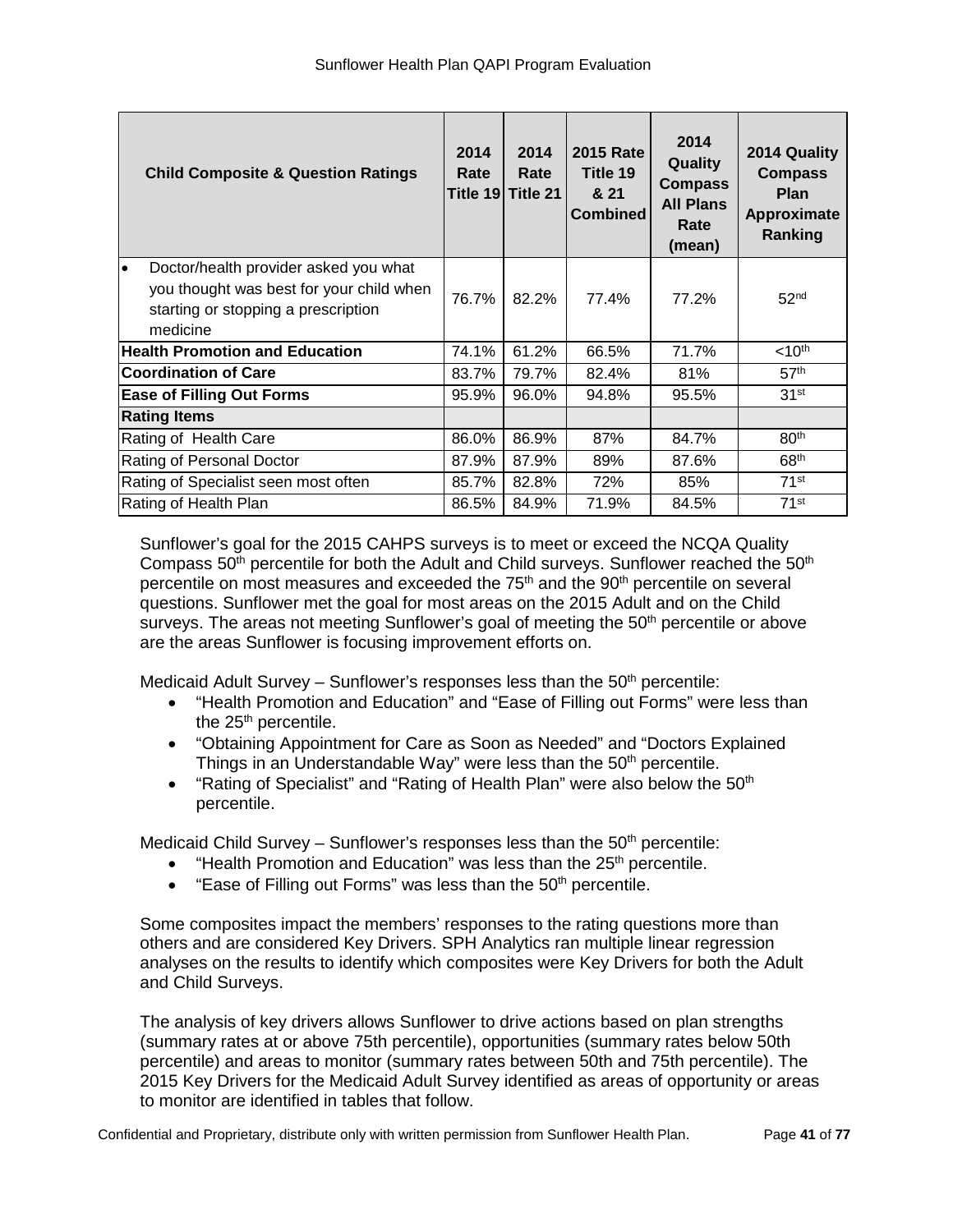| <b>Child Composite &amp; Question Ratings</b>                                                                                              | 2014<br>Rate | 2014<br>Rate<br>Title 19  Title 21 | <b>2015 Rate</b><br>Title 19<br>& 21<br><b>Combined</b> | 2014<br>Quality<br><b>Compass</b><br><b>All Plans</b><br>Rate<br>(mean) | 2014 Quality<br><b>Compass</b><br><b>Plan</b><br>Approximate<br>Ranking |
|--------------------------------------------------------------------------------------------------------------------------------------------|--------------|------------------------------------|---------------------------------------------------------|-------------------------------------------------------------------------|-------------------------------------------------------------------------|
| Doctor/health provider asked you what<br>lo<br>you thought was best for your child when<br>starting or stopping a prescription<br>medicine | 76.7%        | 82.2%                              | 77.4%                                                   | 77.2%                                                                   | 52 <sup>nd</sup>                                                        |
| <b>Health Promotion and Education</b>                                                                                                      | 74.1%        | 61.2%                              | 66.5%                                                   | 71.7%                                                                   | $<$ 10 <sup>th</sup>                                                    |
| <b>Coordination of Care</b>                                                                                                                | 83.7%        | 79.7%                              | 82.4%                                                   | 81%                                                                     | 57 <sup>th</sup>                                                        |
| <b>Ease of Filling Out Forms</b>                                                                                                           | 95.9%        | 96.0%                              | 94.8%                                                   | 95.5%                                                                   | 31 <sup>st</sup>                                                        |
| <b>Rating Items</b>                                                                                                                        |              |                                    |                                                         |                                                                         |                                                                         |
| Rating of Health Care                                                                                                                      | 86.0%        | 86.9%                              | 87%                                                     | 84.7%                                                                   | 80 <sup>th</sup>                                                        |
| Rating of Personal Doctor                                                                                                                  | 87.9%        | 87.9%                              | 89%                                                     | 87.6%                                                                   | 68 <sup>th</sup>                                                        |
| Rating of Specialist seen most often                                                                                                       | 85.7%        | 82.8%                              | 72%                                                     | 85%                                                                     | $71$ st                                                                 |
| Rating of Health Plan                                                                                                                      | 86.5%        | 84.9%                              | 71.9%                                                   | 84.5%                                                                   | $71$ <sup>st</sup>                                                      |

Sunflower's goal for the 2015 CAHPS surveys is to meet or exceed the NCQA Quality Compass  $50<sup>th</sup>$  percentile for both the Adult and Child surveys. Sunflower reached the  $50<sup>th</sup>$ percentile on most measures and exceeded the 75<sup>th</sup> and the 90<sup>th</sup> percentile on several questions. Sunflower met the goal for most areas on the 2015 Adult and on the Child surveys. The areas not meeting Sunflower's goal of meeting the  $50<sup>th</sup>$  percentile or above are the areas Sunflower is focusing improvement efforts on.

Medicaid Adult Survey – Sunflower's responses less than the  $50<sup>th</sup>$  percentile:

- "Health Promotion and Education" and "Ease of Filling out Forms" were less than the 25<sup>th</sup> percentile.
- "Obtaining Appointment for Care as Soon as Needed" and "Doctors Explained Things in an Understandable Way" were less than the 50<sup>th</sup> percentile.
- "Rating of Specialist" and "Rating of Health Plan" were also below the  $50<sup>th</sup>$ percentile.

Medicaid Child Survey – Sunflower's responses less than the  $50<sup>th</sup>$  percentile:

- "Health Promotion and Education" was less than the 25<sup>th</sup> percentile.
- "Ease of Filling out Forms" was less than the 50<sup>th</sup> percentile.

Some composites impact the members' responses to the rating questions more than others and are considered Key Drivers. SPH Analytics ran multiple linear regression analyses on the results to identify which composites were Key Drivers for both the Adult and Child Surveys.

The analysis of key drivers allows Sunflower to drive actions based on plan strengths (summary rates at or above 75th percentile), opportunities (summary rates below 50th percentile) and areas to monitor (summary rates between 50th and 75th percentile). The 2015 Key Drivers for the Medicaid Adult Survey identified as areas of opportunity or areas to monitor are identified in tables that follow.

Confidential and Proprietary, distribute only with written permission from Sunflower Health Plan. Page **41** of **77**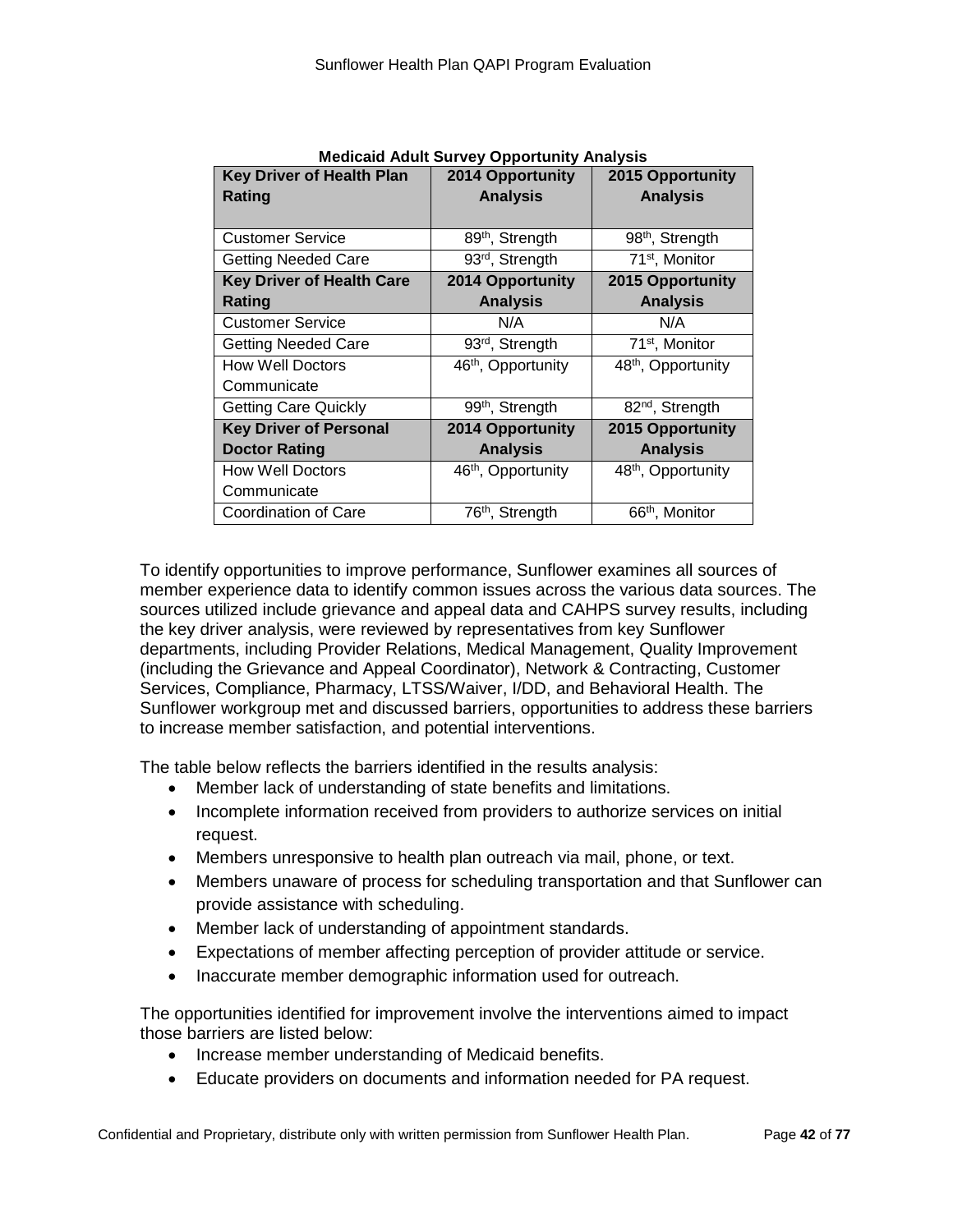| <b>Key Driver of Health Plan</b> | <b>Medicaid Adult Survey Opportunity Analysis</b><br><b>2014 Opportunity</b> | <b>2015 Opportunity</b>        |
|----------------------------------|------------------------------------------------------------------------------|--------------------------------|
| Rating                           | <b>Analysis</b>                                                              | <b>Analysis</b>                |
|                                  |                                                                              |                                |
| <b>Customer Service</b>          | 89 <sup>th</sup> , Strength                                                  | 98 <sup>th</sup> , Strength    |
| <b>Getting Needed Care</b>       | 93 <sup>rd</sup> , Strength                                                  | 71 <sup>st</sup> , Monitor     |
| <b>Key Driver of Health Care</b> | 2014 Opportunity                                                             | 2015 Opportunity               |
| Rating                           | <b>Analysis</b>                                                              | <b>Analysis</b>                |
| <b>Customer Service</b>          | N/A                                                                          | N/A                            |
| <b>Getting Needed Care</b>       | 93 <sup>rd</sup> , Strength                                                  | 71 <sup>st</sup> , Monitor     |
| <b>How Well Doctors</b>          | 46 <sup>th</sup> , Opportunity                                               | 48 <sup>th</sup> , Opportunity |
| Communicate                      |                                                                              |                                |
| <b>Getting Care Quickly</b>      | 99 <sup>th</sup> , Strength                                                  | 82 <sup>nd</sup> , Strength    |
| <b>Key Driver of Personal</b>    | <b>2014 Opportunity</b>                                                      | 2015 Opportunity               |
| <b>Doctor Rating</b>             | <b>Analysis</b>                                                              | <b>Analysis</b>                |
| <b>How Well Doctors</b>          | 46 <sup>th</sup> , Opportunity                                               | 48 <sup>th</sup> , Opportunity |
| Communicate                      |                                                                              |                                |
| Coordination of Care             | 76 <sup>th</sup> , Strength                                                  | 66 <sup>th</sup> , Monitor     |

To identify opportunities to improve performance, Sunflower examines all sources of member experience data to identify common issues across the various data sources. The sources utilized include grievance and appeal data and CAHPS survey results, including the key driver analysis, were reviewed by representatives from key Sunflower departments, including Provider Relations, Medical Management, Quality Improvement (including the Grievance and Appeal Coordinator), Network & Contracting, Customer Services, Compliance, Pharmacy, LTSS/Waiver, I/DD, and Behavioral Health. The Sunflower workgroup met and discussed barriers, opportunities to address these barriers to increase member satisfaction, and potential interventions.

The table below reflects the barriers identified in the results analysis:

- Member lack of understanding of state benefits and limitations.
- Incomplete information received from providers to authorize services on initial request.
- Members unresponsive to health plan outreach via mail, phone, or text.
- Members unaware of process for scheduling transportation and that Sunflower can provide assistance with scheduling.
- Member lack of understanding of appointment standards.
- Expectations of member affecting perception of provider attitude or service.
- Inaccurate member demographic information used for outreach.

The opportunities identified for improvement involve the interventions aimed to impact those barriers are listed below:

- Increase member understanding of Medicaid benefits.
- Educate providers on documents and information needed for PA request.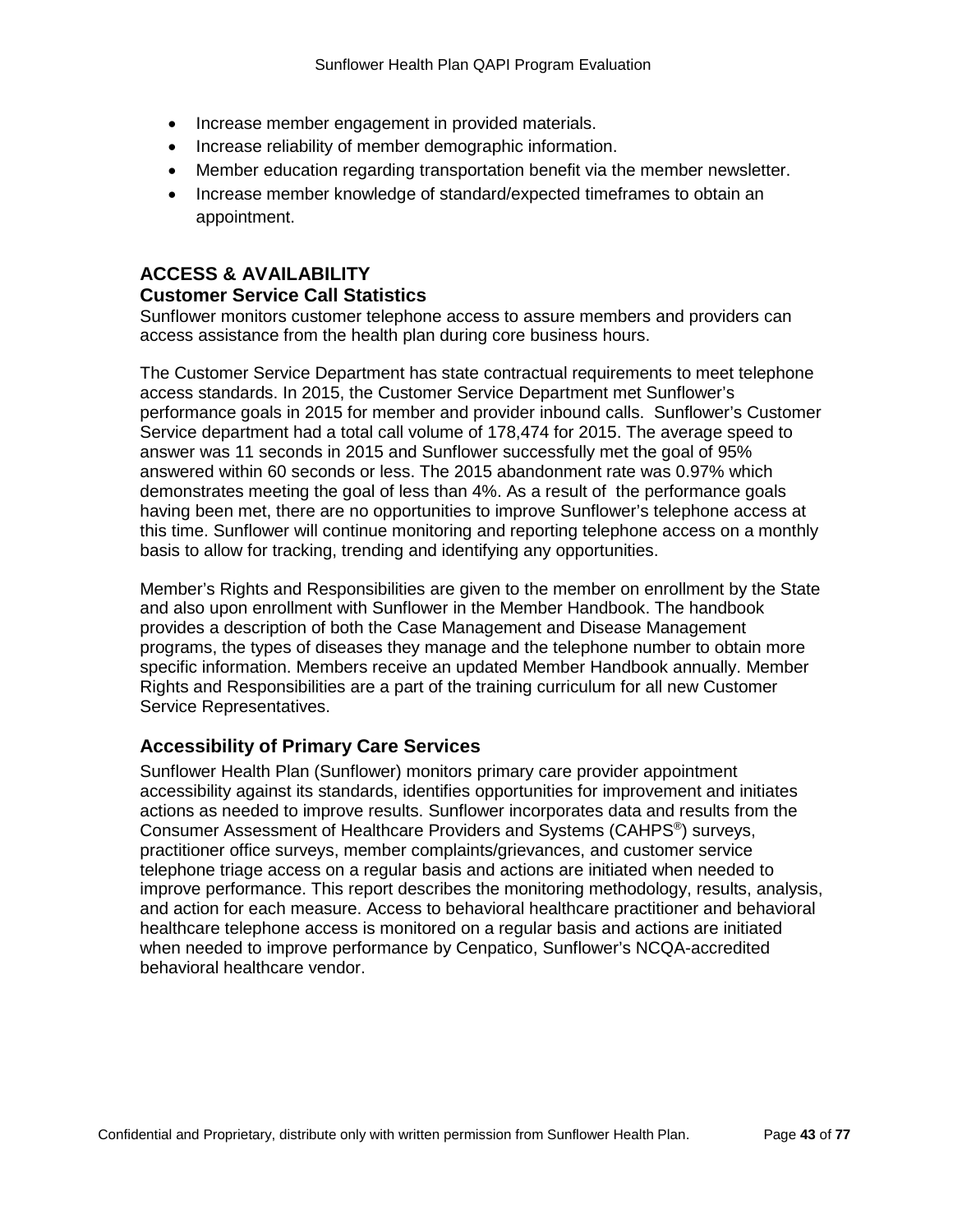- Increase member engagement in provided materials.
- Increase reliability of member demographic information.
- Member education regarding transportation benefit via the member newsletter.
- Increase member knowledge of standard/expected timeframes to obtain an appointment.

### **ACCESS & AVAILABILITY**

#### **Customer Service Call Statistics**

Sunflower monitors customer telephone access to assure members and providers can access assistance from the health plan during core business hours.

The Customer Service Department has state contractual requirements to meet telephone access standards. In 2015, the Customer Service Department met Sunflower's performance goals in 2015 for member and provider inbound calls. Sunflower's Customer Service department had a total call volume of 178,474 for 2015. The average speed to answer was 11 seconds in 2015 and Sunflower successfully met the goal of 95% answered within 60 seconds or less. The 2015 abandonment rate was 0.97% which demonstrates meeting the goal of less than 4%. As a result of the performance goals having been met, there are no opportunities to improve Sunflower's telephone access at this time. Sunflower will continue monitoring and reporting telephone access on a monthly basis to allow for tracking, trending and identifying any opportunities.

Member's Rights and Responsibilities are given to the member on enrollment by the State and also upon enrollment with Sunflower in the Member Handbook. The handbook provides a description of both the Case Management and Disease Management programs, the types of diseases they manage and the telephone number to obtain more specific information. Members receive an updated Member Handbook annually. Member Rights and Responsibilities are a part of the training curriculum for all new Customer Service Representatives.

#### **Accessibility of Primary Care Services**

Sunflower Health Plan (Sunflower) monitors primary care provider appointment accessibility against its standards, identifies opportunities for improvement and initiates actions as needed to improve results. Sunflower incorporates data and results from the Consumer Assessment of Healthcare Providers and Systems (CAHPS®) surveys, practitioner office surveys, member complaints/grievances, and customer service telephone triage access on a regular basis and actions are initiated when needed to improve performance. This report describes the monitoring methodology, results, analysis, and action for each measure. Access to behavioral healthcare practitioner and behavioral healthcare telephone access is monitored on a regular basis and actions are initiated when needed to improve performance by Cenpatico, Sunflower's NCQA-accredited behavioral healthcare vendor.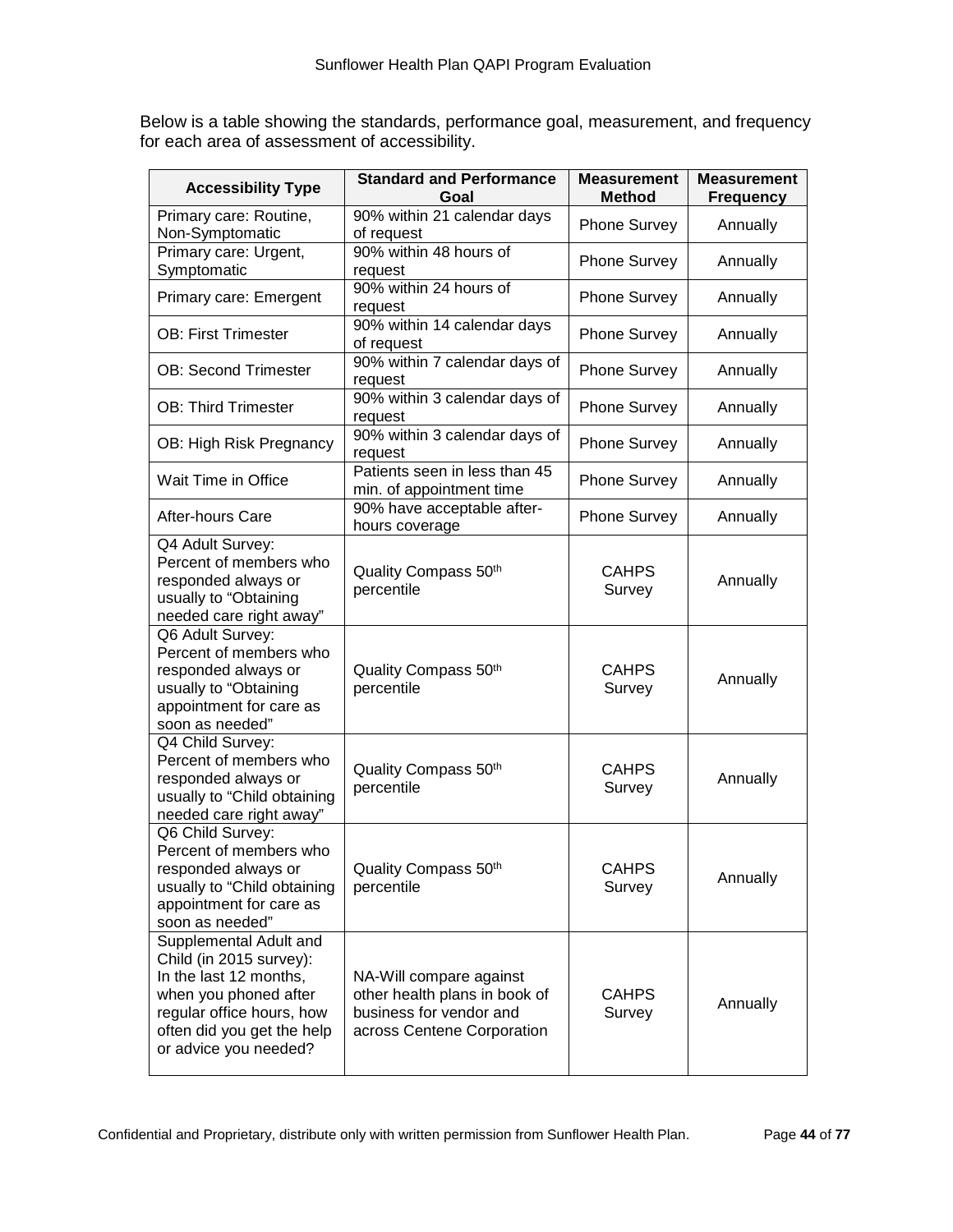Below is a table showing the standards, performance goal, measurement, and frequency for each area of assessment of accessibility.

| <b>Accessibility Type</b>                                                                                                                                                                | <b>Standard and Performance</b><br>Goal                                                                           |                        | <b>Measurement</b><br><b>Frequency</b> |
|------------------------------------------------------------------------------------------------------------------------------------------------------------------------------------------|-------------------------------------------------------------------------------------------------------------------|------------------------|----------------------------------------|
| Primary care: Routine,<br>Non-Symptomatic                                                                                                                                                | 90% within 21 calendar days<br>of request                                                                         | <b>Phone Survey</b>    | Annually                               |
| Primary care: Urgent,<br>Symptomatic                                                                                                                                                     | 90% within 48 hours of<br>request                                                                                 | <b>Phone Survey</b>    | Annually                               |
| Primary care: Emergent                                                                                                                                                                   | 90% within 24 hours of<br>request                                                                                 | <b>Phone Survey</b>    | Annually                               |
| <b>OB: First Trimester</b>                                                                                                                                                               | 90% within 14 calendar days<br>of request                                                                         | Phone Survey           | Annually                               |
| <b>OB: Second Trimester</b>                                                                                                                                                              | 90% within 7 calendar days of<br>request                                                                          | Phone Survey           | Annually                               |
| <b>OB: Third Trimester</b>                                                                                                                                                               | 90% within 3 calendar days of<br>request                                                                          | Phone Survey           | Annually                               |
| OB: High Risk Pregnancy                                                                                                                                                                  | 90% within 3 calendar days of<br>request                                                                          | Phone Survey           | Annually                               |
| Wait Time in Office                                                                                                                                                                      | Patients seen in less than 45<br>min. of appointment time                                                         | <b>Phone Survey</b>    | Annually                               |
| After-hours Care                                                                                                                                                                         | 90% have acceptable after-<br>hours coverage                                                                      | <b>Phone Survey</b>    | Annually                               |
| Q4 Adult Survey:<br>Percent of members who<br>responded always or<br>usually to "Obtaining<br>needed care right away"                                                                    | Quality Compass 50th<br>percentile                                                                                | <b>CAHPS</b><br>Survey | Annually                               |
| Q6 Adult Survey:<br>Percent of members who<br>responded always or<br>usually to "Obtaining<br>appointment for care as<br>soon as needed"                                                 | Quality Compass 50th<br>percentile                                                                                | <b>CAHPS</b><br>Survey | Annually                               |
| Q4 Child Survey:<br>Percent of members who<br>responded always or<br>usually to "Child obtaining<br>needed care right away"                                                              | Quality Compass 50th<br>percentile                                                                                |                        | Annually                               |
| Q6 Child Survey:<br>Percent of members who<br>responded always or<br>usually to "Child obtaining<br>appointment for care as<br>soon as needed"                                           | Quality Compass 50th<br>percentile                                                                                | <b>CAHPS</b><br>Survey | Annually                               |
| Supplemental Adult and<br>Child (in 2015 survey):<br>In the last 12 months,<br>when you phoned after<br>regular office hours, how<br>often did you get the help<br>or advice you needed? | NA-Will compare against<br>other health plans in book of<br>business for vendor and<br>across Centene Corporation | <b>CAHPS</b><br>Survey | Annually                               |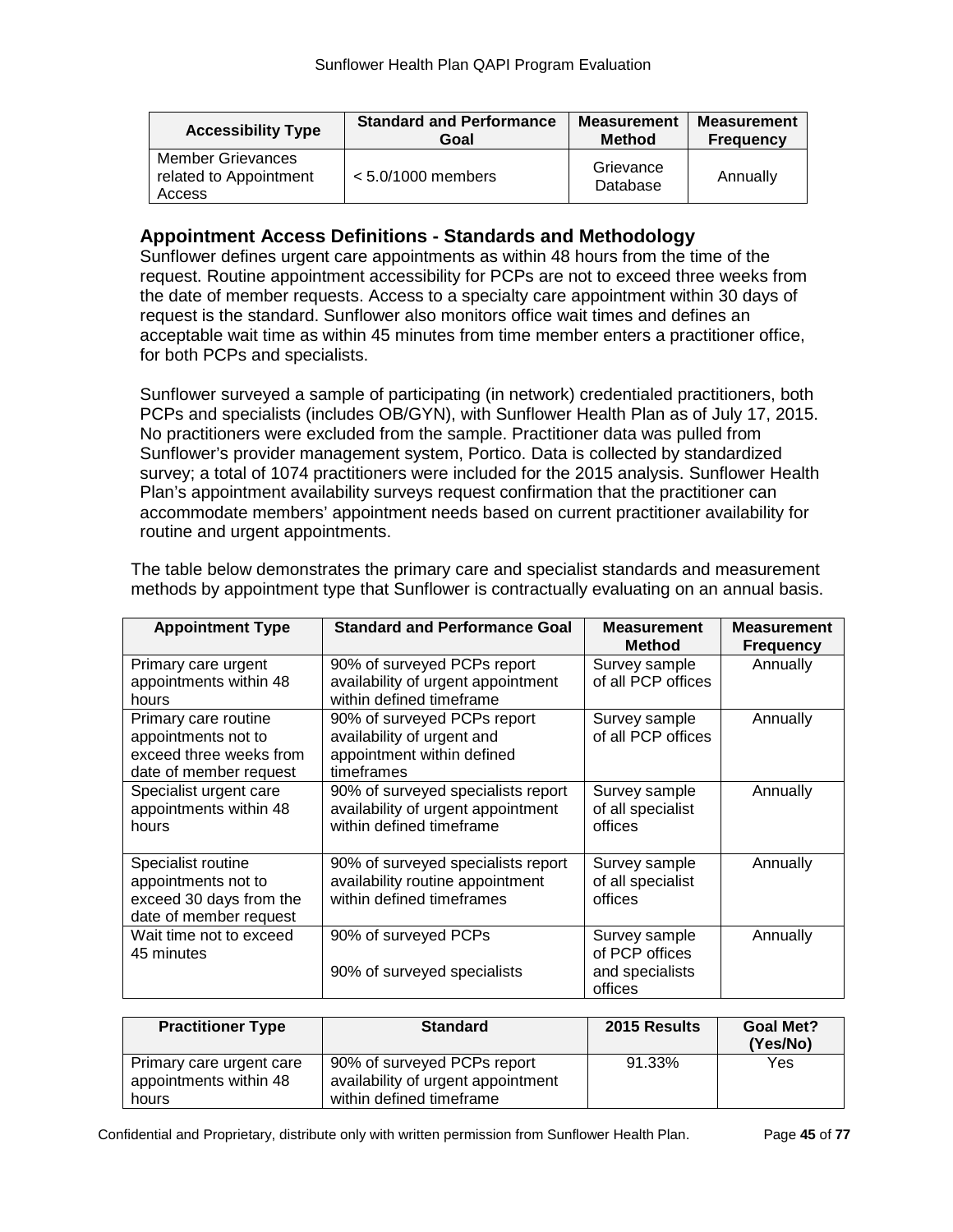| <b>Accessibility Type</b>                             | <b>Standard and Performance</b> | <b>Measurement</b>    | <b>Measurement</b> |
|-------------------------------------------------------|---------------------------------|-----------------------|--------------------|
|                                                       | Goal                            | <b>Method</b>         | <b>Frequency</b>   |
| Member Grievances<br>related to Appointment<br>Access | $< 5.0/1000$ members            | Grievance<br>Database | Annually           |

### **Appointment Access Definitions - Standards and Methodology**

Sunflower defines urgent care appointments as within 48 hours from the time of the request. Routine appointment accessibility for PCPs are not to exceed three weeks from the date of member requests. Access to a specialty care appointment within 30 days of request is the standard. Sunflower also monitors office wait times and defines an acceptable wait time as within 45 minutes from time member enters a practitioner office, for both PCPs and specialists.

Sunflower surveyed a sample of participating (in network) credentialed practitioners, both PCPs and specialists (includes OB/GYN), with Sunflower Health Plan as of July 17, 2015. No practitioners were excluded from the sample. Practitioner data was pulled from Sunflower's provider management system, Portico. Data is collected by standardized survey; a total of 1074 practitioners were included for the 2015 analysis. Sunflower Health Plan's appointment availability surveys request confirmation that the practitioner can accommodate members' appointment needs based on current practitioner availability for routine and urgent appointments.

| <b>Appointment Type</b>                                                                          | <b>Standard and Performance Goal</b>                                                                  | <b>Measurement</b><br><b>Method</b>                           | <b>Measurement</b><br><b>Frequency</b> |
|--------------------------------------------------------------------------------------------------|-------------------------------------------------------------------------------------------------------|---------------------------------------------------------------|----------------------------------------|
| Primary care urgent<br>appointments within 48<br>hours                                           | 90% of surveyed PCPs report<br>availability of urgent appointment<br>within defined timeframe         | Survey sample<br>of all PCP offices                           | Annually                               |
| Primary care routine<br>appointments not to<br>exceed three weeks from<br>date of member request | 90% of surveyed PCPs report<br>availability of urgent and<br>appointment within defined<br>timeframes | Survey sample<br>of all PCP offices                           | Annually                               |
| Specialist urgent care<br>appointments within 48<br>hours                                        | 90% of surveyed specialists report<br>availability of urgent appointment<br>within defined timeframe  | Survey sample<br>of all specialist<br>offices                 | Annually                               |
| Specialist routine<br>appointments not to<br>exceed 30 days from the<br>date of member request   | 90% of surveyed specialists report<br>availability routine appointment<br>within defined timeframes   | Survey sample<br>of all specialist<br>offices                 | Annually                               |
| Wait time not to exceed<br>45 minutes                                                            | 90% of surveyed PCPs<br>90% of surveyed specialists                                                   | Survey sample<br>of PCP offices<br>and specialists<br>offices | Annually                               |

The table below demonstrates the primary care and specialist standards and measurement methods by appointment type that Sunflower is contractually evaluating on an annual basis.

| <b>Practitioner Type</b>                                    | <b>Standard</b>                                                                               | 2015 Results | <b>Goal Met?</b><br>(Yes/No) |
|-------------------------------------------------------------|-----------------------------------------------------------------------------------------------|--------------|------------------------------|
| Primary care urgent care<br>appointments within 48<br>hours | 90% of surveyed PCPs report<br>availability of urgent appointment<br>within defined timeframe | 91.33%       | Yes                          |

Confidential and Proprietary, distribute only with written permission from Sunflower Health Plan. Page **45** of **77**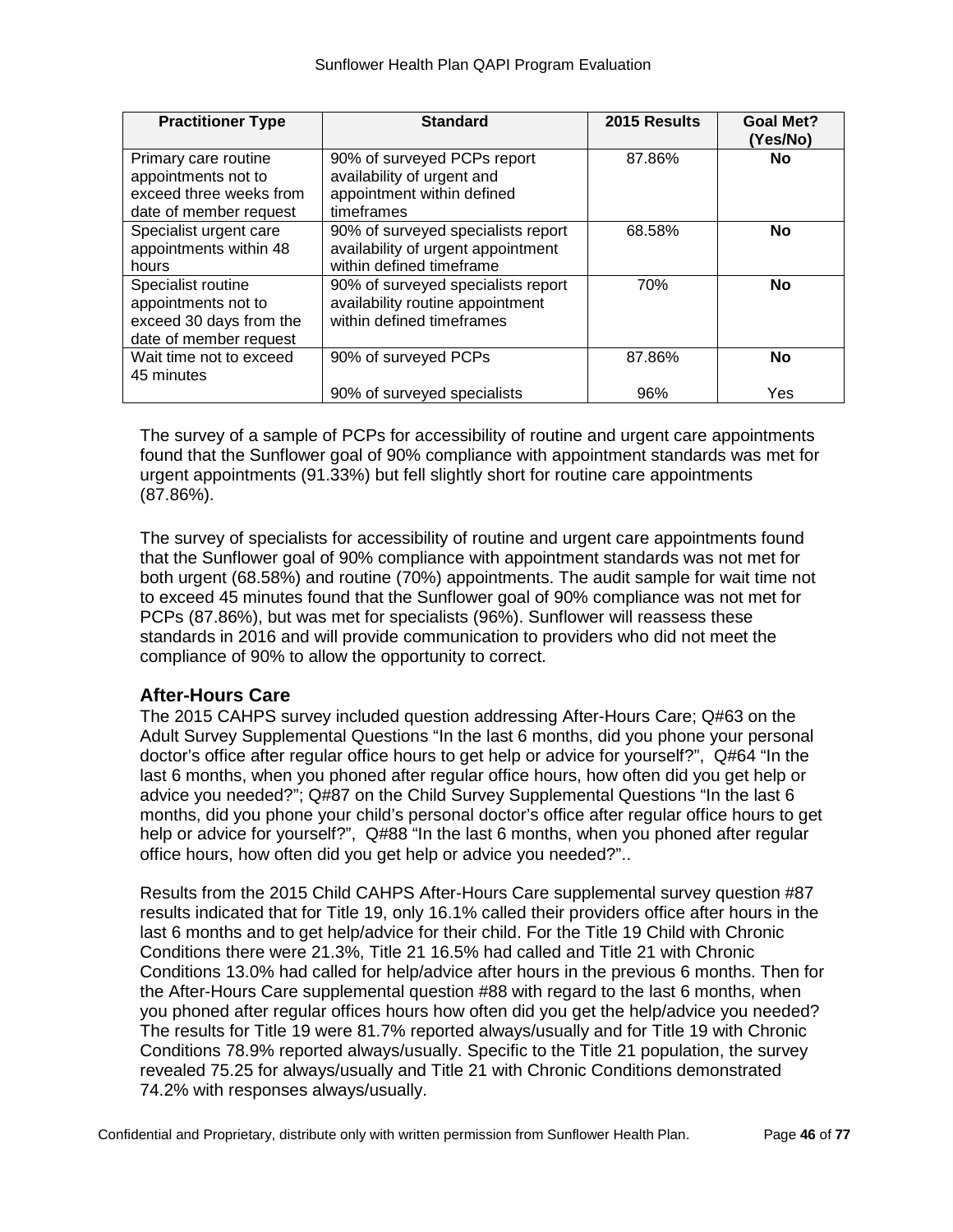| <b>Practitioner Type</b> | <b>Standard</b>                    | 2015 Results | <b>Goal Met?</b><br>(Yes/No) |
|--------------------------|------------------------------------|--------------|------------------------------|
| Primary care routine     | 90% of surveyed PCPs report        | 87.86%       | <b>No</b>                    |
| appointments not to      | availability of urgent and         |              |                              |
| exceed three weeks from  | appointment within defined         |              |                              |
| date of member request   | timeframes                         |              |                              |
| Specialist urgent care   | 90% of surveyed specialists report | 68.58%       | <b>No</b>                    |
| appointments within 48   | availability of urgent appointment |              |                              |
| hours                    | within defined timeframe           |              |                              |
| Specialist routine       | 90% of surveyed specialists report | 70%          | <b>No</b>                    |
| appointments not to      | availability routine appointment   |              |                              |
| exceed 30 days from the  | within defined timeframes          |              |                              |
| date of member request   |                                    |              |                              |
| Wait time not to exceed  | 90% of surveyed PCPs               | 87.86%       | <b>No</b>                    |
| 45 minutes               |                                    |              |                              |
|                          | 90% of surveyed specialists        | 96%          | Yes                          |

The survey of a sample of PCPs for accessibility of routine and urgent care appointments found that the Sunflower goal of 90% compliance with appointment standards was met for urgent appointments (91.33%) but fell slightly short for routine care appointments (87.86%).

The survey of specialists for accessibility of routine and urgent care appointments found that the Sunflower goal of 90% compliance with appointment standards was not met for both urgent (68.58%) and routine (70%) appointments. The audit sample for wait time not to exceed 45 minutes found that the Sunflower goal of 90% compliance was not met for PCPs (87.86%), but was met for specialists (96%). Sunflower will reassess these standards in 2016 and will provide communication to providers who did not meet the compliance of 90% to allow the opportunity to correct.

### **After-Hours Care**

The 2015 CAHPS survey included question addressing After-Hours Care; Q#63 on the Adult Survey Supplemental Questions "In the last 6 months, did you phone your personal doctor's office after regular office hours to get help or advice for yourself?", Q#64 "In the last 6 months, when you phoned after regular office hours, how often did you get help or advice you needed?"; Q#87 on the Child Survey Supplemental Questions "In the last 6 months, did you phone your child's personal doctor's office after regular office hours to get help or advice for yourself?", Q#88 "In the last 6 months, when you phoned after regular office hours, how often did you get help or advice you needed?"..

Results from the 2015 Child CAHPS After-Hours Care supplemental survey question #87 results indicated that for Title 19, only 16.1% called their providers office after hours in the last 6 months and to get help/advice for their child. For the Title 19 Child with Chronic Conditions there were 21.3%, Title 21 16.5% had called and Title 21 with Chronic Conditions 13.0% had called for help/advice after hours in the previous 6 months. Then for the After-Hours Care supplemental question #88 with regard to the last 6 months, when you phoned after regular offices hours how often did you get the help/advice you needed? The results for Title 19 were 81.7% reported always/usually and for Title 19 with Chronic Conditions 78.9% reported always/usually. Specific to the Title 21 population, the survey revealed 75.25 for always/usually and Title 21 with Chronic Conditions demonstrated 74.2% with responses always/usually.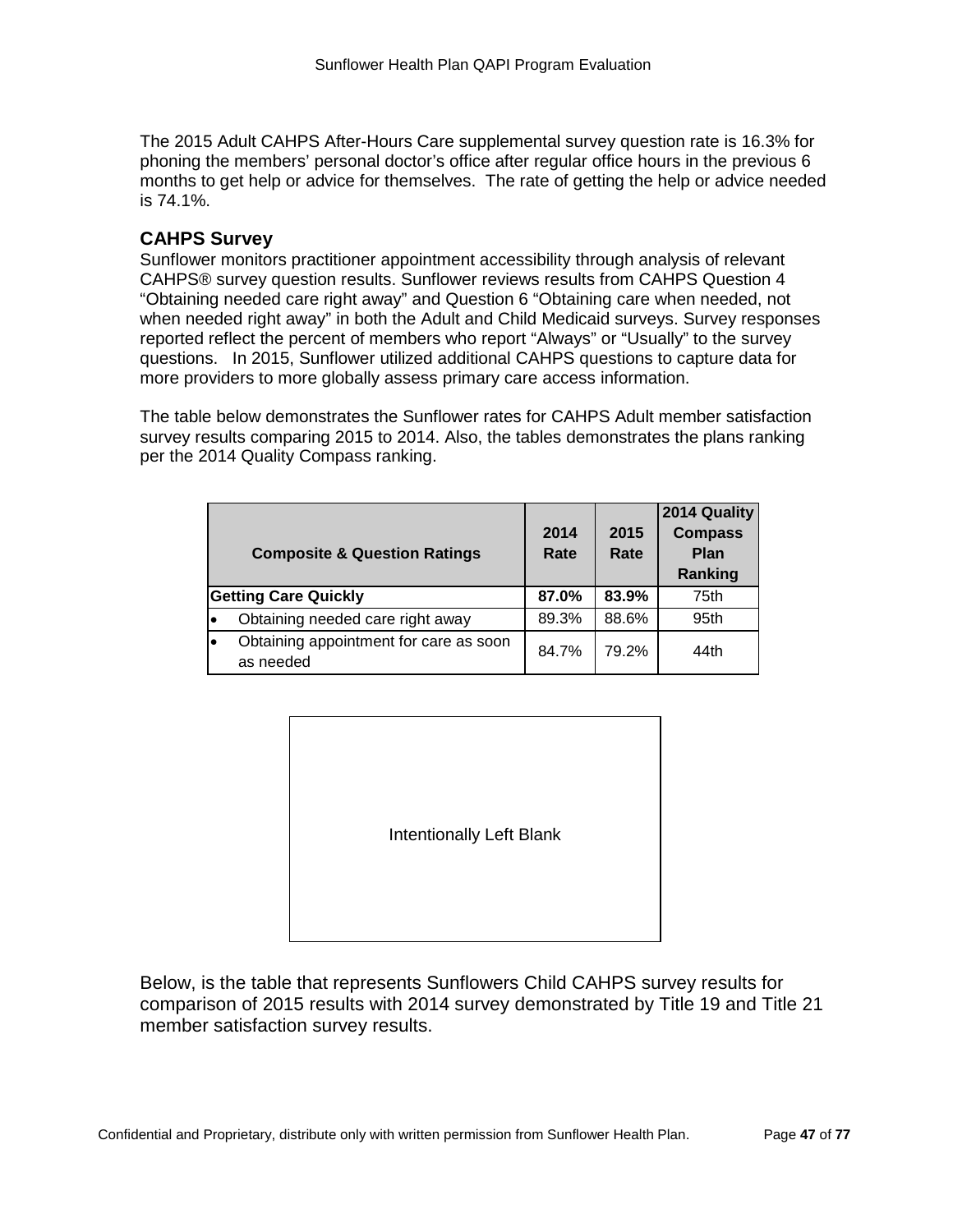The 2015 Adult CAHPS After-Hours Care supplemental survey question rate is 16.3% for phoning the members' personal doctor's office after regular office hours in the previous 6 months to get help or advice for themselves. The rate of getting the help or advice needed is 74.1%.

### **CAHPS Survey**

Sunflower monitors practitioner appointment accessibility through analysis of relevant CAHPS® survey question results. Sunflower reviews results from CAHPS Question 4 "Obtaining needed care right away" and Question 6 "Obtaining care when needed, not when needed right away" in both the Adult and Child Medicaid surveys. Survey responses reported reflect the percent of members who report "Always" or "Usually" to the survey questions. In 2015, Sunflower utilized additional CAHPS questions to capture data for more providers to more globally assess primary care access information.

The table below demonstrates the Sunflower rates for CAHPS Adult member satisfaction survey results comparing 2015 to 2014. Also, the tables demonstrates the plans ranking per the 2014 Quality Compass ranking.

| <b>Composite &amp; Question Ratings</b>             | 2014<br>Rate | 2015<br>Rate | 2014 Quality<br><b>Compass</b><br>Plan<br>Ranking |
|-----------------------------------------------------|--------------|--------------|---------------------------------------------------|
| <b>Getting Care Quickly</b>                         | 87.0%        | 83.9%        | 75th                                              |
| Obtaining needed care right away                    | 89.3%        | 88.6%        | 95th                                              |
| Obtaining appointment for care as soon<br>as needed | 84.7%        | 79.2%        | 44th                                              |

| Intentionally Left Blank |
|--------------------------|

Below, is the table that represents Sunflowers Child CAHPS survey results for comparison of 2015 results with 2014 survey demonstrated by Title 19 and Title 21 member satisfaction survey results.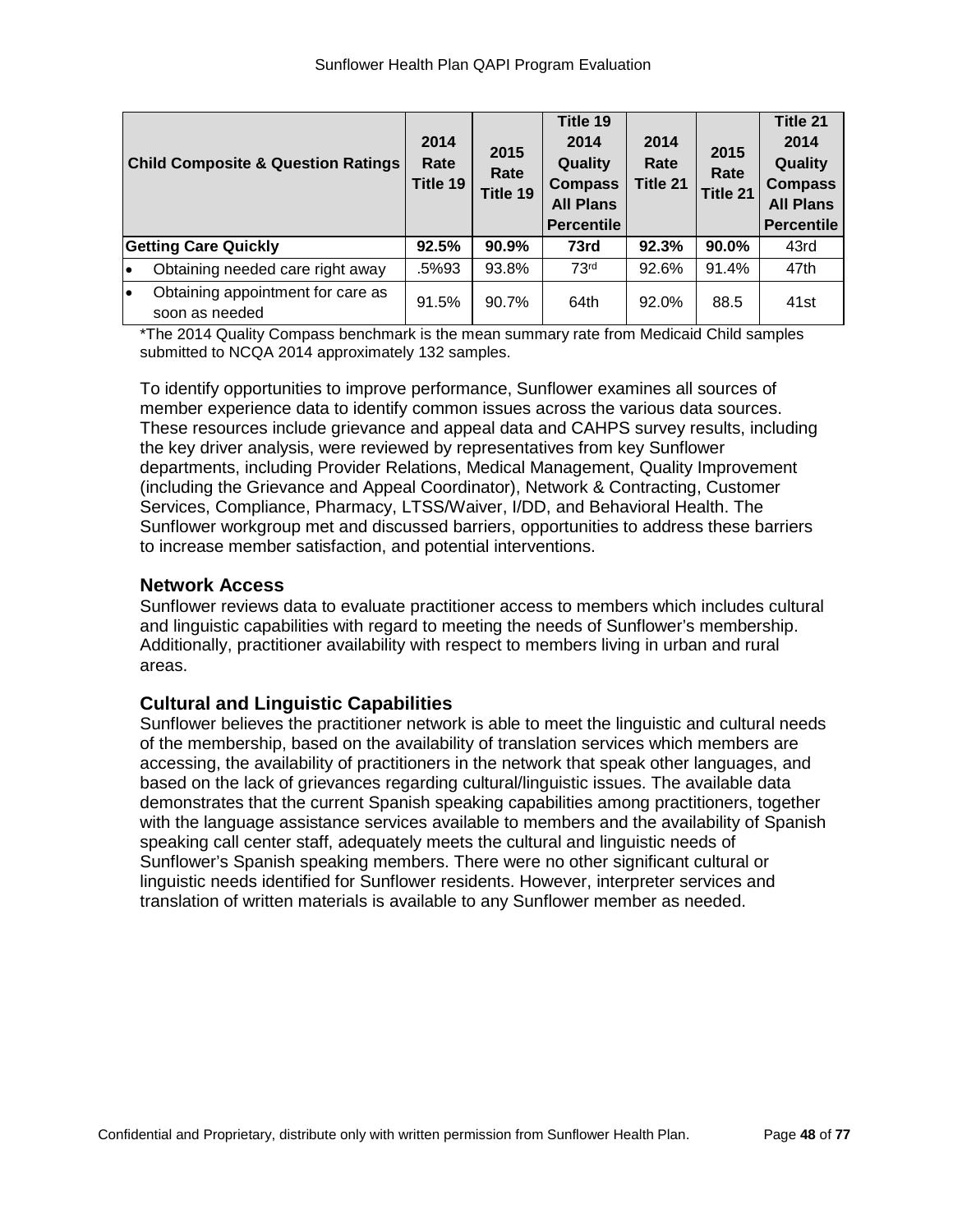|                             | <b>Child Composite &amp; Question Ratings</b>       | 2014<br>Rate<br>Title 19 | 2015<br>Rate<br>Title 19 | Title 19<br>2014<br>Quality<br><b>Compass</b><br><b>All Plans</b><br><b>Percentile</b> | 2014<br>Rate<br>Title 21 | 2015<br>Rate<br>Title 21 | Title 21<br>2014<br>Quality<br><b>Compass</b><br><b>All Plans</b><br><b>Percentile</b> |
|-----------------------------|-----------------------------------------------------|--------------------------|--------------------------|----------------------------------------------------------------------------------------|--------------------------|--------------------------|----------------------------------------------------------------------------------------|
| <b>Getting Care Quickly</b> |                                                     | 92.5%                    | 90.9%                    | 73rd                                                                                   | 92.3%                    | 90.0%                    | 43rd                                                                                   |
| lo                          | Obtaining needed care right away                    | .5%93                    | 93.8%                    | 73 <sup>rd</sup>                                                                       | 92.6%                    | 91.4%                    | 47th                                                                                   |
| I۰                          | Obtaining appointment for care as<br>soon as needed | 91.5%                    | 90.7%                    | 64th                                                                                   | 92.0%                    | 88.5                     | 41st                                                                                   |

\*The 2014 Quality Compass benchmark is the mean summary rate from Medicaid Child samples submitted to NCQA 2014 approximately 132 samples.

To identify opportunities to improve performance, Sunflower examines all sources of member experience data to identify common issues across the various data sources. These resources include grievance and appeal data and CAHPS survey results, including the key driver analysis, were reviewed by representatives from key Sunflower departments, including Provider Relations, Medical Management, Quality Improvement (including the Grievance and Appeal Coordinator), Network & Contracting, Customer Services, Compliance, Pharmacy, LTSS/Waiver, I/DD, and Behavioral Health. The Sunflower workgroup met and discussed barriers, opportunities to address these barriers to increase member satisfaction, and potential interventions.

### **Network Access**

Sunflower reviews data to evaluate practitioner access to members which includes cultural and linguistic capabilities with regard to meeting the needs of Sunflower's membership. Additionally, practitioner availability with respect to members living in urban and rural areas.

### **Cultural and Linguistic Capabilities**

Sunflower believes the practitioner network is able to meet the linguistic and cultural needs of the membership, based on the availability of translation services which members are accessing, the availability of practitioners in the network that speak other languages, and based on the lack of grievances regarding cultural/linguistic issues. The available data demonstrates that the current Spanish speaking capabilities among practitioners, together with the language assistance services available to members and the availability of Spanish speaking call center staff, adequately meets the cultural and linguistic needs of Sunflower's Spanish speaking members. There were no other significant cultural or linguistic needs identified for Sunflower residents. However, interpreter services and translation of written materials is available to any Sunflower member as needed.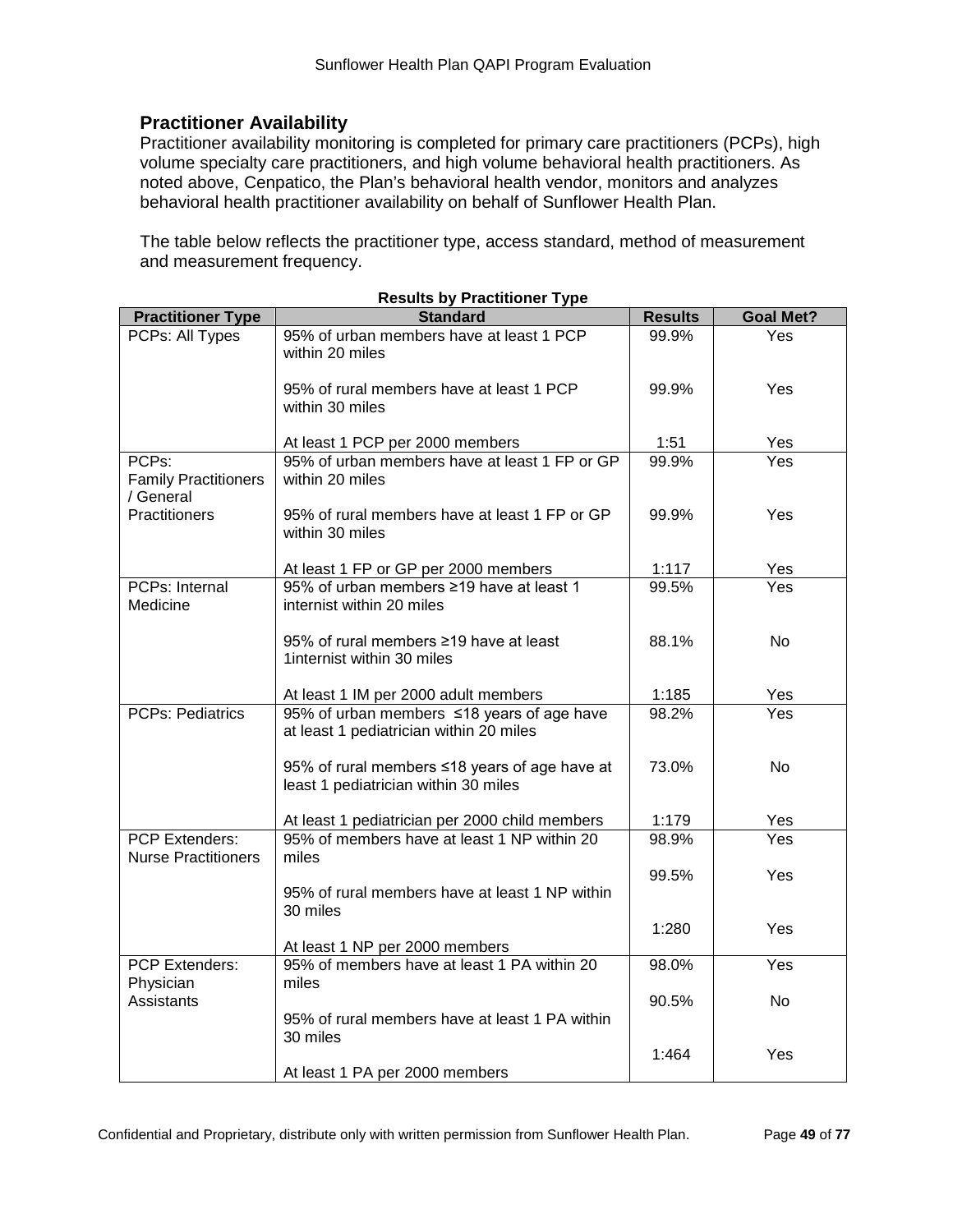# **Practitioner Availability**

Practitioner availability monitoring is completed for primary care practitioners (PCPs), high volume specialty care practitioners, and high volume behavioral health practitioners. As noted above, Cenpatico, the Plan's behavioral health vendor, monitors and analyzes behavioral health practitioner availability on behalf of Sunflower Health Plan.

The table below reflects the practitioner type, access standard, method of measurement and measurement frequency.

|                                                     | nesuns by Fraunnoner Type                                                             |                |                  |
|-----------------------------------------------------|---------------------------------------------------------------------------------------|----------------|------------------|
| <b>Practitioner Type</b>                            | <b>Standard</b>                                                                       | <b>Results</b> | <b>Goal Met?</b> |
| PCPs: All Types                                     | 95% of urban members have at least 1 PCP<br>within 20 miles                           | 99.9%          | Yes              |
|                                                     | 95% of rural members have at least 1 PCP<br>within 30 miles                           | 99.9%          | Yes              |
|                                                     | At least 1 PCP per 2000 members                                                       | 1:51           | Yes              |
| PCPs:<br><b>Family Practitioners</b><br>/ General   | 95% of urban members have at least 1 FP or GP<br>within 20 miles                      | 99.9%          | Yes              |
| Practitioners                                       | 95% of rural members have at least 1 FP or GP<br>within 30 miles                      | 99.9%          | Yes              |
|                                                     | At least 1 FP or GP per 2000 members                                                  | 1:117          | Yes              |
| PCPs: Internal<br>Medicine                          | 95% of urban members ≥19 have at least 1<br>internist within 20 miles                 | 99.5%          | Yes              |
|                                                     | 95% of rural members ≥19 have at least<br>1internist within 30 miles                  | 88.1%          | <b>No</b>        |
|                                                     | At least 1 IM per 2000 adult members                                                  | 1:185          | Yes              |
| <b>PCPs: Pediatrics</b>                             | 95% of urban members ≤18 years of age have<br>at least 1 pediatrician within 20 miles | 98.2%          | Yes              |
|                                                     | 95% of rural members ≤18 years of age have at<br>least 1 pediatrician within 30 miles | 73.0%          | <b>No</b>        |
|                                                     | At least 1 pediatrician per 2000 child members                                        | 1:179          | Yes              |
| <b>PCP Extenders:</b><br><b>Nurse Practitioners</b> | 95% of members have at least 1 NP within 20<br>miles                                  | 98.9%          | Yes              |
|                                                     | 95% of rural members have at least 1 NP within<br>30 miles                            | 99.5%          | Yes              |
|                                                     | At least 1 NP per 2000 members                                                        | 1:280          | Yes              |
| <b>PCP Extenders:</b><br>Physician                  | 95% of members have at least 1 PA within 20<br>miles                                  | 98.0%          | Yes              |
| Assistants                                          | 95% of rural members have at least 1 PA within<br>30 miles                            | 90.5%          | No               |
|                                                     | At least 1 PA per 2000 members                                                        | 1:464          | Yes              |

**Results by Practitioner Type**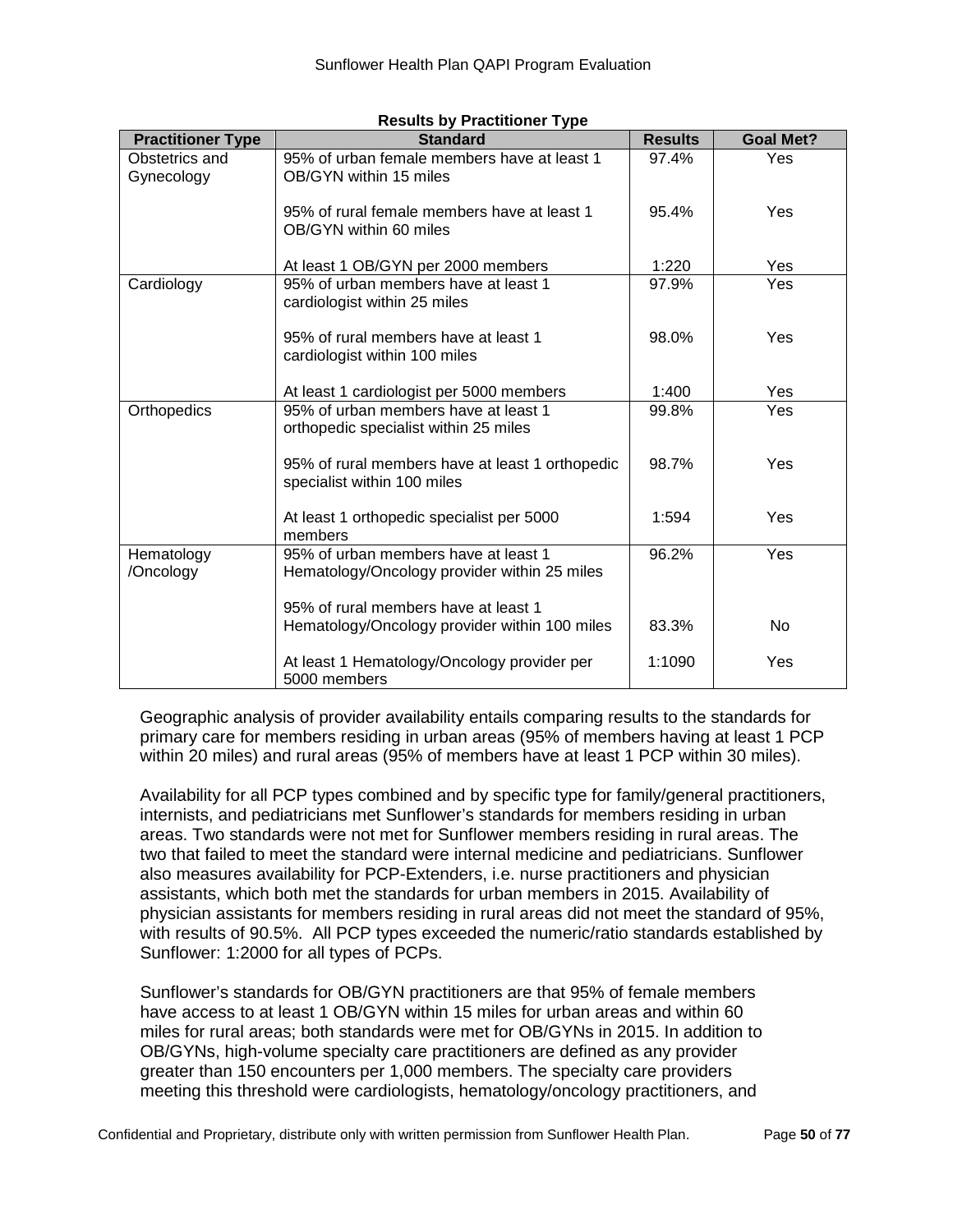| <b>Practitioner Type</b>     | <b>Standard</b>                                                                      | <b>Results</b> | <b>Goal Met?</b> |
|------------------------------|--------------------------------------------------------------------------------------|----------------|------------------|
| Obstetrics and<br>Gynecology | 95% of urban female members have at least 1<br>OB/GYN within 15 miles                | 97.4%          | Yes              |
|                              | 95% of rural female members have at least 1<br>OB/GYN within 60 miles                | 95.4%          | Yes              |
|                              | At least 1 OB/GYN per 2000 members                                                   | 1:220          | Yes              |
| Cardiology                   | 95% of urban members have at least 1<br>cardiologist within 25 miles                 | 97.9%          | Yes              |
|                              | 95% of rural members have at least 1<br>cardiologist within 100 miles                | 98.0%          | Yes              |
|                              | At least 1 cardiologist per 5000 members                                             | 1:400          | Yes              |
| Orthopedics                  | 95% of urban members have at least 1<br>orthopedic specialist within 25 miles        | 99.8%          | Yes              |
|                              | 95% of rural members have at least 1 orthopedic<br>specialist within 100 miles       | 98.7%          | Yes              |
|                              | At least 1 orthopedic specialist per 5000<br>members                                 | 1:594          | Yes              |
| Hematology<br>/Oncology      | 95% of urban members have at least 1<br>Hematology/Oncology provider within 25 miles | 96.2%          | Yes              |
|                              | 95% of rural members have at least 1                                                 |                |                  |
|                              | Hematology/Oncology provider within 100 miles                                        | 83.3%          | No               |
|                              | At least 1 Hematology/Oncology provider per<br>5000 members                          | 1:1090         | Yes              |

#### **Results by Practitioner Type**

Geographic analysis of provider availability entails comparing results to the standards for primary care for members residing in urban areas (95% of members having at least 1 PCP within 20 miles) and rural areas (95% of members have at least 1 PCP within 30 miles).

Availability for all PCP types combined and by specific type for family/general practitioners, internists, and pediatricians met Sunflower's standards for members residing in urban areas. Two standards were not met for Sunflower members residing in rural areas. The two that failed to meet the standard were internal medicine and pediatricians. Sunflower also measures availability for PCP-Extenders, i.e. nurse practitioners and physician assistants, which both met the standards for urban members in 2015. Availability of physician assistants for members residing in rural areas did not meet the standard of 95%, with results of 90.5%. All PCP types exceeded the numeric/ratio standards established by Sunflower: 1:2000 for all types of PCPs.

Sunflower's standards for OB/GYN practitioners are that 95% of female members have access to at least 1 OB/GYN within 15 miles for urban areas and within 60 miles for rural areas; both standards were met for OB/GYNs in 2015. In addition to OB/GYNs, high-volume specialty care practitioners are defined as any provider greater than 150 encounters per 1,000 members. The specialty care providers meeting this threshold were cardiologists, hematology/oncology practitioners, and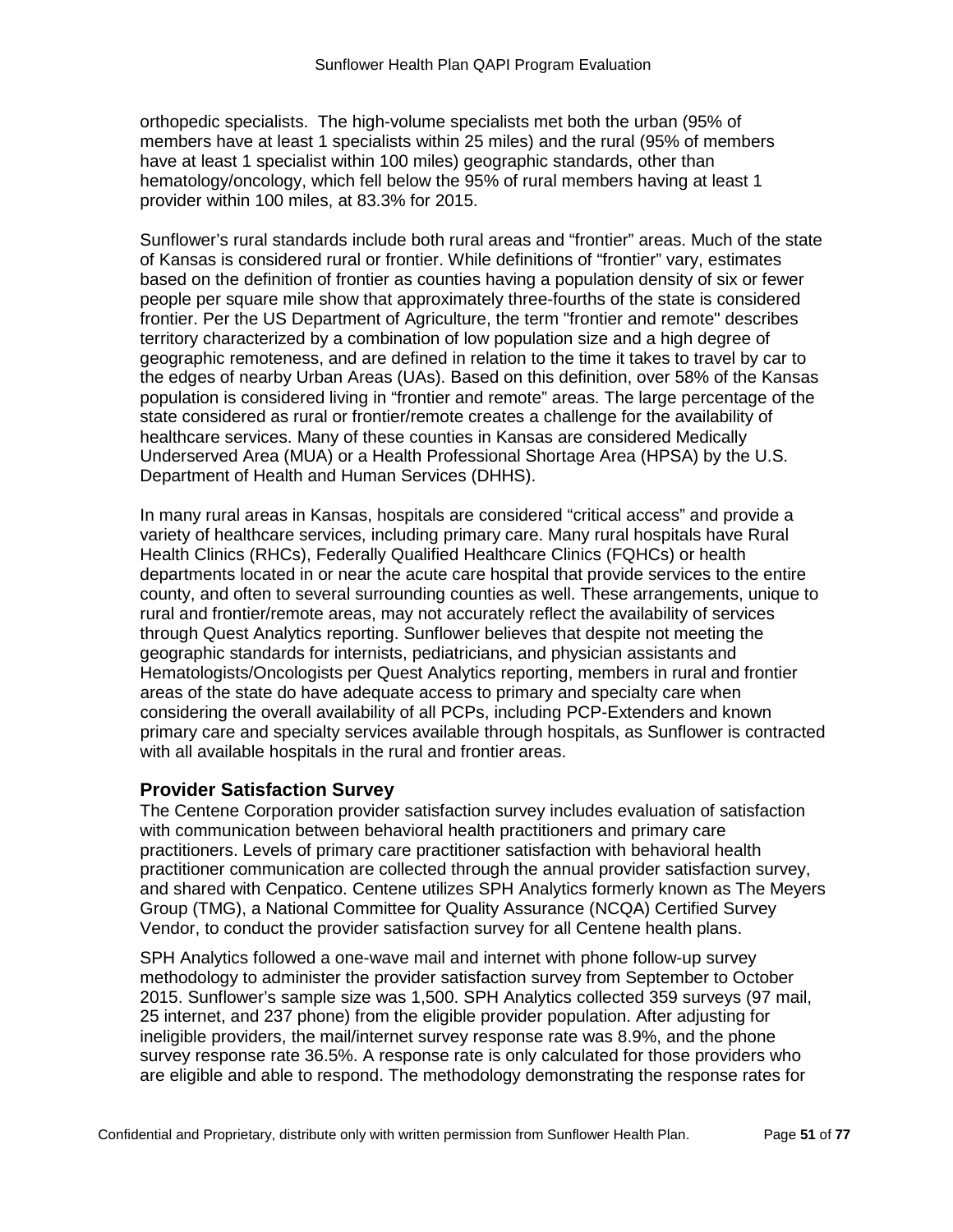orthopedic specialists. The high-volume specialists met both the urban (95% of members have at least 1 specialists within 25 miles) and the rural (95% of members have at least 1 specialist within 100 miles) geographic standards, other than hematology/oncology, which fell below the 95% of rural members having at least 1 provider within 100 miles, at 83.3% for 2015.

Sunflower's rural standards include both rural areas and "frontier" areas. Much of the state of Kansas is considered rural or frontier. While definitions of "frontier" vary, estimates based on the definition of frontier as counties having a population density of six or fewer people per square mile show that approximately three-fourths of the state is considered frontier. Per the US Department of Agriculture, the term "frontier and remote" describes territory characterized by a combination of low population size and a high degree of geographic remoteness, and are defined in relation to the time it takes to travel by car to the edges of nearby Urban Areas (UAs). Based on this definition, over 58% of the Kansas population is considered living in "frontier and remote" areas. The large percentage of the state considered as rural or frontier/remote creates a challenge for the availability of healthcare services. Many of these counties in Kansas are considered Medically Underserved Area (MUA) or a Health Professional Shortage Area (HPSA) by the U.S. Department of Health and Human Services (DHHS).

In many rural areas in Kansas, hospitals are considered "critical access" and provide a variety of healthcare services, including primary care. Many rural hospitals have Rural Health Clinics (RHCs), Federally Qualified Healthcare Clinics (FQHCs) or health departments located in or near the acute care hospital that provide services to the entire county, and often to several surrounding counties as well. These arrangements, unique to rural and frontier/remote areas, may not accurately reflect the availability of services through Quest Analytics reporting. Sunflower believes that despite not meeting the geographic standards for internists, pediatricians, and physician assistants and Hematologists/Oncologists per Quest Analytics reporting, members in rural and frontier areas of the state do have adequate access to primary and specialty care when considering the overall availability of all PCPs, including PCP-Extenders and known primary care and specialty services available through hospitals, as Sunflower is contracted with all available hospitals in the rural and frontier areas.

# **Provider Satisfaction Survey**

The Centene Corporation provider satisfaction survey includes evaluation of satisfaction with communication between behavioral health practitioners and primary care practitioners. Levels of primary care practitioner satisfaction with behavioral health practitioner communication are collected through the annual provider satisfaction survey, and shared with Cenpatico. Centene utilizes SPH Analytics formerly known as The Meyers Group (TMG), a National Committee for Quality Assurance (NCQA) Certified Survey Vendor, to conduct the provider satisfaction survey for all Centene health plans.

SPH Analytics followed a one-wave mail and internet with phone follow-up survey methodology to administer the provider satisfaction survey from September to October 2015. Sunflower's sample size was 1,500. SPH Analytics collected 359 surveys (97 mail, 25 internet, and 237 phone) from the eligible provider population. After adjusting for ineligible providers, the mail/internet survey response rate was 8.9%, and the phone survey response rate 36.5%. A response rate is only calculated for those providers who are eligible and able to respond. The methodology demonstrating the response rates for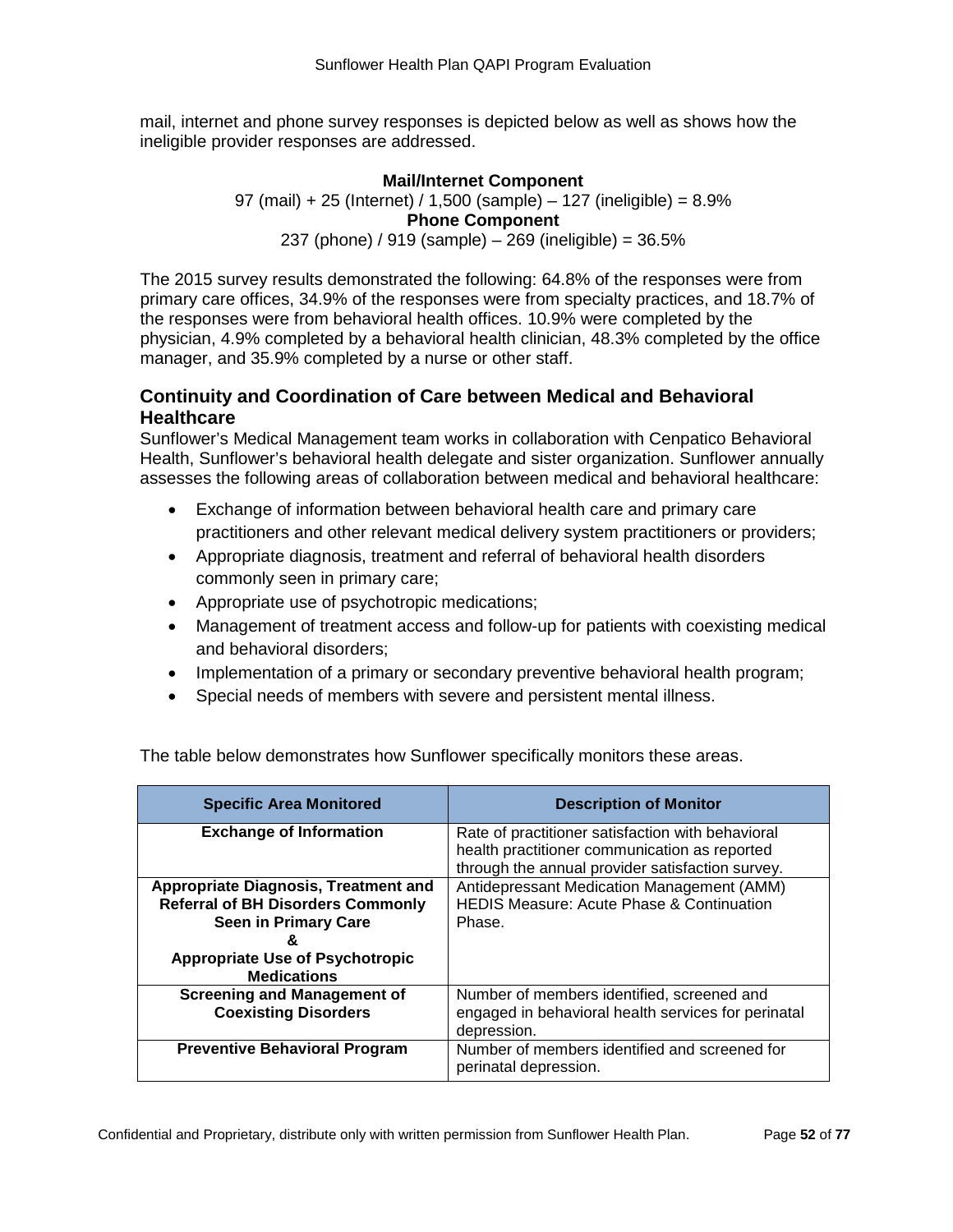mail, internet and phone survey responses is depicted below as well as shows how the ineligible provider responses are addressed.

#### **Mail/Internet Component**

97 (mail) + 25 (Internet) / 1,500 (sample) – 127 (ineligible) = 8.9% **Phone Component** 237 (phone) / 919 (sample) – 269 (ineligible) = 36.5%

The 2015 survey results demonstrated the following: 64.8% of the responses were from primary care offices, 34.9% of the responses were from specialty practices, and 18.7% of the responses were from behavioral health offices. 10.9% were completed by the physician, 4.9% completed by a behavioral health clinician, 48.3% completed by the office manager, and 35.9% completed by a nurse or other staff.

# **Continuity and Coordination of Care between Medical and Behavioral Healthcare**

Sunflower's Medical Management team works in collaboration with Cenpatico Behavioral Health, Sunflower's behavioral health delegate and sister organization. Sunflower annually assesses the following areas of collaboration between medical and behavioral healthcare:

- Exchange of information between behavioral health care and primary care practitioners and other relevant medical delivery system practitioners or providers;
- Appropriate diagnosis, treatment and referral of behavioral health disorders commonly seen in primary care;
- Appropriate use of psychotropic medications;
- Management of treatment access and follow-up for patients with coexisting medical and behavioral disorders;
- Implementation of a primary or secondary preventive behavioral health program;
- Special needs of members with severe and persistent mental illness.

| <b>Specific Area Monitored</b>                                          | <b>Description of Monitor</b>                                                                                    |
|-------------------------------------------------------------------------|------------------------------------------------------------------------------------------------------------------|
| <b>Exchange of Information</b>                                          | Rate of practitioner satisfaction with behavioral<br>health practitioner communication as reported               |
| <b>Appropriate Diagnosis, Treatment and</b>                             | through the annual provider satisfaction survey.<br>Antidepressant Medication Management (AMM)                   |
| <b>Referral of BH Disorders Commonly</b><br><b>Seen in Primary Care</b> | <b>HEDIS Measure: Acute Phase &amp; Continuation</b><br>Phase.                                                   |
| ፚ<br><b>Appropriate Use of Psychotropic</b><br><b>Medications</b>       |                                                                                                                  |
| <b>Screening and Management of</b><br><b>Coexisting Disorders</b>       | Number of members identified, screened and<br>engaged in behavioral health services for perinatal<br>depression. |
| <b>Preventive Behavioral Program</b>                                    | Number of members identified and screened for<br>perinatal depression.                                           |

The table below demonstrates how Sunflower specifically monitors these areas.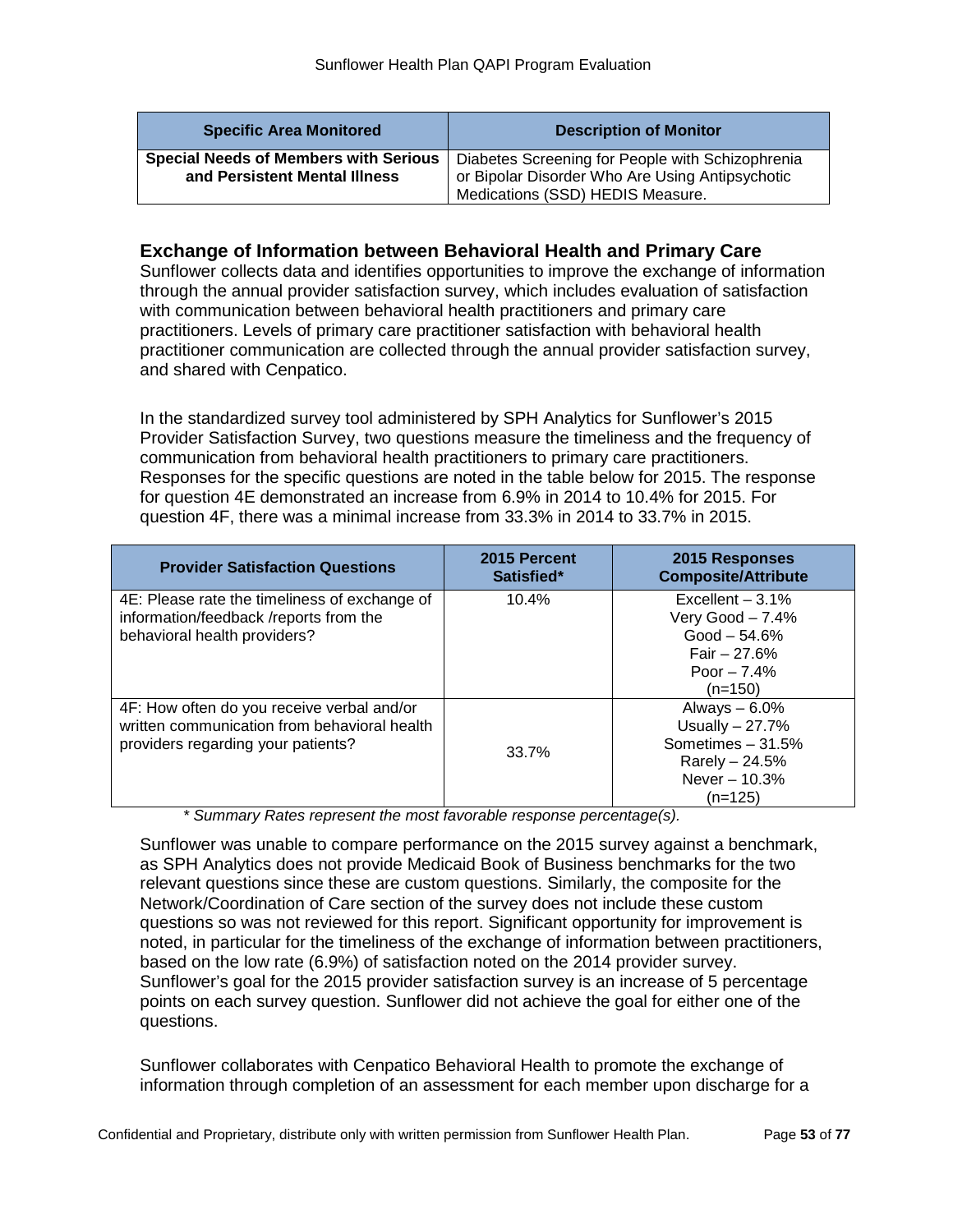| <b>Specific Area Monitored</b>                                                | <b>Description of Monitor</b>                                                                                                           |
|-------------------------------------------------------------------------------|-----------------------------------------------------------------------------------------------------------------------------------------|
| <b>Special Needs of Members with Serious</b><br>and Persistent Mental Illness | Diabetes Screening for People with Schizophrenia<br>or Bipolar Disorder Who Are Using Antipsychotic<br>Medications (SSD) HEDIS Measure. |

# **Exchange of Information between Behavioral Health and Primary Care**

Sunflower collects data and identifies opportunities to improve the exchange of information through the annual provider satisfaction survey, which includes evaluation of satisfaction with communication between behavioral health practitioners and primary care practitioners. Levels of primary care practitioner satisfaction with behavioral health practitioner communication are collected through the annual provider satisfaction survey, and shared with Cenpatico.

In the standardized survey tool administered by SPH Analytics for Sunflower's 2015 Provider Satisfaction Survey, two questions measure the timeliness and the frequency of communication from behavioral health practitioners to primary care practitioners. Responses for the specific questions are noted in the table below for 2015. The response for question 4E demonstrated an increase from 6.9% in 2014 to 10.4% for 2015. For question 4F, there was a minimal increase from 33.3% in 2014 to 33.7% in 2015.

| <b>Provider Satisfaction Questions</b>                                                                                           | 2015 Percent<br>Satisfied* | 2015 Responses<br><b>Composite/Attribute</b>                                                                |
|----------------------------------------------------------------------------------------------------------------------------------|----------------------------|-------------------------------------------------------------------------------------------------------------|
| 4E: Please rate the timeliness of exchange of<br>information/feedback /reports from the<br>behavioral health providers?          | 10.4%                      | Excellent $-3.1\%$<br>Very Good $-7.4%$<br>$Good - 54.6%$<br>Fair $-27.6%$<br>Poor $-7.4%$<br>$(n=150)$     |
| 4F: How often do you receive verbal and/or<br>written communication from behavioral health<br>providers regarding your patients? | 33.7%                      | Always $-6.0\%$<br>Usually $-27.7%$<br>Sometimes $-31.5%$<br>Rarely $-24.5%$<br>Never $-10.3%$<br>$(n=125)$ |

 *\* Summary Rates represent the most favorable response percentage(s).*

Sunflower was unable to compare performance on the 2015 survey against a benchmark, as SPH Analytics does not provide Medicaid Book of Business benchmarks for the two relevant questions since these are custom questions. Similarly, the composite for the Network/Coordination of Care section of the survey does not include these custom questions so was not reviewed for this report. Significant opportunity for improvement is noted, in particular for the timeliness of the exchange of information between practitioners, based on the low rate (6.9%) of satisfaction noted on the 2014 provider survey. Sunflower's goal for the 2015 provider satisfaction survey is an increase of 5 percentage points on each survey question. Sunflower did not achieve the goal for either one of the questions.

Sunflower collaborates with Cenpatico Behavioral Health to promote the exchange of information through completion of an assessment for each member upon discharge for a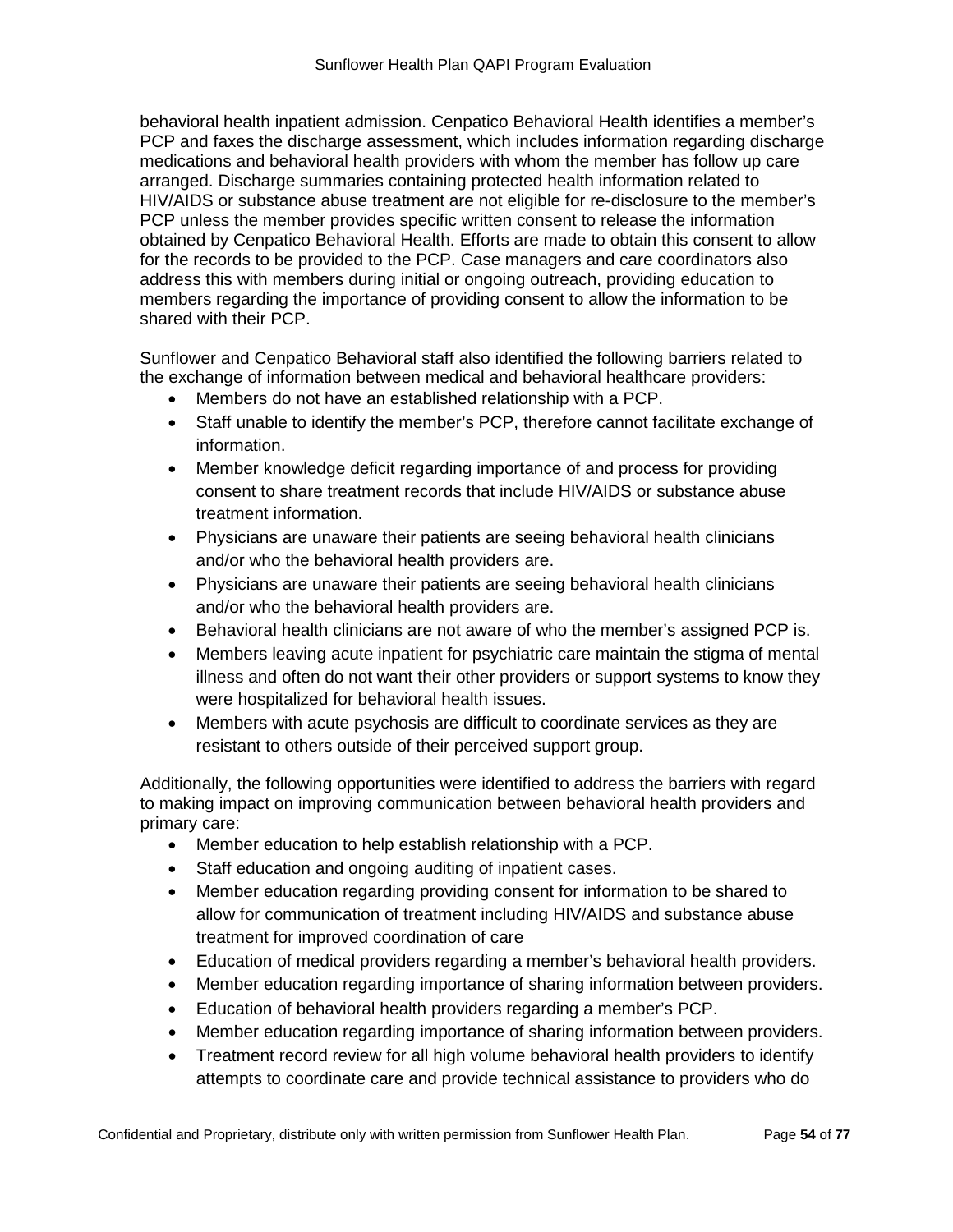behavioral health inpatient admission. Cenpatico Behavioral Health identifies a member's PCP and faxes the discharge assessment, which includes information regarding discharge medications and behavioral health providers with whom the member has follow up care arranged. Discharge summaries containing protected health information related to HIV/AIDS or substance abuse treatment are not eligible for re-disclosure to the member's PCP unless the member provides specific written consent to release the information obtained by Cenpatico Behavioral Health. Efforts are made to obtain this consent to allow for the records to be provided to the PCP. Case managers and care coordinators also address this with members during initial or ongoing outreach, providing education to members regarding the importance of providing consent to allow the information to be shared with their PCP.

Sunflower and Cenpatico Behavioral staff also identified the following barriers related to the exchange of information between medical and behavioral healthcare providers:

- Members do not have an established relationship with a PCP.
- Staff unable to identify the member's PCP, therefore cannot facilitate exchange of information.
- Member knowledge deficit regarding importance of and process for providing consent to share treatment records that include HIV/AIDS or substance abuse treatment information.
- Physicians are unaware their patients are seeing behavioral health clinicians and/or who the behavioral health providers are.
- Physicians are unaware their patients are seeing behavioral health clinicians and/or who the behavioral health providers are.
- Behavioral health clinicians are not aware of who the member's assigned PCP is.
- Members leaving acute inpatient for psychiatric care maintain the stigma of mental illness and often do not want their other providers or support systems to know they were hospitalized for behavioral health issues.
- Members with acute psychosis are difficult to coordinate services as they are resistant to others outside of their perceived support group.

Additionally, the following opportunities were identified to address the barriers with regard to making impact on improving communication between behavioral health providers and primary care:

- Member education to help establish relationship with a PCP.
- Staff education and ongoing auditing of inpatient cases.
- Member education regarding providing consent for information to be shared to allow for communication of treatment including HIV/AIDS and substance abuse treatment for improved coordination of care
- Education of medical providers regarding a member's behavioral health providers.
- Member education regarding importance of sharing information between providers.
- Education of behavioral health providers regarding a member's PCP.
- Member education regarding importance of sharing information between providers.
- Treatment record review for all high volume behavioral health providers to identify attempts to coordinate care and provide technical assistance to providers who do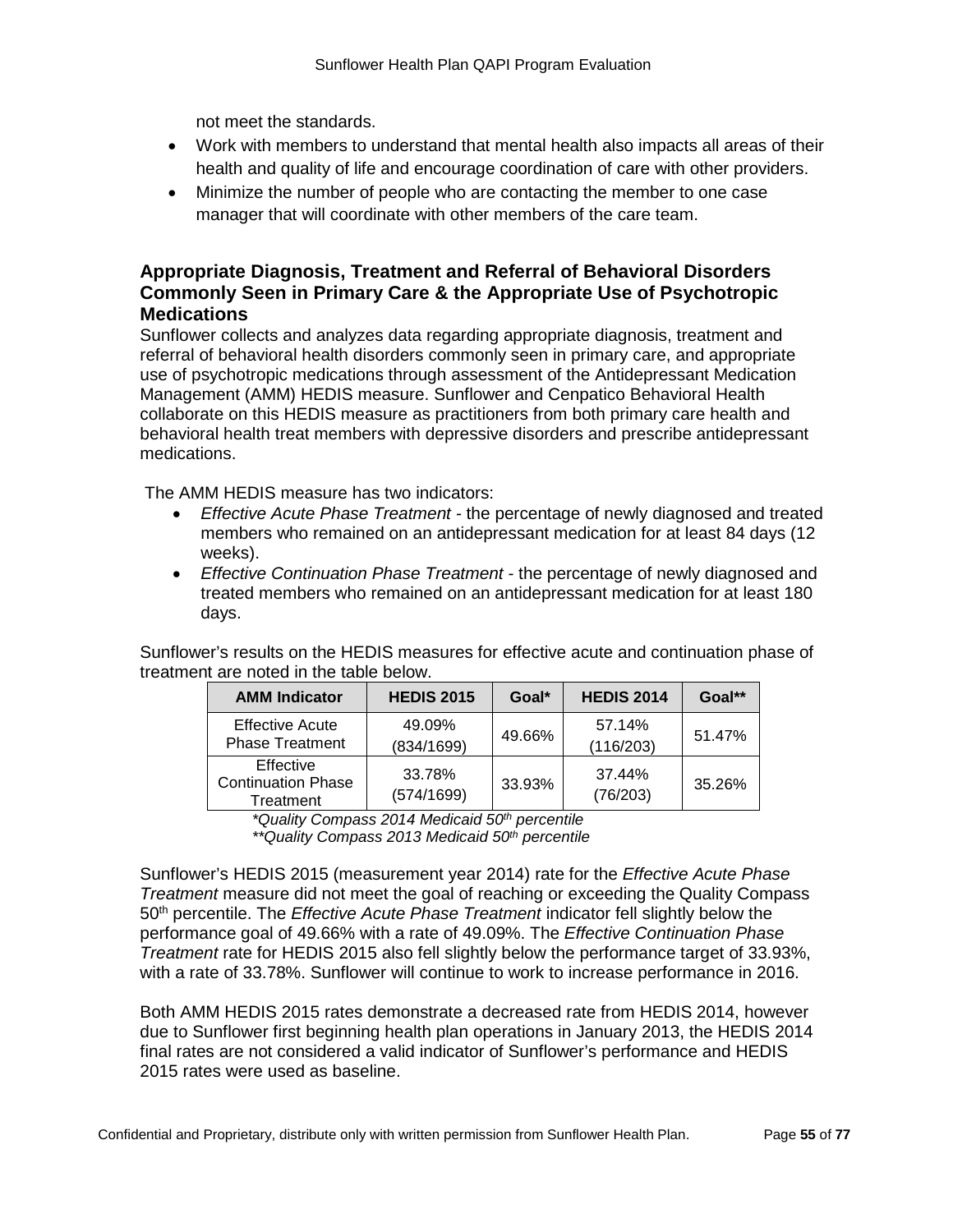not meet the standards.

- Work with members to understand that mental health also impacts all areas of their health and quality of life and encourage coordination of care with other providers.
- Minimize the number of people who are contacting the member to one case manager that will coordinate with other members of the care team.

# **Appropriate Diagnosis, Treatment and Referral of Behavioral Disorders Commonly Seen in Primary Care & the Appropriate Use of Psychotropic Medications**

Sunflower collects and analyzes data regarding appropriate diagnosis, treatment and referral of behavioral health disorders commonly seen in primary care, and appropriate use of psychotropic medications through assessment of the Antidepressant Medication Management (AMM) HEDIS measure. Sunflower and Cenpatico Behavioral Health collaborate on this HEDIS measure as practitioners from both primary care health and behavioral health treat members with depressive disorders and prescribe antidepressant medications.

The AMM HEDIS measure has two indicators:

- *Effective Acute Phase Treatment -* the percentage of newly diagnosed and treated members who remained on an antidepressant medication for at least 84 days (12 weeks).
- *Effective Continuation Phase Treatment -* the percentage of newly diagnosed and treated members who remained on an antidepressant medication for at least 180 days.

Sunflower's results on the HEDIS measures for effective acute and continuation phase of treatment are noted in the table below.

| <b>AMM Indicator</b>                                | <b>HEDIS 2015</b>    | Goal*  | <b>HEDIS 2014</b>   | Goal** |
|-----------------------------------------------------|----------------------|--------|---------------------|--------|
| <b>Effective Acute</b><br><b>Phase Treatment</b>    | 49.09%<br>(834/1699) | 49.66% | 57.14%<br>(116/203) | 51.47% |
| Effective<br><b>Continuation Phase</b><br>Treatment | 33.78%<br>(574/1699) | 33.93% | 37.44%<br>(76/203)  | 35.26% |

*\*Quality Compass 2014 Medicaid 50th percentile*

*\*\*Quality Compass 2013 Medicaid 50th percentile*

Sunflower's HEDIS 2015 (measurement year 2014) rate for the *Effective Acute Phase Treatment* measure did not meet the goal of reaching or exceeding the Quality Compass 50th percentile. The *Effective Acute Phase Treatment* indicator fell slightly below the performance goal of 49.66% with a rate of 49.09%. The *Effective Continuation Phase Treatment* rate for HEDIS 2015 also fell slightly below the performance target of 33.93%, with a rate of 33.78%. Sunflower will continue to work to increase performance in 2016.

Both AMM HEDIS 2015 rates demonstrate a decreased rate from HEDIS 2014, however due to Sunflower first beginning health plan operations in January 2013, the HEDIS 2014 final rates are not considered a valid indicator of Sunflower's performance and HEDIS 2015 rates were used as baseline.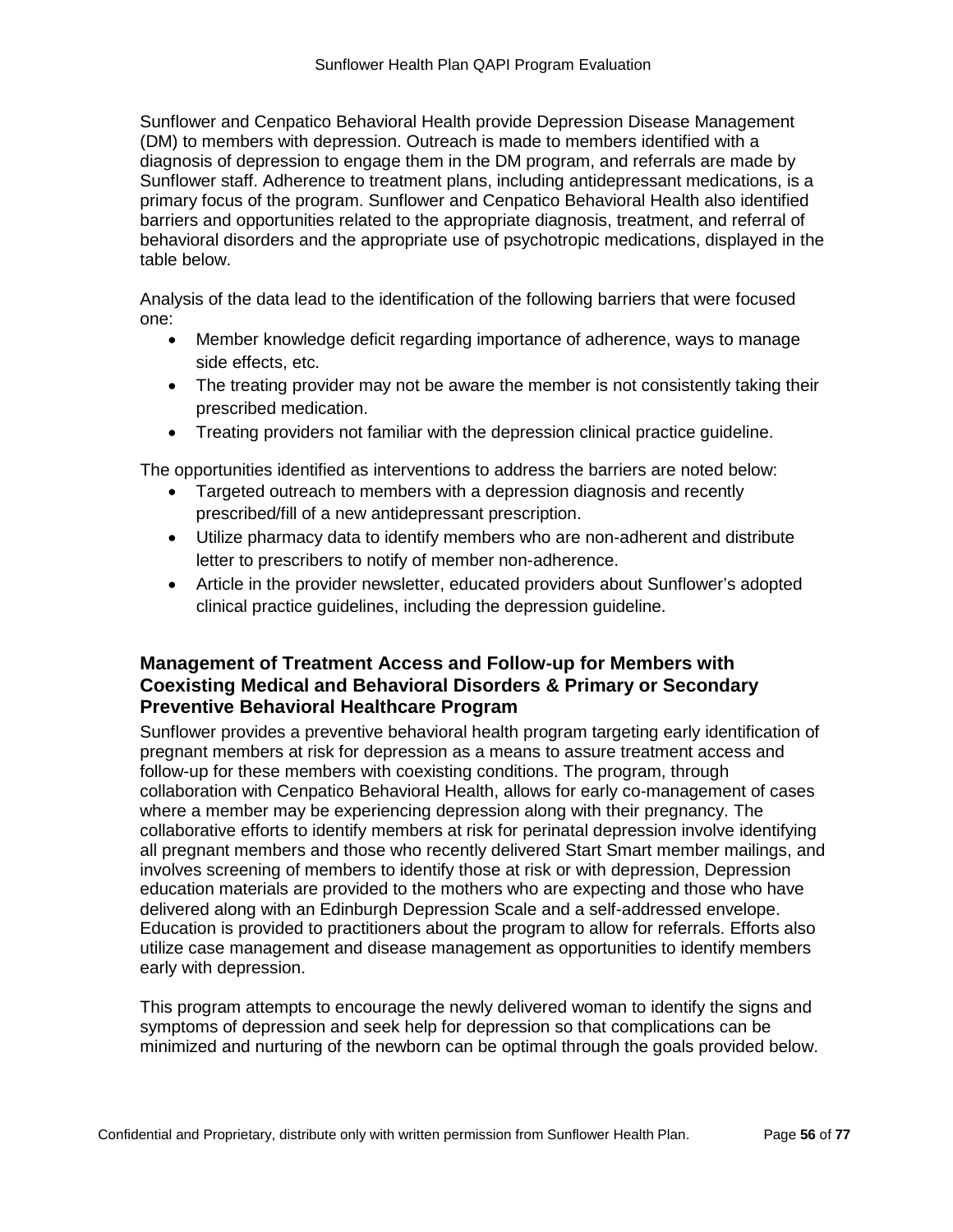Sunflower and Cenpatico Behavioral Health provide Depression Disease Management (DM) to members with depression. Outreach is made to members identified with a diagnosis of depression to engage them in the DM program, and referrals are made by Sunflower staff. Adherence to treatment plans, including antidepressant medications, is a primary focus of the program. Sunflower and Cenpatico Behavioral Health also identified barriers and opportunities related to the appropriate diagnosis, treatment, and referral of behavioral disorders and the appropriate use of psychotropic medications, displayed in the table below.

Analysis of the data lead to the identification of the following barriers that were focused one:

- Member knowledge deficit regarding importance of adherence, ways to manage side effects, etc.
- The treating provider may not be aware the member is not consistently taking their prescribed medication.
- Treating providers not familiar with the depression clinical practice guideline.

The opportunities identified as interventions to address the barriers are noted below:

- Targeted outreach to members with a depression diagnosis and recently prescribed/fill of a new antidepressant prescription.
- Utilize pharmacy data to identify members who are non-adherent and distribute letter to prescribers to notify of member non-adherence.
- Article in the provider newsletter, educated providers about Sunflower's adopted clinical practice guidelines, including the depression guideline.

# **Management of Treatment Access and Follow-up for Members with Coexisting Medical and Behavioral Disorders & Primary or Secondary Preventive Behavioral Healthcare Program**

Sunflower provides a preventive behavioral health program targeting early identification of pregnant members at risk for depression as a means to assure treatment access and follow-up for these members with coexisting conditions. The program, through collaboration with Cenpatico Behavioral Health, allows for early co-management of cases where a member may be experiencing depression along with their pregnancy. The collaborative efforts to identify members at risk for perinatal depression involve identifying all pregnant members and those who recently delivered Start Smart member mailings, and involves screening of members to identify those at risk or with depression, Depression education materials are provided to the mothers who are expecting and those who have delivered along with an Edinburgh Depression Scale and a self-addressed envelope. Education is provided to practitioners about the program to allow for referrals. Efforts also utilize case management and disease management as opportunities to identify members early with depression.

This program attempts to encourage the newly delivered woman to identify the signs and symptoms of depression and seek help for depression so that complications can be minimized and nurturing of the newborn can be optimal through the goals provided below.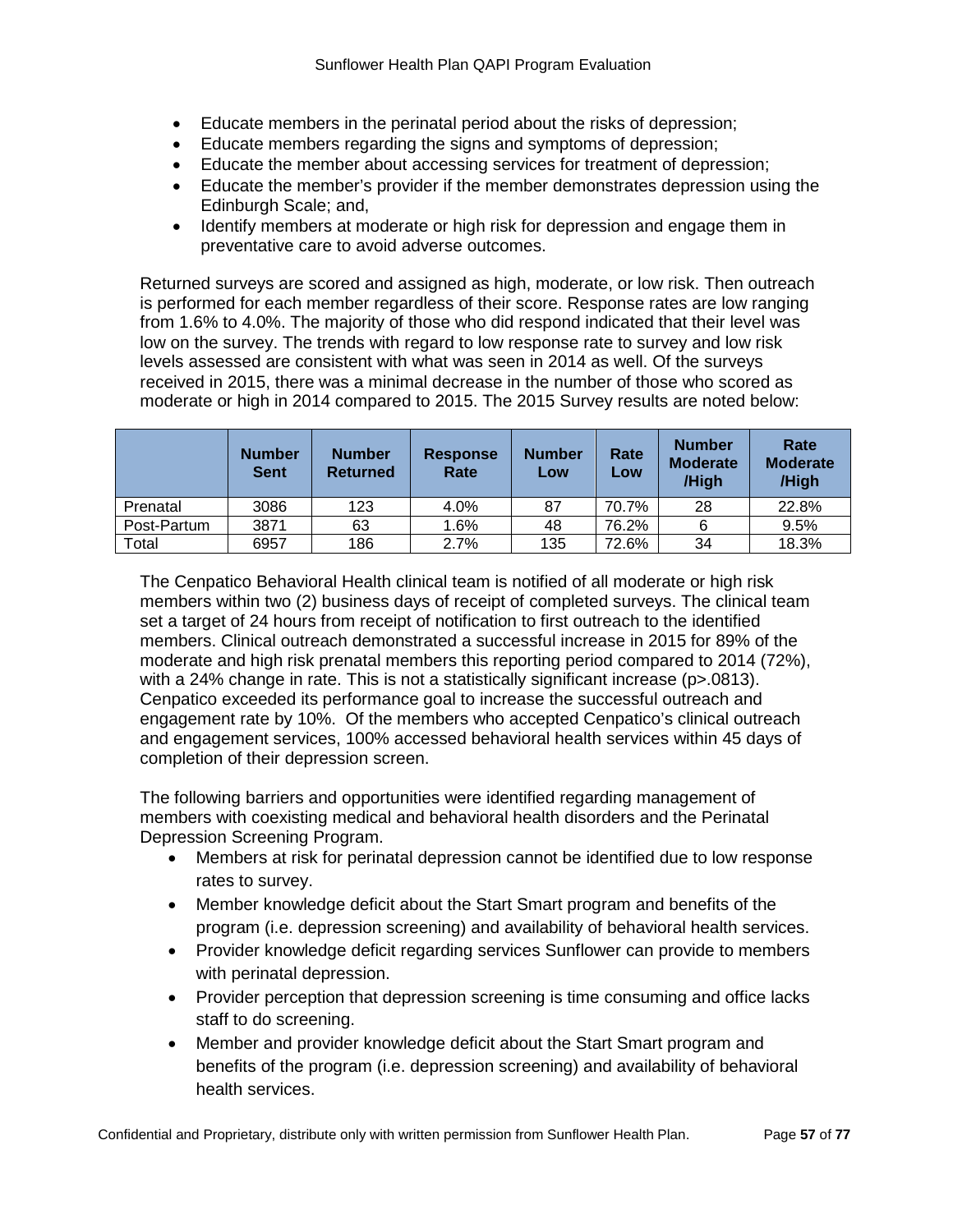- Educate members in the perinatal period about the risks of depression;
- Educate members regarding the signs and symptoms of depression;
- Educate the member about accessing services for treatment of depression;
- Educate the member's provider if the member demonstrates depression using the Edinburgh Scale; and,
- Identify members at moderate or high risk for depression and engage them in preventative care to avoid adverse outcomes.

Returned surveys are scored and assigned as high, moderate, or low risk. Then outreach is performed for each member regardless of their score. Response rates are low ranging from 1.6% to 4.0%. The majority of those who did respond indicated that their level was low on the survey. The trends with regard to low response rate to survey and low risk levels assessed are consistent with what was seen in 2014 as well. Of the surveys received in 2015, there was a minimal decrease in the number of those who scored as moderate or high in 2014 compared to 2015. The 2015 Survey results are noted below:

|             | <b>Number</b><br><b>Sent</b> | <b>Number</b><br><b>Returned</b> | <b>Response</b><br>Rate | <b>Number</b><br>Low | Rate<br>Low | <b>Number</b><br><b>Moderate</b><br>/High | Rate<br><b>Moderate</b><br>/High |
|-------------|------------------------------|----------------------------------|-------------------------|----------------------|-------------|-------------------------------------------|----------------------------------|
| Prenatal    | 3086                         | 123                              | 4.0%                    | 87                   | 70.7%       | 28                                        | 22.8%                            |
| Post-Partum | 3871                         | 63                               | 1.6%                    | 48                   | 76.2%       | 6                                         | 9.5%                             |
| Total       | 6957                         | 186                              | 2.7%                    | 135                  | 72.6%       | 34                                        | 18.3%                            |

The Cenpatico Behavioral Health clinical team is notified of all moderate or high risk members within two (2) business days of receipt of completed surveys. The clinical team set a target of 24 hours from receipt of notification to first outreach to the identified members. Clinical outreach demonstrated a successful increase in 2015 for 89% of the moderate and high risk prenatal members this reporting period compared to 2014 (72%), with a 24% change in rate. This is not a statistically significant increase (p>.0813). Cenpatico exceeded its performance goal to increase the successful outreach and engagement rate by 10%. Of the members who accepted Cenpatico's clinical outreach and engagement services, 100% accessed behavioral health services within 45 days of completion of their depression screen.

The following barriers and opportunities were identified regarding management of members with coexisting medical and behavioral health disorders and the Perinatal Depression Screening Program.

- Members at risk for perinatal depression cannot be identified due to low response rates to survey.
- Member knowledge deficit about the Start Smart program and benefits of the program (i.e. depression screening) and availability of behavioral health services.
- Provider knowledge deficit regarding services Sunflower can provide to members with perinatal depression.
- Provider perception that depression screening is time consuming and office lacks staff to do screening.
- Member and provider knowledge deficit about the Start Smart program and benefits of the program (i.e. depression screening) and availability of behavioral health services.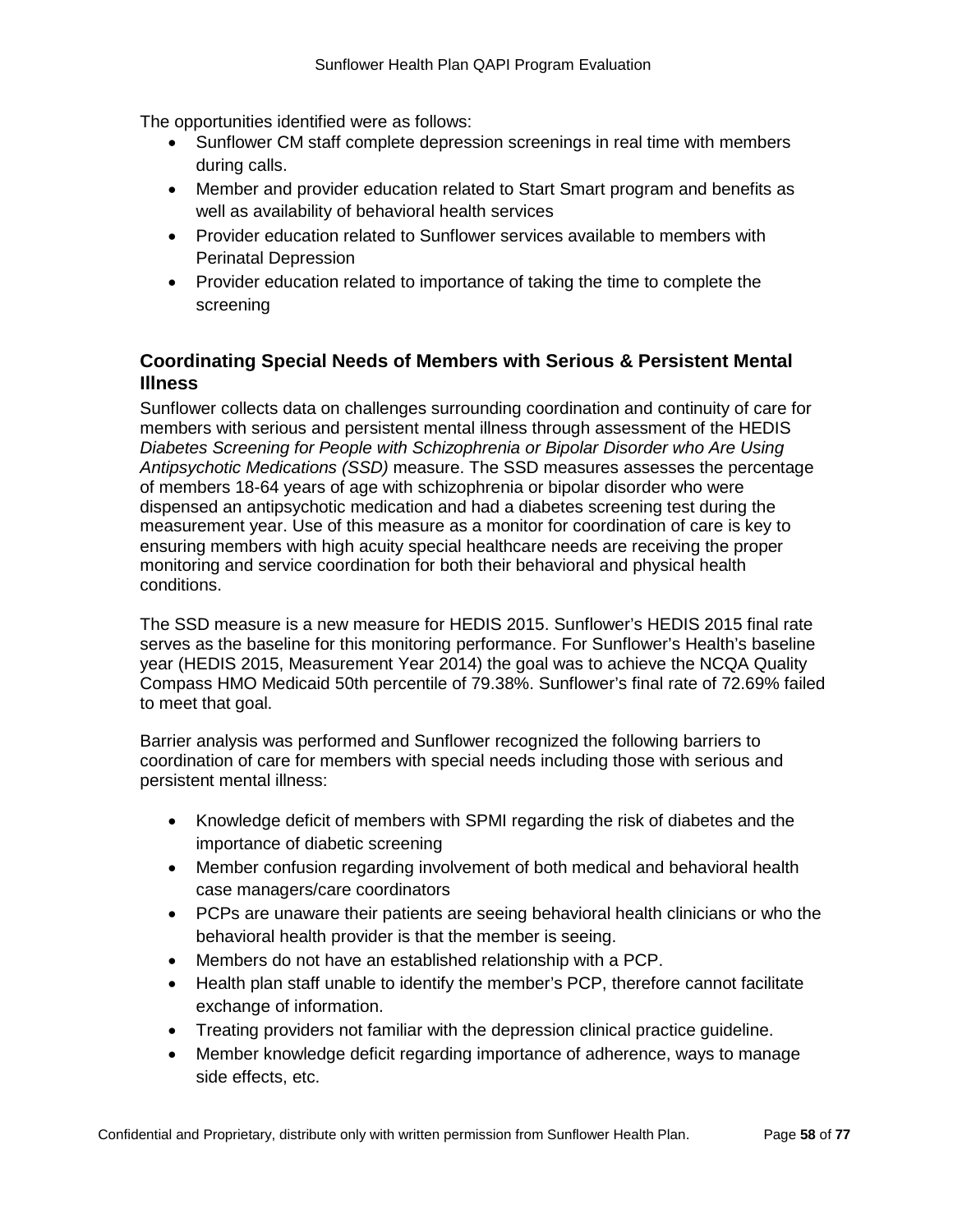The opportunities identified were as follows:

- Sunflower CM staff complete depression screenings in real time with members during calls.
- Member and provider education related to Start Smart program and benefits as well as availability of behavioral health services
- Provider education related to Sunflower services available to members with Perinatal Depression
- Provider education related to importance of taking the time to complete the screening

# **Coordinating Special Needs of Members with Serious & Persistent Mental Illness**

Sunflower collects data on challenges surrounding coordination and continuity of care for members with serious and persistent mental illness through assessment of the HEDIS *Diabetes Screening for People with Schizophrenia or Bipolar Disorder who Are Using Antipsychotic Medications (SSD)* measure. The SSD measures assesses the percentage of members 18-64 years of age with schizophrenia or bipolar disorder who were dispensed an antipsychotic medication and had a diabetes screening test during the measurement year. Use of this measure as a monitor for coordination of care is key to ensuring members with high acuity special healthcare needs are receiving the proper monitoring and service coordination for both their behavioral and physical health conditions.

The SSD measure is a new measure for HEDIS 2015. Sunflower's HEDIS 2015 final rate serves as the baseline for this monitoring performance. For Sunflower's Health's baseline year (HEDIS 2015, Measurement Year 2014) the goal was to achieve the NCQA Quality Compass HMO Medicaid 50th percentile of 79.38%. Sunflower's final rate of 72.69% failed to meet that goal.

Barrier analysis was performed and Sunflower recognized the following barriers to coordination of care for members with special needs including those with serious and persistent mental illness:

- Knowledge deficit of members with SPMI regarding the risk of diabetes and the importance of diabetic screening
- Member confusion regarding involvement of both medical and behavioral health case managers/care coordinators
- PCPs are unaware their patients are seeing behavioral health clinicians or who the behavioral health provider is that the member is seeing.
- Members do not have an established relationship with a PCP.
- Health plan staff unable to identify the member's PCP, therefore cannot facilitate exchange of information.
- Treating providers not familiar with the depression clinical practice guideline.
- Member knowledge deficit regarding importance of adherence, ways to manage side effects, etc.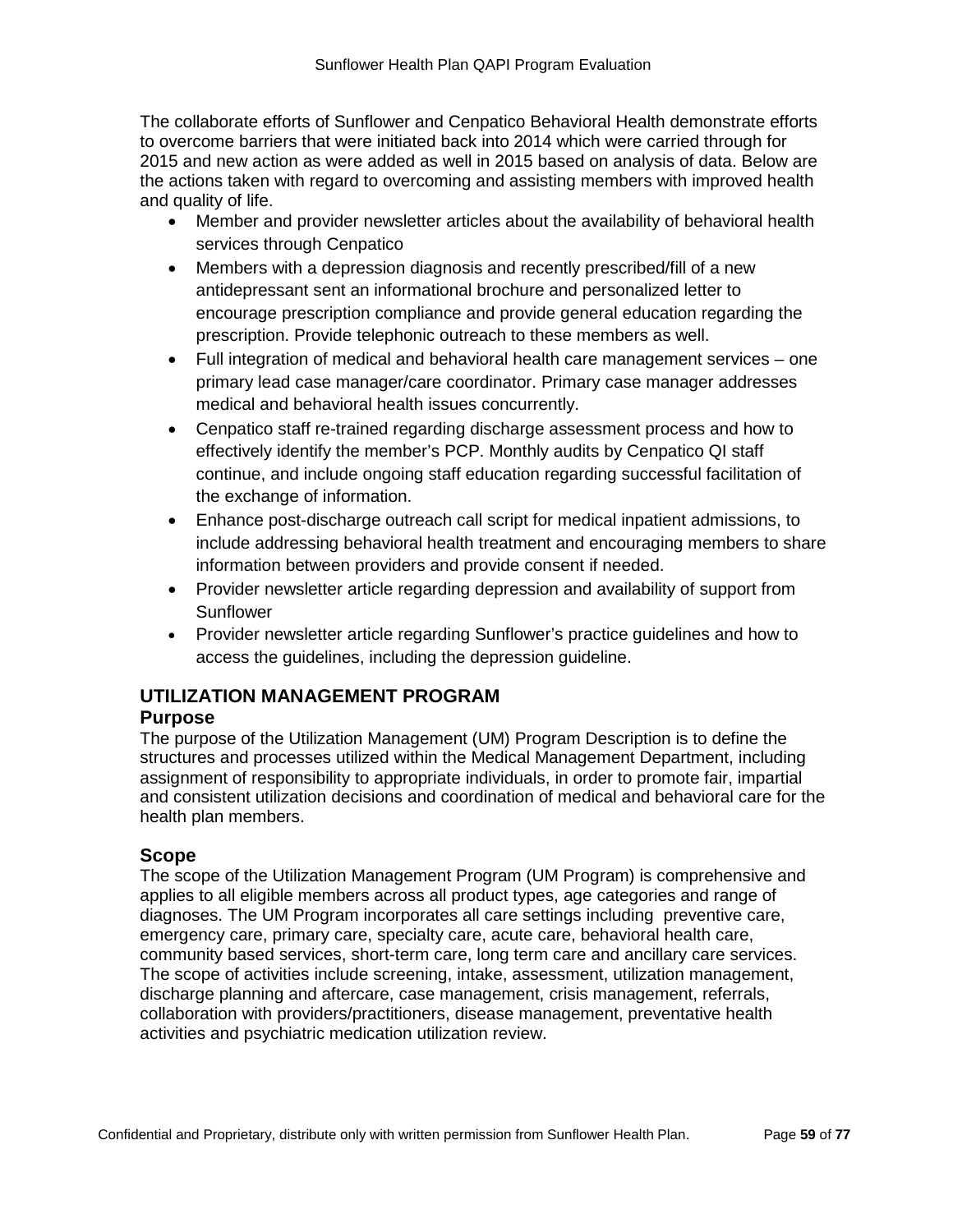The collaborate efforts of Sunflower and Cenpatico Behavioral Health demonstrate efforts to overcome barriers that were initiated back into 2014 which were carried through for 2015 and new action as were added as well in 2015 based on analysis of data. Below are the actions taken with regard to overcoming and assisting members with improved health and quality of life.

- Member and provider newsletter articles about the availability of behavioral health services through Cenpatico
- Members with a depression diagnosis and recently prescribed/fill of a new antidepressant sent an informational brochure and personalized letter to encourage prescription compliance and provide general education regarding the prescription. Provide telephonic outreach to these members as well.
- Full integration of medical and behavioral health care management services one primary lead case manager/care coordinator. Primary case manager addresses medical and behavioral health issues concurrently.
- Cenpatico staff re-trained regarding discharge assessment process and how to effectively identify the member's PCP. Monthly audits by Cenpatico QI staff continue, and include ongoing staff education regarding successful facilitation of the exchange of information.
- Enhance post-discharge outreach call script for medical inpatient admissions, to include addressing behavioral health treatment and encouraging members to share information between providers and provide consent if needed.
- Provider newsletter article regarding depression and availability of support from Sunflower
- Provider newsletter article regarding Sunflower's practice guidelines and how to access the guidelines, including the depression guideline.

# **UTILIZATION MANAGEMENT PROGRAM**

### **Purpose**

The purpose of the Utilization Management (UM) Program Description is to define the structures and processes utilized within the Medical Management Department, including assignment of responsibility to appropriate individuals, in order to promote fair, impartial and consistent utilization decisions and coordination of medical and behavioral care for the health plan members.

### **Scope**

The scope of the Utilization Management Program (UM Program) is comprehensive and applies to all eligible members across all product types, age categories and range of diagnoses. The UM Program incorporates all care settings including preventive care, emergency care, primary care, specialty care, acute care, behavioral health care, community based services, short-term care, long term care and ancillary care services. The scope of activities include screening, intake, assessment, utilization management, discharge planning and aftercare, case management, crisis management, referrals, collaboration with providers/practitioners, disease management, preventative health activities and psychiatric medication utilization review.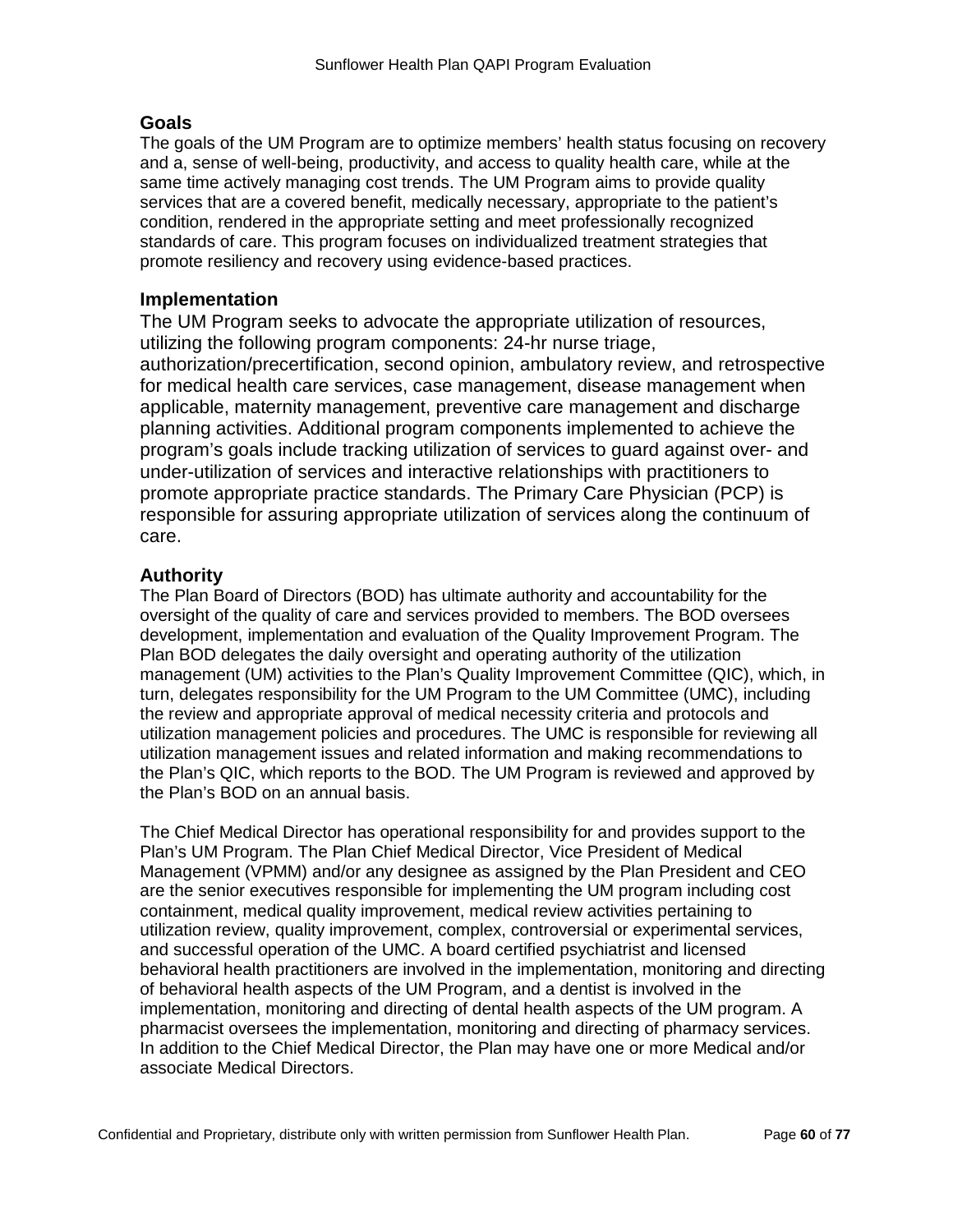### **Goals**

The goals of the UM Program are to optimize members' health status focusing on recovery and a, sense of well-being, productivity, and access to quality health care, while at the same time actively managing cost trends. The UM Program aims to provide quality services that are a covered benefit, medically necessary, appropriate to the patient's condition, rendered in the appropriate setting and meet professionally recognized standards of care. This program focuses on individualized treatment strategies that promote resiliency and recovery using evidence-based practices.

### **Implementation**

The UM Program seeks to advocate the appropriate utilization of resources, utilizing the following program components: 24-hr nurse triage, authorization/precertification, second opinion, ambulatory review, and retrospective for medical health care services, case management, disease management when applicable, maternity management, preventive care management and discharge planning activities. Additional program components implemented to achieve the program's goals include tracking utilization of services to guard against over- and under-utilization of services and interactive relationships with practitioners to promote appropriate practice standards. The Primary Care Physician (PCP) is responsible for assuring appropriate utilization of services along the continuum of care.

# **Authority**

The Plan Board of Directors (BOD) has ultimate authority and accountability for the oversight of the quality of care and services provided to members. The BOD oversees development, implementation and evaluation of the Quality Improvement Program. The Plan BOD delegates the daily oversight and operating authority of the utilization management (UM) activities to the Plan's Quality Improvement Committee (QIC), which, in turn, delegates responsibility for the UM Program to the UM Committee (UMC), including the review and appropriate approval of medical necessity criteria and protocols and utilization management policies and procedures. The UMC is responsible for reviewing all utilization management issues and related information and making recommendations to the Plan's QIC, which reports to the BOD. The UM Program is reviewed and approved by the Plan's BOD on an annual basis.

The Chief Medical Director has operational responsibility for and provides support to the Plan's UM Program. The Plan Chief Medical Director, Vice President of Medical Management (VPMM) and/or any designee as assigned by the Plan President and CEO are the senior executives responsible for implementing the UM program including cost containment, medical quality improvement, medical review activities pertaining to utilization review, quality improvement, complex, controversial or experimental services, and successful operation of the UMC. A board certified psychiatrist and licensed behavioral health practitioners are involved in the implementation, monitoring and directing of behavioral health aspects of the UM Program, and a dentist is involved in the implementation, monitoring and directing of dental health aspects of the UM program. A pharmacist oversees the implementation, monitoring and directing of pharmacy services. In addition to the Chief Medical Director, the Plan may have one or more Medical and/or associate Medical Directors.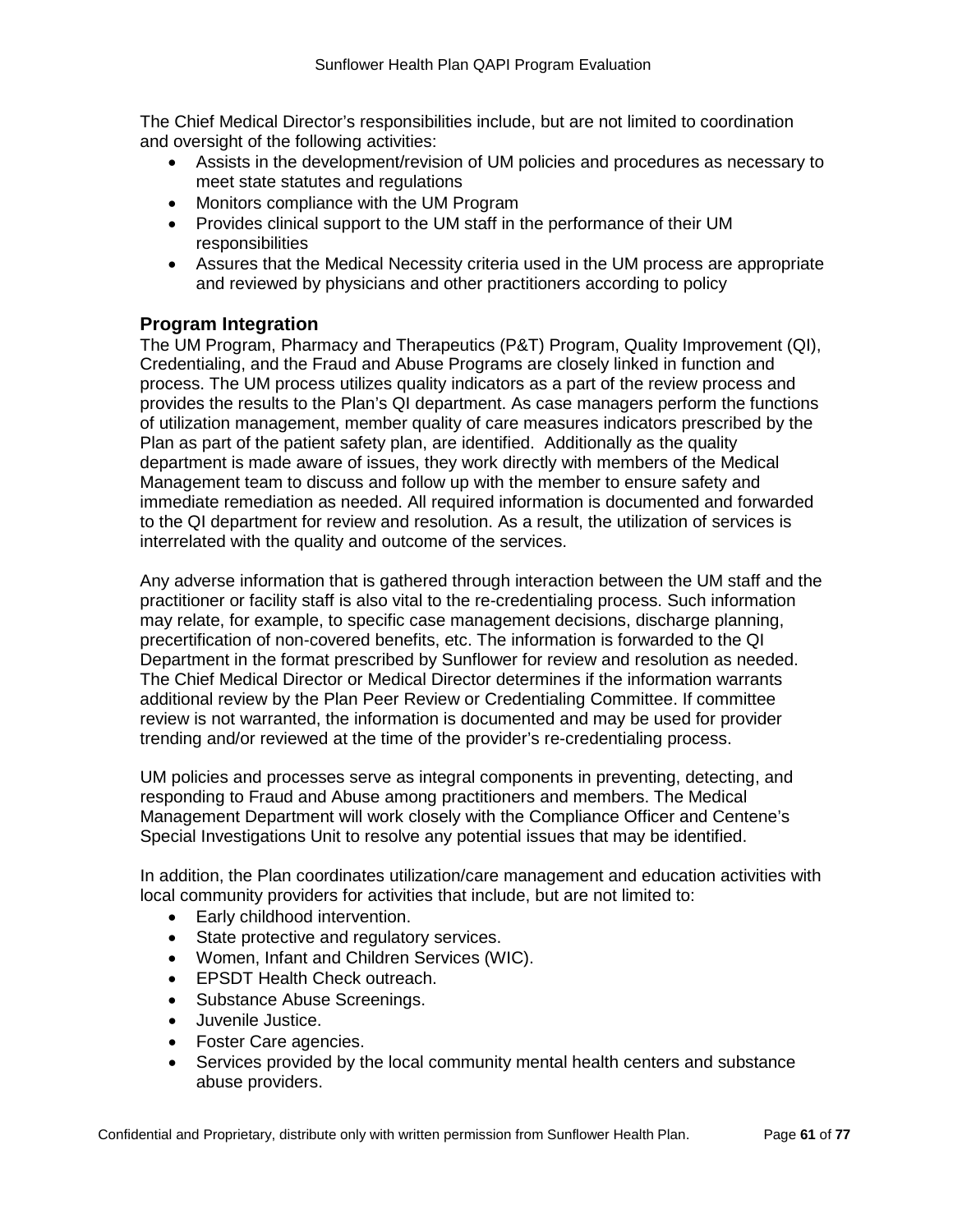The Chief Medical Director's responsibilities include, but are not limited to coordination and oversight of the following activities:

- Assists in the development/revision of UM policies and procedures as necessary to meet state statutes and regulations
- Monitors compliance with the UM Program
- Provides clinical support to the UM staff in the performance of their UM responsibilities
- Assures that the Medical Necessity criteria used in the UM process are appropriate and reviewed by physicians and other practitioners according to policy

# **Program Integration**

The UM Program, Pharmacy and Therapeutics (P&T) Program, Quality Improvement (QI), Credentialing, and the Fraud and Abuse Programs are closely linked in function and process. The UM process utilizes quality indicators as a part of the review process and provides the results to the Plan's QI department. As case managers perform the functions of utilization management, member quality of care measures indicators prescribed by the Plan as part of the patient safety plan, are identified. Additionally as the quality department is made aware of issues, they work directly with members of the Medical Management team to discuss and follow up with the member to ensure safety and immediate remediation as needed. All required information is documented and forwarded to the QI department for review and resolution. As a result, the utilization of services is interrelated with the quality and outcome of the services.

Any adverse information that is gathered through interaction between the UM staff and the practitioner or facility staff is also vital to the re-credentialing process. Such information may relate, for example, to specific case management decisions, discharge planning, precertification of non-covered benefits, etc. The information is forwarded to the QI Department in the format prescribed by Sunflower for review and resolution as needed. The Chief Medical Director or Medical Director determines if the information warrants additional review by the Plan Peer Review or Credentialing Committee. If committee review is not warranted, the information is documented and may be used for provider trending and/or reviewed at the time of the provider's re-credentialing process.

UM policies and processes serve as integral components in preventing, detecting, and responding to Fraud and Abuse among practitioners and members. The Medical Management Department will work closely with the Compliance Officer and Centene's Special Investigations Unit to resolve any potential issues that may be identified.

In addition, the Plan coordinates utilization/care management and education activities with local community providers for activities that include, but are not limited to:

- Early childhood intervention.
- State protective and regulatory services.
- Women, Infant and Children Services (WIC).
- EPSDT Health Check outreach.
- Substance Abuse Screenings.
- Juvenile Justice.
- Foster Care agencies.
- Services provided by the local community mental health centers and substance abuse providers.

Confidential and Proprietary, distribute only with written permission from Sunflower Health Plan. Page **61** of **77**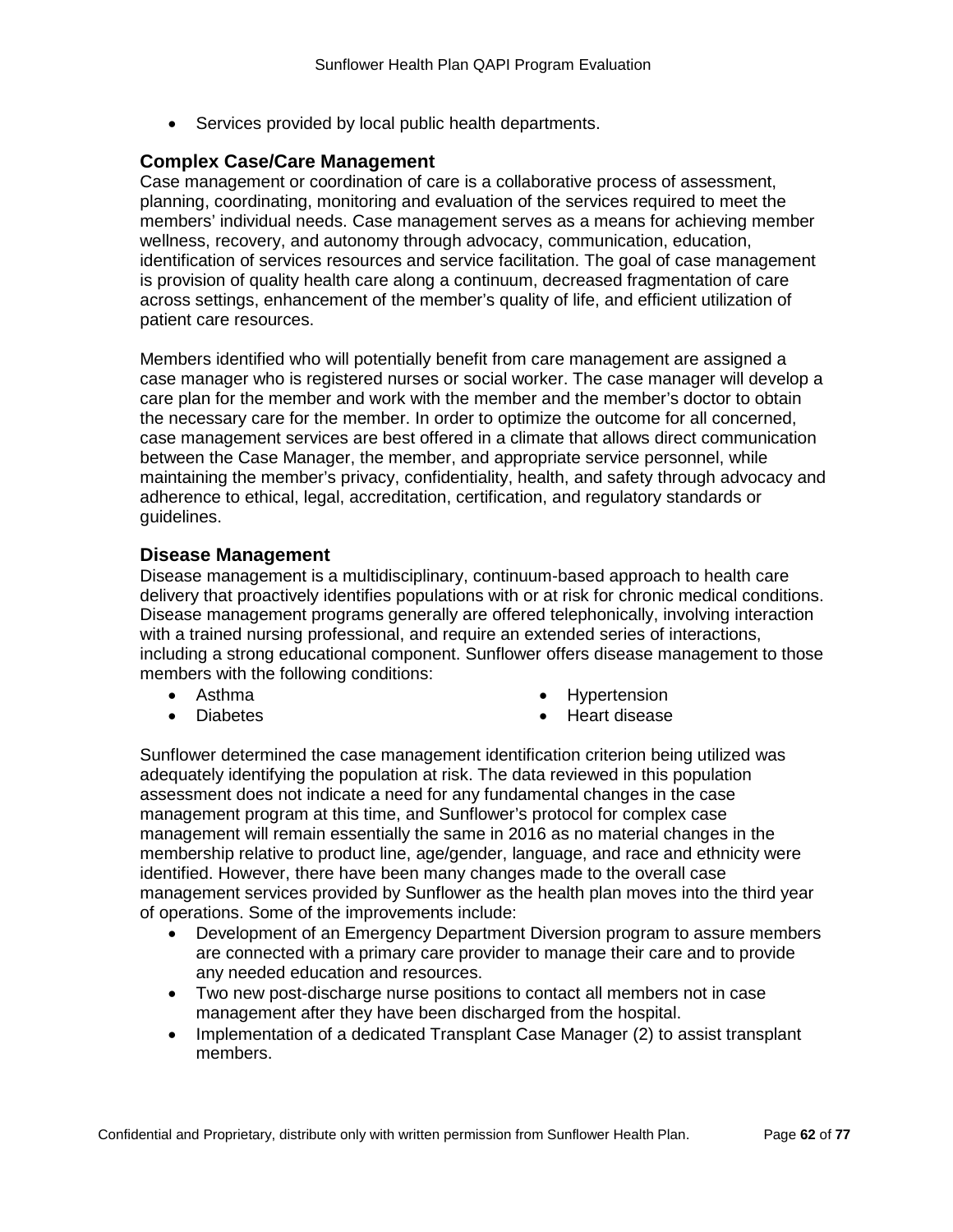• Services provided by local public health departments.

#### **Complex Case/Care Management**

Case management or coordination of care is a collaborative process of assessment, planning, coordinating, monitoring and evaluation of the services required to meet the members' individual needs. Case management serves as a means for achieving member wellness, recovery, and autonomy through advocacy, communication, education, identification of services resources and service facilitation. The goal of case management is provision of quality health care along a continuum, decreased fragmentation of care across settings, enhancement of the member's quality of life, and efficient utilization of patient care resources.

Members identified who will potentially benefit from care management are assigned a case manager who is registered nurses or social worker. The case manager will develop a care plan for the member and work with the member and the member's doctor to obtain the necessary care for the member. In order to optimize the outcome for all concerned, case management services are best offered in a climate that allows direct communication between the Case Manager, the member, and appropriate service personnel, while maintaining the member's privacy, confidentiality, health, and safety through advocacy and adherence to ethical, legal, accreditation, certification, and regulatory standards or guidelines.

#### **Disease Management**

Disease management is a multidisciplinary, continuum-based approach to health care delivery that proactively identifies populations with or at risk for chronic medical conditions. Disease management programs generally are offered telephonically, involving interaction with a trained nursing professional, and require an extended series of interactions, including a strong educational component. Sunflower offers disease management to those members with the following conditions:

• Asthma

**Hypertension** 

• Diabetes

• Heart disease

Sunflower determined the case management identification criterion being utilized was adequately identifying the population at risk. The data reviewed in this population assessment does not indicate a need for any fundamental changes in the case management program at this time, and Sunflower's protocol for complex case management will remain essentially the same in 2016 as no material changes in the membership relative to product line, age/gender, language, and race and ethnicity were identified. However, there have been many changes made to the overall case management services provided by Sunflower as the health plan moves into the third year of operations. Some of the improvements include:

- Development of an Emergency Department Diversion program to assure members are connected with a primary care provider to manage their care and to provide any needed education and resources.
- Two new post-discharge nurse positions to contact all members not in case management after they have been discharged from the hospital.
- Implementation of a dedicated Transplant Case Manager (2) to assist transplant members.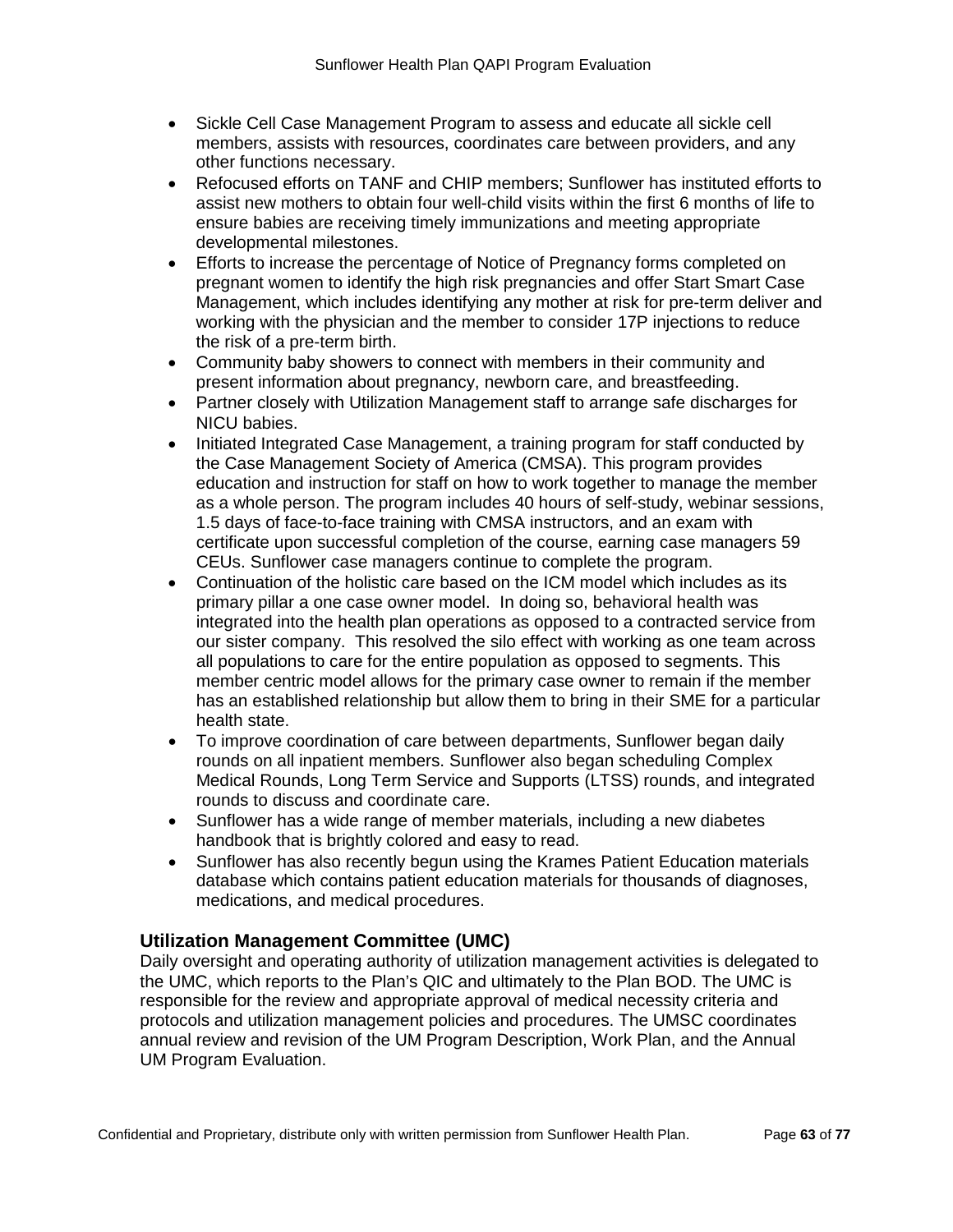- Sickle Cell Case Management Program to assess and educate all sickle cell members, assists with resources, coordinates care between providers, and any other functions necessary.
- Refocused efforts on TANF and CHIP members; Sunflower has instituted efforts to assist new mothers to obtain four well-child visits within the first 6 months of life to ensure babies are receiving timely immunizations and meeting appropriate developmental milestones.
- Efforts to increase the percentage of Notice of Pregnancy forms completed on pregnant women to identify the high risk pregnancies and offer Start Smart Case Management, which includes identifying any mother at risk for pre-term deliver and working with the physician and the member to consider 17P injections to reduce the risk of a pre-term birth.
- Community baby showers to connect with members in their community and present information about pregnancy, newborn care, and breastfeeding.
- Partner closely with Utilization Management staff to arrange safe discharges for NICU babies.
- Initiated Integrated Case Management, a training program for staff conducted by the Case Management Society of America (CMSA). This program provides education and instruction for staff on how to work together to manage the member as a whole person. The program includes 40 hours of self-study, webinar sessions, 1.5 days of face-to-face training with CMSA instructors, and an exam with certificate upon successful completion of the course, earning case managers 59 CEUs. Sunflower case managers continue to complete the program.
- Continuation of the holistic care based on the ICM model which includes as its primary pillar a one case owner model. In doing so, behavioral health was integrated into the health plan operations as opposed to a contracted service from our sister company. This resolved the silo effect with working as one team across all populations to care for the entire population as opposed to segments. This member centric model allows for the primary case owner to remain if the member has an established relationship but allow them to bring in their SME for a particular health state.
- To improve coordination of care between departments, Sunflower began daily rounds on all inpatient members. Sunflower also began scheduling Complex Medical Rounds, Long Term Service and Supports (LTSS) rounds, and integrated rounds to discuss and coordinate care.
- Sunflower has a wide range of member materials, including a new diabetes handbook that is brightly colored and easy to read.
- Sunflower has also recently begun using the Krames Patient Education materials database which contains patient education materials for thousands of diagnoses, medications, and medical procedures.

# **Utilization Management Committee (UMC)**

Daily oversight and operating authority of utilization management activities is delegated to the UMC, which reports to the Plan's QIC and ultimately to the Plan BOD. The UMC is responsible for the review and appropriate approval of medical necessity criteria and protocols and utilization management policies and procedures. The UMSC coordinates annual review and revision of the UM Program Description, Work Plan, and the Annual UM Program Evaluation.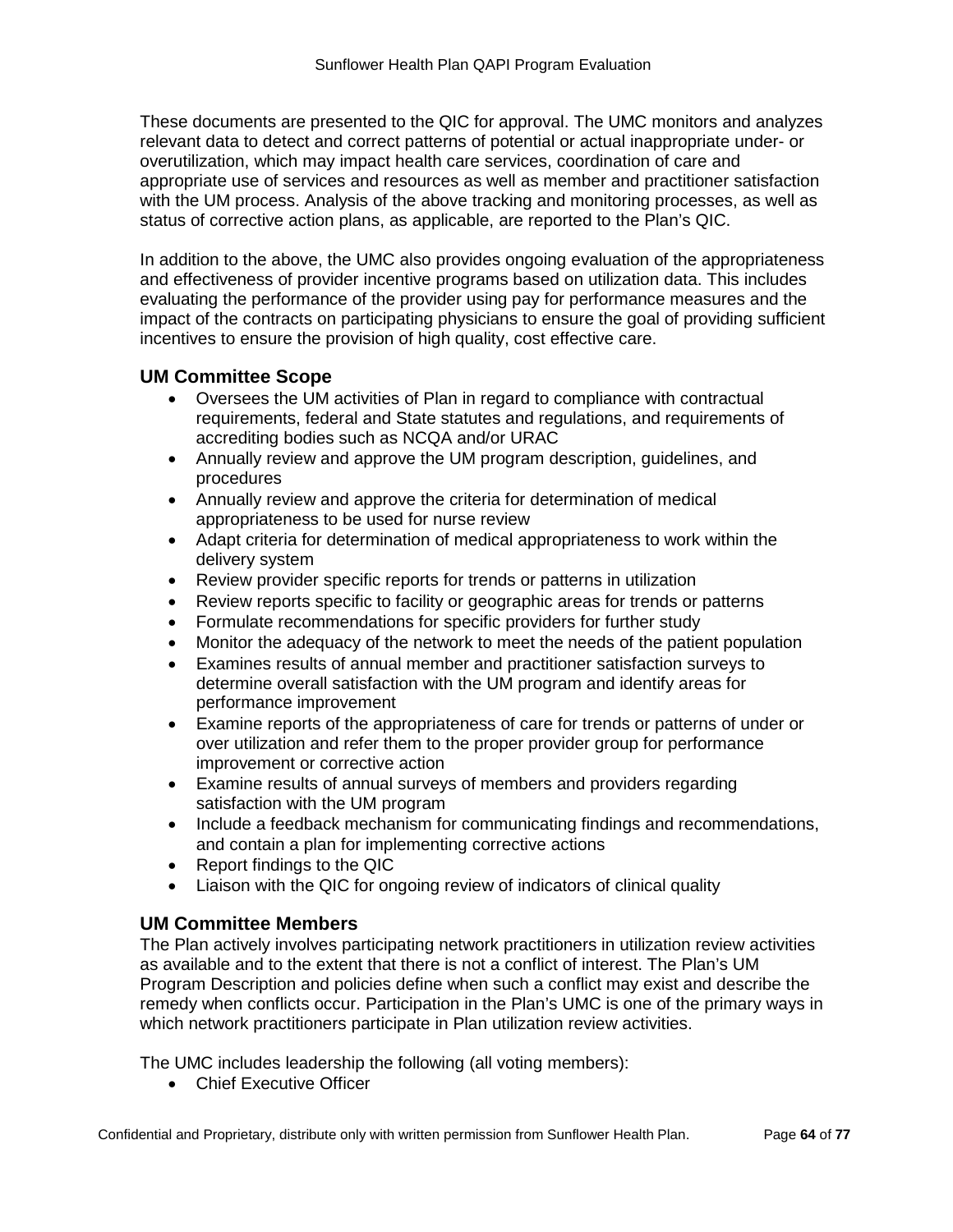These documents are presented to the QIC for approval. The UMC monitors and analyzes relevant data to detect and correct patterns of potential or actual inappropriate under- or overutilization, which may impact health care services, coordination of care and appropriate use of services and resources as well as member and practitioner satisfaction with the UM process. Analysis of the above tracking and monitoring processes, as well as status of corrective action plans, as applicable, are reported to the Plan's QIC.

In addition to the above, the UMC also provides ongoing evaluation of the appropriateness and effectiveness of provider incentive programs based on utilization data. This includes evaluating the performance of the provider using pay for performance measures and the impact of the contracts on participating physicians to ensure the goal of providing sufficient incentives to ensure the provision of high quality, cost effective care.

### **UM Committee Scope**

- Oversees the UM activities of Plan in regard to compliance with contractual requirements, federal and State statutes and regulations, and requirements of accrediting bodies such as NCQA and/or URAC
- Annually review and approve the UM program description, guidelines, and procedures
- Annually review and approve the criteria for determination of medical appropriateness to be used for nurse review
- Adapt criteria for determination of medical appropriateness to work within the delivery system
- Review provider specific reports for trends or patterns in utilization
- Review reports specific to facility or geographic areas for trends or patterns
- Formulate recommendations for specific providers for further study
- Monitor the adequacy of the network to meet the needs of the patient population
- Examines results of annual member and practitioner satisfaction surveys to determine overall satisfaction with the UM program and identify areas for performance improvement
- Examine reports of the appropriateness of care for trends or patterns of under or over utilization and refer them to the proper provider group for performance improvement or corrective action
- Examine results of annual surveys of members and providers regarding satisfaction with the UM program
- Include a feedback mechanism for communicating findings and recommendations, and contain a plan for implementing corrective actions
- Report findings to the QIC
- Liaison with the QIC for ongoing review of indicators of clinical quality

### **UM Committee Members**

The Plan actively involves participating network practitioners in utilization review activities as available and to the extent that there is not a conflict of interest. The Plan's UM Program Description and policies define when such a conflict may exist and describe the remedy when conflicts occur. Participation in the Plan's UMC is one of the primary ways in which network practitioners participate in Plan utilization review activities.

The UMC includes leadership the following (all voting members):

• Chief Executive Officer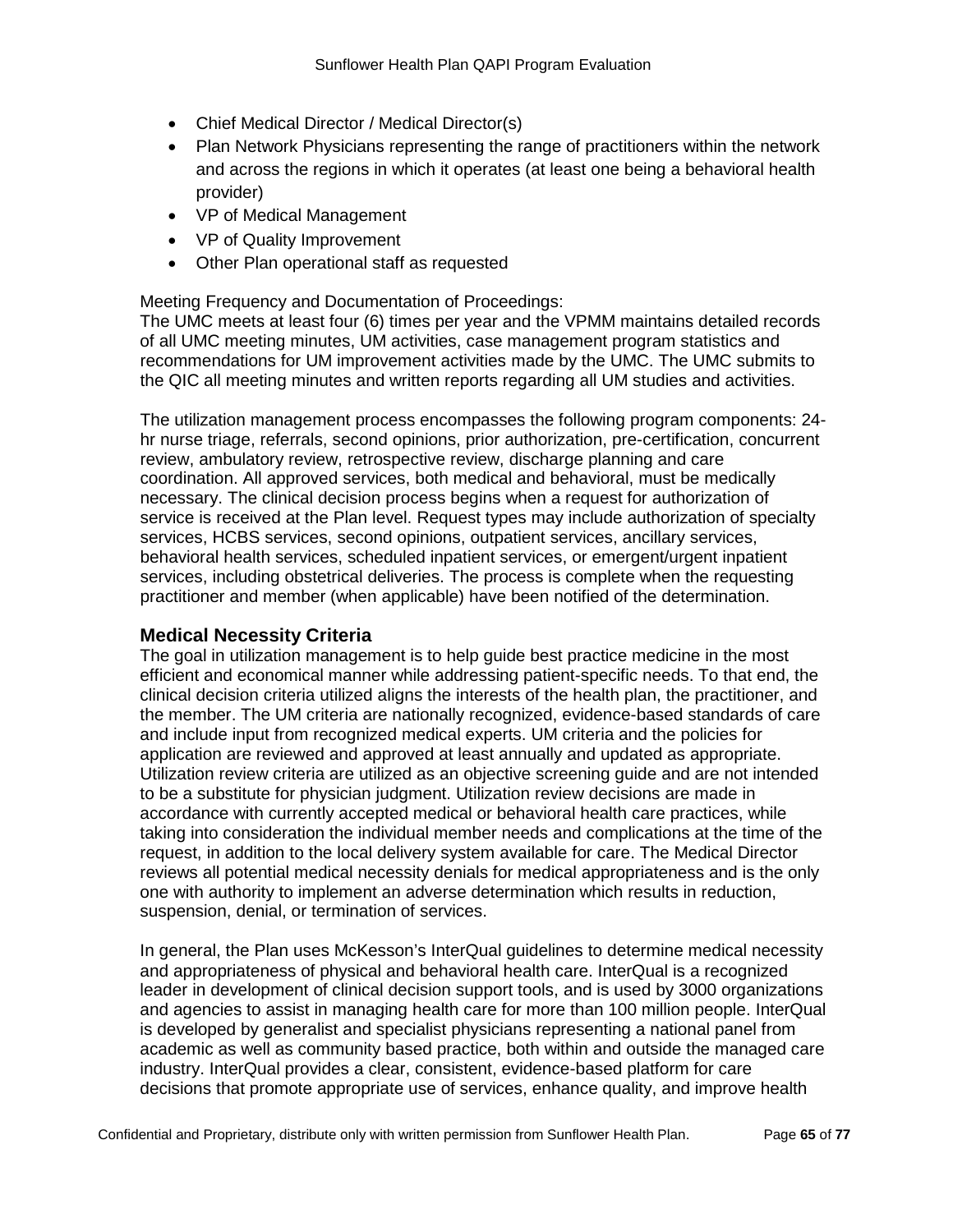- Chief Medical Director / Medical Director(s)
- Plan Network Physicians representing the range of practitioners within the network and across the regions in which it operates (at least one being a behavioral health provider)
- VP of Medical Management
- VP of Quality Improvement
- Other Plan operational staff as requested

Meeting Frequency and Documentation of Proceedings:

The UMC meets at least four (6) times per year and the VPMM maintains detailed records of all UMC meeting minutes, UM activities, case management program statistics and recommendations for UM improvement activities made by the UMC. The UMC submits to the QIC all meeting minutes and written reports regarding all UM studies and activities.

The utilization management process encompasses the following program components: 24 hr nurse triage, referrals, second opinions, prior authorization, pre-certification, concurrent review, ambulatory review, retrospective review, discharge planning and care coordination. All approved services, both medical and behavioral, must be medically necessary. The clinical decision process begins when a request for authorization of service is received at the Plan level. Request types may include authorization of specialty services, HCBS services, second opinions, outpatient services, ancillary services, behavioral health services, scheduled inpatient services, or emergent/urgent inpatient services, including obstetrical deliveries. The process is complete when the requesting practitioner and member (when applicable) have been notified of the determination.

# **Medical Necessity Criteria**

The goal in utilization management is to help guide best practice medicine in the most efficient and economical manner while addressing patient-specific needs. To that end, the clinical decision criteria utilized aligns the interests of the health plan, the practitioner, and the member. The UM criteria are nationally recognized, evidence-based standards of care and include input from recognized medical experts. UM criteria and the policies for application are reviewed and approved at least annually and updated as appropriate. Utilization review criteria are utilized as an objective screening guide and are not intended to be a substitute for physician judgment. Utilization review decisions are made in accordance with currently accepted medical or behavioral health care practices, while taking into consideration the individual member needs and complications at the time of the request, in addition to the local delivery system available for care. The Medical Director reviews all potential medical necessity denials for medical appropriateness and is the only one with authority to implement an adverse determination which results in reduction, suspension, denial, or termination of services.

In general, the Plan uses McKesson's InterQual guidelines to determine medical necessity and appropriateness of physical and behavioral health care. InterQual is a recognized leader in development of clinical decision support tools, and is used by 3000 organizations and agencies to assist in managing health care for more than 100 million people. InterQual is developed by generalist and specialist physicians representing a national panel from academic as well as community based practice, both within and outside the managed care industry. InterQual provides a clear, consistent, evidence-based platform for care decisions that promote appropriate use of services, enhance quality, and improve health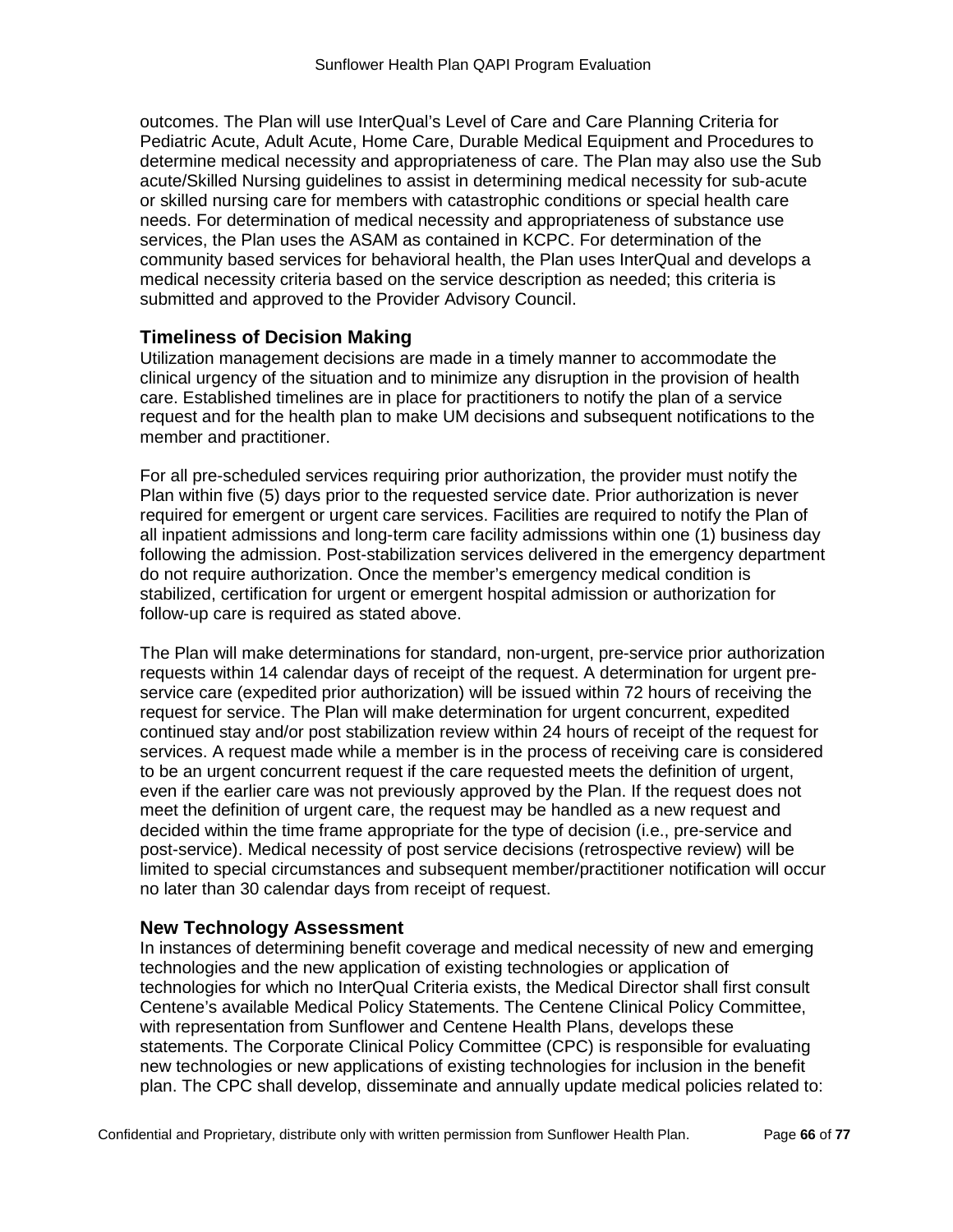outcomes. The Plan will use InterQual's Level of Care and Care Planning Criteria for Pediatric Acute, Adult Acute, Home Care, Durable Medical Equipment and Procedures to determine medical necessity and appropriateness of care. The Plan may also use the Sub acute/Skilled Nursing guidelines to assist in determining medical necessity for sub-acute or skilled nursing care for members with catastrophic conditions or special health care needs. For determination of medical necessity and appropriateness of substance use services, the Plan uses the ASAM as contained in KCPC. For determination of the community based services for behavioral health, the Plan uses InterQual and develops a medical necessity criteria based on the service description as needed; this criteria is submitted and approved to the Provider Advisory Council.

### **Timeliness of Decision Making**

Utilization management decisions are made in a timely manner to accommodate the clinical urgency of the situation and to minimize any disruption in the provision of health care. Established timelines are in place for practitioners to notify the plan of a service request and for the health plan to make UM decisions and subsequent notifications to the member and practitioner.

For all pre-scheduled services requiring prior authorization, the provider must notify the Plan within five (5) days prior to the requested service date. Prior authorization is never required for emergent or urgent care services. Facilities are required to notify the Plan of all inpatient admissions and long-term care facility admissions within one (1) business day following the admission. Post-stabilization services delivered in the emergency department do not require authorization. Once the member's emergency medical condition is stabilized, certification for urgent or emergent hospital admission or authorization for follow-up care is required as stated above.

The Plan will make determinations for standard, non-urgent, pre-service prior authorization requests within 14 calendar days of receipt of the request. A determination for urgent preservice care (expedited prior authorization) will be issued within 72 hours of receiving the request for service. The Plan will make determination for urgent concurrent, expedited continued stay and/or post stabilization review within 24 hours of receipt of the request for services. A request made while a member is in the process of receiving care is considered to be an urgent concurrent request if the care requested meets the definition of urgent, even if the earlier care was not previously approved by the Plan. If the request does not meet the definition of urgent care, the request may be handled as a new request and decided within the time frame appropriate for the type of decision (i.e., pre-service and post-service). Medical necessity of post service decisions (retrospective review) will be limited to special circumstances and subsequent member/practitioner notification will occur no later than 30 calendar days from receipt of request.

### **New Technology Assessment**

In instances of determining benefit coverage and medical necessity of new and emerging technologies and the new application of existing technologies or application of technologies for which no InterQual Criteria exists, the Medical Director shall first consult Centene's available Medical Policy Statements. The Centene Clinical Policy Committee, with representation from Sunflower and Centene Health Plans, develops these statements. The Corporate Clinical Policy Committee (CPC) is responsible for evaluating new technologies or new applications of existing technologies for inclusion in the benefit plan. The CPC shall develop, disseminate and annually update medical policies related to: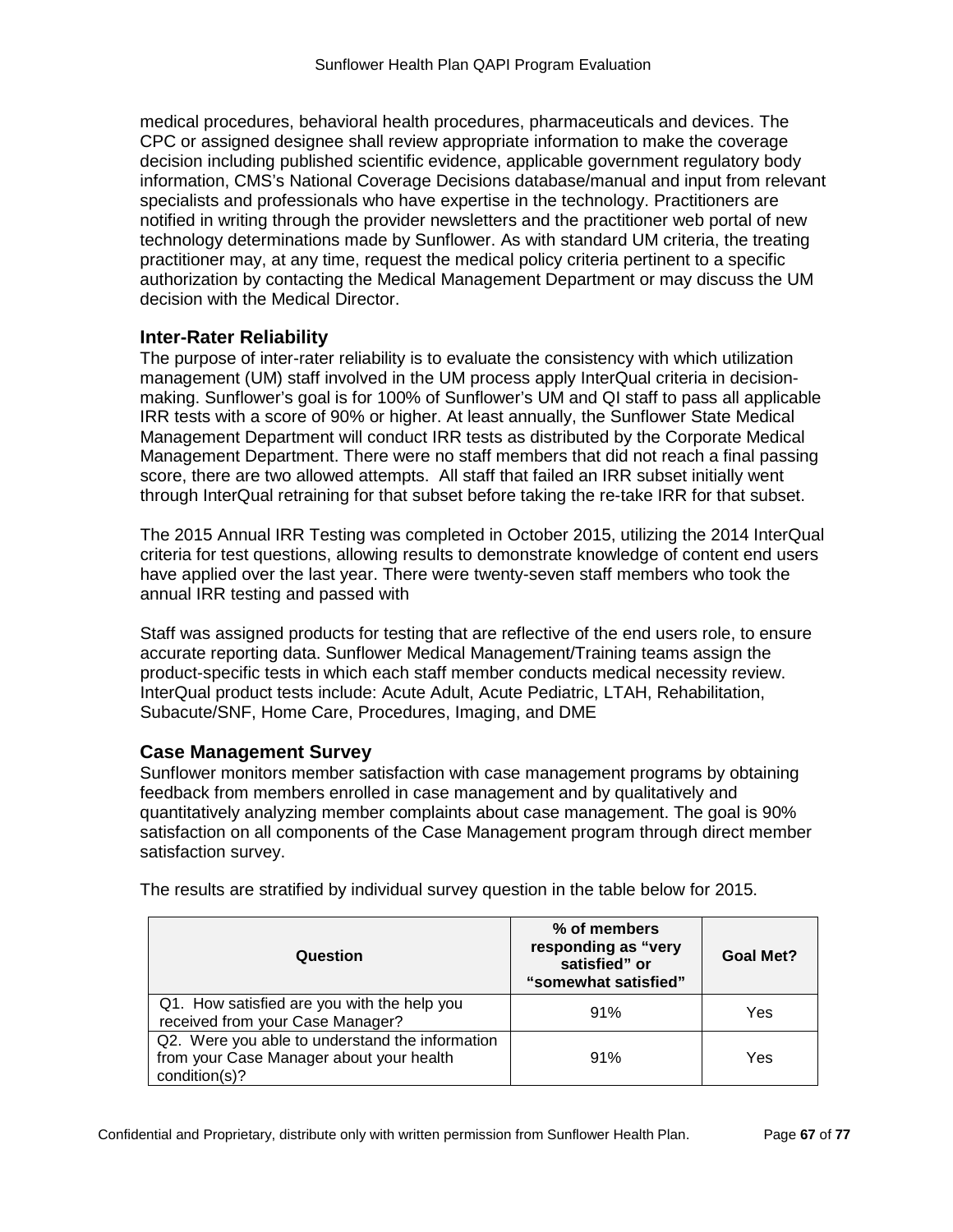medical procedures, behavioral health procedures, pharmaceuticals and devices. The CPC or assigned designee shall review appropriate information to make the coverage decision including published scientific evidence, applicable government regulatory body information, CMS's National Coverage Decisions database/manual and input from relevant specialists and professionals who have expertise in the technology. Practitioners are notified in writing through the provider newsletters and the practitioner web portal of new technology determinations made by Sunflower. As with standard UM criteria, the treating practitioner may, at any time, request the medical policy criteria pertinent to a specific authorization by contacting the Medical Management Department or may discuss the UM decision with the Medical Director.

### **Inter-Rater Reliability**

The purpose of inter-rater reliability is to evaluate the consistency with which utilization management (UM) staff involved in the UM process apply InterQual criteria in decisionmaking. Sunflower's goal is for 100% of Sunflower's UM and QI staff to pass all applicable IRR tests with a score of 90% or higher. At least annually, the Sunflower State Medical Management Department will conduct IRR tests as distributed by the Corporate Medical Management Department. There were no staff members that did not reach a final passing score, there are two allowed attempts. All staff that failed an IRR subset initially went through InterQual retraining for that subset before taking the re-take IRR for that subset.

The 2015 Annual IRR Testing was completed in October 2015, utilizing the 2014 InterQual criteria for test questions, allowing results to demonstrate knowledge of content end users have applied over the last year. There were twenty-seven staff members who took the annual IRR testing and passed with

Staff was assigned products for testing that are reflective of the end users role, to ensure accurate reporting data. Sunflower Medical Management/Training teams assign the product-specific tests in which each staff member conducts medical necessity review. InterQual product tests include: Acute Adult, Acute Pediatric, LTAH, Rehabilitation, Subacute/SNF, Home Care, Procedures, Imaging, and DME

### **Case Management Survey**

Sunflower monitors member satisfaction with case management programs by obtaining feedback from members enrolled in case management and by qualitatively and quantitatively analyzing member complaints about case management. The goal is 90% satisfaction on all components of the Case Management program through direct member satisfaction survey.

| Question                                                                                                     | % of members<br>responding as "very<br>satisfied" or<br>"somewhat satisfied" | <b>Goal Met?</b> |
|--------------------------------------------------------------------------------------------------------------|------------------------------------------------------------------------------|------------------|
| Q1. How satisfied are you with the help you<br>received from your Case Manager?                              | 91%                                                                          | Yes              |
| Q2. Were you able to understand the information<br>from your Case Manager about your health<br>condition(s)? | 91%                                                                          | Yes              |

The results are stratified by individual survey question in the table below for 2015.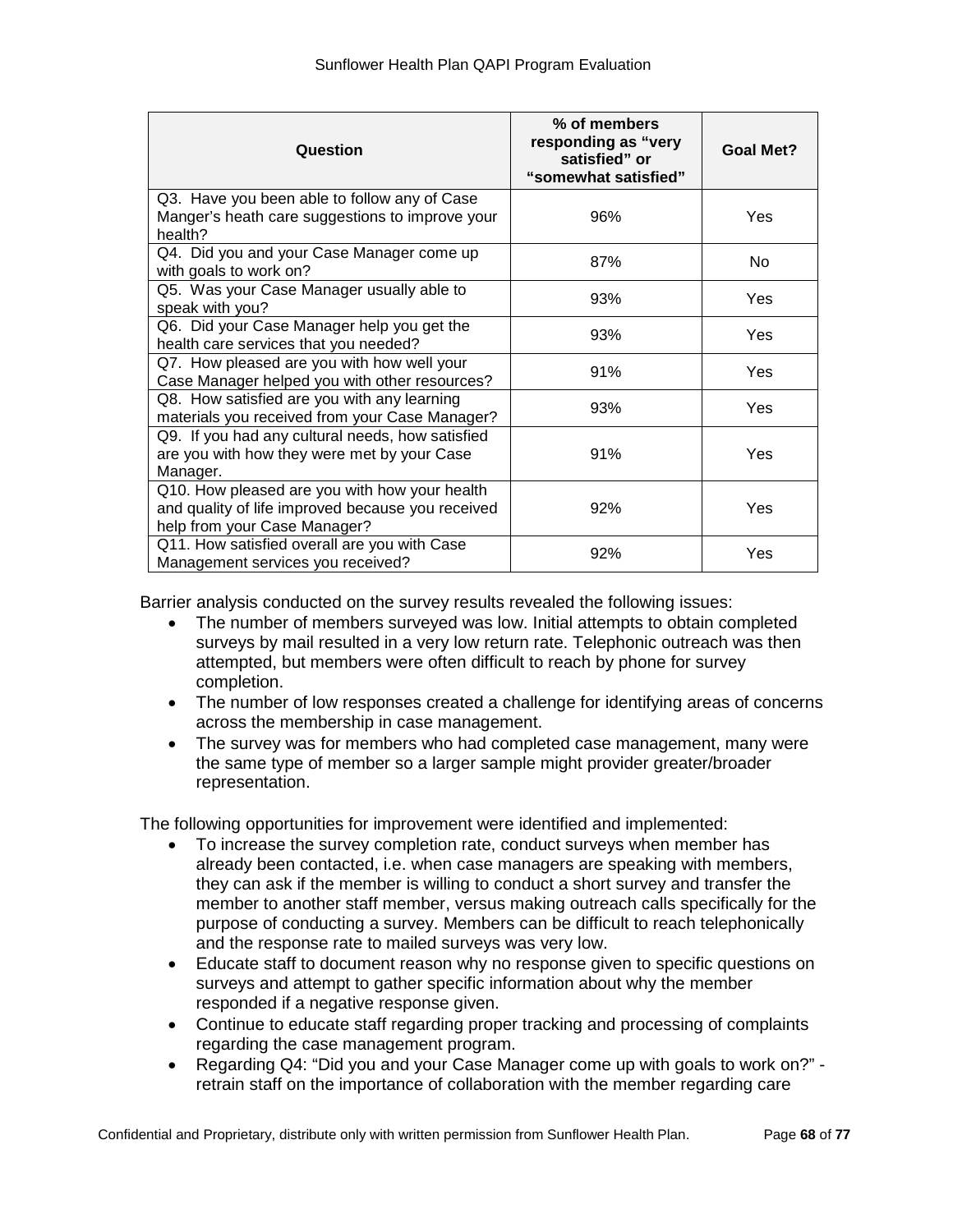| Question                                                                                                                           | % of members<br>responding as "very<br>satisfied" or<br>"somewhat satisfied" | <b>Goal Met?</b> |
|------------------------------------------------------------------------------------------------------------------------------------|------------------------------------------------------------------------------|------------------|
| Q3. Have you been able to follow any of Case<br>Manger's heath care suggestions to improve your<br>health?                         | 96%                                                                          | Yes              |
| Q4. Did you and your Case Manager come up<br>with goals to work on?                                                                | 87%                                                                          | No.              |
| Q5. Was your Case Manager usually able to<br>speak with you?                                                                       | 93%                                                                          | Yes              |
| Q6. Did your Case Manager help you get the<br>health care services that you needed?                                                | 93%                                                                          | Yes              |
| Q7. How pleased are you with how well your<br>Case Manager helped you with other resources?                                        | 91%                                                                          | Yes              |
| Q8. How satisfied are you with any learning<br>materials you received from your Case Manager?                                      | 93%                                                                          | Yes              |
| Q9. If you had any cultural needs, how satisfied<br>are you with how they were met by your Case<br>Manager.                        | 91%                                                                          | Yes              |
| Q10. How pleased are you with how your health<br>and quality of life improved because you received<br>help from your Case Manager? | 92%                                                                          | Yes              |
| Q11. How satisfied overall are you with Case<br>Management services you received?                                                  | 92%                                                                          | Yes              |

Barrier analysis conducted on the survey results revealed the following issues:

- The number of members surveyed was low. Initial attempts to obtain completed surveys by mail resulted in a very low return rate. Telephonic outreach was then attempted, but members were often difficult to reach by phone for survey completion.
- The number of low responses created a challenge for identifying areas of concerns across the membership in case management.
- The survey was for members who had completed case management, many were the same type of member so a larger sample might provider greater/broader representation.

The following opportunities for improvement were identified and implemented:

- To increase the survey completion rate, conduct surveys when member has already been contacted, i.e. when case managers are speaking with members, they can ask if the member is willing to conduct a short survey and transfer the member to another staff member, versus making outreach calls specifically for the purpose of conducting a survey. Members can be difficult to reach telephonically and the response rate to mailed surveys was very low.
- Educate staff to document reason why no response given to specific questions on surveys and attempt to gather specific information about why the member responded if a negative response given.
- Continue to educate staff regarding proper tracking and processing of complaints regarding the case management program.
- Regarding Q4: "Did you and your Case Manager come up with goals to work on?" retrain staff on the importance of collaboration with the member regarding care

Confidential and Proprietary, distribute only with written permission from Sunflower Health Plan. Page **68** of **77**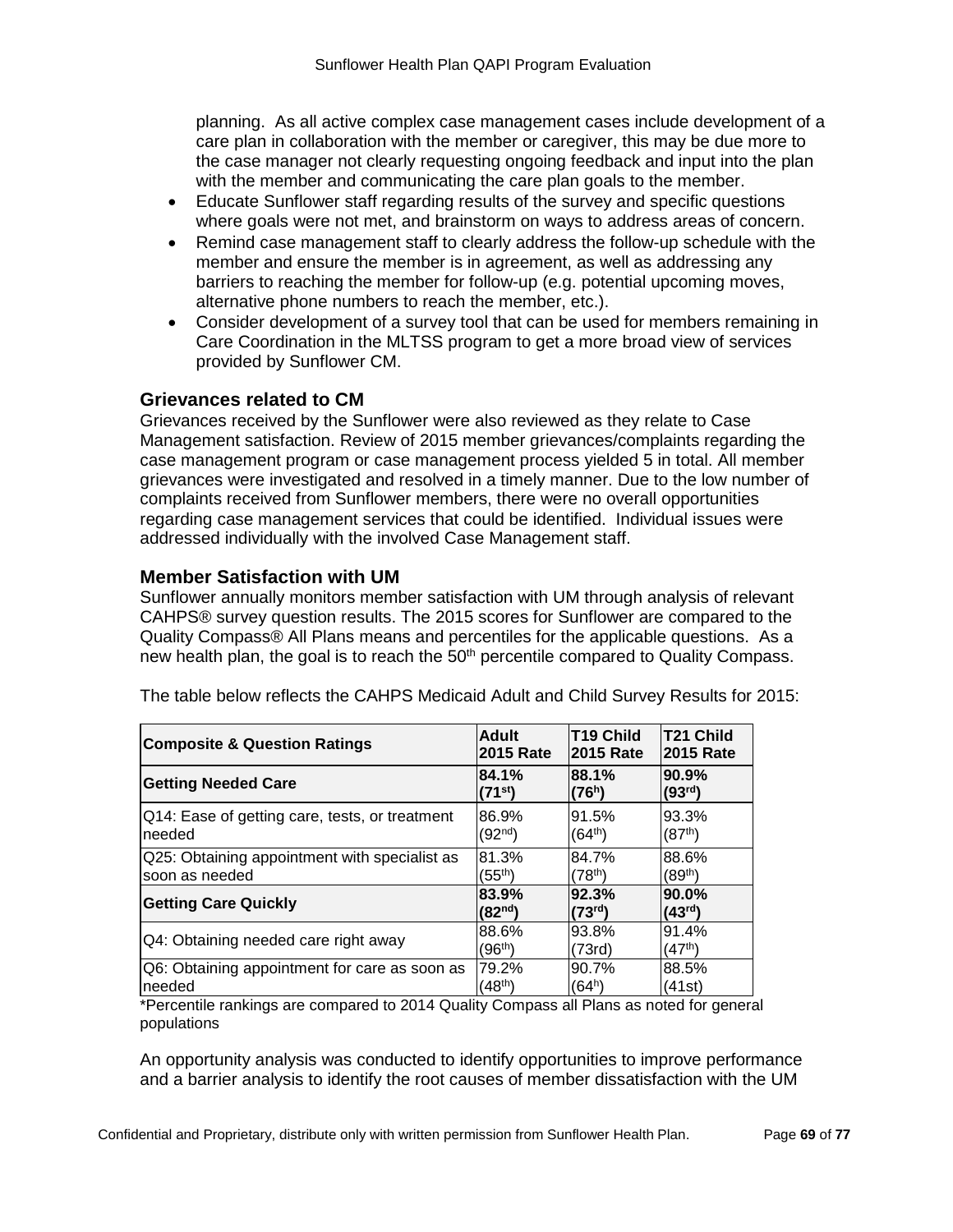planning. As all active complex case management cases include development of a care plan in collaboration with the member or caregiver, this may be due more to the case manager not clearly requesting ongoing feedback and input into the plan with the member and communicating the care plan goals to the member.

- Educate Sunflower staff regarding results of the survey and specific questions where goals were not met, and brainstorm on ways to address areas of concern.
- Remind case management staff to clearly address the follow-up schedule with the member and ensure the member is in agreement, as well as addressing any barriers to reaching the member for follow-up (e.g. potential upcoming moves, alternative phone numbers to reach the member, etc.).
- Consider development of a survey tool that can be used for members remaining in Care Coordination in the MLTSS program to get a more broad view of services provided by Sunflower CM.

#### **Grievances related to CM**

Grievances received by the Sunflower were also reviewed as they relate to Case Management satisfaction. Review of 2015 member grievances/complaints regarding the case management program or case management process yielded 5 in total. All member grievances were investigated and resolved in a timely manner. Due to the low number of complaints received from Sunflower members, there were no overall opportunities regarding case management services that could be identified. Individual issues were addressed individually with the involved Case Management staff.

### **Member Satisfaction with UM**

Sunflower annually monitors member satisfaction with UM through analysis of relevant CAHPS® survey question results. The 2015 scores for Sunflower are compared to the Quality Compass® All Plans means and percentiles for the applicable questions. As a new health plan, the goal is to reach the 50<sup>th</sup> percentile compared to Quality Compass.

| <b>Composite &amp; Question Ratings</b>        | Adult               | <b>T19 Child</b>    | <b>T21 Child</b>    |
|------------------------------------------------|---------------------|---------------------|---------------------|
|                                                | <b>2015 Rate</b>    | <b>2015 Rate</b>    | 2015 Rate           |
| <b>Getting Needed Care</b>                     | 84.1%               | 88.1%               | 90.9%               |
|                                                | $(71^{st})$         | (76 <sup>h</sup> )  | (93 <sup>rd</sup> ) |
| Q14: Ease of getting care, tests, or treatment | 86.9%               | 91.5%               | 93.3%               |
| needed                                         | (92 <sup>nd</sup> ) | (64 <sup>th</sup> ) | (87 <sup>th</sup> ) |
| Q25: Obtaining appointment with specialist as  | 81.3%               | 84.7%               | 88.6%               |
| soon as needed                                 | (55th)              | (78 <sup>th</sup> ) | $(89^{th})$         |
| <b>Getting Care Quickly</b>                    | 83.9%               | 92.3%               | 90.0%               |
|                                                | (82 <sup>nd</sup> ) | (73 <sup>rd</sup> ) | (43 <sup>rd</sup> ) |
| Q4: Obtaining needed care right away           | 88.6%               | 93.8%               | 91.4%               |
|                                                | (96 <sup>th</sup> ) | (73rd)              | (47 <sup>th</sup> ) |
| Q6: Obtaining appointment for care as soon as  | 79.2%               | 90.7%               | 88.5%               |
| Ineeded                                        | (48 <sup>th</sup> ) | (64ʰ)               | (41st)              |

The table below reflects the CAHPS Medicaid Adult and Child Survey Results for 2015:

\*Percentile rankings are compared to 2014 Quality Compass all Plans as noted for general populations

An opportunity analysis was conducted to identify opportunities to improve performance and a barrier analysis to identify the root causes of member dissatisfaction with the UM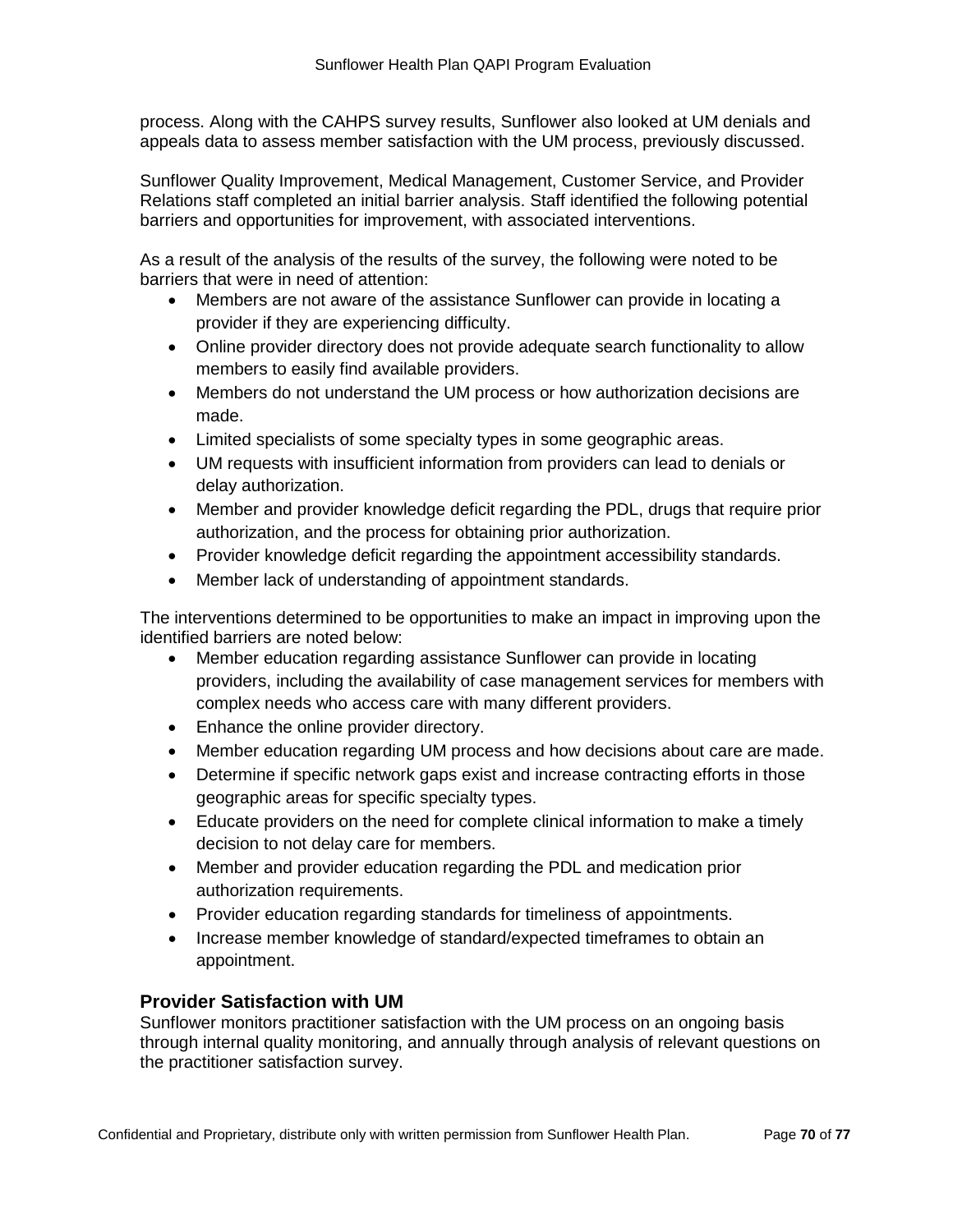process. Along with the CAHPS survey results, Sunflower also looked at UM denials and appeals data to assess member satisfaction with the UM process, previously discussed.

Sunflower Quality Improvement, Medical Management, Customer Service, and Provider Relations staff completed an initial barrier analysis. Staff identified the following potential barriers and opportunities for improvement, with associated interventions.

As a result of the analysis of the results of the survey, the following were noted to be barriers that were in need of attention:

- Members are not aware of the assistance Sunflower can provide in locating a provider if they are experiencing difficulty.
- Online provider directory does not provide adequate search functionality to allow members to easily find available providers.
- Members do not understand the UM process or how authorization decisions are made.
- Limited specialists of some specialty types in some geographic areas.
- UM requests with insufficient information from providers can lead to denials or delay authorization.
- Member and provider knowledge deficit regarding the PDL, drugs that require prior authorization, and the process for obtaining prior authorization.
- Provider knowledge deficit regarding the appointment accessibility standards.
- Member lack of understanding of appointment standards.

The interventions determined to be opportunities to make an impact in improving upon the identified barriers are noted below:

- Member education regarding assistance Sunflower can provide in locating providers, including the availability of case management services for members with complex needs who access care with many different providers.
- Enhance the online provider directory.
- Member education regarding UM process and how decisions about care are made.
- Determine if specific network gaps exist and increase contracting efforts in those geographic areas for specific specialty types.
- Educate providers on the need for complete clinical information to make a timely decision to not delay care for members.
- Member and provider education regarding the PDL and medication prior authorization requirements.
- Provider education regarding standards for timeliness of appointments.
- Increase member knowledge of standard/expected timeframes to obtain an appointment.

### **Provider Satisfaction with UM**

Sunflower monitors practitioner satisfaction with the UM process on an ongoing basis through internal quality monitoring, and annually through analysis of relevant questions on the practitioner satisfaction survey.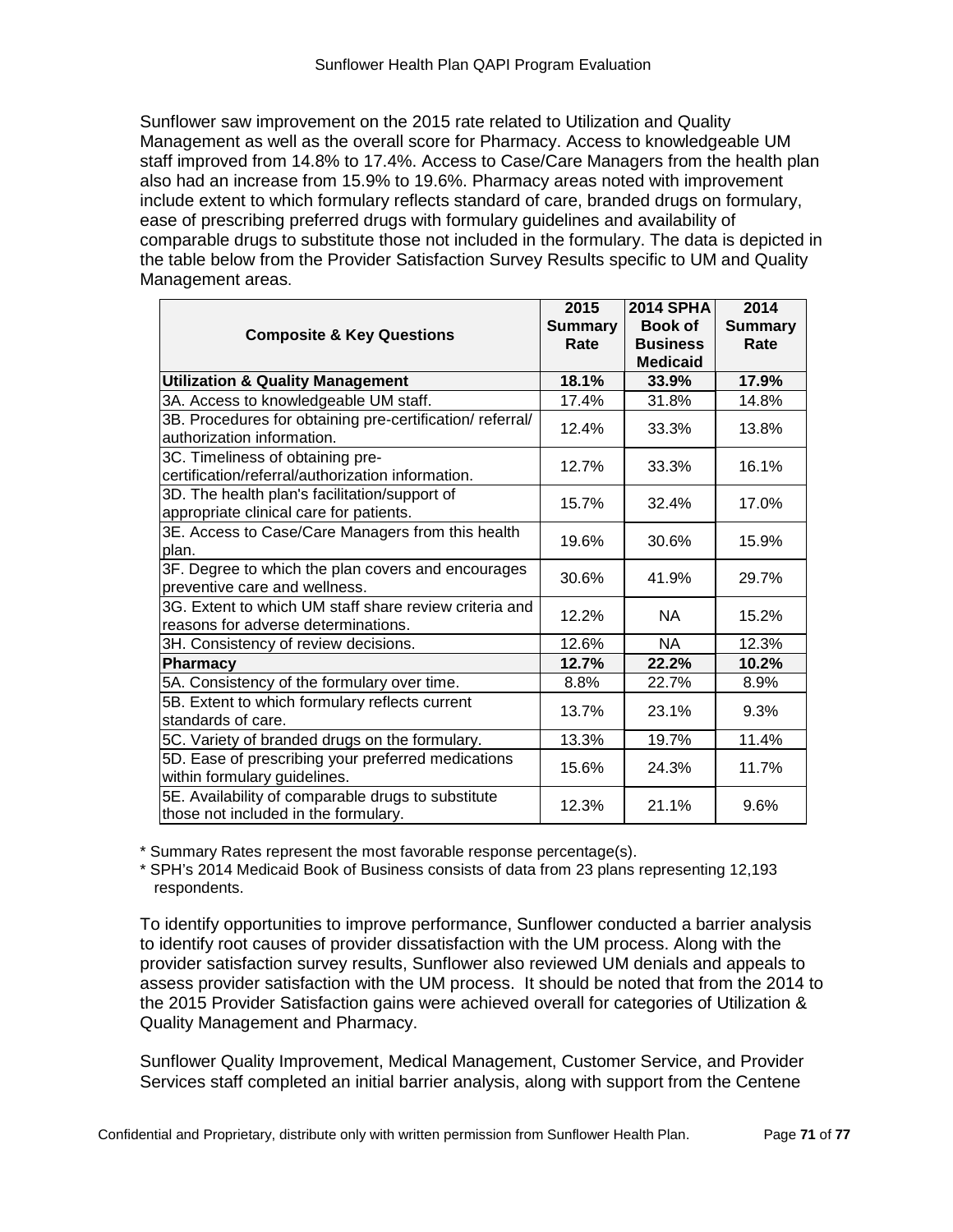Sunflower saw improvement on the 2015 rate related to Utilization and Quality Management as well as the overall score for Pharmacy. Access to knowledgeable UM staff improved from 14.8% to 17.4%. Access to Case/Care Managers from the health plan also had an increase from 15.9% to 19.6%. Pharmacy areas noted with improvement include extent to which formulary reflects standard of care, branded drugs on formulary, ease of prescribing preferred drugs with formulary guidelines and availability of comparable drugs to substitute those not included in the formulary. The data is depicted in the table below from the Provider Satisfaction Survey Results specific to UM and Quality Management areas.

|                                                                                               | 2015           | <b>2014 SPHA</b>                   | 2014           |
|-----------------------------------------------------------------------------------------------|----------------|------------------------------------|----------------|
| <b>Composite &amp; Key Questions</b>                                                          | <b>Summary</b> | <b>Book of</b>                     | <b>Summary</b> |
|                                                                                               | Rate           | <b>Business</b><br><b>Medicaid</b> | Rate           |
| <b>Utilization &amp; Quality Management</b>                                                   | 18.1%          | 33.9%                              | 17.9%          |
| 3A. Access to knowledgeable UM staff.                                                         | 17.4%          | 31.8%                              | 14.8%          |
| 3B. Procedures for obtaining pre-certification/referral/<br>authorization information.        | 12.4%          | 33.3%                              | 13.8%          |
| 3C. Timeliness of obtaining pre-<br>certification/referral/authorization information.         | 12.7%          | 33.3%                              | 16.1%          |
| 3D. The health plan's facilitation/support of<br>appropriate clinical care for patients.      | 15.7%          | 32.4%                              | 17.0%          |
| 3E. Access to Case/Care Managers from this health<br>plan.                                    | 19.6%          | 30.6%                              | 15.9%          |
| 3F. Degree to which the plan covers and encourages<br>preventive care and wellness.           | 30.6%          | 41.9%                              | 29.7%          |
| 3G. Extent to which UM staff share review criteria and<br>reasons for adverse determinations. | 12.2%          | NA.                                | 15.2%          |
| 3H. Consistency of review decisions.                                                          | 12.6%          | <b>NA</b>                          | 12.3%          |
| Pharmacy                                                                                      | 12.7%          | 22.2%                              | 10.2%          |
| 5A. Consistency of the formulary over time.                                                   | 8.8%           | 22.7%                              | 8.9%           |
| 5B. Extent to which formulary reflects current<br>standards of care.                          | 13.7%          | 23.1%                              | 9.3%           |
| 5C. Variety of branded drugs on the formulary.                                                | 13.3%          | 19.7%                              | 11.4%          |
| 5D. Ease of prescribing your preferred medications<br>within formulary guidelines.            | 15.6%          | 24.3%                              | 11.7%          |
| 5E. Availability of comparable drugs to substitute<br>those not included in the formulary.    | 12.3%          | 21.1%                              | 9.6%           |

\* Summary Rates represent the most favorable response percentage(s).

\* SPH's 2014 Medicaid Book of Business consists of data from 23 plans representing 12,193 respondents.

To identify opportunities to improve performance, Sunflower conducted a barrier analysis to identify root causes of provider dissatisfaction with the UM process. Along with the provider satisfaction survey results, Sunflower also reviewed UM denials and appeals to assess provider satisfaction with the UM process. It should be noted that from the 2014 to the 2015 Provider Satisfaction gains were achieved overall for categories of Utilization & Quality Management and Pharmacy.

Sunflower Quality Improvement, Medical Management, Customer Service, and Provider Services staff completed an initial barrier analysis, along with support from the Centene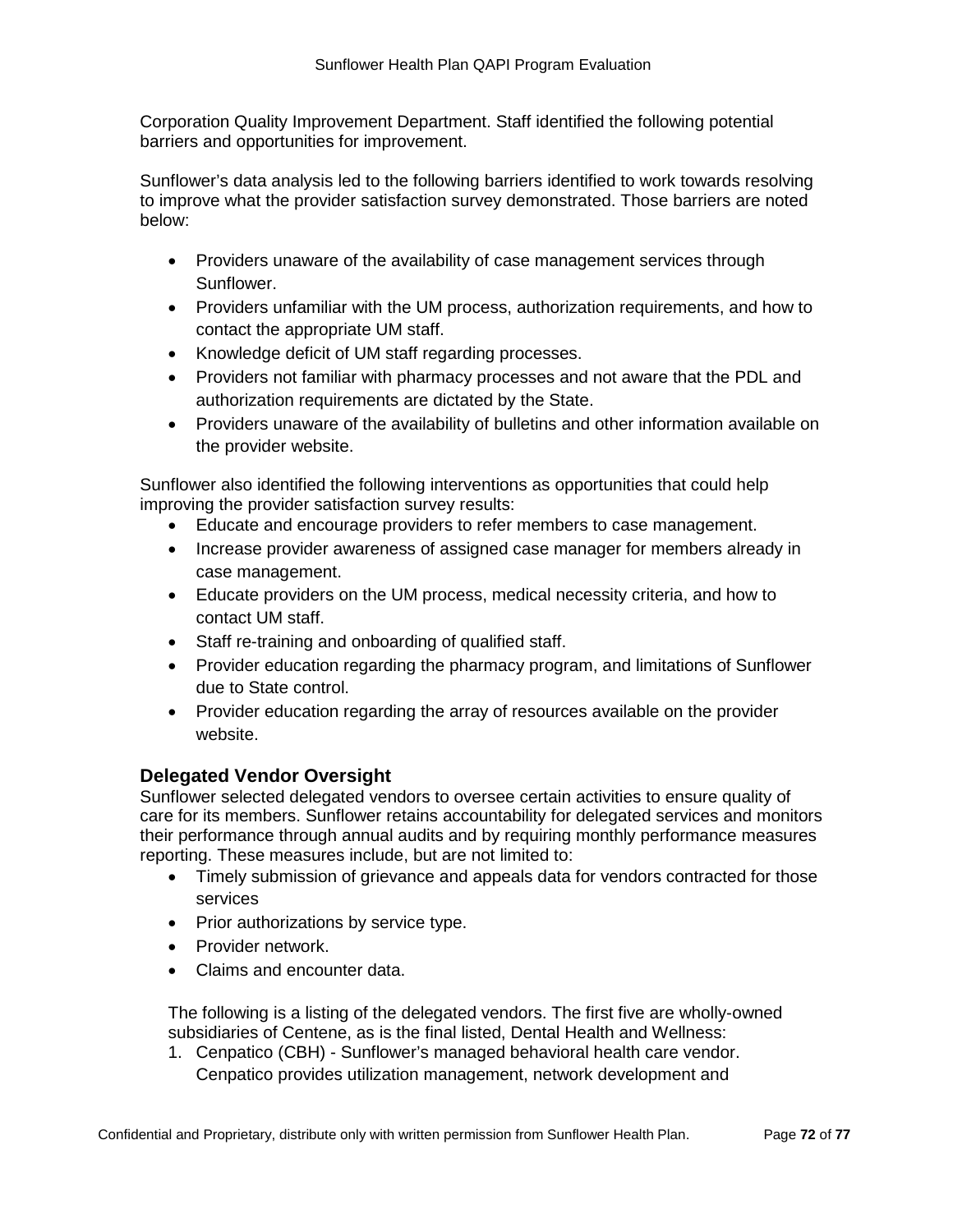Corporation Quality Improvement Department. Staff identified the following potential barriers and opportunities for improvement.

Sunflower's data analysis led to the following barriers identified to work towards resolving to improve what the provider satisfaction survey demonstrated. Those barriers are noted below:

- Providers unaware of the availability of case management services through Sunflower.
- Providers unfamiliar with the UM process, authorization requirements, and how to contact the appropriate UM staff.
- Knowledge deficit of UM staff regarding processes.
- Providers not familiar with pharmacy processes and not aware that the PDL and authorization requirements are dictated by the State.
- Providers unaware of the availability of bulletins and other information available on the provider website.

Sunflower also identified the following interventions as opportunities that could help improving the provider satisfaction survey results:

- Educate and encourage providers to refer members to case management.
- Increase provider awareness of assigned case manager for members already in case management.
- Educate providers on the UM process, medical necessity criteria, and how to contact UM staff.
- Staff re-training and onboarding of qualified staff.
- Provider education regarding the pharmacy program, and limitations of Sunflower due to State control.
- Provider education regarding the array of resources available on the provider website.

# **Delegated Vendor Oversight**

Sunflower selected delegated vendors to oversee certain activities to ensure quality of care for its members. Sunflower retains accountability for delegated services and monitors their performance through annual audits and by requiring monthly performance measures reporting. These measures include, but are not limited to:

- Timely submission of grievance and appeals data for vendors contracted for those services
- Prior authorizations by service type.
- Provider network.
- Claims and encounter data.

The following is a listing of the delegated vendors. The first five are wholly-owned subsidiaries of Centene, as is the final listed, Dental Health and Wellness:

1. Cenpatico (CBH) - Sunflower's managed behavioral health care vendor. Cenpatico provides utilization management, network development and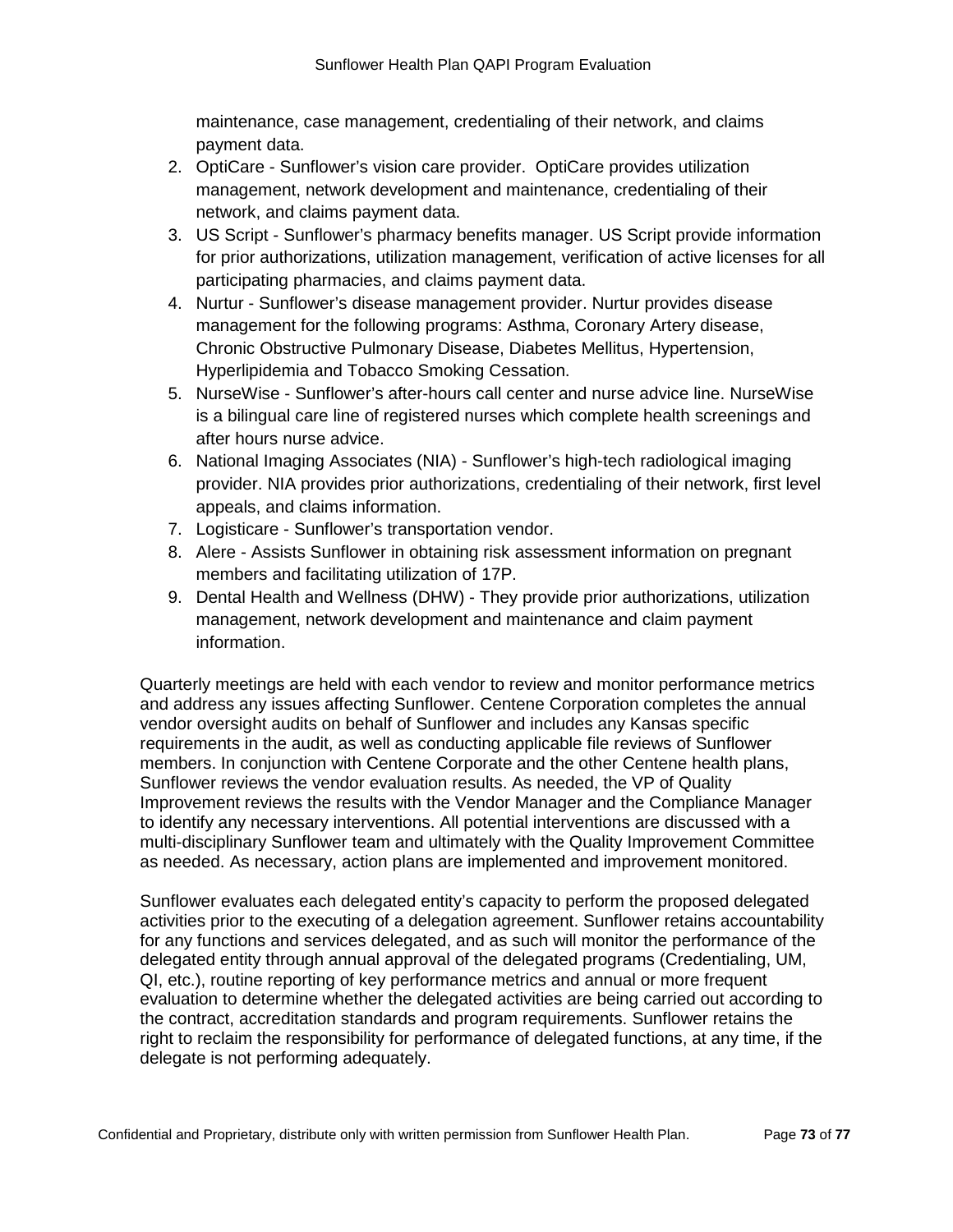maintenance, case management, credentialing of their network, and claims payment data.

- 2. OptiCare Sunflower's vision care provider. OptiCare provides utilization management, network development and maintenance, credentialing of their network, and claims payment data.
- 3. US Script Sunflower's pharmacy benefits manager. US Script provide information for prior authorizations, utilization management, verification of active licenses for all participating pharmacies, and claims payment data.
- 4. Nurtur Sunflower's disease management provider. Nurtur provides disease management for the following programs: Asthma, Coronary Artery disease, Chronic Obstructive Pulmonary Disease, Diabetes Mellitus, Hypertension, Hyperlipidemia and Tobacco Smoking Cessation.
- 5. NurseWise Sunflower's after-hours call center and nurse advice line. NurseWise is a bilingual care line of registered nurses which complete health screenings and after hours nurse advice.
- 6. National Imaging Associates (NIA) Sunflower's high-tech radiological imaging provider. NIA provides prior authorizations, credentialing of their network, first level appeals, and claims information.
- 7. Logisticare Sunflower's transportation vendor.
- 8. Alere Assists Sunflower in obtaining risk assessment information on pregnant members and facilitating utilization of 17P.
- 9. Dental Health and Wellness (DHW) They provide prior authorizations, utilization management, network development and maintenance and claim payment information.

Quarterly meetings are held with each vendor to review and monitor performance metrics and address any issues affecting Sunflower. Centene Corporation completes the annual vendor oversight audits on behalf of Sunflower and includes any Kansas specific requirements in the audit, as well as conducting applicable file reviews of Sunflower members. In conjunction with Centene Corporate and the other Centene health plans, Sunflower reviews the vendor evaluation results. As needed, the VP of Quality Improvement reviews the results with the Vendor Manager and the Compliance Manager to identify any necessary interventions. All potential interventions are discussed with a multi-disciplinary Sunflower team and ultimately with the Quality Improvement Committee as needed. As necessary, action plans are implemented and improvement monitored.

Sunflower evaluates each delegated entity's capacity to perform the proposed delegated activities prior to the executing of a delegation agreement. Sunflower retains accountability for any functions and services delegated, and as such will monitor the performance of the delegated entity through annual approval of the delegated programs (Credentialing, UM, QI, etc.), routine reporting of key performance metrics and annual or more frequent evaluation to determine whether the delegated activities are being carried out according to the contract, accreditation standards and program requirements. Sunflower retains the right to reclaim the responsibility for performance of delegated functions, at any time, if the delegate is not performing adequately.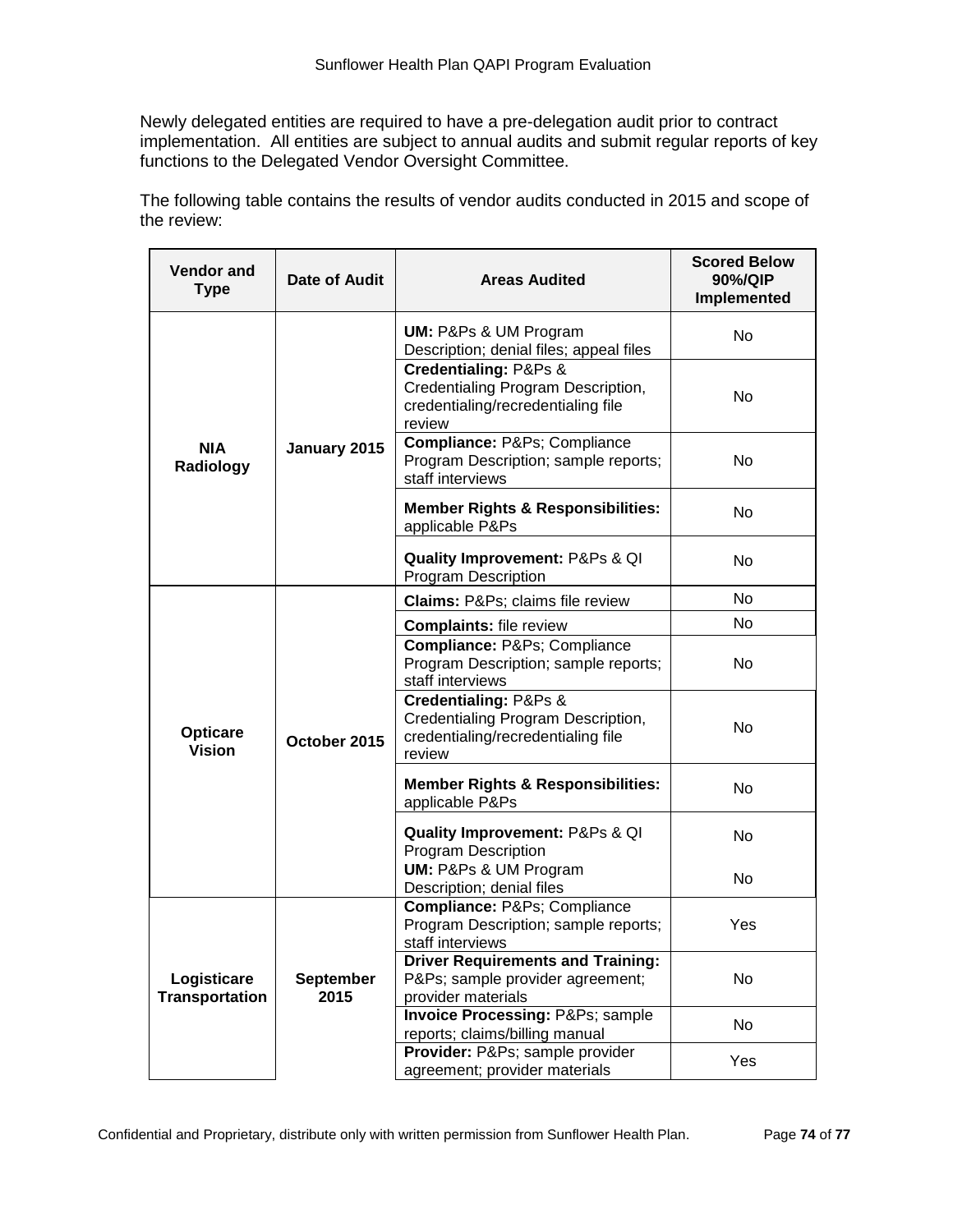Newly delegated entities are required to have a pre-delegation audit prior to contract implementation. All entities are subject to annual audits and submit regular reports of key functions to the Delegated Vendor Oversight Committee.

The following table contains the results of vendor audits conducted in 2015 and scope of the review:

| <b>Vendor and</b><br>Type            | Date of Audit            | <b>Areas Audited</b>                                                                                        | <b>Scored Below</b><br>90%/QIP<br>Implemented |
|--------------------------------------|--------------------------|-------------------------------------------------------------------------------------------------------------|-----------------------------------------------|
|                                      |                          | <b>UM: P&amp;Ps &amp; UM Program</b><br>Description; denial files; appeal files                             | No.                                           |
|                                      |                          | Credentialing: P&Ps &<br>Credentialing Program Description,<br>credentialing/recredentialing file<br>review | No                                            |
| <b>NIA</b><br>Radiology              | January 2015             | Compliance: P&Ps Compliance<br>Program Description; sample reports;<br>staff interviews                     | No                                            |
|                                      |                          | <b>Member Rights &amp; Responsibilities:</b><br>applicable P&Ps                                             | No                                            |
|                                      |                          | <b>Quality Improvement: P&amp;Ps &amp; QI</b><br>Program Description                                        | No                                            |
|                                      |                          | Claims: P&Ps claims file review                                                                             | No                                            |
|                                      |                          | <b>Complaints: file review</b>                                                                              | No.                                           |
|                                      |                          | Compliance: P&Ps Compliance<br>Program Description; sample reports;<br>staff interviews                     | No                                            |
| <b>Opticare</b><br><b>Vision</b>     | October 2015             | Credentialing: P&Ps &<br>Credentialing Program Description,<br>credentialing/recredentialing file<br>review | No                                            |
|                                      |                          | <b>Member Rights &amp; Responsibilities:</b><br>applicable P&Ps                                             | No                                            |
|                                      |                          | <b>Quality Improvement: P&amp;Ps &amp; QI</b><br>Program Description                                        | <b>No</b>                                     |
|                                      |                          | <b>UM: P&amp;Ps &amp; UM Program</b><br>Description; denial files                                           | No                                            |
|                                      |                          | Compliance: P&Ps Compliance<br>Program Description; sample reports;<br>staff interviews                     | Yes                                           |
| Logisticare<br><b>Transportation</b> | <b>September</b><br>2015 | <b>Driver Requirements and Training:</b><br>P&Ps sample provider agreement;<br>provider materials           | No                                            |
|                                      |                          | <b>Invoice Processing: P&amp;Ps sample</b><br>reports; claims/billing manual                                | No                                            |
|                                      |                          | Provider: P&Ps sample provider<br>agreement; provider materials                                             | Yes                                           |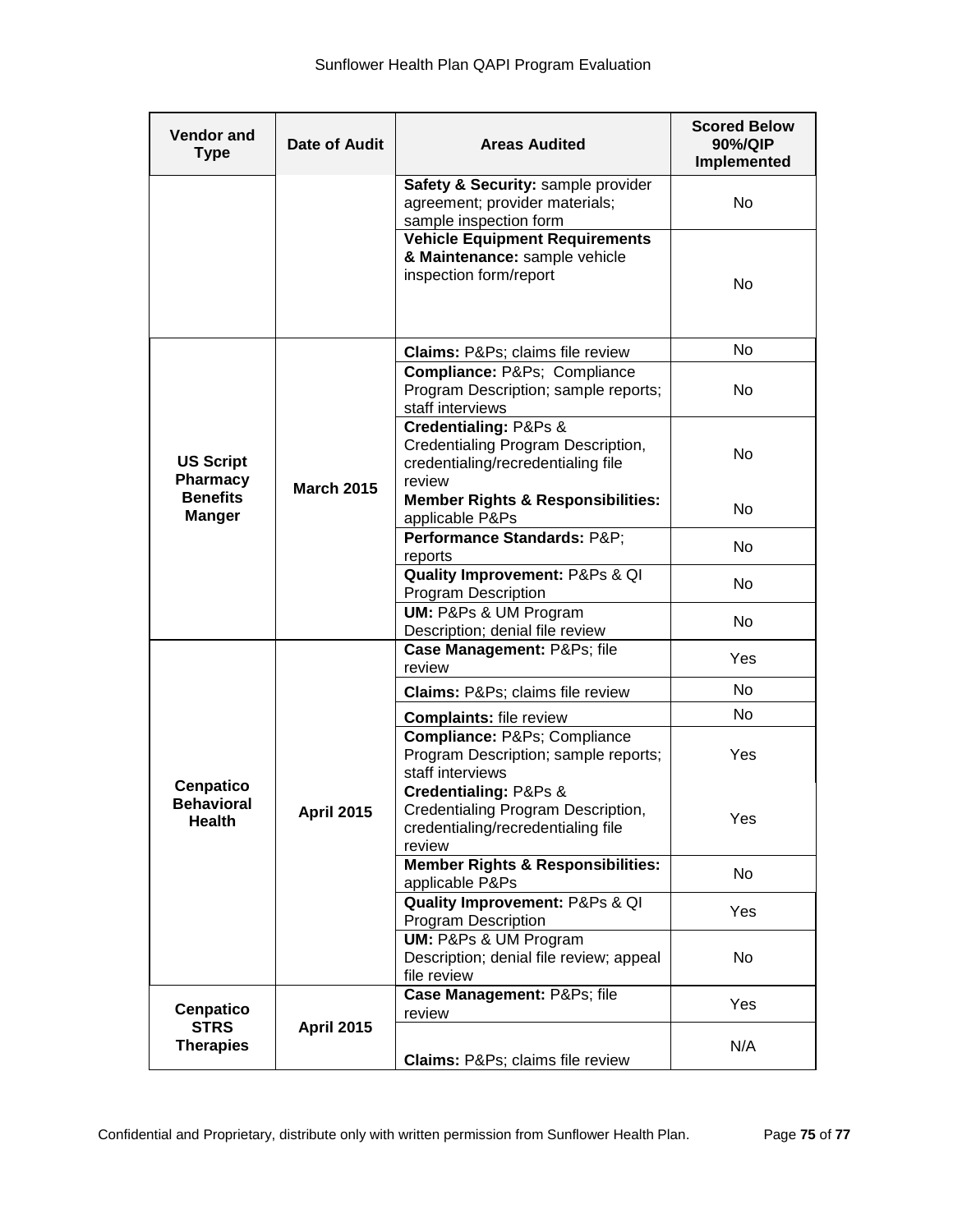| <b>Vendor and</b><br><b>Type</b>                                 | <b>Date of Audit</b> | <b>Areas Audited</b>                                                                                        | <b>Scored Below</b><br>90%/QIP<br>Implemented |
|------------------------------------------------------------------|----------------------|-------------------------------------------------------------------------------------------------------------|-----------------------------------------------|
|                                                                  |                      | Safety & Security: sample provider<br>agreement; provider materials;<br>sample inspection form              | No                                            |
|                                                                  |                      | <b>Vehicle Equipment Requirements</b><br>& Maintenance: sample vehicle<br>inspection form/report            | No                                            |
|                                                                  |                      | <b>Claims: P&amp;Ps claims file review</b>                                                                  | No                                            |
| <b>US Script</b><br>Pharmacy<br><b>Benefits</b><br><b>Manger</b> | <b>March 2015</b>    | Compliance: P&Ps Compliance<br>Program Description; sample reports;<br>staff interviews                     | No                                            |
|                                                                  |                      | Credentialing: P&Ps &<br>Credentialing Program Description,<br>credentialing/recredentialing file<br>review | No                                            |
|                                                                  |                      | <b>Member Rights &amp; Responsibilities:</b><br>applicable P&Ps                                             | No                                            |
|                                                                  |                      | Performance Standards: P&P<br>reports                                                                       | No                                            |
|                                                                  |                      | Quality Improvement: P&Ps & QI<br><b>Program Description</b>                                                | No                                            |
|                                                                  |                      | <b>UM: P&amp;Ps &amp; UM Program</b><br>Description; denial file review                                     | No                                            |
|                                                                  | <b>April 2015</b>    | Case Management: P&Ps file<br>review                                                                        | Yes                                           |
|                                                                  |                      | Claims: P&Ps claims file review                                                                             | No                                            |
|                                                                  |                      | <b>Complaints: file review</b>                                                                              | No.                                           |
| <b>Cenpatico</b><br><b>Behavioral</b><br><b>Health</b>           |                      | Compliance: P&Ps Compliance<br>Program Description; sample reports;<br>staff interviews                     | Yes                                           |
|                                                                  |                      | Credentialing: P&Ps &<br>Credentialing Program Description,<br>credentialing/recredentialing file<br>review | Yes                                           |
|                                                                  |                      | <b>Member Rights &amp; Responsibilities:</b><br>applicable P&Ps                                             | No                                            |
|                                                                  |                      | Quality Improvement: P&Ps & QI<br>Program Description                                                       | Yes                                           |
|                                                                  |                      | UM: P&Ps & UM Program<br>Description; denial file review; appeal<br>file review                             | No                                            |
| <b>Cenpatico</b><br><b>STRS</b><br><b>Therapies</b>              | <b>April 2015</b>    | Case Management: P&Ps file<br>review                                                                        | Yes                                           |
|                                                                  |                      | <b>Claims: P&amp;Ps claims file review</b>                                                                  | N/A                                           |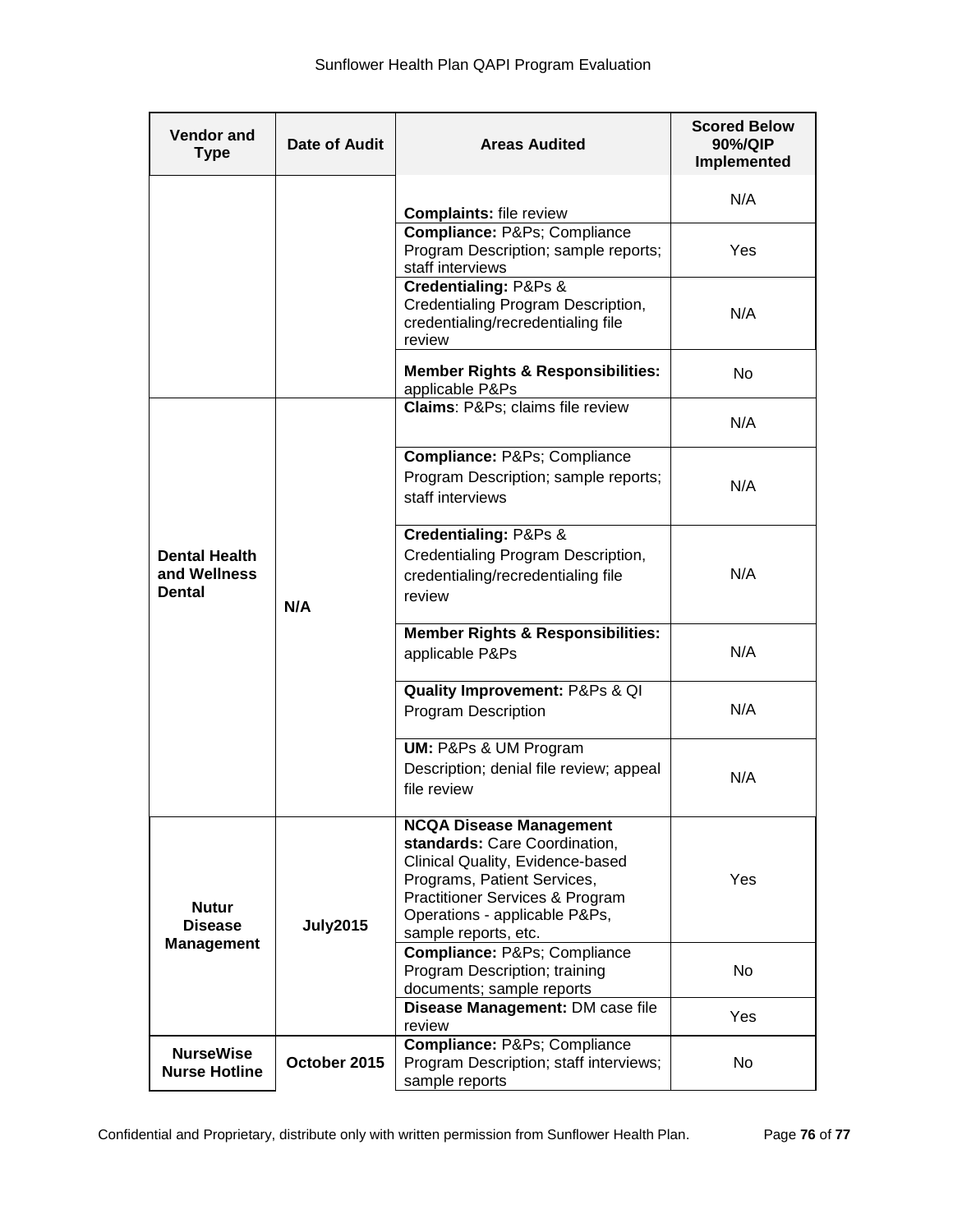| <b>Vendor and</b><br><b>Type</b>                    | Date of Audit   | <b>Areas Audited</b>                                                                                                                                                                                                                      | <b>Scored Below</b><br>90%/QIP<br>Implemented |
|-----------------------------------------------------|-----------------|-------------------------------------------------------------------------------------------------------------------------------------------------------------------------------------------------------------------------------------------|-----------------------------------------------|
|                                                     |                 | <b>Complaints: file review</b>                                                                                                                                                                                                            | N/A                                           |
|                                                     |                 | Compliance: P&Ps Compliance<br>Program Description; sample reports;<br>staff interviews                                                                                                                                                   | Yes                                           |
|                                                     |                 | <b>Credentialing: P&amp;Ps &amp;</b><br>Credentialing Program Description,<br>credentialing/recredentialing file<br>review                                                                                                                | N/A                                           |
|                                                     |                 | <b>Member Rights &amp; Responsibilities:</b><br>applicable P&Ps                                                                                                                                                                           | No.                                           |
| <b>Dental Health</b><br>and Wellness<br>Dental      | N/A             | Claims: P&Ps claims file review                                                                                                                                                                                                           | N/A                                           |
|                                                     |                 | Compliance: P&Ps Compliance<br>Program Description; sample reports;<br>staff interviews                                                                                                                                                   | N/A                                           |
|                                                     |                 | Credentialing: P&Ps &<br>Credentialing Program Description,<br>credentialing/recredentialing file<br>review                                                                                                                               | N/A                                           |
|                                                     |                 | <b>Member Rights &amp; Responsibilities:</b><br>applicable P&Ps                                                                                                                                                                           | N/A                                           |
|                                                     |                 | Quality Improvement: P&Ps & QI<br><b>Program Description</b>                                                                                                                                                                              | N/A                                           |
|                                                     |                 | <b>UM: P&amp;Ps &amp; UM Program</b><br>Description; denial file review; appeal<br>file review                                                                                                                                            | N/A                                           |
| <b>Nutur</b><br><b>Disease</b><br><b>Management</b> | <b>July2015</b> | <b>NCQA Disease Management</b><br>standards: Care Coordination,<br>Clinical Quality, Evidence-based<br>Programs, Patient Services,<br><b>Practitioner Services &amp; Program</b><br>Operations - applicable P&Ps,<br>sample reports, etc. | Yes                                           |
|                                                     |                 | Compliance: P&Ps Compliance<br>Program Description; training<br>documents; sample reports                                                                                                                                                 | No                                            |
|                                                     |                 | Disease Management: DM case file<br>review                                                                                                                                                                                                | Yes                                           |
| <b>NurseWise</b><br><b>Nurse Hotline</b>            | October 2015    | Compliance: P&Ps Compliance<br>Program Description; staff interviews;<br>sample reports                                                                                                                                                   | No                                            |